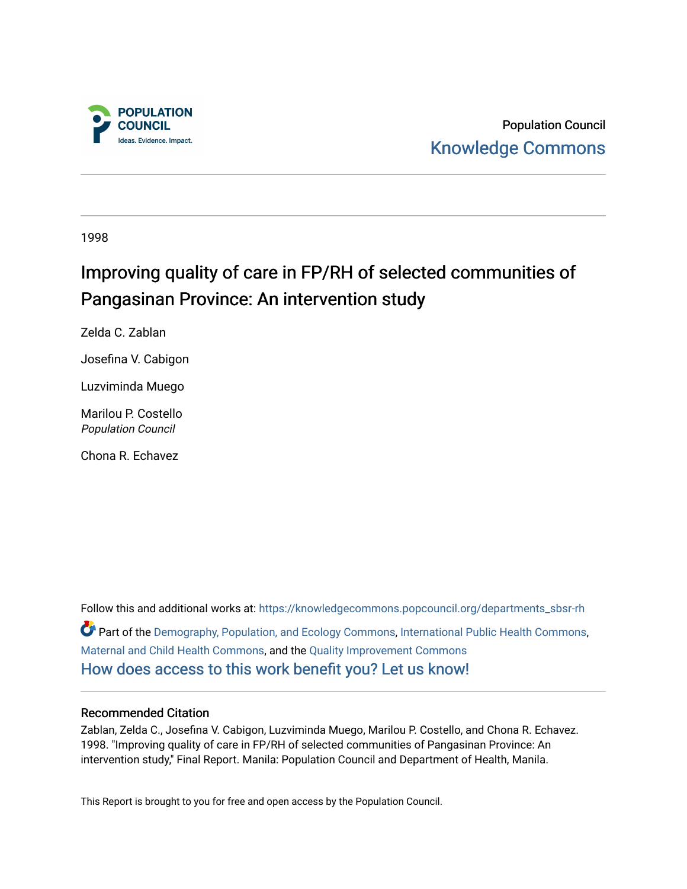

Population Council [Knowledge Commons](https://knowledgecommons.popcouncil.org/) 

1998

# Improving quality of care in FP/RH of selected communities of Pangasinan Province: An intervention study

Zelda C. Zablan

Josefina V. Cabigon

Luzviminda Muego

Marilou P. Costello Population Council

Chona R. Echavez

Follow this and additional works at: [https://knowledgecommons.popcouncil.org/departments\\_sbsr-rh](https://knowledgecommons.popcouncil.org/departments_sbsr-rh?utm_source=knowledgecommons.popcouncil.org%2Fdepartments_sbsr-rh%2F2060&utm_medium=PDF&utm_campaign=PDFCoverPages)  Part of the [Demography, Population, and Ecology Commons,](https://network.bepress.com/hgg/discipline/418?utm_source=knowledgecommons.popcouncil.org%2Fdepartments_sbsr-rh%2F2060&utm_medium=PDF&utm_campaign=PDFCoverPages) [International Public Health Commons](https://network.bepress.com/hgg/discipline/746?utm_source=knowledgecommons.popcouncil.org%2Fdepartments_sbsr-rh%2F2060&utm_medium=PDF&utm_campaign=PDFCoverPages), [Maternal and Child Health Commons,](https://network.bepress.com/hgg/discipline/745?utm_source=knowledgecommons.popcouncil.org%2Fdepartments_sbsr-rh%2F2060&utm_medium=PDF&utm_campaign=PDFCoverPages) and the [Quality Improvement Commons](https://network.bepress.com/hgg/discipline/1430?utm_source=knowledgecommons.popcouncil.org%2Fdepartments_sbsr-rh%2F2060&utm_medium=PDF&utm_campaign=PDFCoverPages) [How does access to this work benefit you? Let us know!](https://pcouncil.wufoo.com/forms/open-access-to-population-council-research/)

#### Recommended Citation

Zablan, Zelda C., Josefina V. Cabigon, Luzviminda Muego, Marilou P. Costello, and Chona R. Echavez. 1998. "Improving quality of care in FP/RH of selected communities of Pangasinan Province: An intervention study," Final Report. Manila: Population Council and Department of Health, Manila.

This Report is brought to you for free and open access by the Population Council.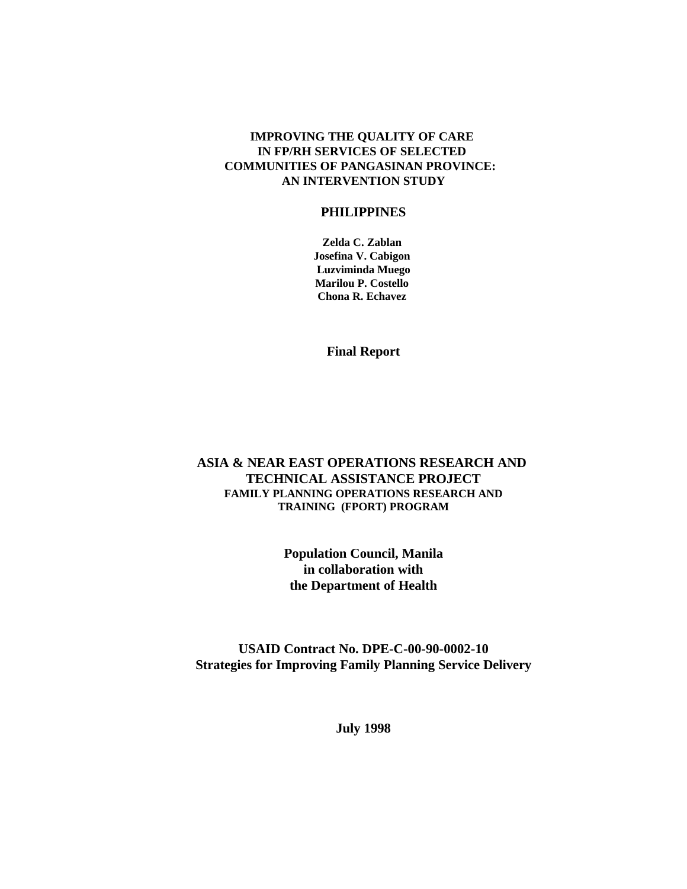#### **IMPROVING THE QUALITY OF CARE IN FP/RH SERVICES OF SELECTED COMMUNITIES OF PANGASINAN PROVINCE: AN INTERVENTION STUDY**

#### **PHILIPPINES**

**Zelda C. Zablan Josefina V. Cabigon Luzviminda Muego Marilou P. Costello Chona R. Echavez** 

**Final Report**

#### **ASIA & NEAR EAST OPERATIONS RESEARCH AND TECHNICAL ASSISTANCE PROJECT FAMILY PLANNING OPERATIONS RESEARCH AND TRAINING (FPORT) PROGRAM**

**Population Council, Manila in collaboration with the Department of Health**

**USAID Contract No. DPE-C-00-90-0002-10 Strategies for Improving Family Planning Service Delivery**

**July 1998**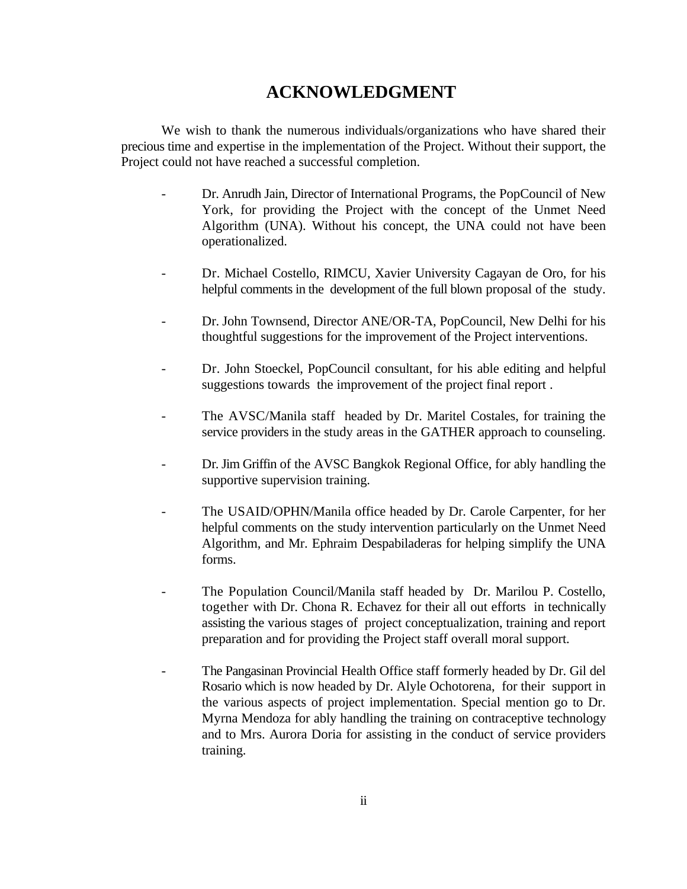## **ACKNOWLEDGMENT**

We wish to thank the numerous individuals/organizations who have shared their precious time and expertise in the implementation of the Project. Without their support, the Project could not have reached a successful completion.

- Dr. Anrudh Jain, Director of International Programs, the PopCouncil of New York, for providing the Project with the concept of the Unmet Need Algorithm (UNA). Without his concept, the UNA could not have been operationalized.
- Dr. Michael Costello, RIMCU, Xavier University Cagayan de Oro, for his helpful comments in the development of the full blown proposal of the study.
- Dr. John Townsend, Director ANE/OR-TA, PopCouncil, New Delhi for his thoughtful suggestions for the improvement of the Project interventions.
- Dr. John Stoeckel, PopCouncil consultant, for his able editing and helpful suggestions towards the improvement of the project final report .
- The AVSC/Manila staff headed by Dr. Maritel Costales, for training the service providers in the study areas in the GATHER approach to counseling.
- Dr. Jim Griffin of the AVSC Bangkok Regional Office, for ably handling the supportive supervision training.
- The USAID/OPHN/Manila office headed by Dr. Carole Carpenter, for her helpful comments on the study intervention particularly on the Unmet Need Algorithm, and Mr. Ephraim Despabiladeras for helping simplify the UNA forms.
- The Population Council/Manila staff headed by Dr. Marilou P. Costello, together with Dr. Chona R. Echavez for their all out efforts in technically assisting the various stages of project conceptualization, training and report preparation and for providing the Project staff overall moral support.
- The Pangasinan Provincial Health Office staff formerly headed by Dr. Gil del Rosario which is now headed by Dr. Alyle Ochotorena, for their support in the various aspects of project implementation. Special mention go to Dr. Myrna Mendoza for ably handling the training on contraceptive technology and to Mrs. Aurora Doria for assisting in the conduct of service providers training.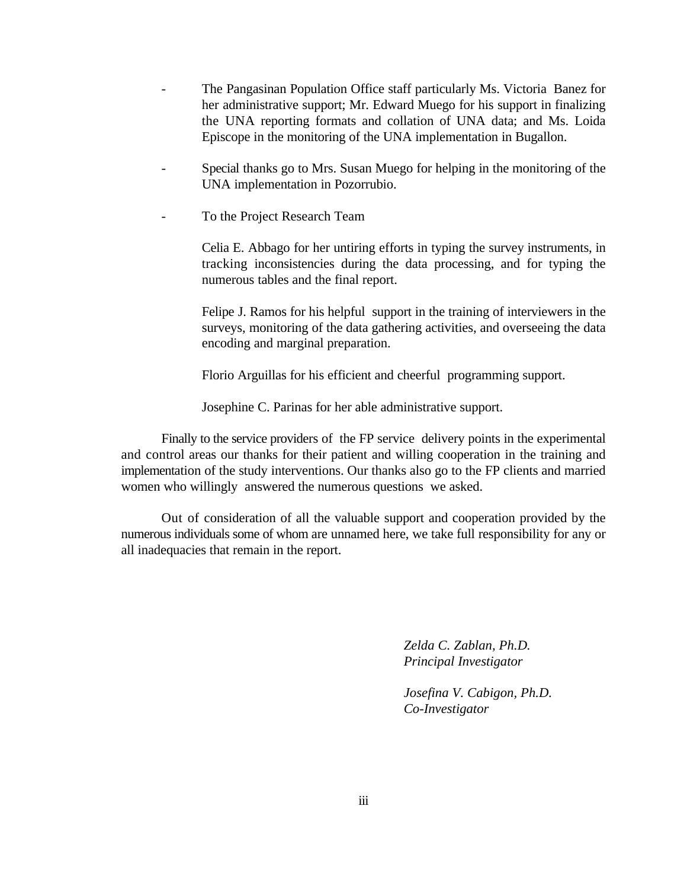- The Pangasinan Population Office staff particularly Ms. Victoria Banez for her administrative support; Mr. Edward Muego for his support in finalizing the UNA reporting formats and collation of UNA data; and Ms. Loida Episcope in the monitoring of the UNA implementation in Bugallon.
- Special thanks go to Mrs. Susan Muego for helping in the monitoring of the UNA implementation in Pozorrubio.
- To the Project Research Team

Celia E. Abbago for her untiring efforts in typing the survey instruments, in tracking inconsistencies during the data processing, and for typing the numerous tables and the final report.

Felipe J. Ramos for his helpful support in the training of interviewers in the surveys, monitoring of the data gathering activities, and overseeing the data encoding and marginal preparation.

Florio Arguillas for his efficient and cheerful programming support.

Josephine C. Parinas for her able administrative support.

Finally to the service providers of the FP service delivery points in the experimental and control areas our thanks for their patient and willing cooperation in the training and implementation of the study interventions. Our thanks also go to the FP clients and married women who willingly answered the numerous questions we asked.

Out of consideration of all the valuable support and cooperation provided by the numerous individuals some of whom are unnamed here, we take full responsibility for any or all inadequacies that remain in the report.

> *Zelda C. Zablan, Ph.D. Principal Investigator*

*Josefina V. Cabigon, Ph.D. Co-Investigator*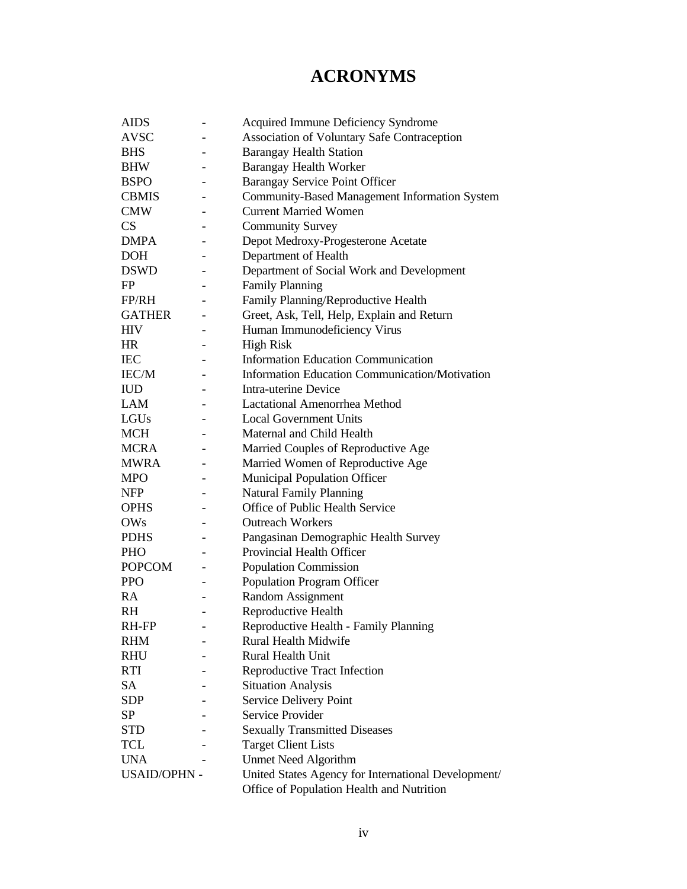## **ACRONYMS**

| <b>AIDS</b>         |                              | Acquired Immune Deficiency Syndrome                   |
|---------------------|------------------------------|-------------------------------------------------------|
| <b>AVSC</b>         |                              | Association of Voluntary Safe Contraception           |
| <b>BHS</b>          |                              | <b>Barangay Health Station</b>                        |
| <b>BHW</b>          |                              | <b>Barangay Health Worker</b>                         |
| <b>BSPO</b>         |                              | Barangay Service Point Officer                        |
| <b>CBMIS</b>        |                              | <b>Community-Based Management Information System</b>  |
| <b>CMW</b>          | $\overline{\phantom{0}}$     | <b>Current Married Women</b>                          |
| CS                  | $\qquad \qquad \blacksquare$ | <b>Community Survey</b>                               |
| <b>DMPA</b>         |                              | Depot Medroxy-Progesterone Acetate                    |
| <b>DOH</b>          |                              | Department of Health                                  |
| <b>DSWD</b>         |                              | Department of Social Work and Development             |
| FP                  | $\overline{\phantom{0}}$     | <b>Family Planning</b>                                |
| FP/RH               |                              | Family Planning/Reproductive Health                   |
| <b>GATHER</b>       |                              | Greet, Ask, Tell, Help, Explain and Return            |
| <b>HIV</b>          |                              | Human Immunodeficiency Virus                          |
| HR                  |                              | <b>High Risk</b>                                      |
| <b>IEC</b>          |                              | <b>Information Education Communication</b>            |
| IEC/M               |                              | <b>Information Education Communication/Motivation</b> |
| <b>IUD</b>          |                              | <b>Intra-uterine Device</b>                           |
| <b>LAM</b>          |                              | <b>Lactational Amenorrhea Method</b>                  |
| LGUs                |                              | <b>Local Government Units</b>                         |
| <b>MCH</b>          |                              | Maternal and Child Health                             |
| MCRA                | $\qquad \qquad \blacksquare$ | Married Couples of Reproductive Age                   |
| <b>MWRA</b>         |                              | Married Women of Reproductive Age                     |
| <b>MPO</b>          |                              | <b>Municipal Population Officer</b>                   |
| <b>NFP</b>          |                              | <b>Natural Family Planning</b>                        |
| <b>OPHS</b>         | $\overline{\phantom{0}}$     | Office of Public Health Service                       |
| <b>OWs</b>          | $\overline{\phantom{0}}$     | <b>Outreach Workers</b>                               |
| <b>PDHS</b>         |                              | Pangasinan Demographic Health Survey                  |
| <b>PHO</b>          |                              | Provincial Health Officer                             |
| <b>POPCOM</b>       |                              | Population Commission                                 |
| <b>PPO</b>          | $\overline{\phantom{0}}$     | <b>Population Program Officer</b>                     |
| RA.                 |                              | Random Assignment                                     |
| <b>RH</b>           |                              | Reproductive Health                                   |
| RH-FP               |                              | Reproductive Health - Family Planning                 |
| <b>RHM</b>          |                              | Rural Health Midwife                                  |
| <b>RHU</b>          |                              | Rural Health Unit                                     |
| <b>RTI</b>          |                              | <b>Reproductive Tract Infection</b>                   |
| <b>SA</b>           |                              | <b>Situation Analysis</b>                             |
| <b>SDP</b>          |                              | Service Delivery Point                                |
| SP                  |                              | Service Provider                                      |
| <b>STD</b>          |                              | <b>Sexually Transmitted Diseases</b>                  |
| <b>TCL</b>          |                              | <b>Target Client Lists</b>                            |
| <b>UNA</b>          |                              | <b>Unmet Need Algorithm</b>                           |
| <b>USAID/OPHN -</b> |                              | United States Agency for International Development/   |
|                     |                              | Office of Population Health and Nutrition             |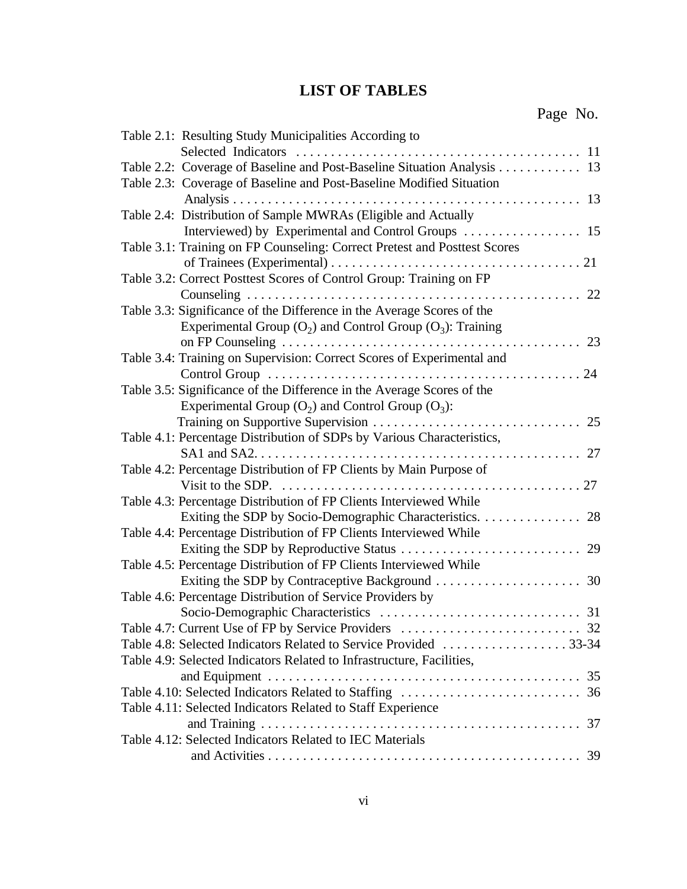## **LIST OF TABLES**

| Table 2.1: Resulting Study Municipalities According to                    |
|---------------------------------------------------------------------------|
|                                                                           |
| Table 2.2: Coverage of Baseline and Post-Baseline Situation Analysis 13   |
| Table 2.3: Coverage of Baseline and Post-Baseline Modified Situation      |
|                                                                           |
| Table 2.4: Distribution of Sample MWRAs (Eligible and Actually            |
|                                                                           |
| Table 3.1: Training on FP Counseling: Correct Pretest and Posttest Scores |
|                                                                           |
| Table 3.2: Correct Posttest Scores of Control Group: Training on FP       |
|                                                                           |
| Table 3.3: Significance of the Difference in the Average Scores of the    |
| Experimental Group $(O_2)$ and Control Group $(O_3)$ : Training           |
|                                                                           |
| Table 3.4: Training on Supervision: Correct Scores of Experimental and    |
|                                                                           |
| Table 3.5: Significance of the Difference in the Average Scores of the    |
| Experimental Group $(O_2)$ and Control Group $(O_3)$ :                    |
|                                                                           |
| Table 4.1: Percentage Distribution of SDPs by Various Characteristics,    |
|                                                                           |
| Table 4.2: Percentage Distribution of FP Clients by Main Purpose of       |
|                                                                           |
| Table 4.3: Percentage Distribution of FP Clients Interviewed While        |
| Exiting the SDP by Socio-Demographic Characteristics. 28                  |
| Table 4.4: Percentage Distribution of FP Clients Interviewed While        |
|                                                                           |
| Table 4.5: Percentage Distribution of FP Clients Interviewed While        |
|                                                                           |
| Table 4.6: Percentage Distribution of Service Providers by                |
|                                                                           |
|                                                                           |
|                                                                           |
| Table 4.9: Selected Indicators Related to Infrastructure, Facilities,     |
|                                                                           |
|                                                                           |
| Table 4.11: Selected Indicators Related to Staff Experience               |
|                                                                           |
| Table 4.12: Selected Indicators Related to IEC Materials                  |
|                                                                           |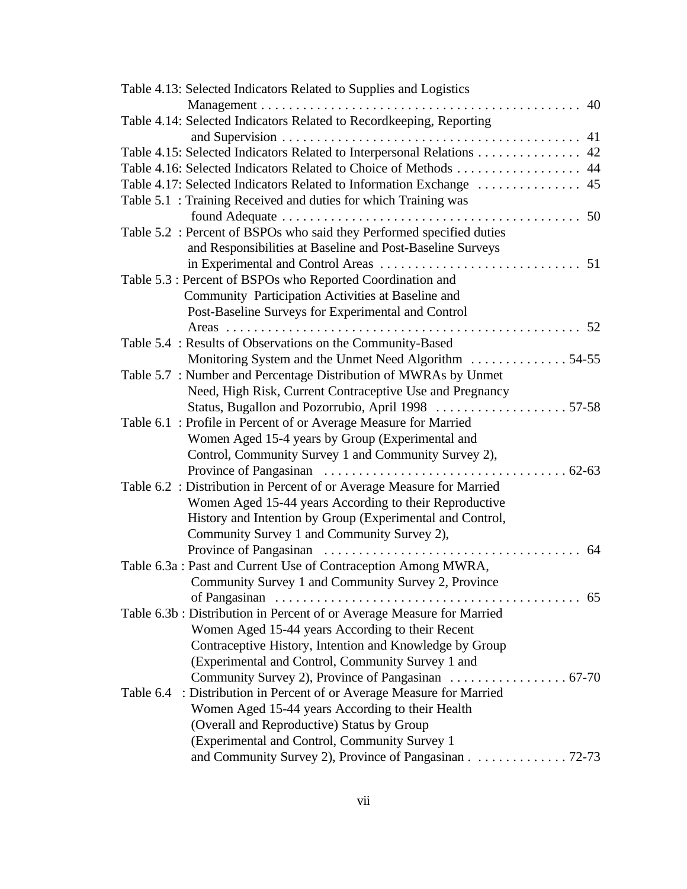| Table 4.13: Selected Indicators Related to Supplies and Logistics        |
|--------------------------------------------------------------------------|
|                                                                          |
| Table 4.14: Selected Indicators Related to Recordkeeping, Reporting      |
|                                                                          |
| Table 4.15: Selected Indicators Related to Interpersonal Relations 42    |
| Table 4.16: Selected Indicators Related to Choice of Methods 44          |
|                                                                          |
| Table 5.1 : Training Received and duties for which Training was          |
|                                                                          |
| Table 5.2 : Percent of BSPOs who said they Performed specified duties    |
| and Responsibilities at Baseline and Post-Baseline Surveys               |
| 51                                                                       |
| Table 5.3 : Percent of BSPOs who Reported Coordination and               |
| Community Participation Activities at Baseline and                       |
| Post-Baseline Surveys for Experimental and Control                       |
|                                                                          |
| Table 5.4 : Results of Observations on the Community-Based               |
|                                                                          |
| Table 5.7 : Number and Percentage Distribution of MWRAs by Unmet         |
| Need, High Risk, Current Contraceptive Use and Pregnancy                 |
| Status, Bugallon and Pozorrubio, April 1998 57-58                        |
| Table 6.1 : Profile in Percent of or Average Measure for Married         |
| Women Aged 15-4 years by Group (Experimental and                         |
| Control, Community Survey 1 and Community Survey 2),                     |
|                                                                          |
| Table 6.2 : Distribution in Percent of or Average Measure for Married    |
| Women Aged 15-44 years According to their Reproductive                   |
| History and Intention by Group (Experimental and Control,                |
| Community Survey 1 and Community Survey 2),                              |
| 64                                                                       |
| Table 6.3a : Past and Current Use of Contraception Among MWRA,           |
| Community Survey 1 and Community Survey 2, Province                      |
|                                                                          |
| Table 6.3b: Distribution in Percent of or Average Measure for Married    |
| Women Aged 15-44 years According to their Recent                         |
| Contraceptive History, Intention and Knowledge by Group                  |
| (Experimental and Control, Community Survey 1 and                        |
|                                                                          |
| : Distribution in Percent of or Average Measure for Married<br>Table 6.4 |
| Women Aged 15-44 years According to their Health                         |
| (Overall and Reproductive) Status by Group                               |
| (Experimental and Control, Community Survey 1)                           |
| and Community Survey 2), Province of Pangasinan 72-73                    |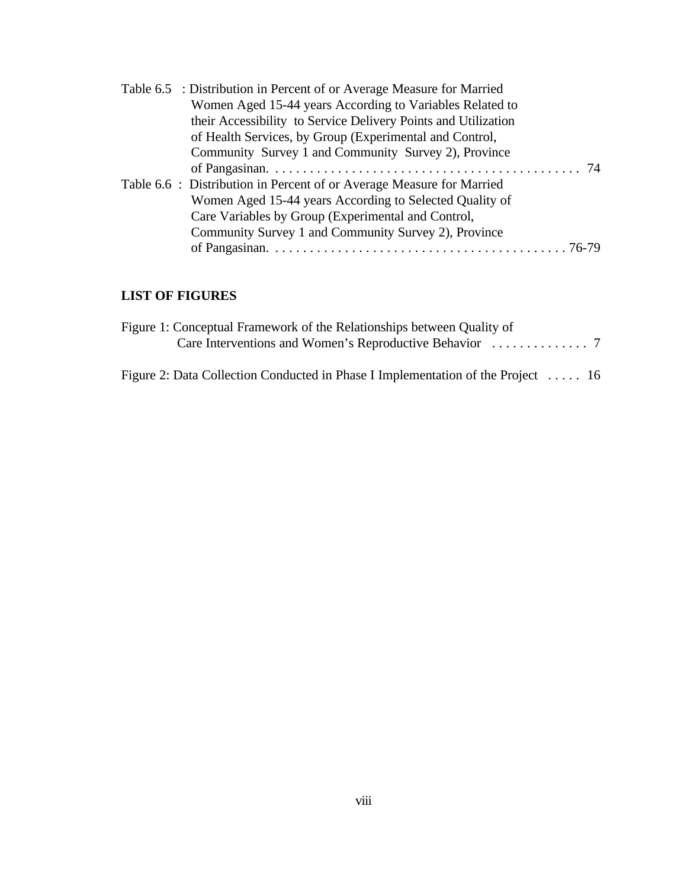| Table 6.5 : Distribution in Percent of or Average Measure for Married |  |
|-----------------------------------------------------------------------|--|
| Women Aged 15-44 years According to Variables Related to              |  |
| their Accessibility to Service Delivery Points and Utilization        |  |
| of Health Services, by Group (Experimental and Control,               |  |
| Community Survey 1 and Community Survey 2), Province                  |  |
|                                                                       |  |
| Table 6.6 : Distribution in Percent of or Average Measure for Married |  |
| Women Aged 15-44 years According to Selected Quality of               |  |
| Care Variables by Group (Experimental and Control,                    |  |
| Community Survey 1 and Community Survey 2), Province                  |  |
|                                                                       |  |
|                                                                       |  |

### **LIST OF FIGURES**

| Figure 1: Conceptual Framework of the Relationships between Quality of           |  |
|----------------------------------------------------------------------------------|--|
|                                                                                  |  |
| Figure 2: Data Collection Conducted in Phase I Implementation of the Project  16 |  |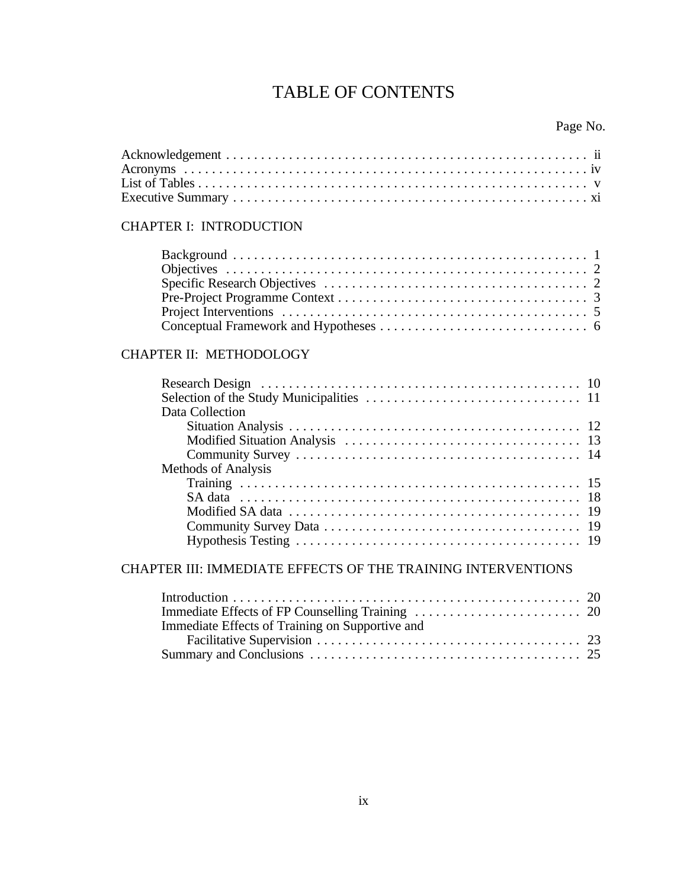## TABLE OF CONTENTS

## CHAPTER I: INTRODUCTION

## CHAPTER II: METHODOLOGY

| Data Collection     |  |  |  |  |
|---------------------|--|--|--|--|
|                     |  |  |  |  |
|                     |  |  |  |  |
|                     |  |  |  |  |
| Methods of Analysis |  |  |  |  |
|                     |  |  |  |  |
|                     |  |  |  |  |
|                     |  |  |  |  |
|                     |  |  |  |  |
|                     |  |  |  |  |
|                     |  |  |  |  |

## CHAPTER III: IMMEDIATE EFFECTS OF THE TRAINING INTERVENTIONS

| Immediate Effects of Training on Supportive and |  |
|-------------------------------------------------|--|
|                                                 |  |
|                                                 |  |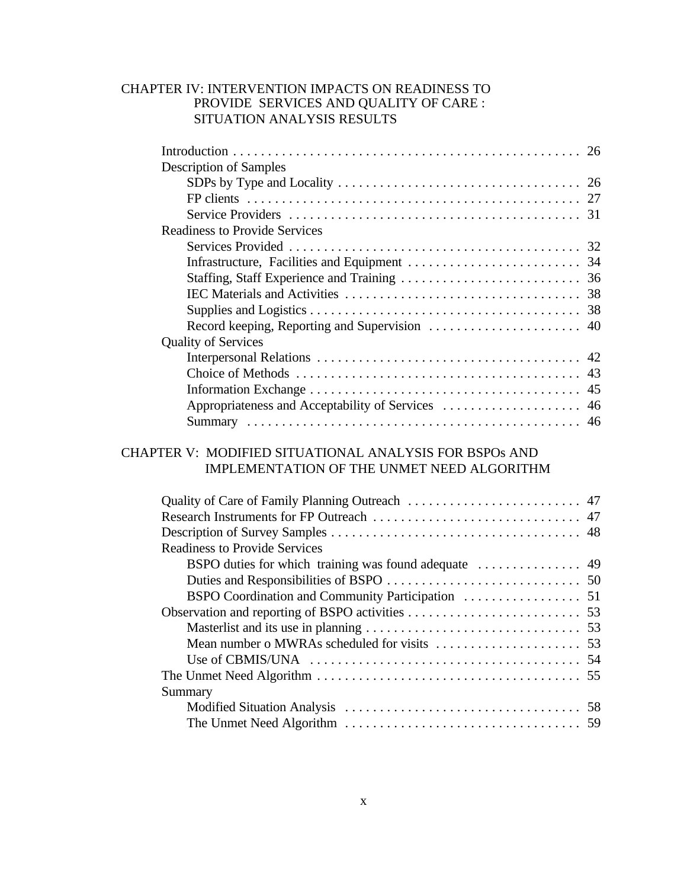#### CHAPTER IV: INTERVENTION IMPACTS ON READINESS TO PROVIDE SERVICES AND QUALITY OF CARE : SITUATION ANALYSIS RESULTS

| <b>Description of Samples</b>                          |  |
|--------------------------------------------------------|--|
|                                                        |  |
|                                                        |  |
|                                                        |  |
| <b>Readiness to Provide Services</b>                   |  |
|                                                        |  |
|                                                        |  |
|                                                        |  |
|                                                        |  |
|                                                        |  |
|                                                        |  |
| <b>Quality of Services</b>                             |  |
|                                                        |  |
|                                                        |  |
|                                                        |  |
| Appropriateness and Acceptability of Services  46      |  |
|                                                        |  |
|                                                        |  |
| CHAPTER V: MODIFIED SITUATIONAL ANALYSIS FOR BSPOs AND |  |
| IMPLEMENTATION OF THE UNMET NEED ALGORITHM             |  |
|                                                        |  |
|                                                        |  |
|                                                        |  |
|                                                        |  |
| <b>Readiness to Provide Services</b>                   |  |
|                                                        |  |
|                                                        |  |
|                                                        |  |
|                                                        |  |
|                                                        |  |

Mean number o MWRAs scheduled for visits ..................... 53 Use of CBMIS/UNA ....................................... 54 The Unmet Need Algorithm ...................................... 55

Modified Situation Analysis .................................. 58 The Unmet Need Algorithm .................................. 59

x

Summary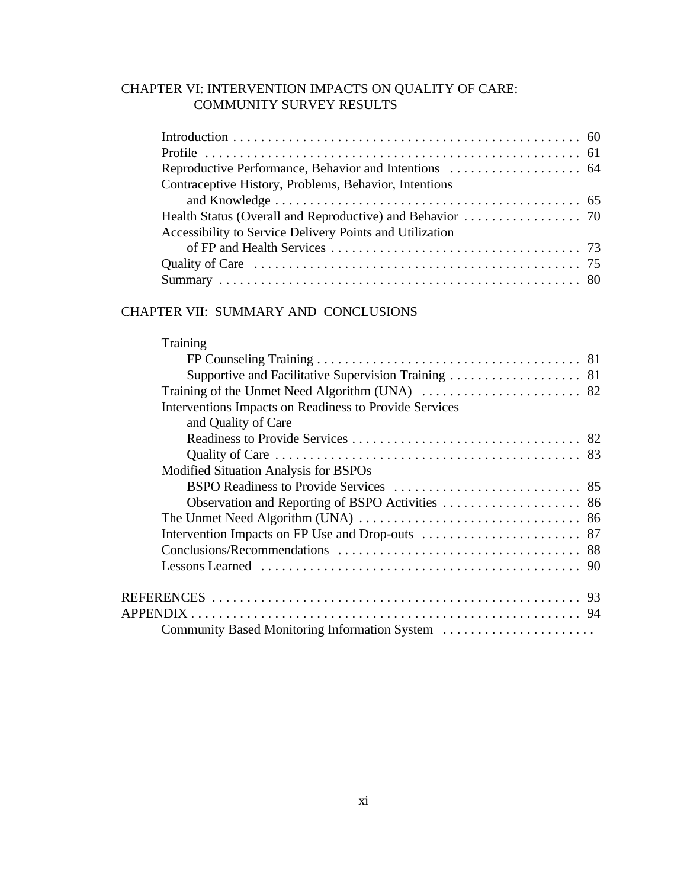## CHAPTER VI: INTERVENTION IMPACTS ON QUALITY OF CARE: COMMUNITY SURVEY RESULTS

| Contraceptive History, Problems, Behavior, Intentions    |
|----------------------------------------------------------|
|                                                          |
|                                                          |
| Accessibility to Service Delivery Points and Utilization |
|                                                          |
|                                                          |
|                                                          |

## CHAPTER VII: SUMMARY AND CONCLUSIONS

| Training                                               |  |
|--------------------------------------------------------|--|
|                                                        |  |
| Supportive and Facilitative Supervision Training 81    |  |
|                                                        |  |
| Interventions Impacts on Readiness to Provide Services |  |
| and Quality of Care                                    |  |
|                                                        |  |
|                                                        |  |
| Modified Situation Analysis for BSPOs                  |  |
|                                                        |  |
|                                                        |  |
|                                                        |  |
|                                                        |  |
|                                                        |  |
|                                                        |  |
|                                                        |  |
|                                                        |  |
| Community Based Monitoring Information System          |  |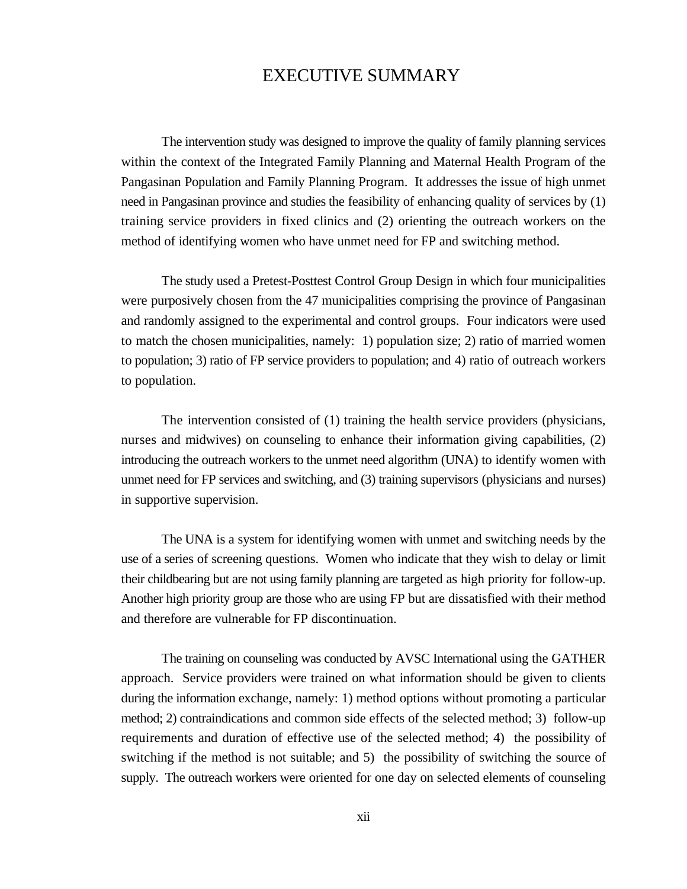## EXECUTIVE SUMMARY

The intervention study was designed to improve the quality of family planning services within the context of the Integrated Family Planning and Maternal Health Program of the Pangasinan Population and Family Planning Program. It addresses the issue of high unmet need in Pangasinan province and studies the feasibility of enhancing quality of services by (1) training service providers in fixed clinics and (2) orienting the outreach workers on the method of identifying women who have unmet need for FP and switching method.

The study used a Pretest-Posttest Control Group Design in which four municipalities were purposively chosen from the 47 municipalities comprising the province of Pangasinan and randomly assigned to the experimental and control groups. Four indicators were used to match the chosen municipalities, namely: 1) population size; 2) ratio of married women to population; 3) ratio of FP service providers to population; and 4) ratio of outreach workers to population.

The intervention consisted of (1) training the health service providers (physicians, nurses and midwives) on counseling to enhance their information giving capabilities, (2) introducing the outreach workers to the unmet need algorithm (UNA) to identify women with unmet need for FP services and switching, and (3) training supervisors (physicians and nurses) in supportive supervision.

The UNA is a system for identifying women with unmet and switching needs by the use of a series of screening questions. Women who indicate that they wish to delay or limit their childbearing but are not using family planning are targeted as high priority for follow-up. Another high priority group are those who are using FP but are dissatisfied with their method and therefore are vulnerable for FP discontinuation.

The training on counseling was conducted by AVSC International using the GATHER approach. Service providers were trained on what information should be given to clients during the information exchange, namely: 1) method options without promoting a particular method; 2) contraindications and common side effects of the selected method; 3) follow-up requirements and duration of effective use of the selected method; 4) the possibility of switching if the method is not suitable; and 5) the possibility of switching the source of supply. The outreach workers were oriented for one day on selected elements of counseling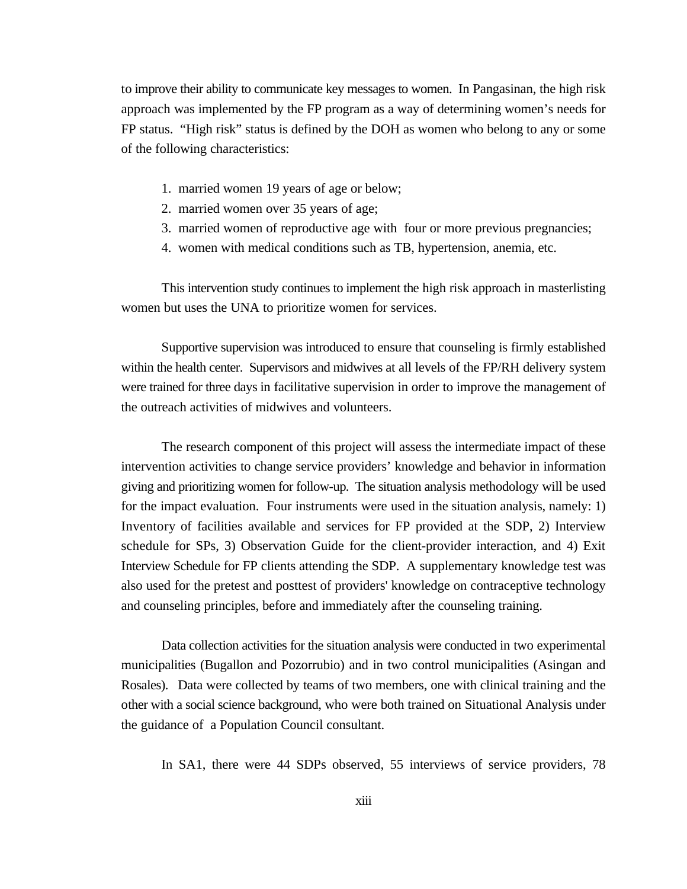to improve their ability to communicate key messages to women. In Pangasinan, the high risk approach was implemented by the FP program as a way of determining women's needs for FP status. "High risk" status is defined by the DOH as women who belong to any or some of the following characteristics:

- 1. married women 19 years of age or below;
- 2. married women over 35 years of age;
- 3. married women of reproductive age with four or more previous pregnancies;
- 4. women with medical conditions such as TB, hypertension, anemia, etc.

This intervention study continues to implement the high risk approach in masterlisting women but uses the UNA to prioritize women for services.

Supportive supervision was introduced to ensure that counseling is firmly established within the health center. Supervisors and midwives at all levels of the FP/RH delivery system were trained for three days in facilitative supervision in order to improve the management of the outreach activities of midwives and volunteers.

The research component of this project will assess the intermediate impact of these intervention activities to change service providers' knowledge and behavior in information giving and prioritizing women for follow-up. The situation analysis methodology will be used for the impact evaluation. Four instruments were used in the situation analysis, namely: 1) Inventory of facilities available and services for FP provided at the SDP, 2) Interview schedule for SPs, 3) Observation Guide for the client-provider interaction, and 4) Exit Interview Schedule for FP clients attending the SDP. A supplementary knowledge test was also used for the pretest and posttest of providers' knowledge on contraceptive technology and counseling principles, before and immediately after the counseling training.

Data collection activities for the situation analysis were conducted in two experimental municipalities (Bugallon and Pozorrubio) and in two control municipalities (Asingan and Rosales). Data were collected by teams of two members, one with clinical training and the other with a social science background, who were both trained on Situational Analysis under the guidance of a Population Council consultant.

In SA1, there were 44 SDPs observed, 55 interviews of service providers, 78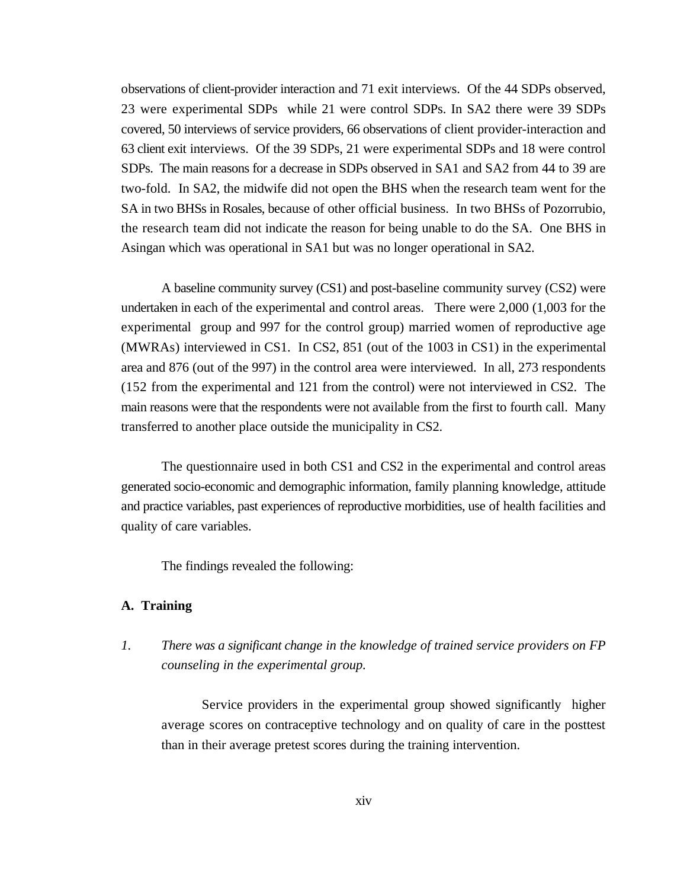observations of client-provider interaction and 71 exit interviews. Of the 44 SDPs observed, 23 were experimental SDPs while 21 were control SDPs. In SA2 there were 39 SDPs covered, 50 interviews of service providers, 66 observations of client provider-interaction and 63 client exit interviews. Of the 39 SDPs, 21 were experimental SDPs and 18 were control SDPs. The main reasons for a decrease in SDPs observed in SA1 and SA2 from 44 to 39 are two-fold. In SA2, the midwife did not open the BHS when the research team went for the SA in two BHSs in Rosales, because of other official business. In two BHSs of Pozorrubio, the research team did not indicate the reason for being unable to do the SA. One BHS in Asingan which was operational in SA1 but was no longer operational in SA2.

A baseline community survey (CS1) and post-baseline community survey (CS2) were undertaken in each of the experimental and control areas. There were 2,000 (1,003 for the experimental group and 997 for the control group) married women of reproductive age (MWRAs) interviewed in CS1. In CS2, 851 (out of the 1003 in CS1) in the experimental area and 876 (out of the 997) in the control area were interviewed. In all, 273 respondents (152 from the experimental and 121 from the control) were not interviewed in CS2. The main reasons were that the respondents were not available from the first to fourth call. Many transferred to another place outside the municipality in CS2.

The questionnaire used in both CS1 and CS2 in the experimental and control areas generated socio-economic and demographic information, family planning knowledge, attitude and practice variables, past experiences of reproductive morbidities, use of health facilities and quality of care variables.

The findings revealed the following:

#### **A. Training**

*1. There was a significant change in the knowledge of trained service providers on FP counseling in the experimental group.*

Service providers in the experimental group showed significantly higher average scores on contraceptive technology and on quality of care in the posttest than in their average pretest scores during the training intervention.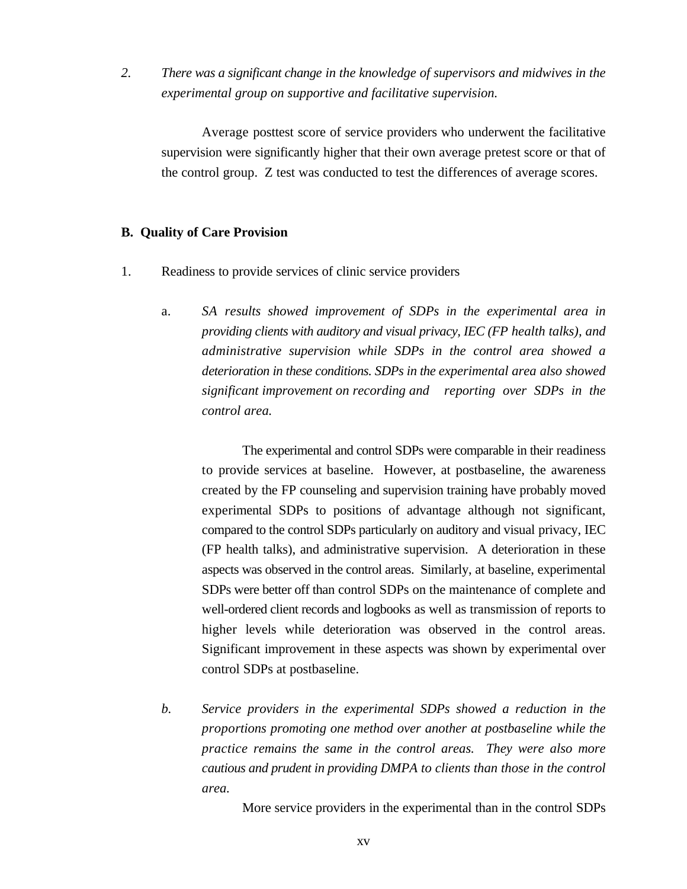*2. There was a significant change in the knowledge of supervisors and midwives in the experimental group on supportive and facilitative supervision.*

Average posttest score of service providers who underwent the facilitative supervision were significantly higher that their own average pretest score or that of the control group. Z test was conducted to test the differences of average scores.

#### **B. Quality of Care Provision**

- 1. Readiness to provide services of clinic service providers
	- a. *SA results showed improvement of SDPs in the experimental area in providing clients with auditory and visual privacy, IEC (FP health talks), and administrative supervision while SDPs in the control area showed a deterioration in these conditions. SDPs in the experimental area also showed significant improvement on recording and reporting over SDPs in the control area.*

The experimental and control SDPs were comparable in their readiness to provide services at baseline. However, at postbaseline, the awareness created by the FP counseling and supervision training have probably moved experimental SDPs to positions of advantage although not significant, compared to the control SDPs particularly on auditory and visual privacy, IEC (FP health talks), and administrative supervision. A deterioration in these aspects was observed in the control areas. Similarly, at baseline, experimental SDPs were better off than control SDPs on the maintenance of complete and well-ordered client records and logbooks as well as transmission of reports to higher levels while deterioration was observed in the control areas. Significant improvement in these aspects was shown by experimental over control SDPs at postbaseline.

*b. Service providers in the experimental SDPs showed a reduction in the proportions promoting one method over another at postbaseline while the practice remains the same in the control areas. They were also more cautious and prudent in providing DMPA to clients than those in the control area.*

More service providers in the experimental than in the control SDPs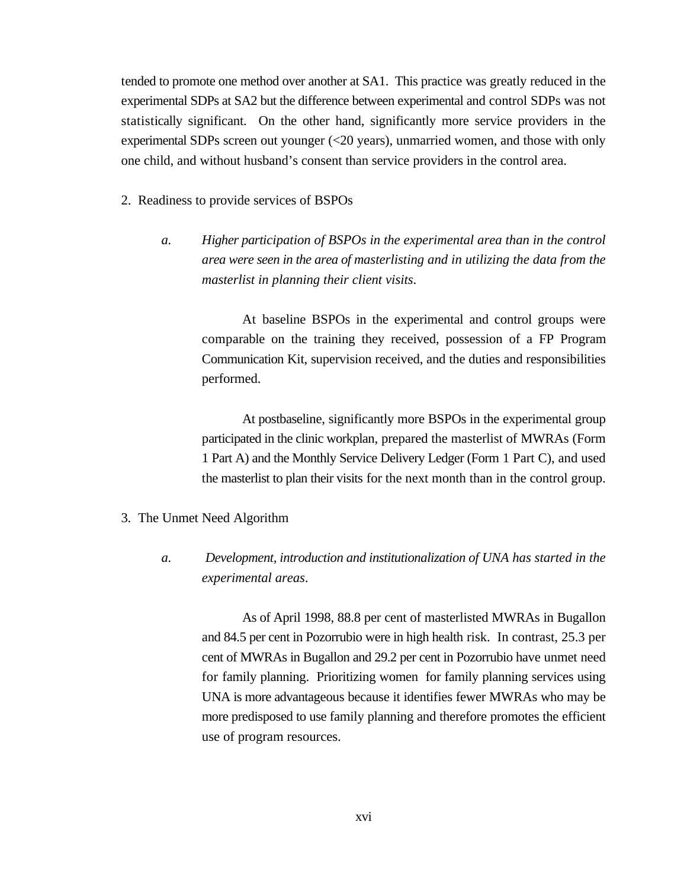tended to promote one method over another at SA1. This practice was greatly reduced in the experimental SDPs at SA2 but the difference between experimental and control SDPs was not statistically significant. On the other hand, significantly more service providers in the experimental SDPs screen out younger (<20 years), unmarried women, and those with only one child, and without husband's consent than service providers in the control area.

- 2. Readiness to provide services of BSPOs
	- *a. Higher participation of BSPOs in the experimental area than in the control area were seen in the area of masterlisting and in utilizing the data from the masterlist in planning their client visits*.

At baseline BSPOs in the experimental and control groups were comparable on the training they received, possession of a FP Program Communication Kit, supervision received, and the duties and responsibilities performed.

At postbaseline, significantly more BSPOs in the experimental group participated in the clinic workplan, prepared the masterlist of MWRAs (Form 1 Part A) and the Monthly Service Delivery Ledger (Form 1 Part C), and used the masterlist to plan their visits for the next month than in the control group.

- 3. The Unmet Need Algorithm
	- *a. Development, introduction and institutionalization of UNA has started in the experimental areas*.

As of April 1998, 88.8 per cent of masterlisted MWRAs in Bugallon and 84.5 per cent in Pozorrubio were in high health risk. In contrast, 25.3 per cent of MWRAs in Bugallon and 29.2 per cent in Pozorrubio have unmet need for family planning. Prioritizing women for family planning services using UNA is more advantageous because it identifies fewer MWRAs who may be more predisposed to use family planning and therefore promotes the efficient use of program resources.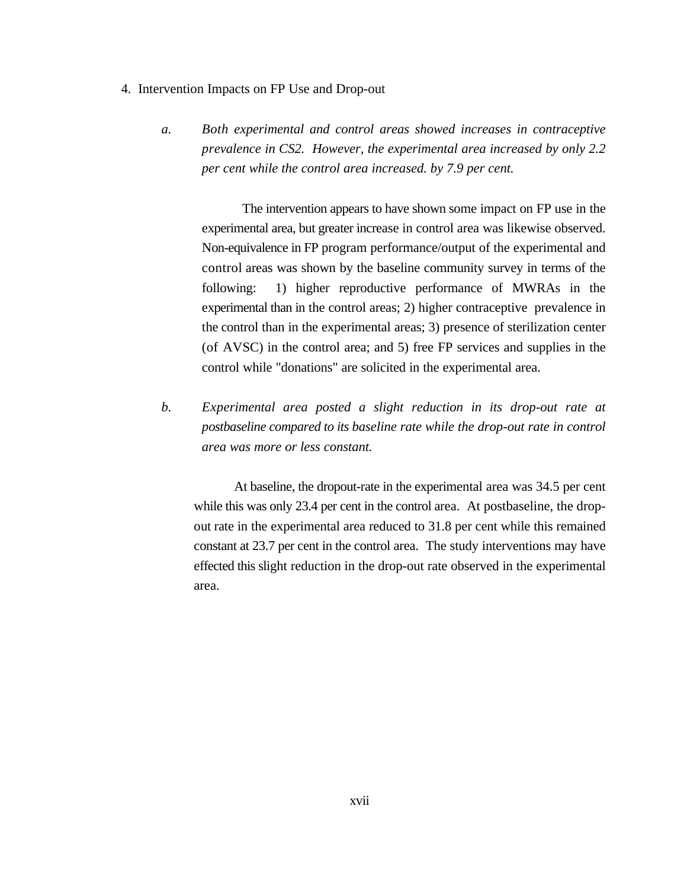- 4. Intervention Impacts on FP Use and Drop-out
	- *a. Both experimental and control areas showed increases in contraceptive prevalence in CS2. However, the experimental area increased by only 2.2 per cent while the control area increased. by 7.9 per cent.*

The intervention appears to have shown some impact on FP use in the experimental area, but greater increase in control area was likewise observed. Non-equivalence in FP program performance/output of the experimental and control areas was shown by the baseline community survey in terms of the following: 1) higher reproductive performance of MWRAs in the experimental than in the control areas; 2) higher contraceptive prevalence in the control than in the experimental areas; 3) presence of sterilization center (of AVSC) in the control area; and 5) free FP services and supplies in the control while "donations" are solicited in the experimental area.

*b. Experimental area posted a slight reduction in its drop-out rate at postbaseline compared to its baseline rate while the drop-out rate in control area was more or less constant.*

At baseline, the dropout-rate in the experimental area was 34.5 per cent while this was only 23.4 per cent in the control area. At postbaseline, the dropout rate in the experimental area reduced to 31.8 per cent while this remained constant at 23.7 per cent in the control area. The study interventions may have effected this slight reduction in the drop-out rate observed in the experimental area.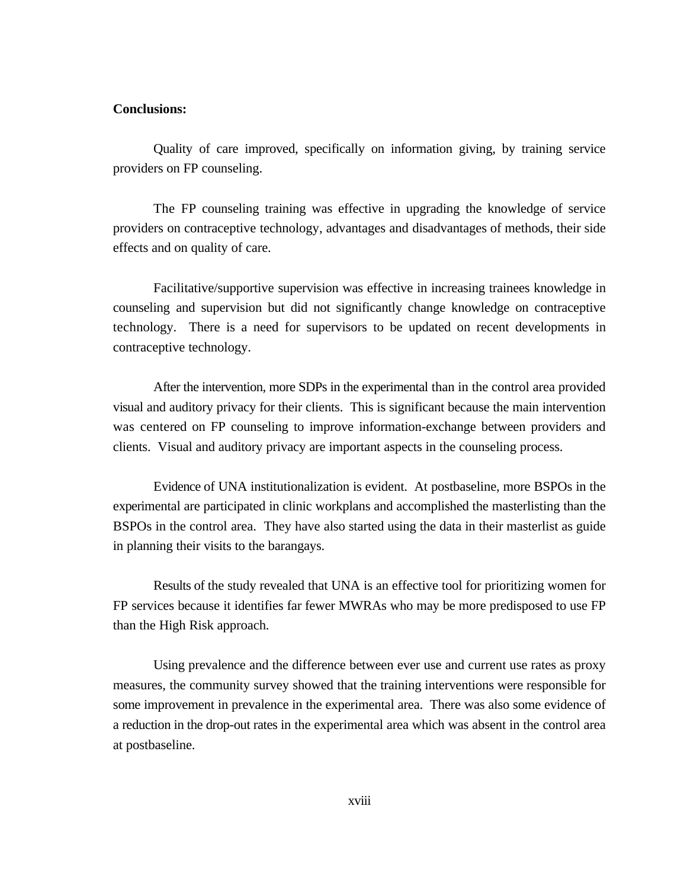#### **Conclusions:**

Quality of care improved, specifically on information giving, by training service providers on FP counseling.

The FP counseling training was effective in upgrading the knowledge of service providers on contraceptive technology, advantages and disadvantages of methods, their side effects and on quality of care.

Facilitative/supportive supervision was effective in increasing trainees knowledge in counseling and supervision but did not significantly change knowledge on contraceptive technology. There is a need for supervisors to be updated on recent developments in contraceptive technology.

After the intervention, more SDPs in the experimental than in the control area provided visual and auditory privacy for their clients. This is significant because the main intervention was centered on FP counseling to improve information-exchange between providers and clients. Visual and auditory privacy are important aspects in the counseling process.

Evidence of UNA institutionalization is evident. At postbaseline, more BSPOs in the experimental are participated in clinic workplans and accomplished the masterlisting than the BSPOs in the control area. They have also started using the data in their masterlist as guide in planning their visits to the barangays.

Results of the study revealed that UNA is an effective tool for prioritizing women for FP services because it identifies far fewer MWRAs who may be more predisposed to use FP than the High Risk approach.

Using prevalence and the difference between ever use and current use rates as proxy measures, the community survey showed that the training interventions were responsible for some improvement in prevalence in the experimental area. There was also some evidence of a reduction in the drop-out rates in the experimental area which was absent in the control area at postbaseline.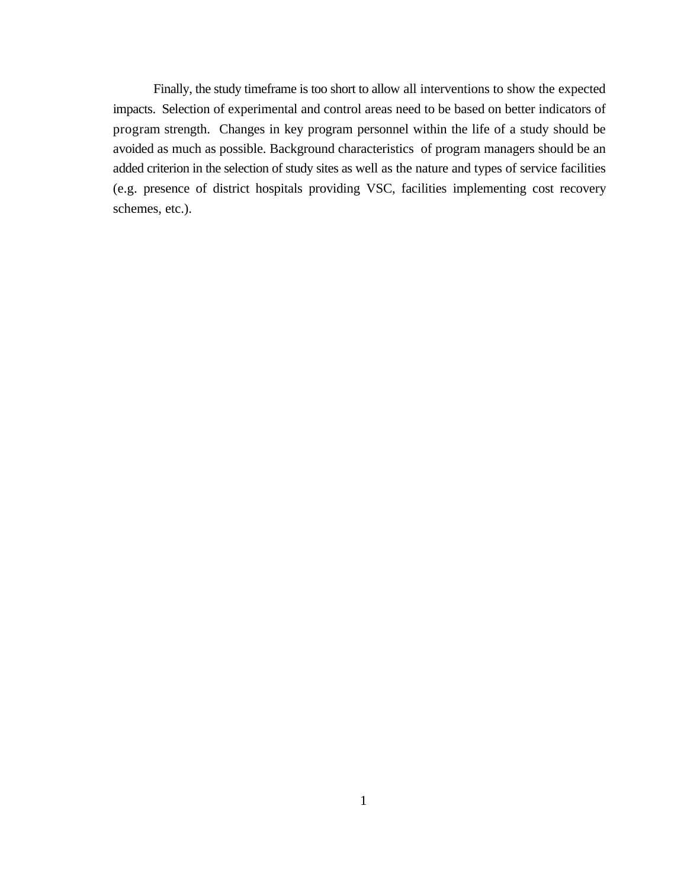Finally, the study timeframe is too short to allow all interventions to show the expected impacts. Selection of experimental and control areas need to be based on better indicators of program strength. Changes in key program personnel within the life of a study should be avoided as much as possible. Background characteristics of program managers should be an added criterion in the selection of study sites as well as the nature and types of service facilities (e.g. presence of district hospitals providing VSC, facilities implementing cost recovery schemes, etc.).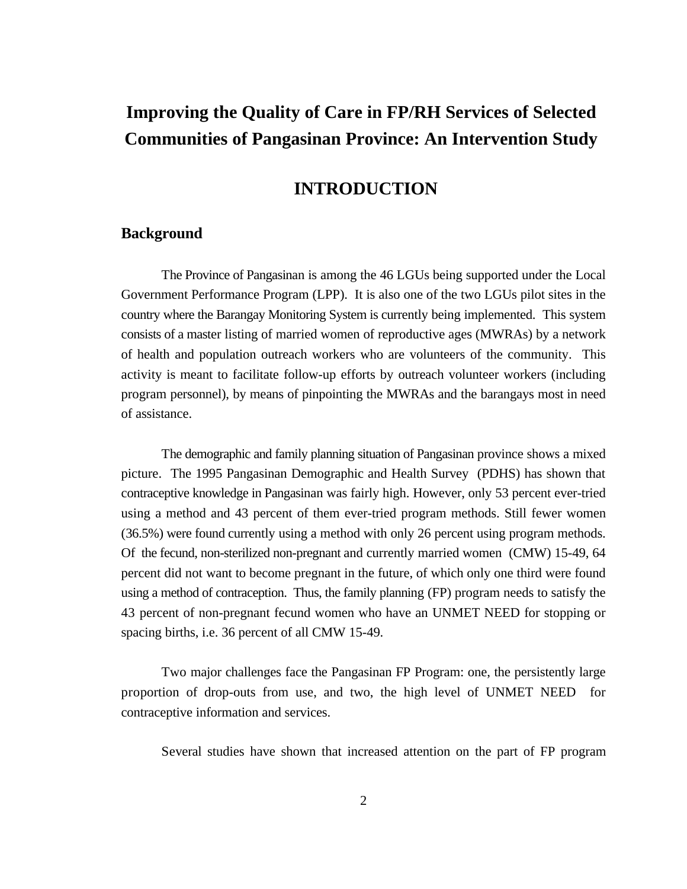## **Improving the Quality of Care in FP/RH Services of Selected Communities of Pangasinan Province: An Intervention Study**

## **INTRODUCTION**

#### **Background**

The Province of Pangasinan is among the 46 LGUs being supported under the Local Government Performance Program (LPP). It is also one of the two LGUs pilot sites in the country where the Barangay Monitoring System is currently being implemented. This system consists of a master listing of married women of reproductive ages (MWRAs) by a network of health and population outreach workers who are volunteers of the community. This activity is meant to facilitate follow-up efforts by outreach volunteer workers (including program personnel), by means of pinpointing the MWRAs and the barangays most in need of assistance.

The demographic and family planning situation of Pangasinan province shows a mixed picture. The 1995 Pangasinan Demographic and Health Survey (PDHS) has shown that contraceptive knowledge in Pangasinan was fairly high. However, only 53 percent ever-tried using a method and 43 percent of them ever-tried program methods. Still fewer women (36.5%) were found currently using a method with only 26 percent using program methods. Of the fecund, non-sterilized non-pregnant and currently married women (CMW) 15-49, 64 percent did not want to become pregnant in the future, of which only one third were found using a method of contraception. Thus, the family planning (FP) program needs to satisfy the 43 percent of non-pregnant fecund women who have an UNMET NEED for stopping or spacing births, i.e. 36 percent of all CMW 15-49.

Two major challenges face the Pangasinan FP Program: one, the persistently large proportion of drop-outs from use, and two, the high level of UNMET NEED for contraceptive information and services.

Several studies have shown that increased attention on the part of FP program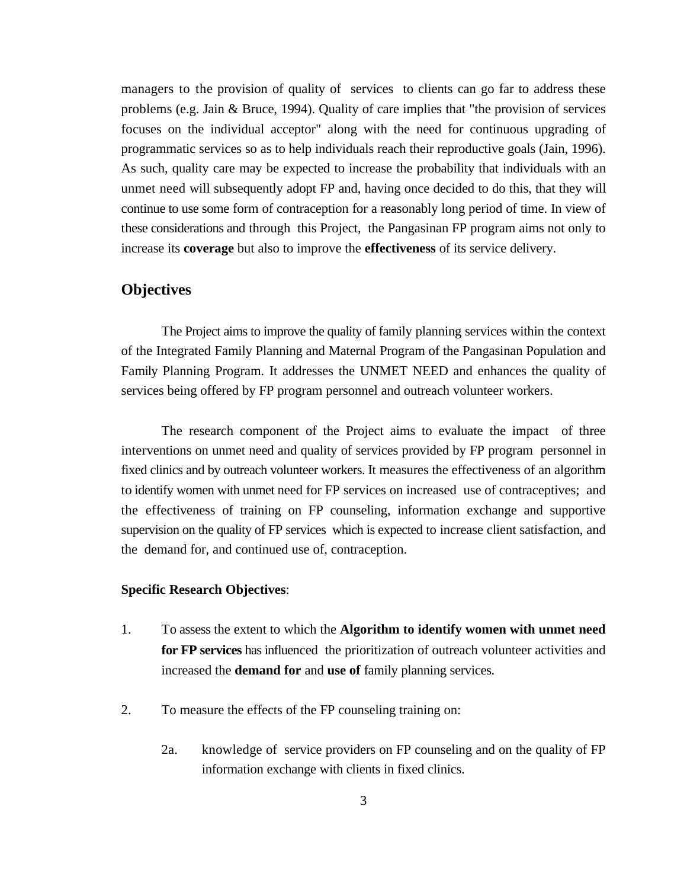managers to the provision of quality of services to clients can go far to address these problems (e.g. Jain & Bruce, 1994). Quality of care implies that "the provision of services focuses on the individual acceptor" along with the need for continuous upgrading of programmatic services so as to help individuals reach their reproductive goals (Jain, 1996). As such, quality care may be expected to increase the probability that individuals with an unmet need will subsequently adopt FP and, having once decided to do this, that they will continue to use some form of contraception for a reasonably long period of time. In view of these considerations and through this Project, the Pangasinan FP program aims not only to increase its **coverage** but also to improve the **effectiveness** of its service delivery.

#### **Objectives**

The Project aims to improve the quality of family planning services within the context of the Integrated Family Planning and Maternal Program of the Pangasinan Population and Family Planning Program. It addresses the UNMET NEED and enhances the quality of services being offered by FP program personnel and outreach volunteer workers.

The research component of the Project aims to evaluate the impact of three interventions on unmet need and quality of services provided by FP program personnel in fixed clinics and by outreach volunteer workers. It measures the effectiveness of an algorithm to identify women with unmet need for FP services on increased use of contraceptives; and the effectiveness of training on FP counseling, information exchange and supportive supervision on the quality of FP services which is expected to increase client satisfaction, and the demand for, and continued use of, contraception.

#### **Specific Research Objectives**:

- 1. To assess the extent to which the **Algorithm to identify women with unmet need for FP services** has influenced the prioritization of outreach volunteer activities and increased the **demand for** and **use of** family planning services.
- 2. To measure the effects of the FP counseling training on:
	- 2a. knowledge of service providers on FP counseling and on the quality of FP information exchange with clients in fixed clinics.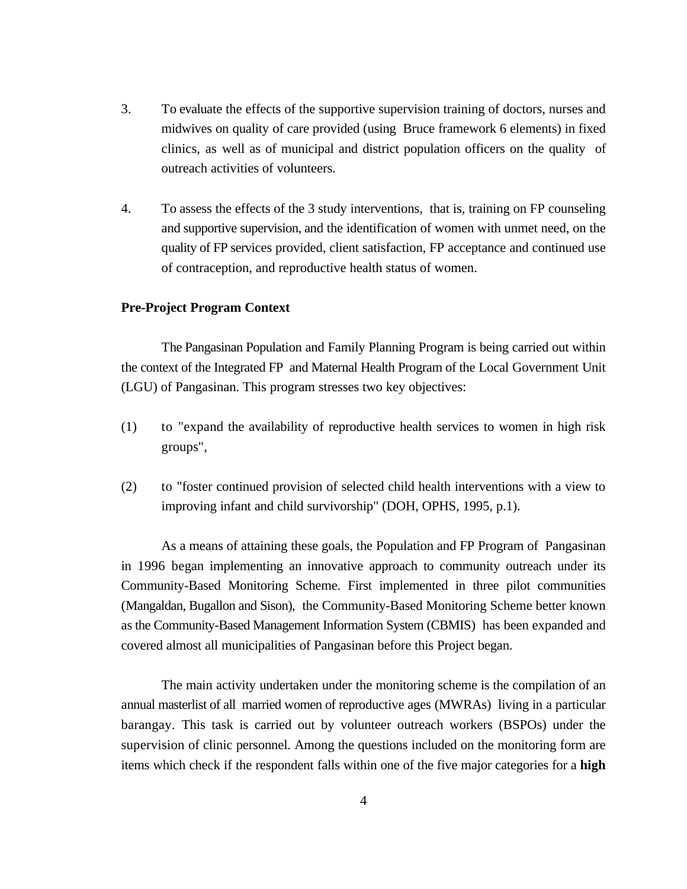- 3. To evaluate the effects of the supportive supervision training of doctors, nurses and midwives on quality of care provided (using Bruce framework 6 elements) in fixed clinics, as well as of municipal and district population officers on the quality of outreach activities of volunteers.
- 4. To assess the effects of the 3 study interventions, that is, training on FP counseling and supportive supervision, and the identification of women with unmet need, on the quality of FP services provided, client satisfaction, FP acceptance and continued use of contraception, and reproductive health status of women.

#### **Pre-Project Program Context**

The Pangasinan Population and Family Planning Program is being carried out within the context of the Integrated FP and Maternal Health Program of the Local Government Unit (LGU) of Pangasinan. This program stresses two key objectives:

- (1) to "expand the availability of reproductive health services to women in high risk groups",
- (2) to "foster continued provision of selected child health interventions with a view to improving infant and child survivorship" (DOH, OPHS, 1995, p.1).

As a means of attaining these goals, the Population and FP Program of Pangasinan in 1996 began implementing an innovative approach to community outreach under its Community-Based Monitoring Scheme. First implemented in three pilot communities (Mangaldan, Bugallon and Sison), the Community-Based Monitoring Scheme better known as the Community-Based Management Information System (CBMIS) has been expanded and covered almost all municipalities of Pangasinan before this Project began.

The main activity undertaken under the monitoring scheme is the compilation of an annual masterlist of all married women of reproductive ages (MWRAs) living in a particular barangay. This task is carried out by volunteer outreach workers (BSPOs) under the supervision of clinic personnel. Among the questions included on the monitoring form are items which check if the respondent falls within one of the five major categories for a **high**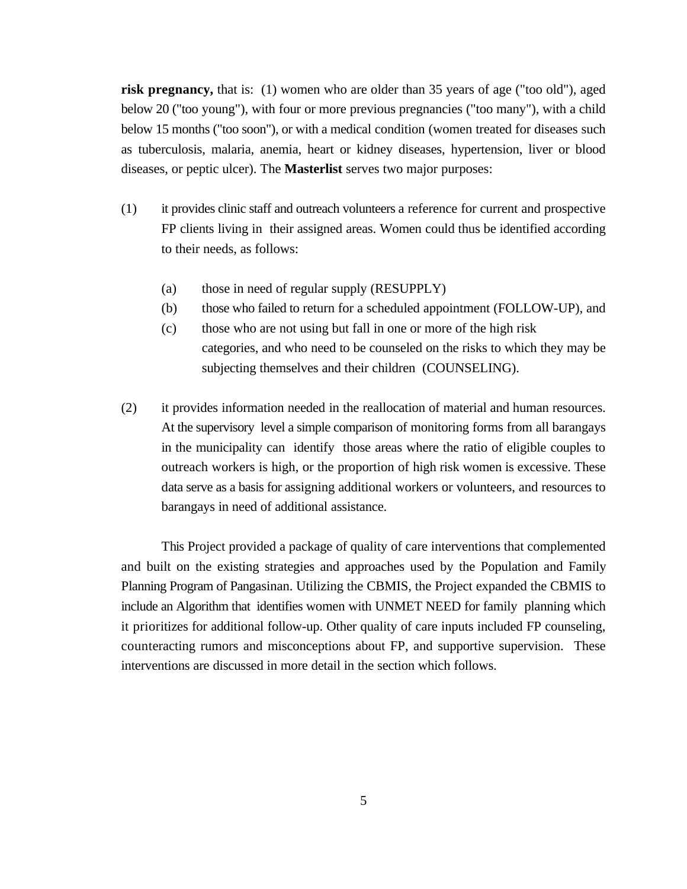**risk pregnancy,** that is: (1) women who are older than 35 years of age ("too old"), aged below 20 ("too young"), with four or more previous pregnancies ("too many"), with a child below 15 months ("too soon"), or with a medical condition (women treated for diseases such as tuberculosis, malaria, anemia, heart or kidney diseases, hypertension, liver or blood diseases, or peptic ulcer). The **Masterlist** serves two major purposes:

- (1) it provides clinic staff and outreach volunteers a reference for current and prospective FP clients living in their assigned areas. Women could thus be identified according to their needs, as follows:
	- (a) those in need of regular supply (RESUPPLY)
	- (b) those who failed to return for a scheduled appointment (FOLLOW-UP), and
	- (c) those who are not using but fall in one or more of the high risk categories, and who need to be counseled on the risks to which they may be subjecting themselves and their children (COUNSELING).
- (2) it provides information needed in the reallocation of material and human resources. At the supervisory level a simple comparison of monitoring forms from all barangays in the municipality can identify those areas where the ratio of eligible couples to outreach workers is high, or the proportion of high risk women is excessive. These data serve as a basis for assigning additional workers or volunteers, and resources to barangays in need of additional assistance.

This Project provided a package of quality of care interventions that complemented and built on the existing strategies and approaches used by the Population and Family Planning Program of Pangasinan. Utilizing the CBMIS, the Project expanded the CBMIS to include an Algorithm that identifies women with UNMET NEED for family planning which it prioritizes for additional follow-up. Other quality of care inputs included FP counseling, counteracting rumors and misconceptions about FP, and supportive supervision. These interventions are discussed in more detail in the section which follows.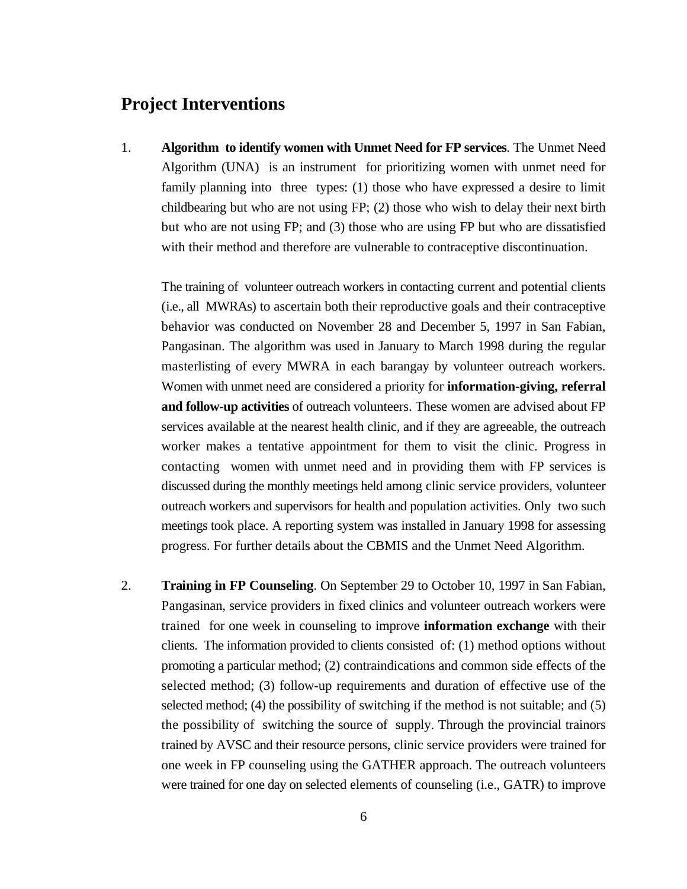## **Project Interventions**

1. **Algorithm to identify women with Unmet Need for FP services**. The Unmet Need Algorithm (UNA) is an instrument for prioritizing women with unmet need for family planning into three types: (1) those who have expressed a desire to limit childbearing but who are not using FP; (2) those who wish to delay their next birth but who are not using FP; and (3) those who are using FP but who are dissatisfied with their method and therefore are vulnerable to contraceptive discontinuation.

The training of volunteer outreach workers in contacting current and potential clients (i.e., all MWRAs) to ascertain both their reproductive goals and their contraceptive behavior was conducted on November 28 and December 5, 1997 in San Fabian, Pangasinan. The algorithm was used in January to March 1998 during the regular masterlisting of every MWRA in each barangay by volunteer outreach workers. Women with unmet need are considered a priority for **information-giving, referral and follow-up activities** of outreach volunteers. These women are advised about FP services available at the nearest health clinic, and if they are agreeable, the outreach worker makes a tentative appointment for them to visit the clinic. Progress in contacting women with unmet need and in providing them with FP services is discussed during the monthly meetings held among clinic service providers, volunteer outreach workers and supervisors for health and population activities. Only two such meetings took place. A reporting system was installed in January 1998 for assessing progress. For further details about the CBMIS and the Unmet Need Algorithm.

2. **Training in FP Counseling**. On September 29 to October 10, 1997 in San Fabian, Pangasinan, service providers in fixed clinics and volunteer outreach workers were trained for one week in counseling to improve **information exchange** with their clients. The information provided to clients consisted of: (1) method options without promoting a particular method; (2) contraindications and common side effects of the selected method; (3) follow-up requirements and duration of effective use of the selected method; (4) the possibility of switching if the method is not suitable; and (5) the possibility of switching the source of supply. Through the provincial trainors trained by AVSC and their resource persons, clinic service providers were trained for one week in FP counseling using the GATHER approach. The outreach volunteers were trained for one day on selected elements of counseling (i.e., GATR) to improve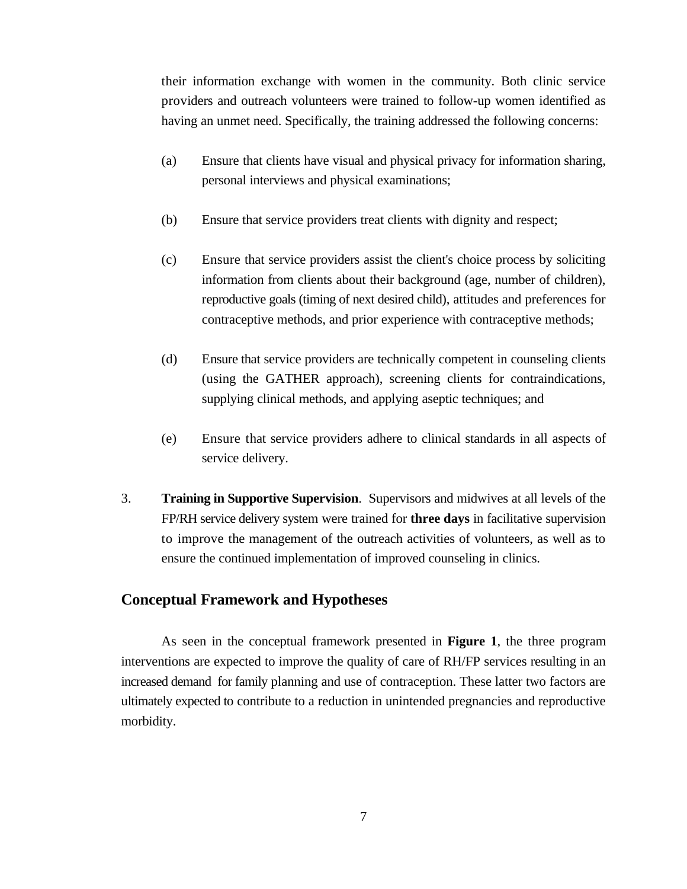their information exchange with women in the community. Both clinic service providers and outreach volunteers were trained to follow-up women identified as having an unmet need. Specifically, the training addressed the following concerns:

- (a) Ensure that clients have visual and physical privacy for information sharing, personal interviews and physical examinations;
- (b) Ensure that service providers treat clients with dignity and respect;
- (c) Ensure that service providers assist the client's choice process by soliciting information from clients about their background (age, number of children), reproductive goals (timing of next desired child), attitudes and preferences for contraceptive methods, and prior experience with contraceptive methods;
- (d) Ensure that service providers are technically competent in counseling clients (using the GATHER approach), screening clients for contraindications, supplying clinical methods, and applying aseptic techniques; and
- (e) Ensure that service providers adhere to clinical standards in all aspects of service delivery.
- 3. **Training in Supportive Supervision**. Supervisors and midwives at all levels of the FP/RH service delivery system were trained for **three days** in facilitative supervision to improve the management of the outreach activities of volunteers, as well as to ensure the continued implementation of improved counseling in clinics.

### **Conceptual Framework and Hypotheses**

As seen in the conceptual framework presented in **Figure 1**, the three program interventions are expected to improve the quality of care of RH/FP services resulting in an increased demand for family planning and use of contraception. These latter two factors are ultimately expected to contribute to a reduction in unintended pregnancies and reproductive morbidity.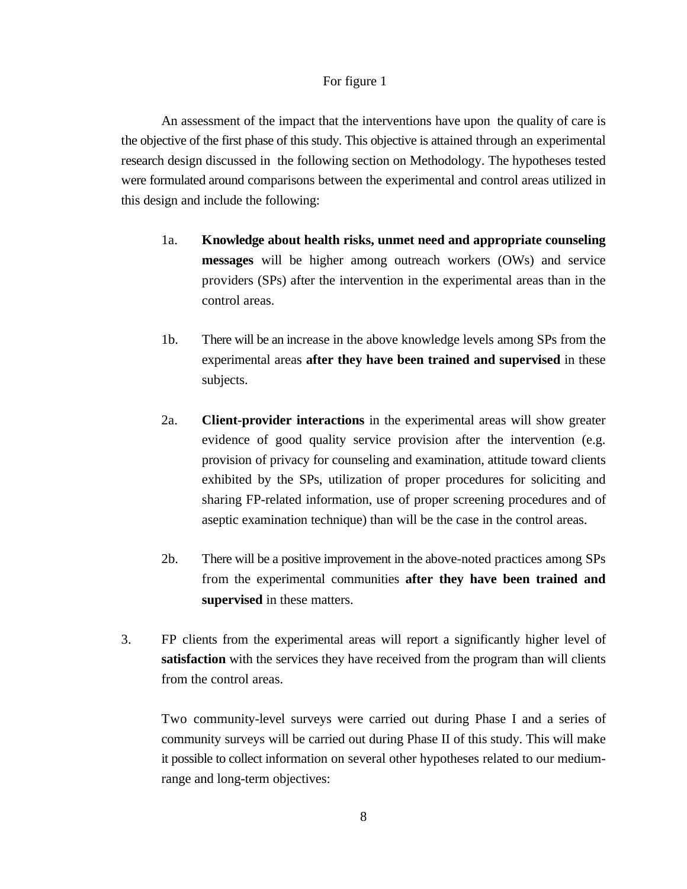#### For figure 1

An assessment of the impact that the interventions have upon the quality of care is the objective of the first phase of this study. This objective is attained through an experimental research design discussed in the following section on Methodology. The hypotheses tested were formulated around comparisons between the experimental and control areas utilized in this design and include the following:

- 1a. **Knowledge about health risks, unmet need and appropriate counseling messages** will be higher among outreach workers (OWs) and service providers (SPs) after the intervention in the experimental areas than in the control areas.
- 1b. There will be an increase in the above knowledge levels among SPs from the experimental areas **after they have been trained and supervised** in these subjects.
- 2a. **Client-provider interactions** in the experimental areas will show greater evidence of good quality service provision after the intervention (e.g. provision of privacy for counseling and examination, attitude toward clients exhibited by the SPs, utilization of proper procedures for soliciting and sharing FP-related information, use of proper screening procedures and of aseptic examination technique) than will be the case in the control areas.
- 2b. There will be a positive improvement in the above-noted practices among SPs from the experimental communities **after they have been trained and supervised** in these matters.
- 3. FP clients from the experimental areas will report a significantly higher level of **satisfaction** with the services they have received from the program than will clients from the control areas.

Two community-level surveys were carried out during Phase I and a series of community surveys will be carried out during Phase II of this study. This will make it possible to collect information on several other hypotheses related to our mediumrange and long-term objectives: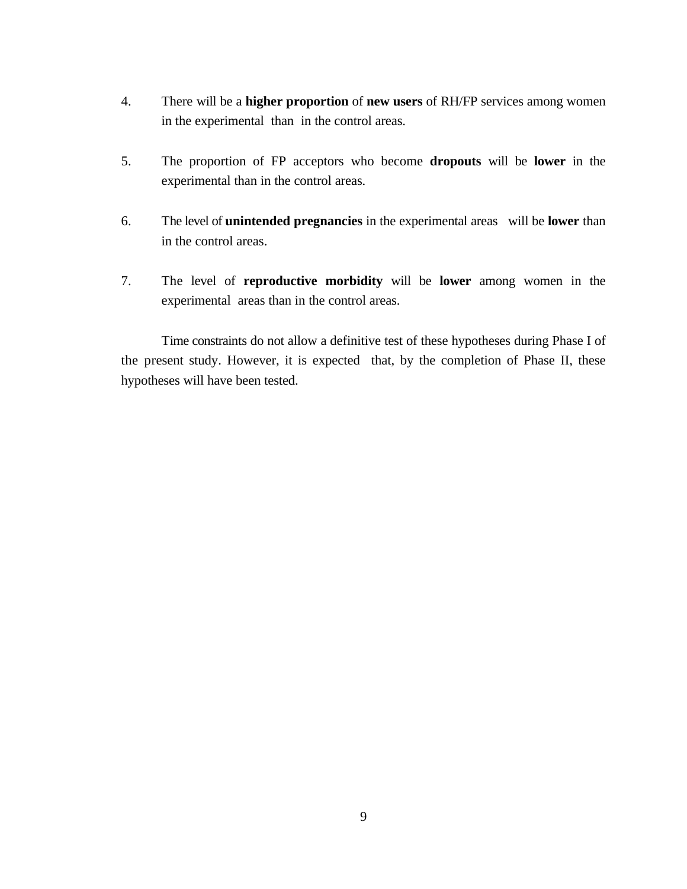- 4. There will be a **higher proportion** of **new users** of RH/FP services among women in the experimental than in the control areas.
- 5. The proportion of FP acceptors who become **dropouts** will be **lower** in the experimental than in the control areas.
- 6. The level of **unintended pregnancies** in the experimental areas will be **lower** than in the control areas.
- 7. The level of **reproductive morbidity** will be **lower** among women in the experimental areas than in the control areas.

Time constraints do not allow a definitive test of these hypotheses during Phase I of the present study. However, it is expected that, by the completion of Phase II, these hypotheses will have been tested.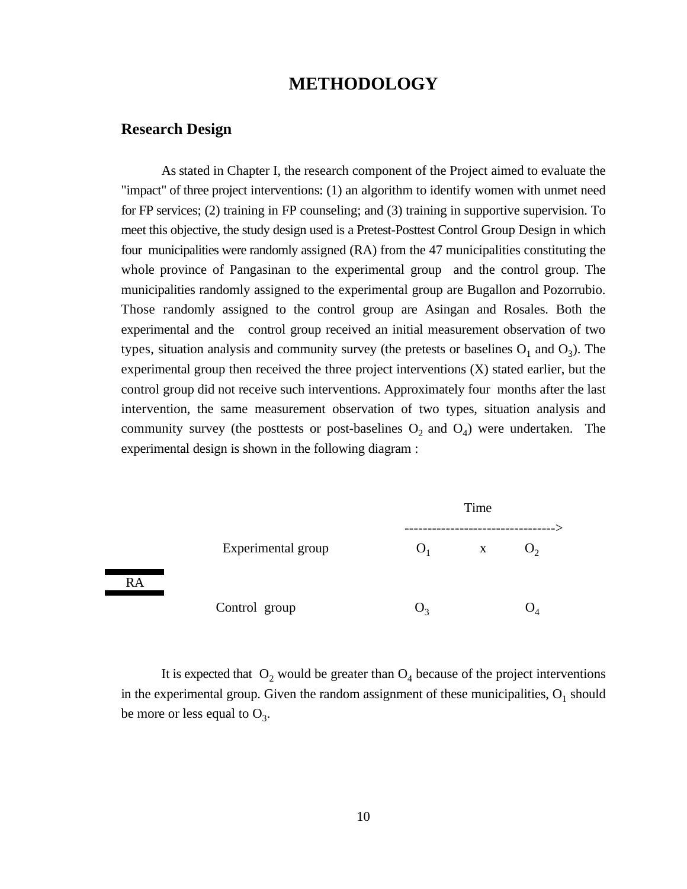## **METHODOLOGY**

#### **Research Design**

As stated in Chapter I, the research component of the Project aimed to evaluate the "impact" of three project interventions: (1) an algorithm to identify women with unmet need for FP services; (2) training in FP counseling; and (3) training in supportive supervision. To meet this objective, the study design used is a Pretest-Posttest Control Group Design in which four municipalities were randomly assigned (RA) from the 47 municipalities constituting the whole province of Pangasinan to the experimental group and the control group. The municipalities randomly assigned to the experimental group are Bugallon and Pozorrubio. Those randomly assigned to the control group are Asingan and Rosales. Both the experimental and the control group received an initial measurement observation of two types, situation analysis and community survey (the pretests or baselines  $O_1$  and  $O_3$ ). The experimental group then received the three project interventions (X) stated earlier, but the control group did not receive such interventions. Approximately four months after the last intervention, the same measurement observation of two types, situation analysis and community survey (the posttests or post-baselines  $O_2$  and  $O_4$ ) were undertaken. The experimental design is shown in the following diagram :



It is expected that  $O_2$  would be greater than  $O_4$  because of the project interventions in the experimental group. Given the random assignment of these municipalities,  $O<sub>1</sub>$  should be more or less equal to  $O_3$ .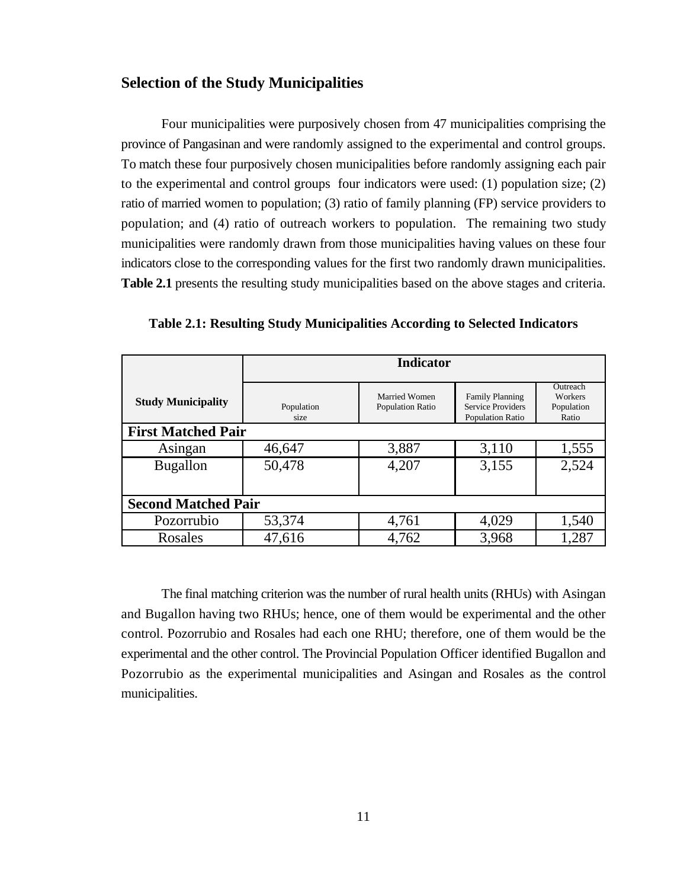### **Selection of the Study Municipalities**

Four municipalities were purposively chosen from 47 municipalities comprising the province of Pangasinan and were randomly assigned to the experimental and control groups. To match these four purposively chosen municipalities before randomly assigning each pair to the experimental and control groups four indicators were used: (1) population size; (2) ratio of married women to population; (3) ratio of family planning (FP) service providers to population; and (4) ratio of outreach workers to population. The remaining two study municipalities were randomly drawn from those municipalities having values on these four indicators close to the corresponding values for the first two randomly drawn municipalities. **Table 2.1** presents the resulting study municipalities based on the above stages and criteria.

|                            | <b>Indicator</b>   |                                   |                                                                        |                                            |  |
|----------------------------|--------------------|-----------------------------------|------------------------------------------------------------------------|--------------------------------------------|--|
| <b>Study Municipality</b>  | Population<br>size | Married Women<br>Population Ratio | <b>Family Planning</b><br><b>Service Providers</b><br>Population Ratio | Outreach<br>Workers<br>Population<br>Ratio |  |
| <b>First Matched Pair</b>  |                    |                                   |                                                                        |                                            |  |
| Asingan                    | 46,647             | 3,887                             | 3,110                                                                  | 1,555                                      |  |
| <b>Bugallon</b>            | 50,478             | 4,207                             | 3,155                                                                  | 2,524                                      |  |
|                            |                    |                                   |                                                                        |                                            |  |
| <b>Second Matched Pair</b> |                    |                                   |                                                                        |                                            |  |
| Pozorrubio                 | 53,374             | 4,761                             | 4,029                                                                  | 1,540                                      |  |
| Rosales                    | 47,616             | 4,762                             | 3,968                                                                  | 1,287                                      |  |

**Table 2.1: Resulting Study Municipalities According to Selected Indicators**

The final matching criterion was the number of rural health units (RHUs) with Asingan and Bugallon having two RHUs; hence, one of them would be experimental and the other control. Pozorrubio and Rosales had each one RHU; therefore, one of them would be the experimental and the other control. The Provincial Population Officer identified Bugallon and Pozorrubio as the experimental municipalities and Asingan and Rosales as the control municipalities.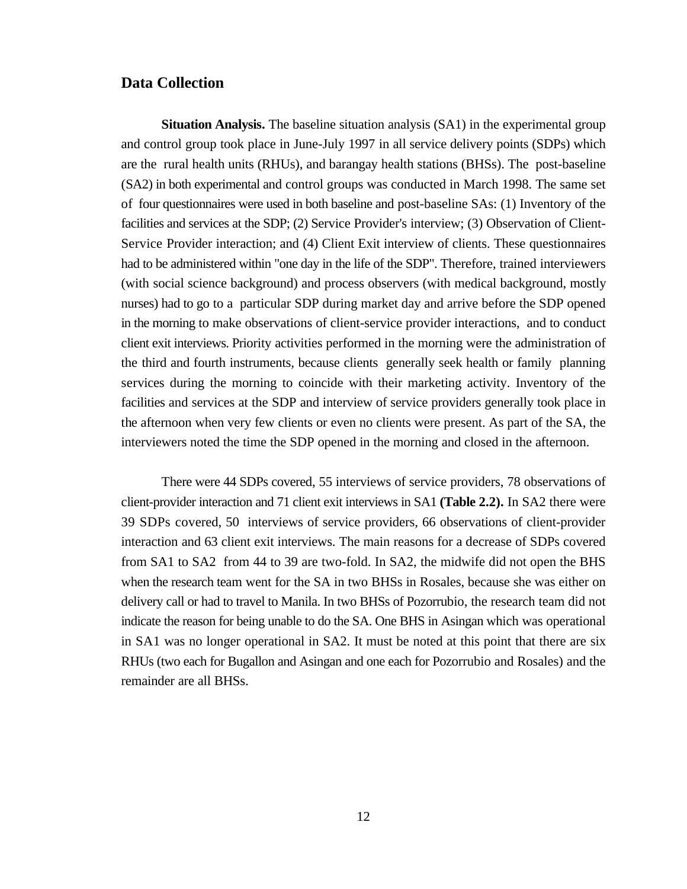#### **Data Collection**

**Situation Analysis.** The baseline situation analysis (SA1) in the experimental group and control group took place in June-July 1997 in all service delivery points (SDPs) which are the rural health units (RHUs), and barangay health stations (BHSs). The post-baseline (SA2) in both experimental and control groups was conducted in March 1998. The same set of four questionnaires were used in both baseline and post-baseline SAs: (1) Inventory of the facilities and services at the SDP; (2) Service Provider's interview; (3) Observation of Client-Service Provider interaction; and (4) Client Exit interview of clients. These questionnaires had to be administered within "one day in the life of the SDP". Therefore, trained interviewers (with social science background) and process observers (with medical background, mostly nurses) had to go to a particular SDP during market day and arrive before the SDP opened in the morning to make observations of client-service provider interactions, and to conduct client exit interviews. Priority activities performed in the morning were the administration of the third and fourth instruments, because clients generally seek health or family planning services during the morning to coincide with their marketing activity. Inventory of the facilities and services at the SDP and interview of service providers generally took place in the afternoon when very few clients or even no clients were present. As part of the SA, the interviewers noted the time the SDP opened in the morning and closed in the afternoon.

There were 44 SDPs covered, 55 interviews of service providers, 78 observations of client-provider interaction and 71 client exit interviews in SA1 **(Table 2.2).** In SA2 there were 39 SDPs covered, 50 interviews of service providers, 66 observations of client-provider interaction and 63 client exit interviews. The main reasons for a decrease of SDPs covered from SA1 to SA2 from 44 to 39 are two-fold. In SA2, the midwife did not open the BHS when the research team went for the SA in two BHSs in Rosales, because she was either on delivery call or had to travel to Manila. In two BHSs of Pozorrubio, the research team did not indicate the reason for being unable to do the SA. One BHS in Asingan which was operational in SA1 was no longer operational in SA2. It must be noted at this point that there are six RHUs (two each for Bugallon and Asingan and one each for Pozorrubio and Rosales) and the remainder are all BHSs.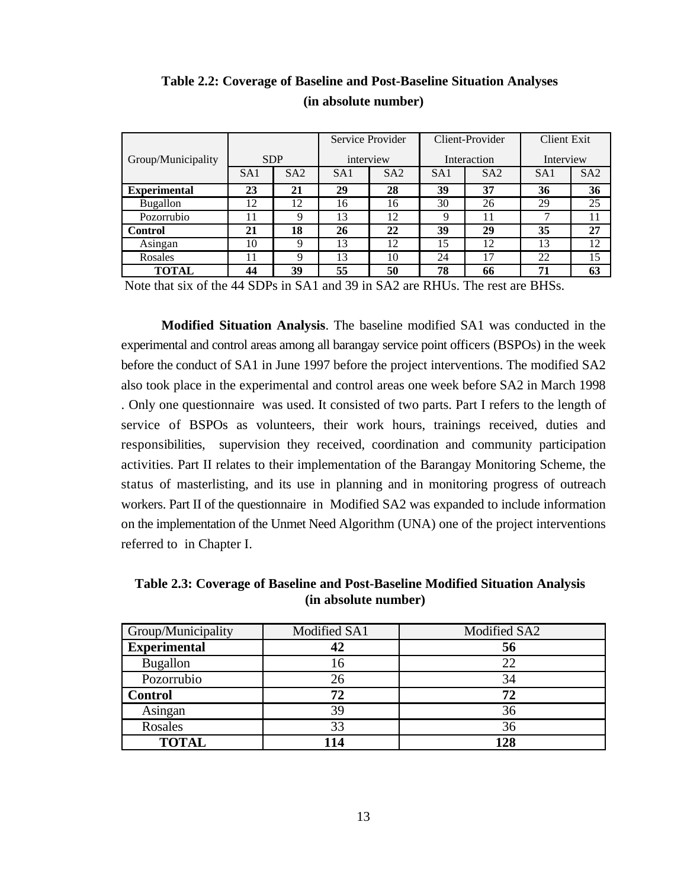|                     |                 |                 |                 | Service Provider |                 | Client-Provider |                 | <b>Client Exit</b> |  |
|---------------------|-----------------|-----------------|-----------------|------------------|-----------------|-----------------|-----------------|--------------------|--|
| Group/Municipality  |                 | <b>SDP</b>      |                 | interview        | Interaction     |                 | Interview       |                    |  |
|                     | SA <sub>1</sub> | SA <sub>2</sub> | SA <sub>1</sub> | SA <sub>2</sub>  | SA <sub>1</sub> | SA2             | SA <sub>1</sub> | SA2                |  |
| <b>Experimental</b> | 23              | 21              | 29              | 28               | 39              | 37              | 36              | 36                 |  |
| <b>Bugallon</b>     | 12              | 12              | 16              | 16               | 30              | 26              | 29              | 25                 |  |
| Pozorrubio          | 11              | Q               | 13              | 12               | 9               | 11              |                 | 11                 |  |
| <b>Control</b>      | 21              | 18              | 26              | 22               | 39              | 29              | 35              | 27                 |  |
| Asingan             | 10              | 9               | 13              | 12               | 15              | 12              | 13              | 12                 |  |
| Rosales             | 11              | Q               | 13              | 10               | 24              | 17              | 22              | 15                 |  |
| <b>TOTAL</b>        | 44              | 39              | 55              | 50               | 78              | 66              | 71              | 63                 |  |

**Table 2.2: Coverage of Baseline and Post-Baseline Situation Analyses (in absolute number)**

Note that six of the 44 SDPs in SA1 and 39 in SA2 are RHUs. The rest are BHSs.

**Modified Situation Analysis**. The baseline modified SA1 was conducted in the experimental and control areas among all barangay service point officers (BSPOs) in the week before the conduct of SA1 in June 1997 before the project interventions. The modified SA2 also took place in the experimental and control areas one week before SA2 in March 1998 . Only one questionnaire was used. It consisted of two parts. Part I refers to the length of service of BSPOs as volunteers, their work hours, trainings received, duties and responsibilities, supervision they received, coordination and community participation activities. Part II relates to their implementation of the Barangay Monitoring Scheme, the status of masterlisting, and its use in planning and in monitoring progress of outreach workers. Part II of the questionnaire in Modified SA2 was expanded to include information on the implementation of the Unmet Need Algorithm (UNA) one of the project interventions referred to in Chapter I.

**Table 2.3: Coverage of Baseline and Post-Baseline Modified Situation Analysis (in absolute number)**

| Group/Municipality  | Modified SA1 | Modified SA2 |
|---------------------|--------------|--------------|
| <b>Experimental</b> |              | 56           |
| <b>Bugallon</b>     | 16           | 22           |
| Pozorrubio          | 26           | 34           |
| <b>Control</b>      | 72           | 72           |
| Asingan             | 39           | 36           |
| Rosales             | 33           | 36           |
| <b>TOTAL</b>        | 114          | 128          |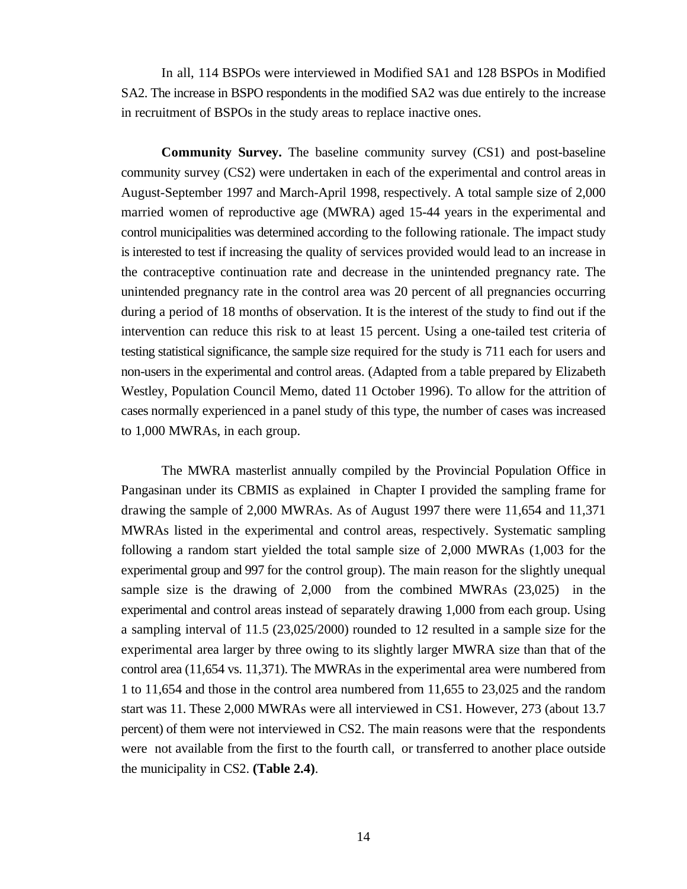In all, 114 BSPOs were interviewed in Modified SA1 and 128 BSPOs in Modified SA2. The increase in BSPO respondents in the modified SA2 was due entirely to the increase in recruitment of BSPOs in the study areas to replace inactive ones.

**Community Survey.** The baseline community survey (CS1) and post-baseline community survey (CS2) were undertaken in each of the experimental and control areas in August-September 1997 and March-April 1998, respectively. A total sample size of 2,000 married women of reproductive age (MWRA) aged 15-44 years in the experimental and control municipalities was determined according to the following rationale. The impact study is interested to test if increasing the quality of services provided would lead to an increase in the contraceptive continuation rate and decrease in the unintended pregnancy rate. The unintended pregnancy rate in the control area was 20 percent of all pregnancies occurring during a period of 18 months of observation. It is the interest of the study to find out if the intervention can reduce this risk to at least 15 percent. Using a one-tailed test criteria of testing statistical significance, the sample size required for the study is 711 each for users and non-users in the experimental and control areas. (Adapted from a table prepared by Elizabeth Westley, Population Council Memo, dated 11 October 1996). To allow for the attrition of cases normally experienced in a panel study of this type, the number of cases was increased to 1,000 MWRAs, in each group.

The MWRA masterlist annually compiled by the Provincial Population Office in Pangasinan under its CBMIS as explained in Chapter I provided the sampling frame for drawing the sample of 2,000 MWRAs. As of August 1997 there were 11,654 and 11,371 MWRAs listed in the experimental and control areas, respectively. Systematic sampling following a random start yielded the total sample size of 2,000 MWRAs (1,003 for the experimental group and 997 for the control group). The main reason for the slightly unequal sample size is the drawing of 2,000 from the combined MWRAs (23,025) in the experimental and control areas instead of separately drawing 1,000 from each group. Using a sampling interval of 11.5 (23,025/2000) rounded to 12 resulted in a sample size for the experimental area larger by three owing to its slightly larger MWRA size than that of the control area (11,654 vs. 11,371). The MWRAs in the experimental area were numbered from 1 to 11,654 and those in the control area numbered from 11,655 to 23,025 and the random start was 11. These 2,000 MWRAs were all interviewed in CS1. However, 273 (about 13.7 percent) of them were not interviewed in CS2. The main reasons were that the respondents were not available from the first to the fourth call, or transferred to another place outside the municipality in CS2. **(Table 2.4)**.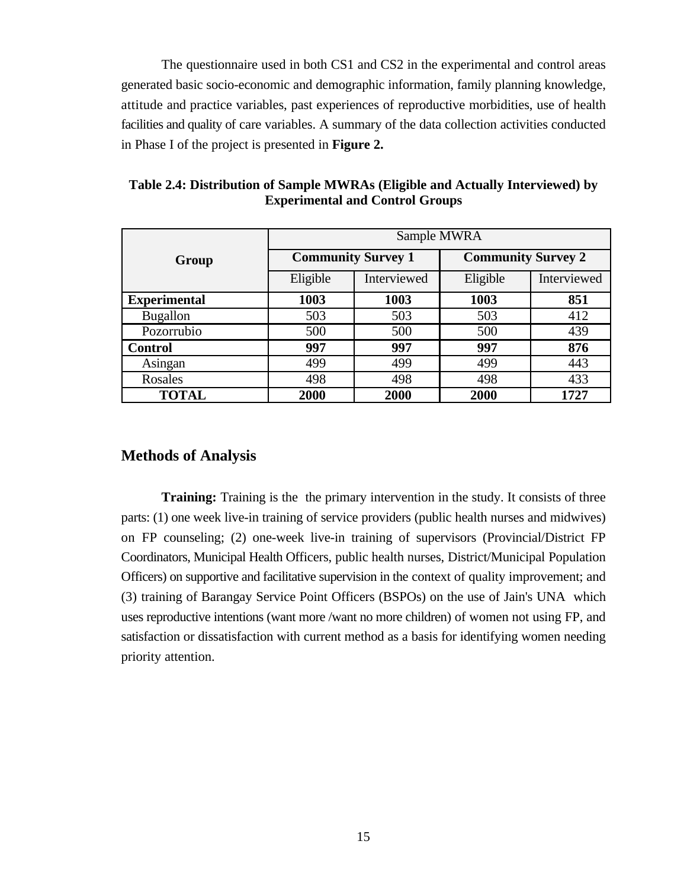The questionnaire used in both CS1 and CS2 in the experimental and control areas generated basic socio-economic and demographic information, family planning knowledge, attitude and practice variables, past experiences of reproductive morbidities, use of health facilities and quality of care variables. A summary of the data collection activities conducted in Phase I of the project is presented in **Figure 2.**

|                     | Sample MWRA |                           |                           |             |  |
|---------------------|-------------|---------------------------|---------------------------|-------------|--|
| Group               |             | <b>Community Survey 1</b> | <b>Community Survey 2</b> |             |  |
|                     | Eligible    | Interviewed               | Eligible                  | Interviewed |  |
| <b>Experimental</b> | 1003        | 1003                      | 1003                      | 851         |  |
| <b>Bugallon</b>     | 503         | 503                       | 503                       | 412         |  |
| Pozorrubio          | 500         | 500                       | 500                       | 439         |  |
| <b>Control</b>      | 997         | 997                       | 997                       | 876         |  |
| Asingan             | 499         | 499                       | 499                       | 443         |  |
| Rosales             | 498         | 498                       | 498                       | 433         |  |
| <b>TOTAL</b>        | 2000        | 2000                      | 2000                      | 1727        |  |

**Table 2.4: Distribution of Sample MWRAs (Eligible and Actually Interviewed) by Experimental and Control Groups**

### **Methods of Analysis**

**Training:** Training is the the primary intervention in the study. It consists of three parts: (1) one week live-in training of service providers (public health nurses and midwives) on FP counseling; (2) one-week live-in training of supervisors (Provincial/District FP Coordinators, Municipal Health Officers, public health nurses, District/Municipal Population Officers) on supportive and facilitative supervision in the context of quality improvement; and (3) training of Barangay Service Point Officers (BSPOs) on the use of Jain's UNA which uses reproductive intentions (want more /want no more children) of women not using FP, and satisfaction or dissatisfaction with current method as a basis for identifying women needing priority attention.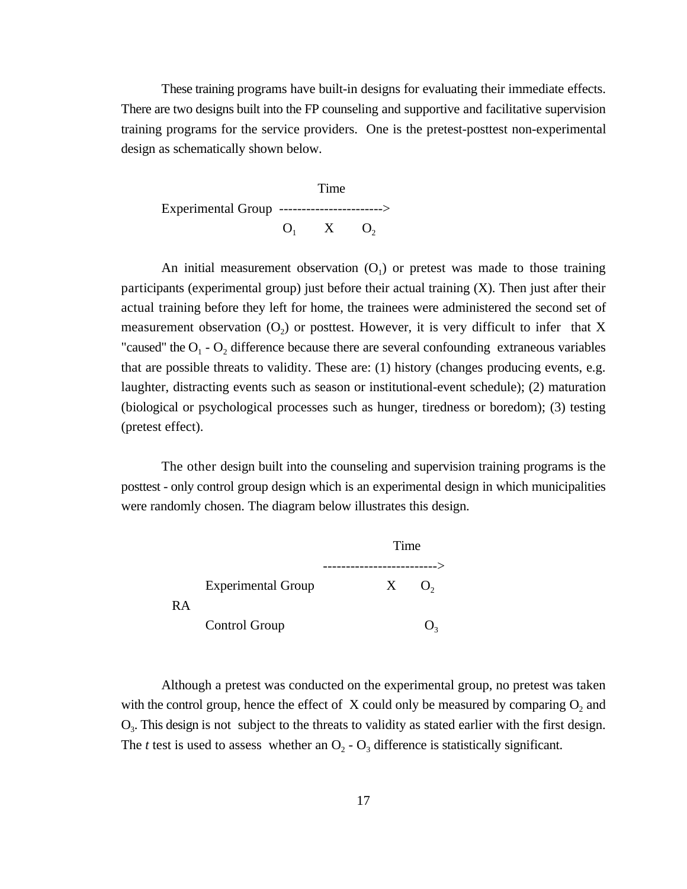These training programs have built-in designs for evaluating their immediate effects. There are two designs built into the FP counseling and supportive and facilitative supervision training programs for the service providers. One is the pretest-posttest non-experimental design as schematically shown below.



An initial measurement observation  $(O_1)$  or pretest was made to those training participants (experimental group) just before their actual training (X). Then just after their actual training before they left for home, the trainees were administered the second set of measurement observation  $(O_2)$  or posttest. However, it is very difficult to infer that X "caused" the  $O_1$  -  $O_2$  difference because there are several confounding extraneous variables that are possible threats to validity. These are: (1) history (changes producing events, e.g. laughter, distracting events such as season or institutional-event schedule); (2) maturation (biological or psychological processes such as hunger, tiredness or boredom); (3) testing (pretest effect).

The other design built into the counseling and supervision training programs is the posttest - only control group design which is an experimental design in which municipalities were randomly chosen. The diagram below illustrates this design.



Although a pretest was conducted on the experimental group, no pretest was taken with the control group, hence the effect of  $X$  could only be measured by comparing  $O_2$  and  $O_3$ . This design is not subject to the threats to validity as stated earlier with the first design. The *t* test is used to assess whether an  $O_2 - O_3$  difference is statistically significant.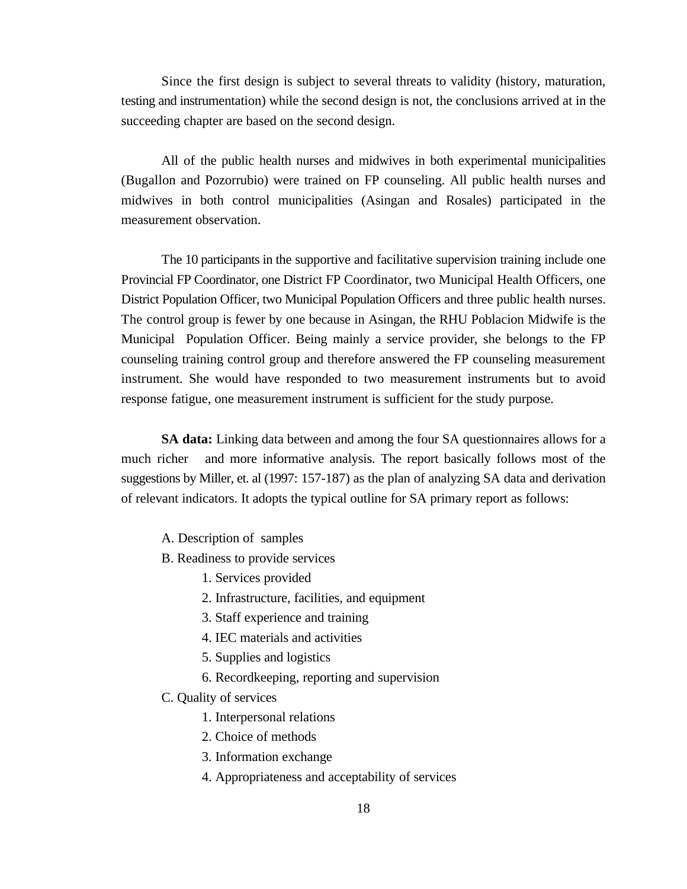Since the first design is subject to several threats to validity (history, maturation, testing and instrumentation) while the second design is not, the conclusions arrived at in the succeeding chapter are based on the second design.

All of the public health nurses and midwives in both experimental municipalities (Bugallon and Pozorrubio) were trained on FP counseling. All public health nurses and midwives in both control municipalities (Asingan and Rosales) participated in the measurement observation.

The 10 participants in the supportive and facilitative supervision training include one Provincial FP Coordinator, one District FP Coordinator, two Municipal Health Officers, one District Population Officer, two Municipal Population Officers and three public health nurses. The control group is fewer by one because in Asingan, the RHU Poblacion Midwife is the Municipal Population Officer. Being mainly a service provider, she belongs to the FP counseling training control group and therefore answered the FP counseling measurement instrument. She would have responded to two measurement instruments but to avoid response fatigue, one measurement instrument is sufficient for the study purpose.

**SA data:** Linking data between and among the four SA questionnaires allows for a much richer and more informative analysis. The report basically follows most of the suggestions by Miller, et. al (1997: 157-187) as the plan of analyzing SA data and derivation of relevant indicators. It adopts the typical outline for SA primary report as follows:

- A. Description of samples
- B. Readiness to provide services
	- 1. Services provided
	- 2. Infrastructure, facilities, and equipment
	- 3. Staff experience and training
	- 4. IEC materials and activities
	- 5. Supplies and logistics
	- 6. Recordkeeping, reporting and supervision
- C. Quality of services
	- 1. Interpersonal relations
	- 2. Choice of methods
	- 3. Information exchange
	- 4. Appropriateness and acceptability of services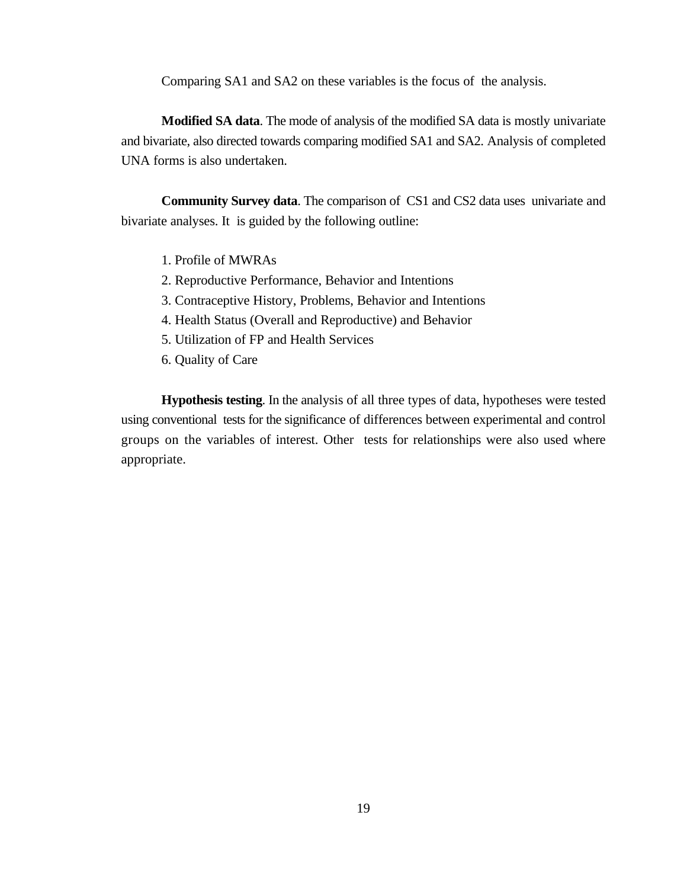Comparing SA1 and SA2 on these variables is the focus of the analysis.

**Modified SA data**. The mode of analysis of the modified SA data is mostly univariate and bivariate, also directed towards comparing modified SA1 and SA2. Analysis of completed UNA forms is also undertaken.

**Community Survey data**. The comparison of CS1 and CS2 data uses univariate and bivariate analyses. It is guided by the following outline:

- 1. Profile of MWRAs
- 2. Reproductive Performance, Behavior and Intentions
- 3. Contraceptive History, Problems, Behavior and Intentions
- 4. Health Status (Overall and Reproductive) and Behavior
- 5. Utilization of FP and Health Services
- 6. Quality of Care

**Hypothesis testing**. In the analysis of all three types of data, hypotheses were tested using conventional tests for the significance of differences between experimental and control groups on the variables of interest. Other tests for relationships were also used where appropriate.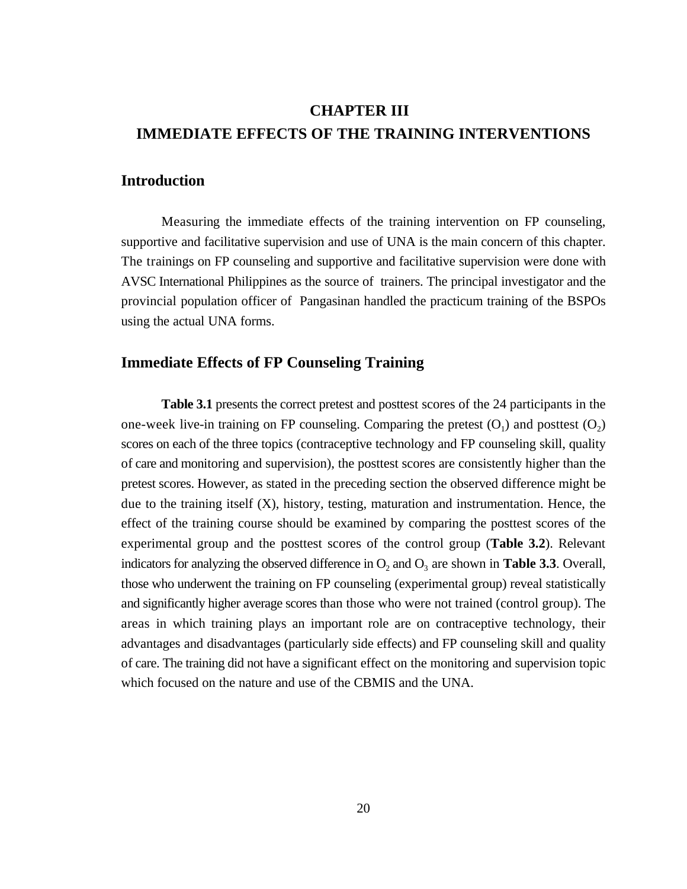# **CHAPTER III IMMEDIATE EFFECTS OF THE TRAINING INTERVENTIONS**

### **Introduction**

Measuring the immediate effects of the training intervention on FP counseling, supportive and facilitative supervision and use of UNA is the main concern of this chapter. The trainings on FP counseling and supportive and facilitative supervision were done with AVSC International Philippines as the source of trainers. The principal investigator and the provincial population officer of Pangasinan handled the practicum training of the BSPOs using the actual UNA forms.

# **Immediate Effects of FP Counseling Training**

**Table 3.1** presents the correct pretest and posttest scores of the 24 participants in the one-week live-in training on FP counseling. Comparing the pretest  $(O_1)$  and posttest  $(O_2)$ scores on each of the three topics (contraceptive technology and FP counseling skill, quality of care and monitoring and supervision), the posttest scores are consistently higher than the pretest scores. However, as stated in the preceding section the observed difference might be due to the training itself (X), history, testing, maturation and instrumentation. Hence, the effect of the training course should be examined by comparing the posttest scores of the experimental group and the posttest scores of the control group (**Table 3.2**). Relevant indicators for analyzing the observed difference in  $O_2$  and  $O_3$  are shown in **Table 3.3**. Overall, those who underwent the training on FP counseling (experimental group) reveal statistically and significantly higher average scores than those who were not trained (control group). The areas in which training plays an important role are on contraceptive technology, their advantages and disadvantages (particularly side effects) and FP counseling skill and quality of care. The training did not have a significant effect on the monitoring and supervision topic which focused on the nature and use of the CBMIS and the UNA.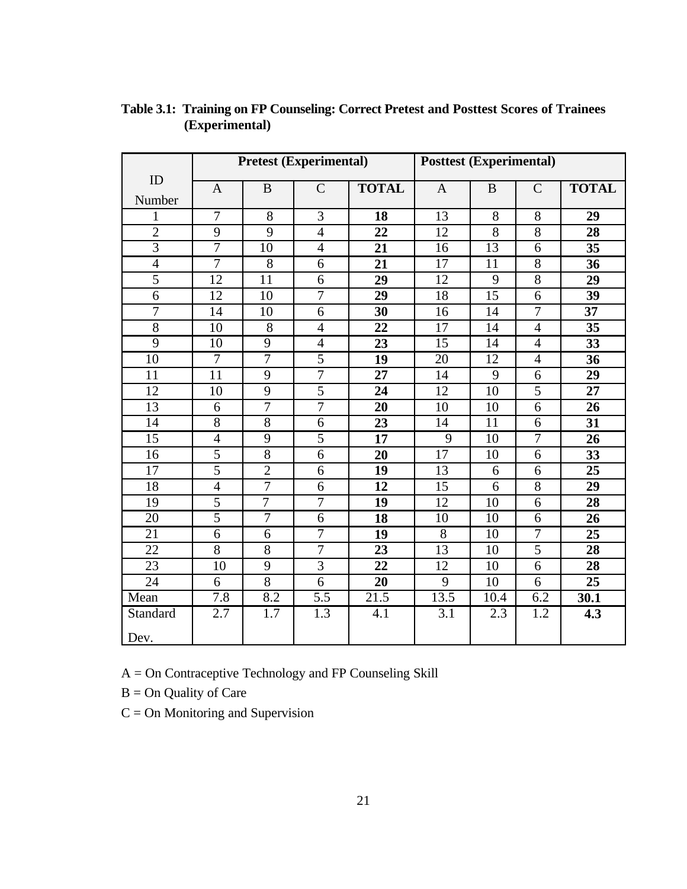|                 |                 |                | Pretest (Experimental) |                 | <b>Posttest (Experimental)</b> |                 |                |                 |
|-----------------|-----------------|----------------|------------------------|-----------------|--------------------------------|-----------------|----------------|-----------------|
| ID              | $\mathbf{A}$    | $\bf{B}$       | $\mathsf{C}$           | <b>TOTAL</b>    | $\mathbf{A}$                   | $\bf{B}$        | $\mathbf C$    | <b>TOTAL</b>    |
| Number          |                 |                |                        |                 |                                |                 |                |                 |
| 1               | $\overline{7}$  | $\overline{8}$ | $\overline{3}$         | 18              | $\overline{13}$                | $\overline{8}$  | $\overline{8}$ | 29              |
| $\overline{2}$  | 9               | 9              | $\overline{4}$         | 22              | 12                             | 8               | 8              | 28              |
| $\overline{3}$  | $\overline{7}$  | 10             | $\overline{4}$         | $\overline{21}$ | 16                             | $\overline{13}$ | 6              | $\overline{35}$ |
| $\overline{4}$  | $\overline{7}$  | $\overline{8}$ | 6                      | 21              | 17                             | 11              | $\overline{8}$ | 36              |
| $\overline{5}$  | 12              | 11             | 6                      | 29              | 12                             | 9               | $\overline{8}$ | 29              |
| $\overline{6}$  | 12              | 10             | $\overline{7}$         | 29              | 18                             | $\overline{15}$ | 6              | 39              |
| $\overline{7}$  | 14              | 10             | 6                      | 30              | 16                             | 14              | $\overline{7}$ | 37              |
| $\overline{8}$  | $\overline{10}$ | $\overline{8}$ | $\overline{4}$         | $\overline{22}$ | $\overline{17}$                | $\overline{14}$ | $\overline{4}$ | $\overline{35}$ |
| $\overline{9}$  | 10              | $\overline{9}$ | $\overline{4}$         | 23              | 15                             | 14              | $\overline{4}$ | 33              |
| 10              | $\overline{7}$  | $\overline{7}$ | $\overline{5}$         | 19              | 20                             | 12              | $\overline{4}$ | 36              |
| 11              | 11              | 9              | $\overline{7}$         | 27              | 14                             | 9               | 6              | 29              |
| 12              | 10              | 9              | 5                      | 24              | 12                             | 10              | 5              | 27              |
| 13              | 6               | $\overline{7}$ | $\overline{7}$         | $\overline{20}$ | $\overline{10}$                | $\overline{10}$ | 6              | $\overline{26}$ |
| $\overline{14}$ | $\overline{8}$  | $\overline{8}$ | 6                      | 23              | 14                             | 11              | 6              | 31              |
| 15              | $\overline{4}$  | 9              | 5                      | 17              | 9                              | 10              | 7              | 26              |
| 16              | $\overline{5}$  | $\overline{8}$ | 6                      | 20              | 17                             | 10              | 6              | 33              |
| 17              | $\overline{5}$  | $\overline{2}$ | 6                      | 19              | 13                             | 6               | 6              | 25              |
| 18              | $\overline{4}$  | 7              | 6                      | 12              | 15                             | 6               | $\overline{8}$ | 29              |
| 19              | $\overline{5}$  | 7              | $\tau$                 | 19              | 12                             | 10              | 6              | 28              |
| 20              | $\overline{5}$  | 7              | 6                      | 18              | 10                             | 10              | 6              | 26              |
| $\overline{21}$ | $\overline{6}$  | $\overline{6}$ | $\overline{7}$         | 19              | $\overline{8}$                 | $\overline{10}$ | $\overline{7}$ | 25              |
| 22              | $\overline{8}$  | $\overline{8}$ | $\overline{7}$         | 23              | 13                             | 10              | 5              | 28              |
| 23              | 10              | 9              | $\overline{3}$         | 22              | 12                             | 10              | 6              | 28              |
| 24              | 6               | $\overline{8}$ | 6                      | 20              | 9                              | 10              | 6              | 25              |
| Mean            | 7.8             | 8.2            | 5.5                    | 21.5            | 13.5                           | 10.4            | 6.2            | 30.1            |
| Standard        | 2.7             | 1.7            | $\overline{1.3}$       | 4.1             | $\overline{3.1}$               | 2.3             | 1.2            | 4.3             |
| Dev.            |                 |                |                        |                 |                                |                 |                |                 |

# **Table 3.1: Training on FP Counseling: Correct Pretest and Posttest Scores of Trainees (Experimental)**

A = On Contraceptive Technology and FP Counseling Skill

 $B = On$  Quality of Care

 $C = On$  Monitoring and Supervision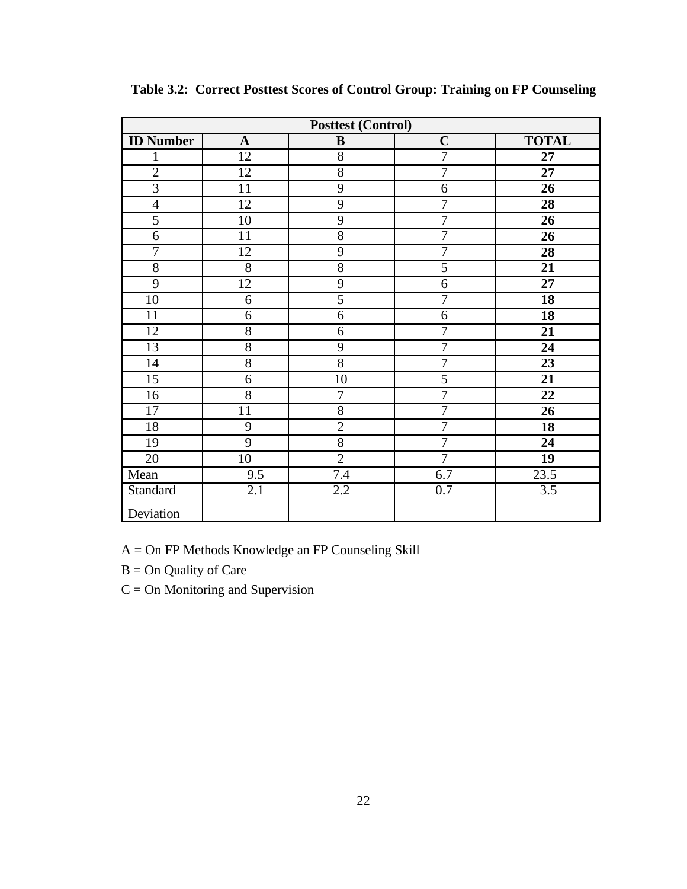|                  |                 | <b>Posttest (Control)</b> |                  |                  |
|------------------|-----------------|---------------------------|------------------|------------------|
| <b>ID</b> Number | $\mathbf{A}$    | $\bf{B}$                  | $\mathbf C$      | <b>TOTAL</b>     |
| 1                | 12              | $\overline{8}$            | $\overline{7}$   | 27               |
| $\overline{2}$   | $\overline{12}$ | $\overline{8}$            | 7                | $\overline{27}$  |
| $\overline{3}$   | $\overline{11}$ | $\overline{9}$            | $\overline{6}$   | 26               |
| $\overline{4}$   | $\overline{12}$ | $\overline{9}$            | 7                | 28               |
| $\overline{5}$   | 10              | $\overline{9}$            | $\overline{7}$   | 26               |
| 6                | 11              | $\overline{8}$            | $\overline{7}$   | 26               |
| 7                | $\overline{12}$ | $\overline{9}$            | $\overline{7}$   | 28               |
| $\overline{8}$   | $\overline{8}$  | $\overline{8}$            | $\overline{5}$   | $\overline{21}$  |
| $\overline{9}$   | $\overline{12}$ | $\overline{9}$            | $\overline{6}$   | $\overline{27}$  |
| 10               | 6               | $\overline{5}$            | $\overline{7}$   | 18               |
| $\overline{11}$  | 6               | 6                         | $\boldsymbol{6}$ | 18               |
| $\overline{12}$  | $\overline{8}$  | $\overline{6}$            | $\overline{7}$   | $\overline{21}$  |
| 13               | $\overline{8}$  | $\mathbf{9}$              | $\overline{7}$   | 24               |
| 14               | $\overline{8}$  | $\overline{8}$            | $\overline{7}$   | 23               |
| $\overline{15}$  | $\overline{6}$  | $\overline{10}$           | $\overline{5}$   | 21               |
| 16               | $\overline{8}$  | $\boldsymbol{7}$          | 7                | 22               |
| 17               | 11              | $\overline{8}$            | $\overline{7}$   | 26               |
| 18               | 9               | $\overline{2}$            | $\overline{7}$   | 18               |
| 19               | $\overline{9}$  | $\overline{8}$            | $\overline{7}$   | 24               |
| 20               | 10              | $\overline{2}$            | $\overline{7}$   | 19               |
| Mean             | 9.5             | 7.4                       | 6.7              | 23.5             |
| Standard         | 2.1             | 2.2                       | 0.7              | $\overline{3.5}$ |
| Deviation        |                 |                           |                  |                  |

**Table 3.2: Correct Posttest Scores of Control Group: Training on FP Counseling**

A = On FP Methods Knowledge an FP Counseling Skill

B = On Quality of Care

C = On Monitoring and Supervision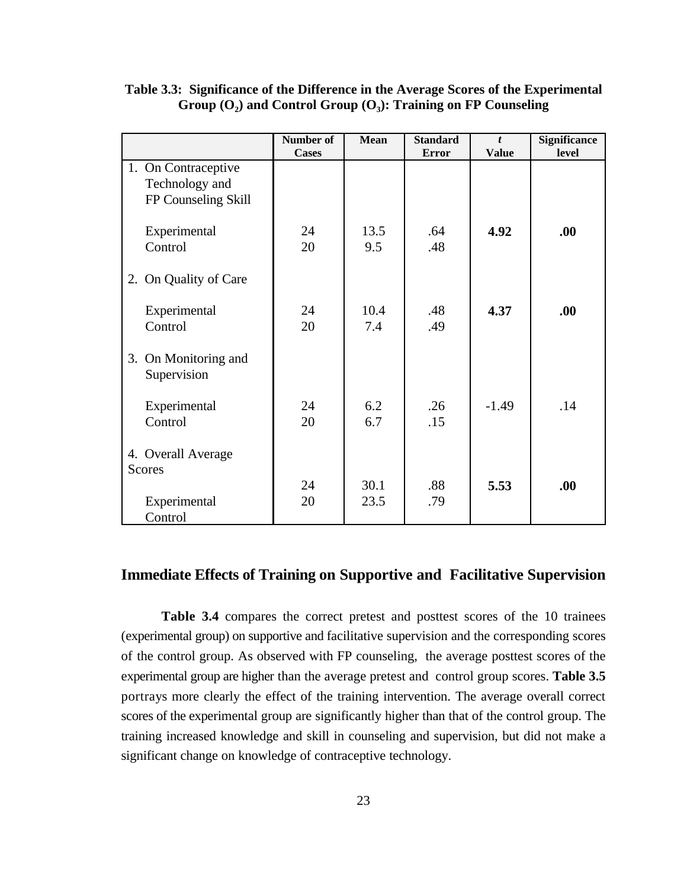|                                                              | Number of<br><b>Cases</b> | <b>Mean</b> | <b>Standard</b><br><b>Error</b> | t<br><b>Value</b> | Significance<br>level |
|--------------------------------------------------------------|---------------------------|-------------|---------------------------------|-------------------|-----------------------|
| 1. On Contraceptive<br>Technology and<br>FP Counseling Skill |                           |             |                                 |                   |                       |
| Experimental<br>Control                                      | 24<br>20                  | 13.5<br>9.5 | .64<br>.48                      | 4.92              | .00.                  |
| 2. On Quality of Care                                        |                           |             |                                 |                   |                       |
| Experimental<br>Control                                      | 24<br>20                  | 10.4<br>7.4 | .48<br>.49                      | 4.37              | .00.                  |
| 3. On Monitoring and<br>Supervision                          |                           |             |                                 |                   |                       |
| Experimental<br>Control                                      | 24<br>20                  | 6.2<br>6.7  | .26<br>.15                      | $-1.49$           | .14                   |
| 4. Overall Average<br><b>Scores</b>                          | 24                        | 30.1        | .88                             | 5.53              | .00.                  |
| Experimental<br>Control                                      | 20                        | 23.5        | .79                             |                   |                       |

# **Table 3.3: Significance of the Difference in the Average Scores of the Experimental Group (O<sup>2</sup> ) and Control Group (O<sup>3</sup> ): Training on FP Counseling**

## **Immediate Effects of Training on Supportive and Facilitative Supervision**

**Table 3.4** compares the correct pretest and posttest scores of the 10 trainees (experimental group) on supportive and facilitative supervision and the corresponding scores of the control group. As observed with FP counseling, the average posttest scores of the experimental group are higher than the average pretest and control group scores. **Table 3.5** portrays more clearly the effect of the training intervention. The average overall correct scores of the experimental group are significantly higher than that of the control group. The training increased knowledge and skill in counseling and supervision, but did not make a significant change on knowledge of contraceptive technology.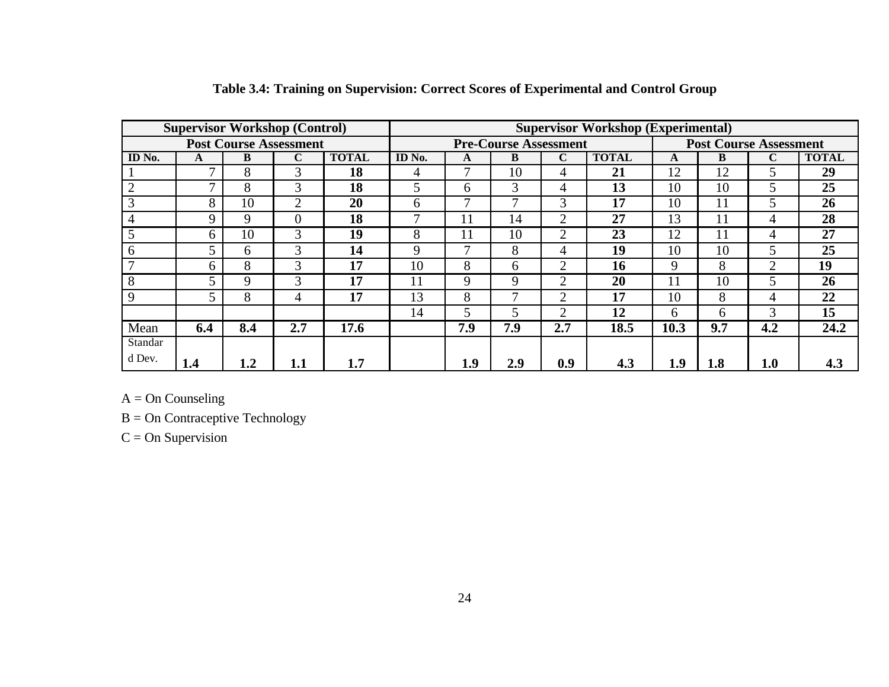|                     |               |              | <b>Supervisor Workshop (Control)</b> |              | <b>Supervisor Workshop (Experimental)</b> |                              |     |                |              |                               |     |                             |                 |
|---------------------|---------------|--------------|--------------------------------------|--------------|-------------------------------------------|------------------------------|-----|----------------|--------------|-------------------------------|-----|-----------------------------|-----------------|
|                     |               |              | <b>Post Course Assessment</b>        |              |                                           | <b>Pre-Course Assessment</b> |     |                |              | <b>Post Course Assessment</b> |     |                             |                 |
| $\overline{ID}$ No. | A             | B            | C                                    | <b>TOTAL</b> | ID No.                                    | A                            | B   | $\mathbf C$    | <b>TOTAL</b> | A                             | B   | $\mathbf C$                 | <b>TOTAL</b>    |
|                     | $\mathcal{I}$ | 8            | 3                                    | 18           | 4                                         |                              | 10  | 4              | 21           | 12                            | 12  | C                           | 29              |
| $\overline{2}$      | $\mathcal{I}$ | 8            | 3                                    | 18           |                                           | 6                            | 3   | 4              | 13           | 10                            | 10  | C                           | 25              |
| 3                   | 8             | 10           | $\overline{2}$                       | 20           | 6                                         | -                            | –   | 3              | 17           | 10                            | 11  | C                           | 26              |
| $\overline{4}$      | 9             | 9            |                                      | 18           |                                           | 11                           | 14  | ◠              | 27           | 13                            | 11  | 4                           | 28              |
| 5                   | 6             | 10           | 3                                    | 19           | 8                                         |                              | 10  |                | 23           | 12                            | 11  | 4                           | $\overline{27}$ |
| 6                   | 5             | <sub>6</sub> | $\mathcal{R}$                        | 14           | 9                                         | −                            | 8   | 4              | 19           | 10                            | 10  | 5                           | 25              |
|                     | 6             | 8            | $\mathcal{R}$                        | 17           | 10                                        | 8                            | 6   | 2              | 16           | 9                             | 8   | $\mathcal{D}_{\mathcal{L}}$ | 19              |
| 8                   | 5             | 9            | 3                                    | 17           | 11                                        | 9                            | 9   | $\overline{2}$ | 20           | 11                            | 10  | 5                           | 26              |
| 9                   |               | 8            | 4                                    | 17           | 13                                        | 8                            | –   | ⌒              | 17           | 10                            | 8   | 4                           | 22              |
|                     |               |              |                                      |              | 14                                        | 5                            |     | ◠              | 12           | 6                             | 6   | 3                           | 15              |
| Mean                | 6.4           | 8.4          | 2.7                                  | 17.6         |                                           | 7.9                          | 7.9 | 2.7            | 18.5         | 10.3                          | 9.7 | 4.2                         | 24.2            |
| Standar             |               |              |                                      |              |                                           |                              |     |                |              |                               |     |                             |                 |
| d Dev.              | 1.4           | 1.2          | 1.1                                  | 1.7          |                                           | 1.9                          | 2.9 | 0.9            | 4.3          | 1.9                           | 1.8 | 1.0                         | 4.3             |

# **Table 3.4: Training on Supervision: Correct Scores of Experimental and Control Group**

 $A = On$  Counseling

B = On Contraceptive Technology

 $C = On$  Supervision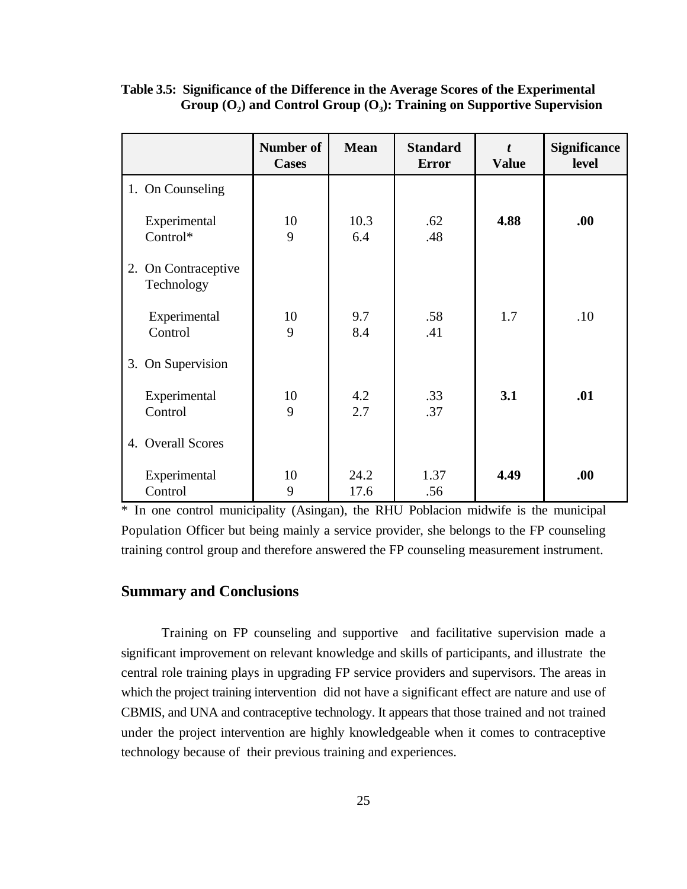|                                      | <b>Number of</b><br><b>Cases</b> | <b>Mean</b>  | <b>Standard</b><br><b>Error</b> | $\boldsymbol{t}$<br><b>Value</b> | <b>Significance</b><br>level |
|--------------------------------------|----------------------------------|--------------|---------------------------------|----------------------------------|------------------------------|
| 1. On Counseling                     |                                  |              |                                 |                                  |                              |
| Experimental<br>Control*             | 10<br>9                          | 10.3<br>6.4  | .62<br>.48                      | 4.88                             | .00.                         |
| On Contraceptive<br>2.<br>Technology |                                  |              |                                 |                                  |                              |
| Experimental<br>Control              | 10<br>9                          | 9.7<br>8.4   | .58<br>.41                      | 1.7                              | .10                          |
| 3. On Supervision                    |                                  |              |                                 |                                  |                              |
| Experimental<br>Control              | 10<br>9                          | 4.2<br>2.7   | .33<br>.37                      | 3.1                              | .01                          |
| 4. Overall Scores                    |                                  |              |                                 |                                  |                              |
| Experimental<br>Control              | 10<br>9                          | 24.2<br>17.6 | 1.37<br>.56                     | 4.49                             | .00.                         |

# **Table 3.5: Significance of the Difference in the Average Scores of the Experimental Group (O<sup>2</sup> ) and Control Group (O<sup>3</sup> ): Training on Supportive Supervision**

\* In one control municipality (Asingan), the RHU Poblacion midwife is the municipal Population Officer but being mainly a service provider, she belongs to the FP counseling training control group and therefore answered the FP counseling measurement instrument.

# **Summary and Conclusions**

Training on FP counseling and supportive and facilitative supervision made a significant improvement on relevant knowledge and skills of participants, and illustrate the central role training plays in upgrading FP service providers and supervisors. The areas in which the project training intervention did not have a significant effect are nature and use of CBMIS, and UNA and contraceptive technology. It appears that those trained and not trained under the project intervention are highly knowledgeable when it comes to contraceptive technology because of their previous training and experiences.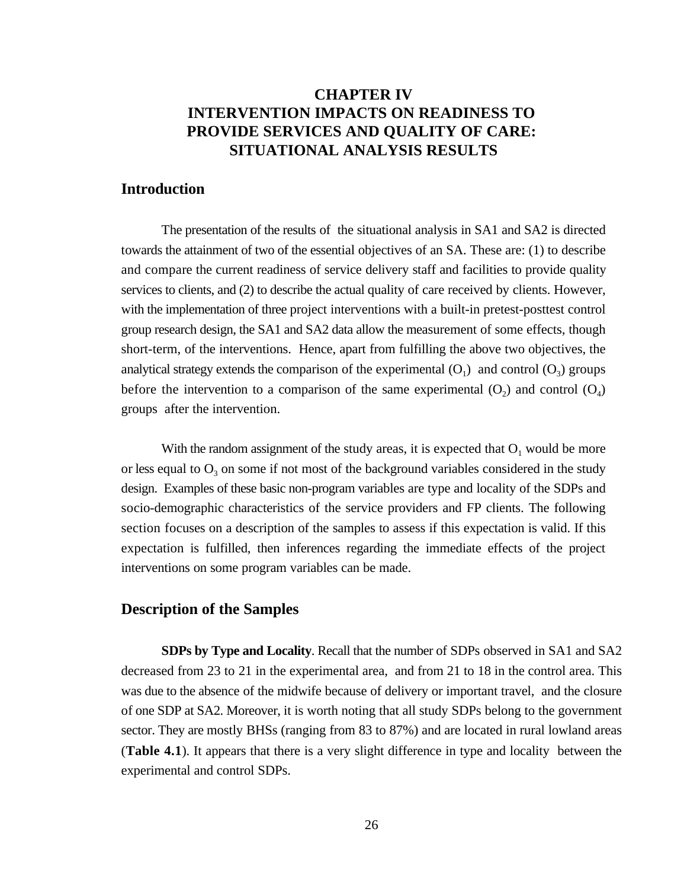# **CHAPTER IV INTERVENTION IMPACTS ON READINESS TO PROVIDE SERVICES AND QUALITY OF CARE: SITUATIONAL ANALYSIS RESULTS**

#### **Introduction**

The presentation of the results of the situational analysis in SA1 and SA2 is directed towards the attainment of two of the essential objectives of an SA. These are: (1) to describe and compare the current readiness of service delivery staff and facilities to provide quality services to clients, and (2) to describe the actual quality of care received by clients. However, with the implementation of three project interventions with a built-in pretest-posttest control group research design, the SA1 and SA2 data allow the measurement of some effects, though short-term, of the interventions. Hence, apart from fulfilling the above two objectives, the analytical strategy extends the comparison of the experimental  $(O_1)$  and control  $(O_2)$  groups before the intervention to a comparison of the same experimental  $(O_2)$  and control  $(O_4)$ groups after the intervention.

With the random assignment of the study areas, it is expected that  $O_1$  would be more or less equal to  $O_3$  on some if not most of the background variables considered in the study design. Examples of these basic non-program variables are type and locality of the SDPs and socio-demographic characteristics of the service providers and FP clients. The following section focuses on a description of the samples to assess if this expectation is valid. If this expectation is fulfilled, then inferences regarding the immediate effects of the project interventions on some program variables can be made.

#### **Description of the Samples**

**SDPs by Type and Locality**. Recall that the number of SDPs observed in SA1 and SA2 decreased from 23 to 21 in the experimental area, and from 21 to 18 in the control area. This was due to the absence of the midwife because of delivery or important travel, and the closure of one SDP at SA2. Moreover, it is worth noting that all study SDPs belong to the government sector. They are mostly BHSs (ranging from 83 to 87%) and are located in rural lowland areas (**Table 4.1**). It appears that there is a very slight difference in type and locality between the experimental and control SDPs.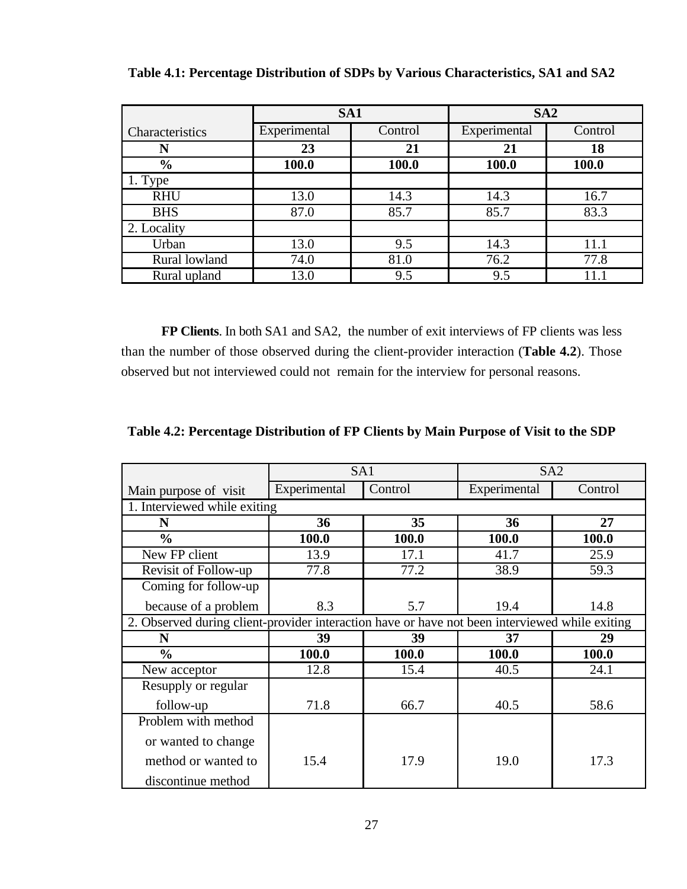|                 | SA1          |         | SA2          |         |  |
|-----------------|--------------|---------|--------------|---------|--|
| Characteristics | Experimental | Control | Experimental | Control |  |
| N               | 23           | 21      | 21           | 18      |  |
| $\frac{0}{0}$   | 100.0        | 100.0   | 100.0        | 100.0   |  |
| 1. Type         |              |         |              |         |  |
| <b>RHU</b>      | 13.0         | 14.3    | 14.3         | 16.7    |  |
| <b>BHS</b>      | 87.0         | 85.7    | 85.7         | 83.3    |  |
| 2. Locality     |              |         |              |         |  |
| Urban           | 13.0         | 9.5     | 14.3         | 11.1    |  |
| Rural lowland   | 74.0         | 81.0    | 76.2         | 77.8    |  |
| Rural upland    | 13.0         | 9.5     | 9.5          | 11.     |  |

**Table 4.1: Percentage Distribution of SDPs by Various Characteristics, SA1 and SA2**

**FP Clients**. In both SA1 and SA2, the number of exit interviews of FP clients was less than the number of those observed during the client-provider interaction (**Table 4.2**). Those observed but not interviewed could not remain for the interview for personal reasons.

|                                                                                                | SA1          |         | SA <sub>2</sub> |         |  |
|------------------------------------------------------------------------------------------------|--------------|---------|-----------------|---------|--|
| Main purpose of visit                                                                          | Experimental | Control | Experimental    | Control |  |
| 1. Interviewed while exiting                                                                   |              |         |                 |         |  |
| N                                                                                              | 36           | 35      | 36              | 27      |  |
| $\frac{0}{0}$                                                                                  | 100.0        | 100.0   | 100.0           | 100.0   |  |
| New FP client                                                                                  | 13.9         | 17.1    | 41.7            | 25.9    |  |
| Revisit of Follow-up                                                                           | 77.8         | 77.2    | 38.9            | 59.3    |  |
| Coming for follow-up                                                                           |              |         |                 |         |  |
| because of a problem                                                                           | 8.3          | 5.7     | 19.4            | 14.8    |  |
| 2. Observed during client-provider interaction have or have not been interviewed while exiting |              |         |                 |         |  |
| N                                                                                              | 39           | 39      | 37              | 29      |  |
| $\frac{0}{0}$                                                                                  | 100.0        | 100.0   | 100.0           | 100.0   |  |
| New acceptor                                                                                   | 12.8         | 15.4    | 40.5            | 24.1    |  |
| Resupply or regular                                                                            |              |         |                 |         |  |
| follow-up                                                                                      | 71.8         | 66.7    | 40.5            | 58.6    |  |
| Problem with method                                                                            |              |         |                 |         |  |
| or wanted to change                                                                            |              |         |                 |         |  |
| method or wanted to                                                                            | 15.4         | 17.9    | 19.0            | 17.3    |  |
| discontinue method                                                                             |              |         |                 |         |  |

**Table 4.2: Percentage Distribution of FP Clients by Main Purpose of Visit to the SDP**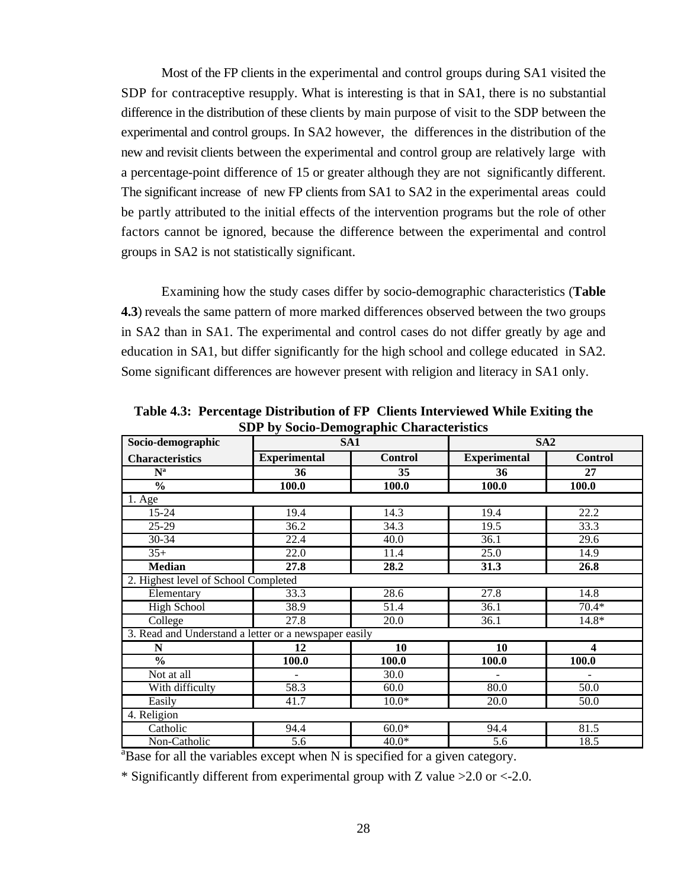Most of the FP clients in the experimental and control groups during SA1 visited the SDP for contraceptive resupply. What is interesting is that in SA1, there is no substantial difference in the distribution of these clients by main purpose of visit to the SDP between the experimental and control groups. In SA2 however, the differences in the distribution of the new and revisit clients between the experimental and control group are relatively large with a percentage-point difference of 15 or greater although they are not significantly different. The significant increase of new FP clients from SA1 to SA2 in the experimental areas could be partly attributed to the initial effects of the intervention programs but the role of other factors cannot be ignored, because the difference between the experimental and control groups in SA2 is not statistically significant.

Examining how the study cases differ by socio-demographic characteristics (**Table 4.3**) reveals the same pattern of more marked differences observed between the two groups in SA2 than in SA1. The experimental and control cases do not differ greatly by age and education in SA1, but differ significantly for the high school and college educated in SA2. Some significant differences are however present with religion and literacy in SA1 only.

| Socio-demographic                                     | SA <sub>1</sub>          | $\sigma$ $\mathbf{r}$ | SA2                      |                         |
|-------------------------------------------------------|--------------------------|-----------------------|--------------------------|-------------------------|
| <b>Characteristics</b>                                | <b>Experimental</b>      | <b>Control</b>        | <b>Experimental</b>      | <b>Control</b>          |
| $N^a$                                                 | 36                       | 35                    | 36                       | 27                      |
| $\frac{0}{0}$                                         | 100.0                    | 100.0                 | 100.0                    | 100.0                   |
| $\overline{1.}$ Age                                   |                          |                       |                          |                         |
| $15 - 24$                                             | 19.4                     | 14.3                  | 19.4                     | 22.2                    |
| $25 - 29$                                             | 36.2                     | 34.3                  | 19.5                     | 33.3                    |
| 30-34                                                 | $\overline{22.4}$        | 40.0                  | 36.1                     | 29.6                    |
| $35+$                                                 | 22.0                     | 11.4                  | 25.0                     | 14.9                    |
| <b>Median</b>                                         | 27.8                     | 28.2                  | 31.3                     | 26.8                    |
| 2. Highest level of School Completed                  |                          |                       |                          |                         |
| Elementary                                            | 33.3                     | 28.6                  | 27.8                     | 14.8                    |
| <b>High School</b>                                    | 38.9                     | 51.4                  | 36.1                     | $70.4*$                 |
| College                                               | 27.8                     | 20.0                  | 36.1                     | $14.8*$                 |
| 3. Read and Understand a letter or a newspaper easily |                          |                       |                          |                         |
| N                                                     | 12                       | 10                    | 10                       | $\overline{\mathbf{4}}$ |
| $\frac{0}{0}$                                         | 100.0                    | 100.0                 | 100.0                    | 100.0                   |
| Not at all                                            | $\overline{\phantom{a}}$ | 30.0                  | $\overline{\phantom{a}}$ | $\blacksquare$          |
| With difficulty                                       | 58.3                     | 60.0                  | 80.0                     | 50.0                    |
| Easily                                                | 41.7                     | $10.0*$               | $\overline{20.0}$        | 50.0                    |
| 4. Religion                                           |                          |                       |                          |                         |
| Catholic                                              | 94.4                     | $60.0*$               | 94.4                     | 81.5                    |
| Non-Catholic                                          | 5.6                      | $40.0*$               | 5.6                      | 18.5                    |

**Table 4.3: Percentage Distribution of FP Clients Interviewed While Exiting the SDP by Socio-Demographic Characteristics**

 ${}^{a}$ Base for all the variables except when N is specified for a given category.

\* Significantly different from experimental group with Z value >2.0 or <-2.0.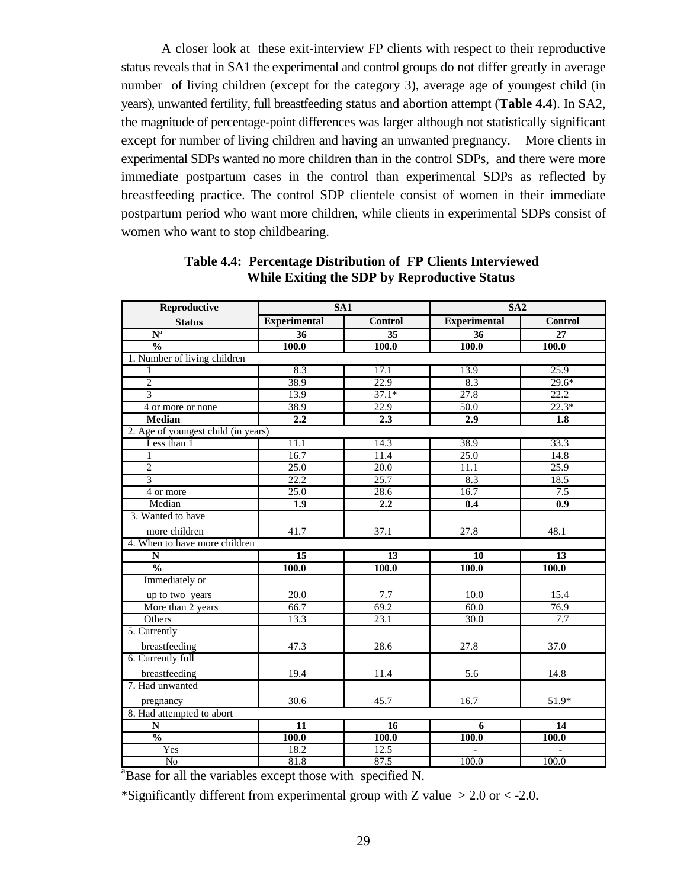A closer look at these exit-interview FP clients with respect to their reproductive status reveals that in SA1 the experimental and control groups do not differ greatly in average number of living children (except for the category 3), average age of youngest child (in years), unwanted fertility, full breastfeeding status and abortion attempt (**Table 4.4**). In SA2, the magnitude of percentage-point differences was larger although not statistically significant except for number of living children and having an unwanted pregnancy. More clients in experimental SDPs wanted no more children than in the control SDPs, and there were more immediate postpartum cases in the control than experimental SDPs as reflected by breastfeeding practice. The control SDP clientele consist of women in their immediate postpartum period who want more children, while clients in experimental SDPs consist of women who want to stop childbearing.

| Reproductive                        | SA <sub>1</sub>     |                 | SA2                 |                  |  |  |  |  |  |
|-------------------------------------|---------------------|-----------------|---------------------|------------------|--|--|--|--|--|
| <b>Status</b>                       | <b>Experimental</b> | <b>Control</b>  | <b>Experimental</b> | <b>Control</b>   |  |  |  |  |  |
| $N^a$                               | 36                  | $\overline{35}$ | 36                  | 27               |  |  |  |  |  |
| $\frac{0}{0}$                       | 100.0               | 100.0           | 100.0               | 100.0            |  |  |  |  |  |
| 1. Number of living children        |                     |                 |                     |                  |  |  |  |  |  |
|                                     | 8.3                 | 17.1            | 13.9                | 25.9             |  |  |  |  |  |
| $\overline{2}$                      | 38.9                | 22.9            | 8.3                 | $29.6*$          |  |  |  |  |  |
| $\overline{3}$                      | 13.9                | $37.1*$         | 27.8                | 22.2             |  |  |  |  |  |
| 4 or more or none                   | 38.9                | 22.9            | 50.0                | $22.3*$          |  |  |  |  |  |
| <b>Median</b>                       | $\overline{2.2}$    | 2.3             | 2.9                 | $\overline{1.8}$ |  |  |  |  |  |
| 2. Age of youngest child (in years) |                     |                 |                     |                  |  |  |  |  |  |
| Less than 1                         | 11.1                | 14.3            | 38.9                | 33.3             |  |  |  |  |  |
| $\mathbf{1}$                        | 16.7                | 11.4            | 25.0                | 14.8             |  |  |  |  |  |
| $\overline{2}$                      | 25.0                | 20.0            | 11.1                | 25.9             |  |  |  |  |  |
| $\overline{3}$                      | 22.2                | 25.7            | 8.3                 | 18.5             |  |  |  |  |  |
| 4 or more                           | 25.0                | 28.6            | 16.7                | 7.5              |  |  |  |  |  |
| Median                              | 1.9                 | 2.2             | 0.4                 | 0.9              |  |  |  |  |  |
| 3. Wanted to have                   |                     |                 |                     |                  |  |  |  |  |  |
| more children                       | 41.7                | 37.1            | 27.8                | 48.1             |  |  |  |  |  |
| 4. When to have more children       |                     |                 |                     |                  |  |  |  |  |  |
| $\overline{\bf N}$                  | $\overline{15}$     | $\overline{13}$ | $\overline{10}$     | $\overline{13}$  |  |  |  |  |  |
| $\frac{0}{0}$                       | <b>100.0</b>        | <b>100.0</b>    | <b>100.0</b>        | <b>100.0</b>     |  |  |  |  |  |
| Immediately or                      |                     |                 |                     |                  |  |  |  |  |  |
| up to two years                     | 20.0                | 7.7             | 10.0                | 15.4             |  |  |  |  |  |
| More than 2 years                   | 66.7                | 69.2            | 60.0                | 76.9             |  |  |  |  |  |
| Others                              | 13.3                | 23.1            | 30.0                | 7.7              |  |  |  |  |  |
| 5. Currently                        |                     |                 |                     |                  |  |  |  |  |  |
| breastfeeding                       | 47.3                | 28.6            | 27.8                | 37.0             |  |  |  |  |  |
| 6. Currently full                   |                     |                 |                     |                  |  |  |  |  |  |
| breastfeeding                       | 19.4                | 11.4            | 5.6                 | 14.8             |  |  |  |  |  |
| 7. Had unwanted                     |                     |                 |                     |                  |  |  |  |  |  |
| pregnancy                           | 30.6                | 45.7            | 16.7                | 51.9*            |  |  |  |  |  |
| 8. Had attempted to abort           |                     |                 |                     |                  |  |  |  |  |  |
| $\mathbf N$                         | $\overline{11}$     | 16              | 6                   | 14               |  |  |  |  |  |
| $\frac{0}{0}$                       | 100.0               | 100.0           | <b>100.0</b>        | <b>100.0</b>     |  |  |  |  |  |
| Yes                                 | 18.2                | 12.5            |                     |                  |  |  |  |  |  |
| N <sub>o</sub>                      | 81.8                | 87.5            | 100.0               | 100.0            |  |  |  |  |  |

### **Table 4.4: Percentage Distribution of FP Clients Interviewed While Exiting the SDP by Reproductive Status**

<sup>a</sup>Base for all the variables except those with specified N.

\*Significantly different from experimental group with Z value  $> 2.0$  or  $< -2.0$ .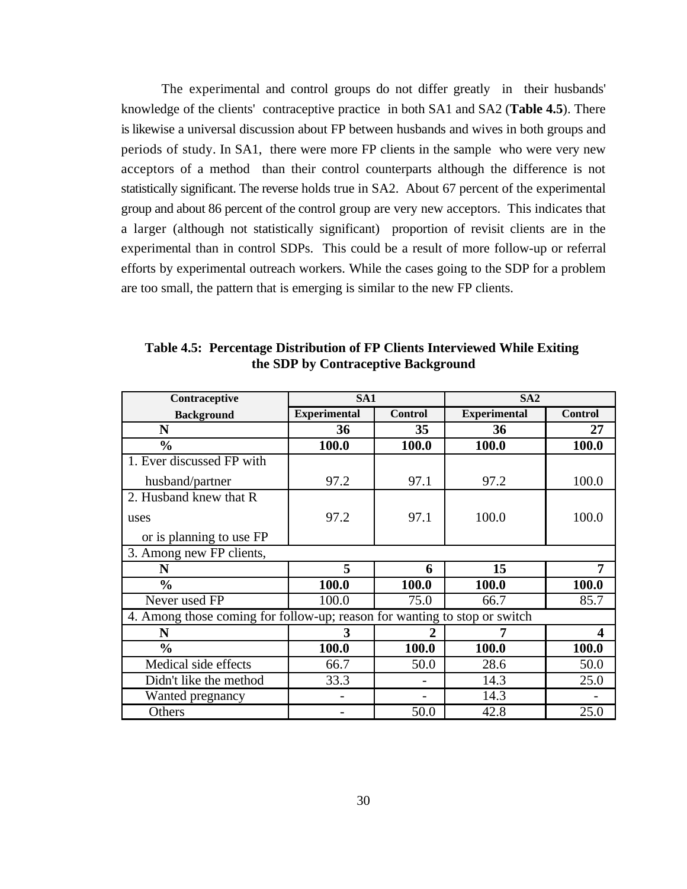The experimental and control groups do not differ greatly in their husbands' knowledge of the clients' contraceptive practice in both SA1 and SA2 (**Table 4.5**). There is likewise a universal discussion about FP between husbands and wives in both groups and periods of study. In SA1, there were more FP clients in the sample who were very new acceptors of a method than their control counterparts although the difference is not statistically significant. The reverse holds true in SA2. About 67 percent of the experimental group and about 86 percent of the control group are very new acceptors. This indicates that a larger (although not statistically significant) proportion of revisit clients are in the experimental than in control SDPs. This could be a result of more follow-up or referral efforts by experimental outreach workers. While the cases going to the SDP for a problem are too small, the pattern that is emerging is similar to the new FP clients.

| Contraceptive                                                             | SA <sub>1</sub>     |                | SA <sub>2</sub>     |                  |  |
|---------------------------------------------------------------------------|---------------------|----------------|---------------------|------------------|--|
| <b>Background</b>                                                         | <b>Experimental</b> | <b>Control</b> | <b>Experimental</b> | <b>Control</b>   |  |
| N                                                                         | 36                  | 35             | 36                  | 27               |  |
| $\frac{0}{0}$                                                             | 100.0               | 100.0          | 100.0               | 100.0            |  |
| 1. Ever discussed FP with                                                 |                     |                |                     |                  |  |
| husband/partner                                                           | 97.2                | 97.1           | 97.2                | 100.0            |  |
| 2. Husband knew that R                                                    |                     |                |                     |                  |  |
| uses                                                                      | 97.2                | 97.1           | 100.0               | 100.0            |  |
| or is planning to use FP                                                  |                     |                |                     |                  |  |
| 3. Among new FP clients,                                                  |                     |                |                     |                  |  |
| N                                                                         | 5                   | 6              | 15                  | 7                |  |
| $\frac{0}{0}$                                                             | 100.0               | 100.0          | 100.0               | 100.0            |  |
| Never used FP                                                             | 100.0               | 75.0           | 66.7                | 85.7             |  |
| 4. Among those coming for follow-up; reason for wanting to stop or switch |                     |                |                     |                  |  |
| N                                                                         | 3                   |                | 7                   | $\boldsymbol{4}$ |  |
| $\frac{0}{0}$                                                             | 100.0               | 100.0          | 100.0               | 100.0            |  |
| Medical side effects                                                      | 66.7                | 50.0           | 28.6                | 50.0             |  |
| Didn't like the method                                                    | 33.3                |                | 14.3                | 25.0             |  |
| Wanted pregnancy                                                          |                     |                | 14.3                |                  |  |
| Others                                                                    |                     | 50.0           | 42.8                | 25.0             |  |

**Table 4.5: Percentage Distribution of FP Clients Interviewed While Exiting the SDP by Contraceptive Background**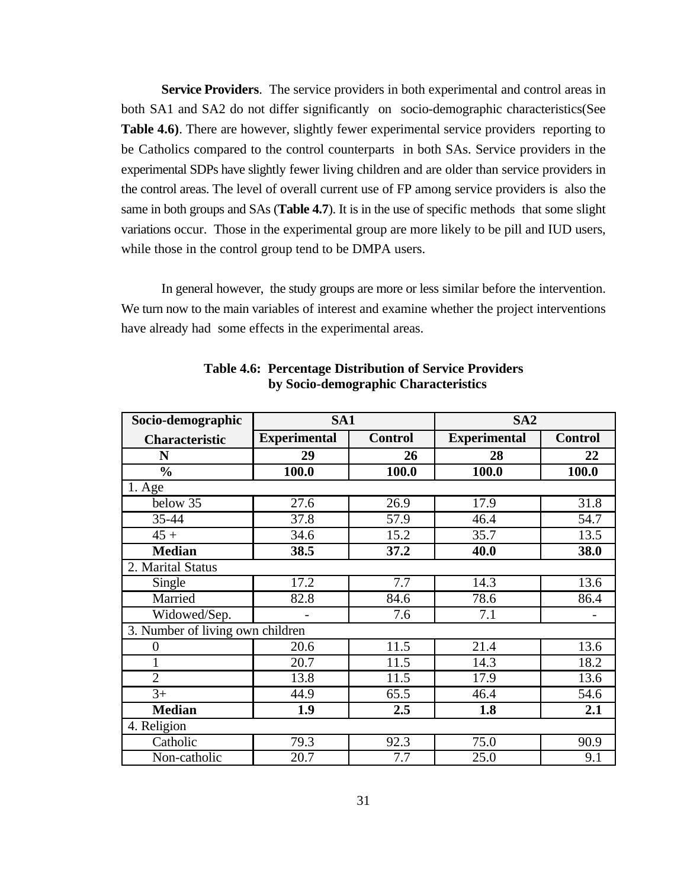**Service Providers**. The service providers in both experimental and control areas in both SA1 and SA2 do not differ significantly on socio-demographic characteristics(See **Table 4.6)**. There are however, slightly fewer experimental service providers reporting to be Catholics compared to the control counterparts in both SAs. Service providers in the experimental SDPs have slightly fewer living children and are older than service providers in the control areas. The level of overall current use of FP among service providers is also the same in both groups and SAs (**Table 4.7**). It is in the use of specific methods that some slight variations occur. Those in the experimental group are more likely to be pill and IUD users, while those in the control group tend to be DMPA users.

In general however, the study groups are more or less similar before the intervention. We turn now to the main variables of interest and examine whether the project interventions have already had some effects in the experimental areas.

| Socio-demographic                | SA <sub>1</sub>     |                   | SA <sub>2</sub>     |                |
|----------------------------------|---------------------|-------------------|---------------------|----------------|
| <b>Characteristic</b>            | <b>Experimental</b> | <b>Control</b>    | <b>Experimental</b> | <b>Control</b> |
| N                                | 29                  | 26                | 28                  | 22             |
| $\frac{0}{0}$                    | 100.0               | 100.0             | 100.0               | 100.0          |
| 1. Age                           |                     |                   |                     |                |
| below 35                         | 27.6                | $\overline{26.9}$ | 17.9                | 31.8           |
| 35-44                            | 37.8                | 57.9              | 46.4                | 54.7           |
| $45 +$                           | 34.6                | 15.2              | 35.7                | 13.5           |
| <b>Median</b>                    | 38.5                | 37.2              | 40.0                | 38.0           |
| 2. Marital Status                |                     |                   |                     |                |
| Single                           | 17.2                | $\overline{7.7}$  | 14.3                | 13.6           |
| Married                          | 82.8                | 84.6              | 78.6                | 86.4           |
| Widowed/Sep.                     |                     | 7.6               | 7.1                 |                |
| 3. Number of living own children |                     |                   |                     |                |
| 0                                | 20.6                | 11.5              | 21.4                | 13.6           |
|                                  | 20.7                | 11.5              | 14.3                | 18.2           |
| $\overline{2}$                   | 13.8                | 11.5              | 17.9                | 13.6           |
| $3+$                             | 44.9                | 65.5              | 46.4                | 54.6           |
| <b>Median</b>                    | 1.9                 | 2.5               | 1.8                 | 2.1            |
| 4. Religion                      |                     |                   |                     |                |
| Catholic                         | 79.3                | 92.3              | 75.0                | 90.9           |
| Non-catholic                     | 20.7                | 7.7               | 25.0                | 9.1            |

**Table 4.6: Percentage Distribution of Service Providers by Socio-demographic Characteristics**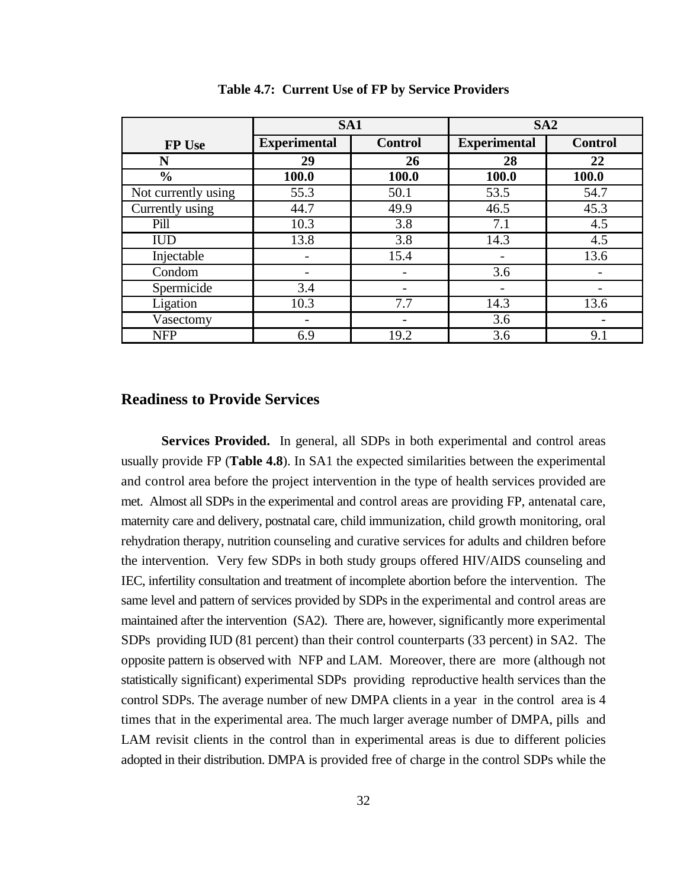|                     | SA <sub>1</sub>     |                | SA2                 |                |
|---------------------|---------------------|----------------|---------------------|----------------|
| <b>FP Use</b>       | <b>Experimental</b> | <b>Control</b> | <b>Experimental</b> | <b>Control</b> |
| N                   | 29                  | 26             | 28                  | 22             |
| $\frac{0}{0}$       | 100.0               | 100.0          | 100.0               | 100.0          |
| Not currently using | 55.3                | 50.1           | 53.5                | 54.7           |
| Currently using     | 44.7                | 49.9           | 46.5                | 45.3           |
| Pill                | 10.3                | 3.8            | 7.1                 | 4.5            |
| <b>IUD</b>          | 13.8                | 3.8            | 14.3                | 4.5            |
| Injectable          |                     | 15.4           |                     | 13.6           |
| Condom              |                     |                | 3.6                 |                |
| Spermicide          | 3.4                 |                |                     |                |
| Ligation            | 10.3                | 7.7            | 14.3                | 13.6           |
| Vasectomy           |                     |                | 3.6                 |                |
| <b>NFP</b>          | 6.9                 | 19.2           | 3.6                 | 9.1            |

**Table 4.7: Current Use of FP by Service Providers**

#### **Readiness to Provide Services**

**Services Provided.** In general, all SDPs in both experimental and control areas usually provide FP (**Table 4.8**). In SA1 the expected similarities between the experimental and control area before the project intervention in the type of health services provided are met. Almost all SDPs in the experimental and control areas are providing FP, antenatal care, maternity care and delivery, postnatal care, child immunization, child growth monitoring, oral rehydration therapy, nutrition counseling and curative services for adults and children before the intervention. Very few SDPs in both study groups offered HIV/AIDS counseling and IEC, infertility consultation and treatment of incomplete abortion before the intervention. The same level and pattern of services provided by SDPs in the experimental and control areas are maintained after the intervention (SA2). There are, however, significantly more experimental SDPs providing IUD (81 percent) than their control counterparts (33 percent) in SA2. The opposite pattern is observed with NFP and LAM. Moreover, there are more (although not statistically significant) experimental SDPs providing reproductive health services than the control SDPs. The average number of new DMPA clients in a year in the control area is 4 times that in the experimental area. The much larger average number of DMPA, pills and LAM revisit clients in the control than in experimental areas is due to different policies adopted in their distribution. DMPA is provided free of charge in the control SDPs while the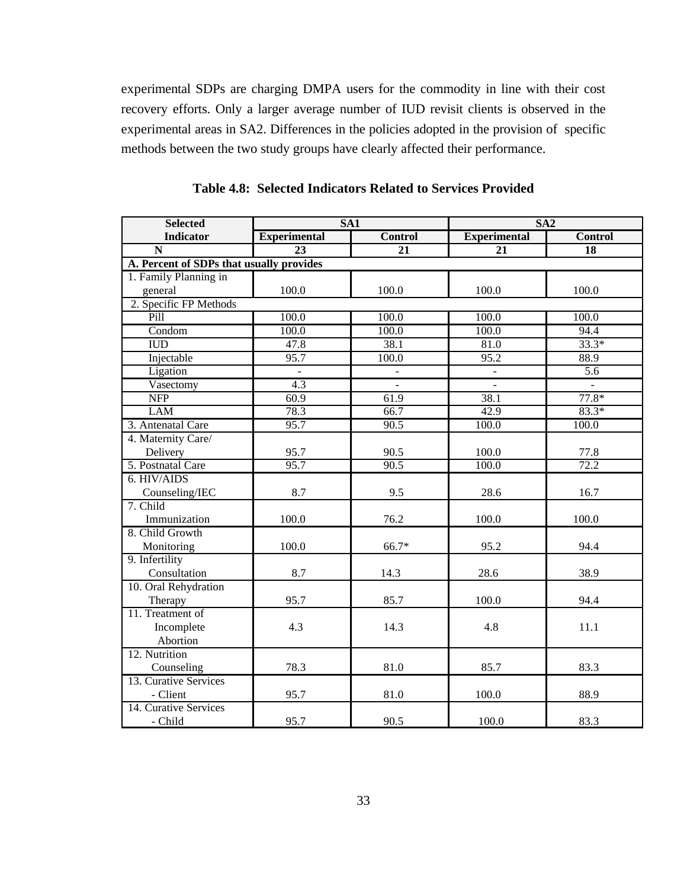experimental SDPs are charging DMPA users for the commodity in line with their cost recovery efforts. Only a larger average number of IUD revisit clients is observed in the experimental areas in SA2. Differences in the policies adopted in the provision of specific methods between the two study groups have clearly affected their performance.

| <b>Selected</b>                          | SA1                 |                 | SA2                 |                 |  |  |
|------------------------------------------|---------------------|-----------------|---------------------|-----------------|--|--|
| <b>Indicator</b>                         | <b>Experimental</b> | <b>Control</b>  | <b>Experimental</b> | <b>Control</b>  |  |  |
| $\overline{\mathbf{N}}$                  | $\overline{23}$     | $\overline{21}$ | $\overline{21}$     | $\overline{18}$ |  |  |
| A. Percent of SDPs that usually provides |                     |                 |                     |                 |  |  |
| 1. Family Planning in                    |                     |                 |                     |                 |  |  |
| general                                  | 100.0               | 100.0           | 100.0               | 100.0           |  |  |
| 2. Specific FP Methods                   |                     |                 |                     |                 |  |  |
| Pill                                     | 100.0               | 100.0           | 100.0               | 100.0           |  |  |
| Condom                                   | 100.0               | 100.0           | 100.0               | 94.4            |  |  |
| <b>IUD</b>                               | 47.8                | 38.1            | 81.0                | $33.3*$         |  |  |
| Injectable                               | 95.7                | 100.0           | 95.2                | 88.9            |  |  |
| Ligation                                 |                     |                 |                     | 5.6             |  |  |
| Vasectomy                                | 4.3                 |                 |                     |                 |  |  |
| <b>NFP</b>                               | 60.9                | 61.9            | 38.1                | $77.8*$         |  |  |
| <b>LAM</b>                               | 78.3                | 66.7            | 42.9                | $83.3*$         |  |  |
| 3. Antenatal Care                        | 95.7                | 90.5            | 100.0               | 100.0           |  |  |
| 4. Maternity Care/                       |                     |                 |                     |                 |  |  |
| Delivery                                 | 95.7                | 90.5            | 100.0               | 77.8            |  |  |
| 5. Postnatal Care                        | 95.7                | 90.5            | 100.0               | 72.2            |  |  |
| 6. HIV/AIDS                              |                     |                 |                     |                 |  |  |
| Counseling/IEC                           | 8.7                 | 9.5             | 28.6                | 16.7            |  |  |
| 7. Child                                 |                     |                 |                     |                 |  |  |
| Immunization                             | 100.0               | 76.2            | 100.0               | 100.0           |  |  |
| 8. Child Growth                          |                     |                 |                     |                 |  |  |
| Monitoring                               | 100.0               | 66.7*           | 95.2                | 94.4            |  |  |
| 9. Infertility                           |                     |                 |                     |                 |  |  |
| Consultation                             | 8.7                 | 14.3            | 28.6                | 38.9            |  |  |
| 10. Oral Rehydration                     |                     |                 |                     |                 |  |  |
| Therapy                                  | 95.7                | 85.7            | 100.0               | 94.4            |  |  |
| 11. Treatment of                         |                     |                 |                     |                 |  |  |
| Incomplete                               | 4.3                 | 14.3            | 4.8                 | 11.1            |  |  |
| Abortion                                 |                     |                 |                     |                 |  |  |
| 12. Nutrition                            |                     |                 |                     |                 |  |  |
| Counseling                               | 78.3                | 81.0            | 85.7                | 83.3            |  |  |
| 13. Curative Services                    |                     |                 |                     |                 |  |  |
| - Client                                 | 95.7                | 81.0            | 100.0               | 88.9            |  |  |
| 14. Curative Services                    |                     |                 |                     |                 |  |  |
| - Child                                  | 95.7                | 90.5            | 100.0               | 83.3            |  |  |

**Table 4.8: Selected Indicators Related to Services Provided**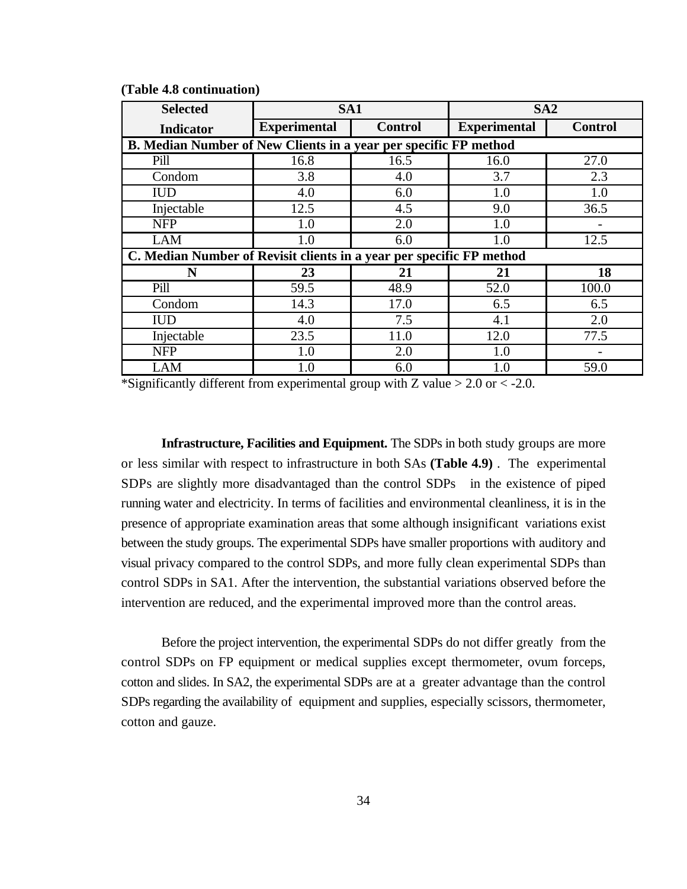| <b>Selected</b>                                                      | SA1                 |                | SA <sub>2</sub> |                |
|----------------------------------------------------------------------|---------------------|----------------|-----------------|----------------|
| <b>Indicator</b>                                                     | <b>Experimental</b> | <b>Control</b> |                 | <b>Control</b> |
| B. Median Number of New Clients in a year per specific FP method     |                     |                |                 |                |
| Pill                                                                 | 16.8                | 16.5           | 16.0            | 27.0           |
| Condom                                                               | 3.8                 | 4.0            | 3.7             | 2.3            |
| <b>IUD</b>                                                           | 4.0                 | 6.0            | 1.0             | 1.0            |
| Injectable                                                           | 12.5                | 4.5            | 9.0             | 36.5           |
| <b>NFP</b>                                                           | 1.0                 | 2.0            | 1.0             |                |
| <b>LAM</b>                                                           | 1.0                 | 6.0            | 1.0             | 12.5           |
| C. Median Number of Revisit clients in a year per specific FP method |                     |                |                 |                |
| N                                                                    | 23                  | 21             | 21              | 18             |
| Pill                                                                 | 59.5                | 48.9           | 52.0            | 100.0          |
| Condom                                                               | 14.3                | 17.0           | 6.5             | 6.5            |
| <b>IUD</b>                                                           | 4.0                 | 7.5            | 4.1             | 2.0            |
| Injectable                                                           | 23.5                | 11.0           | 12.0            | 77.5           |
| <b>NFP</b>                                                           | 1.0                 | 2.0            | 1.0             |                |
| <b>LAM</b>                                                           | $1.0\,$             | 6.0            | 1.0             | 59.0           |

**(Table 4.8 continuation)** 

\*Significantly different from experimental group with Z value  $> 2.0$  or  $< -2.0$ .

**Infrastructure, Facilities and Equipment.** The SDPs in both study groups are more or less similar with respect to infrastructure in both SAs **(Table 4.9)** . The experimental SDPs are slightly more disadvantaged than the control SDPs in the existence of piped running water and electricity. In terms of facilities and environmental cleanliness, it is in the presence of appropriate examination areas that some although insignificant variations exist between the study groups. The experimental SDPs have smaller proportions with auditory and visual privacy compared to the control SDPs, and more fully clean experimental SDPs than control SDPs in SA1. After the intervention, the substantial variations observed before the intervention are reduced, and the experimental improved more than the control areas.

Before the project intervention, the experimental SDPs do not differ greatly from the control SDPs on FP equipment or medical supplies except thermometer, ovum forceps, cotton and slides. In SA2, the experimental SDPs are at a greater advantage than the control SDPs regarding the availability of equipment and supplies, especially scissors, thermometer, cotton and gauze.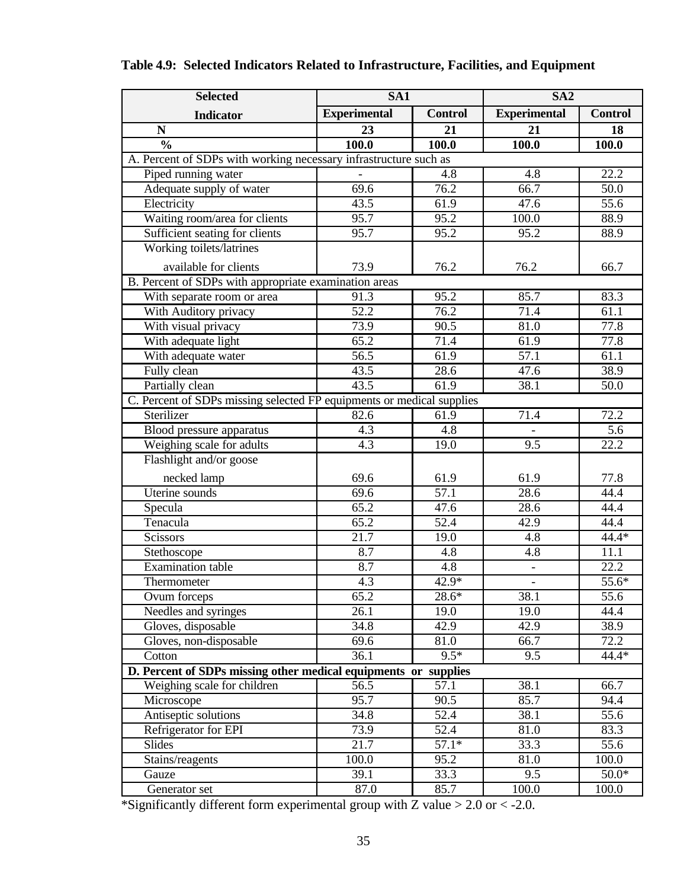| <b>Selected</b>                                                       | $\overline{\text{SA}}1$ |                   | SA <sub>2</sub>          |                   |  |
|-----------------------------------------------------------------------|-------------------------|-------------------|--------------------------|-------------------|--|
| <b>Indicator</b>                                                      | <b>Experimental</b>     | <b>Control</b>    | <b>Experimental</b>      | <b>Control</b>    |  |
| $\mathbf N$                                                           | 23                      | 21                | 21                       | 18                |  |
| $\frac{0}{0}$                                                         | 100.0                   | 100.0             | 100.0                    | 100.0             |  |
| A. Percent of SDPs with working necessary infrastructure such as      |                         |                   |                          |                   |  |
| Piped running water                                                   |                         | 4.8               | 4.8                      | 22.2              |  |
| Adequate supply of water                                              | 69.6                    | 76.2              | 66.7                     | 50.0              |  |
| Electricity                                                           | 43.5                    | 61.9              | 47.6                     | $\overline{55.6}$ |  |
| Waiting room/area for clients                                         | 95.7                    | 95.2              | 100.0                    | 88.9              |  |
| Sufficient seating for clients                                        | 95.7                    | 95.2              | 95.2                     | 88.9              |  |
| Working toilets/latrines                                              |                         |                   |                          |                   |  |
| available for clients                                                 | 73.9                    | 76.2              | 76.2                     | 66.7              |  |
| B. Percent of SDPs with appropriate examination areas                 |                         |                   |                          |                   |  |
| With separate room or area                                            | 91.3                    | 95.2              | 85.7                     | 83.3              |  |
| With Auditory privacy                                                 | 52.2                    | 76.2              | 71.4                     | 61.1              |  |
| With visual privacy                                                   | 73.9                    | 90.5              | 81.0                     | 77.8              |  |
| With adequate light                                                   | 65.2                    | 71.4              | 61.9                     | 77.8              |  |
| With adequate water                                                   | $\overline{56.5}$       | 61.9              | 57.1                     | 61.1              |  |
| Fully clean                                                           | 43.5                    | 28.6              | 47.6                     | 38.9              |  |
| Partially clean                                                       | 43.5                    | 61.9              | 38.1                     | 50.0              |  |
| C. Percent of SDPs missing selected FP equipments or medical supplies |                         |                   |                          |                   |  |
| Sterilizer                                                            | 82.6                    | 61.9              | 71.4                     | 72.2              |  |
| <b>Blood</b> pressure apparatus                                       | $4.\overline{3}$        | 4.8               |                          | 5.6               |  |
| Weighing scale for adults                                             | 4.3                     | 19.0              | 9.5                      | 22.2              |  |
| Flashlight and/or goose                                               |                         |                   |                          |                   |  |
| necked lamp                                                           | 69.6                    | 61.9              | 61.9                     | 77.8              |  |
| Uterine sounds                                                        | 69.6                    | 57.1              | 28.6                     | 44.4              |  |
| Specula                                                               | 65.2                    | 47.6              | 28.6                     | 44.4              |  |
| Tenacula                                                              | 65.2                    | $\overline{52.4}$ | 42.9                     | 44.4              |  |
| <b>Scissors</b>                                                       | $\overline{21.7}$       | 19.0              | 4.8                      | 44.4*             |  |
| Stethoscope                                                           | 8.7                     | 4.8               | 4.8                      | 11.1              |  |
| <b>Examination</b> table                                              | 8.7                     | 4.8               | $\overline{\phantom{a}}$ | 22.2              |  |
| Thermometer                                                           | 4.3                     | $42.9*$           | $\blacksquare$           | 55.6*             |  |
| Ovum forceps                                                          | 65.2                    | 28.6*             | 38.1                     | $\overline{55.6}$ |  |
| Needles and syringes                                                  | $\overline{26.1}$       | 19.0              | 19.0                     | 44.4              |  |
| Gloves, disposable                                                    | 34.8                    | 42.9              | 42.9                     | 38.9              |  |
| Gloves, non-disposable                                                | 69.6                    | 81.0              | 66.7                     | 72.2              |  |
| Cotton                                                                | 36.1                    | $9.5*$            | 9.5                      | 44.4*             |  |
| D. Percent of SDPs missing other medical equipments or supplies       |                         |                   |                          |                   |  |
| Weighing scale for children                                           | $\overline{56.5}$       | $\overline{57.1}$ | 38.1                     | 66.7              |  |
| Microscope                                                            | 95.7                    | 90.5              | 85.7                     | 94.4              |  |
| Antiseptic solutions                                                  | 34.8                    | 52.4              | 38.1                     | 55.6              |  |
| Refrigerator for EPI                                                  | 73.9                    | 52.4              | 81.0                     | 83.3              |  |
| <b>Slides</b>                                                         | $\overline{21.7}$       | $57.1*$           | 33.3                     | $\overline{55.6}$ |  |
| Stains/reagents                                                       | 100.0                   | 95.2              | 81.0                     | 100.0             |  |
| Gauze                                                                 | 39.1                    | 33.3              | 9.5                      | $50.0*$           |  |
| Generator set                                                         | 87.0                    | 85.7              | 100.0                    | 100.0             |  |

# **Table 4.9: Selected Indicators Related to Infrastructure, Facilities, and Equipment**

\*Significantly different form experimental group with Z value  $> 2.0$  or  $< -2.0$ .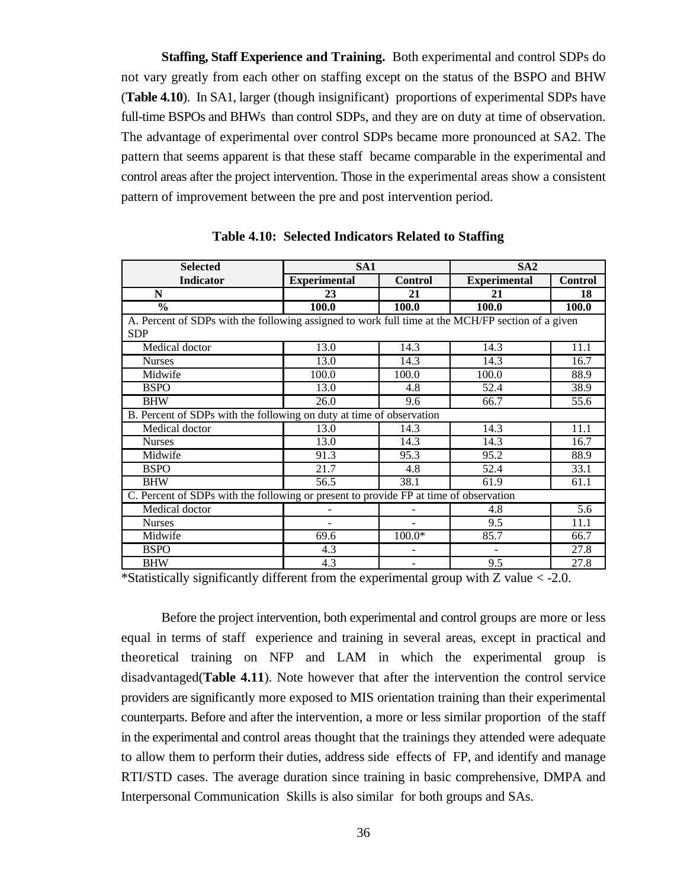**Staffing, Staff Experience and Training.** Both experimental and control SDPs do not vary greatly from each other on staffing except on the status of the BSPO and BHW (**Table 4.10**). In SA1, larger (though insignificant) proportions of experimental SDPs have full-time BSPOs and BHWs than control SDPs, and they are on duty at time of observation. The advantage of experimental over control SDPs became more pronounced at SA2. The pattern that seems apparent is that these staff became comparable in the experimental and control areas after the project intervention. Those in the experimental areas show a consistent pattern of improvement between the pre and post intervention period.

| <b>Selected</b>                                                                                                 | SA <sub>1</sub>          |                          | SA2                          |                |  |
|-----------------------------------------------------------------------------------------------------------------|--------------------------|--------------------------|------------------------------|----------------|--|
| <b>Indicator</b>                                                                                                | <b>Experimental</b>      | <b>Control</b>           | <b>Experimental</b>          | <b>Control</b> |  |
| N                                                                                                               | 23                       | 21                       | 21                           | 18             |  |
| $\overline{\frac{0}{0}}$                                                                                        | 100.0                    | 100.0                    | 100.0                        | 100.0          |  |
| A. Percent of SDPs with the following assigned to work full time at the MCH/FP section of a given<br><b>SDP</b> |                          |                          |                              |                |  |
| Medical doctor                                                                                                  | 13.0                     | 14.3                     | 14.3                         | 11.1           |  |
| <b>Nurses</b>                                                                                                   | 13.0                     | 14.3                     | 14.3                         | 16.7           |  |
| Midwife                                                                                                         | 100.0                    | 100.0                    | 100.0                        | 88.9           |  |
| <b>BSPO</b>                                                                                                     | 13.0                     | 4.8                      | 52.4                         | 38.9           |  |
| <b>BHW</b>                                                                                                      | 26.0                     | 9.6                      | 66.7                         | 55.6           |  |
| B. Percent of SDPs with the following on duty at time of observation                                            |                          |                          |                              |                |  |
| Medical doctor                                                                                                  | 13.0                     | 14.3                     | 14.3                         | 11.1           |  |
| <b>Nurses</b>                                                                                                   | 13.0                     | 14.3                     | 14.3                         | 16.7           |  |
| Midwife                                                                                                         | 91.3                     | 95.3                     | 95.2                         | 88.9           |  |
| <b>BSPO</b>                                                                                                     | 21.7                     | 4.8                      | 52.4                         | 33.1           |  |
| <b>BHW</b>                                                                                                      | 56.5                     | 38.1                     | 61.9                         | 61.1           |  |
| C. Percent of SDPs with the following or present to provide FP at time of observation                           |                          |                          |                              |                |  |
| Medical doctor                                                                                                  | $\overline{\phantom{0}}$ |                          | 4.8                          | 5.6            |  |
| <b>Nurses</b>                                                                                                   |                          |                          | 9.5                          | 11.1           |  |
| Midwife                                                                                                         | 69.6                     | $100.0*$                 | 85.7                         | 66.7           |  |
| <b>BSPO</b>                                                                                                     | 4.3                      |                          | $\qquad \qquad \blacksquare$ | 27.8           |  |
| <b>BHW</b>                                                                                                      | 4.3                      | $\overline{\phantom{0}}$ | 9.5                          | 27.8           |  |

**Table 4.10: Selected Indicators Related to Staffing** 

\*Statistically significantly different from the experimental group with Z value < -2.0.

Before the project intervention, both experimental and control groups are more or less equal in terms of staff experience and training in several areas, except in practical and theoretical training on NFP and LAM in which the experimental group is disadvantaged(**Table 4.11**). Note however that after the intervention the control service providers are significantly more exposed to MIS orientation training than their experimental counterparts. Before and after the intervention, a more or less similar proportion of the staff in the experimental and control areas thought that the trainings they attended were adequate to allow them to perform their duties, address side effects of FP, and identify and manage RTI/STD cases. The average duration since training in basic comprehensive, DMPA and Interpersonal Communication Skills is also similar for both groups and SAs.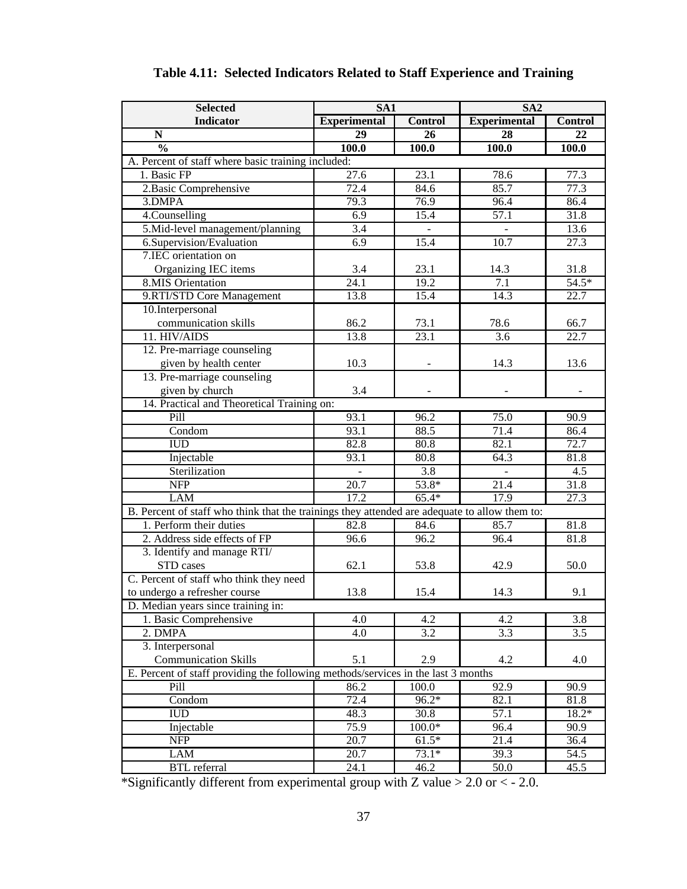| <b>Selected</b>                                                                               | SA1                      |                   | SA <sub>2</sub>     |                   |
|-----------------------------------------------------------------------------------------------|--------------------------|-------------------|---------------------|-------------------|
| <b>Indicator</b>                                                                              | <b>Experimental</b>      | <b>Control</b>    | <b>Experimental</b> | <b>Control</b>    |
| $\mathbb N$                                                                                   | 29                       | 26                | 28                  | 22                |
| $\frac{0}{0}$                                                                                 | 100.0                    | 100.0             | 100.0               | 100.0             |
| A. Percent of staff where basic training included:                                            |                          |                   |                     |                   |
| 1. Basic FP                                                                                   | $\overline{27.6}$        | 23.1              | 78.6                | 77.3              |
| 2. Basic Comprehensive                                                                        | 72.4                     | 84.6              | 85.7                | 77.3              |
| 3.DMPA                                                                                        | 79.3                     | 76.9              | 96.4                | 86.4              |
| 4.Counselling                                                                                 | 6.9                      | 15.4              | 57.1                | 31.8              |
| 5.Mid-level management/planning                                                               | 3.4                      |                   |                     | 13.6              |
| 6.Supervision/Evaluation                                                                      | 6.9                      | 15.4              | 10.7                | 27.3              |
| 7.IEC orientation on                                                                          |                          |                   |                     |                   |
| Organizing IEC items                                                                          | 3.4                      | 23.1              | 14.3                | 31.8              |
| <b>8.MIS Orientation</b>                                                                      | $\overline{24.1}$        | 19.2              | 7.1                 | $54.5*$           |
| 9.RTI/STD Core Management                                                                     | 13.8                     | 15.4              | 14.3                | 22.7              |
| 10.Interpersonal                                                                              |                          |                   |                     |                   |
| communication skills                                                                          | 86.2                     | 73.1              | 78.6                | 66.7              |
| 11. HIV/AIDS                                                                                  | 13.8                     | 23.1              | 3.6                 | 22.7              |
| 12. Pre-marriage counseling                                                                   |                          |                   |                     |                   |
| given by health center                                                                        | 10.3                     |                   | 14.3                | 13.6              |
| 13. Pre-marriage counseling                                                                   |                          |                   |                     |                   |
| given by church                                                                               | 3.4                      |                   |                     |                   |
| 14. Practical and Theoretical Training on:                                                    |                          |                   |                     |                   |
| Pill                                                                                          | 93.1                     | 96.2              | 75.0                | 90.9              |
| Condom                                                                                        | 93.1                     | 88.5              | 71.4                | 86.4              |
| <b>IUD</b>                                                                                    | 82.8                     | 80.8              | 82.1                | 72.7              |
| Injectable                                                                                    | 93.1                     | 80.8              | 64.3                | 81.8              |
| Sterilization                                                                                 | $\overline{\phantom{a}}$ | 3.8               |                     | 4.5               |
| <b>NFP</b>                                                                                    | $\overline{20.7}$        | 53.8*             | 21.4                | 31.8              |
| <b>LAM</b>                                                                                    | 17.2                     | $65.4*$           | 17.9                | $\overline{27.3}$ |
| B. Percent of staff who think that the trainings they attended are adequate to allow them to: |                          |                   |                     |                   |
| 1. Perform their duties                                                                       | 82.8                     | 84.6              | 85.7                | 81.8              |
| 2. Address side effects of FP                                                                 | 96.6                     | 96.2              | 96.4                | 81.8              |
| 3. Identify and manage RTI/                                                                   |                          |                   |                     |                   |
| STD cases                                                                                     | 62.1                     | 53.8              | 42.9                | 50.0              |
| C. Percent of staff who think they need                                                       |                          |                   |                     |                   |
| to undergo a refresher course                                                                 | 13.8                     | 15.4              | 14.3                | 9.1               |
| D. Median years since training in:                                                            |                          |                   |                     |                   |
| 1. Basic Comprehensive                                                                        | 4.0                      | 4.2               | 4.2                 | 3.8               |
| 2. DMPA                                                                                       | 4.0                      | 3.2               | 3.3                 | 3.5               |
| 3. Interpersonal                                                                              |                          |                   |                     |                   |
| <b>Communication Skills</b>                                                                   | 5.1                      | 2.9               | 4.2                 | 4.0               |
| E. Percent of staff providing the following methods/services in the last 3 months             |                          |                   |                     |                   |
| Pill                                                                                          | 86.2                     | 100.0             | 92.9                | 90.9              |
| Condom                                                                                        | 72.4                     | 96.2*             | 82.1                | 81.8              |
| <b>IUD</b>                                                                                    | 48.3                     | $\overline{3}0.8$ | 57.1                | 18.2*             |
| Injectable                                                                                    | 75.9                     | $100.0*$          | 96.4                | 90.9              |
| <b>NFP</b>                                                                                    | 20.7                     | $61.5*$           | 21.4                | 36.4              |
|                                                                                               | 20.7                     | $73.1*$           | 39.3                | 54.5              |
| LAM                                                                                           |                          |                   |                     |                   |
| <b>BTL</b> referral                                                                           | 24.1                     | 46.2              | 50.0                | 45.5              |

# **Table 4.11: Selected Indicators Related to Staff Experience and Training**

\*Significantly different from experimental group with Z value  $> 2.0$  or  $< -2.0$ .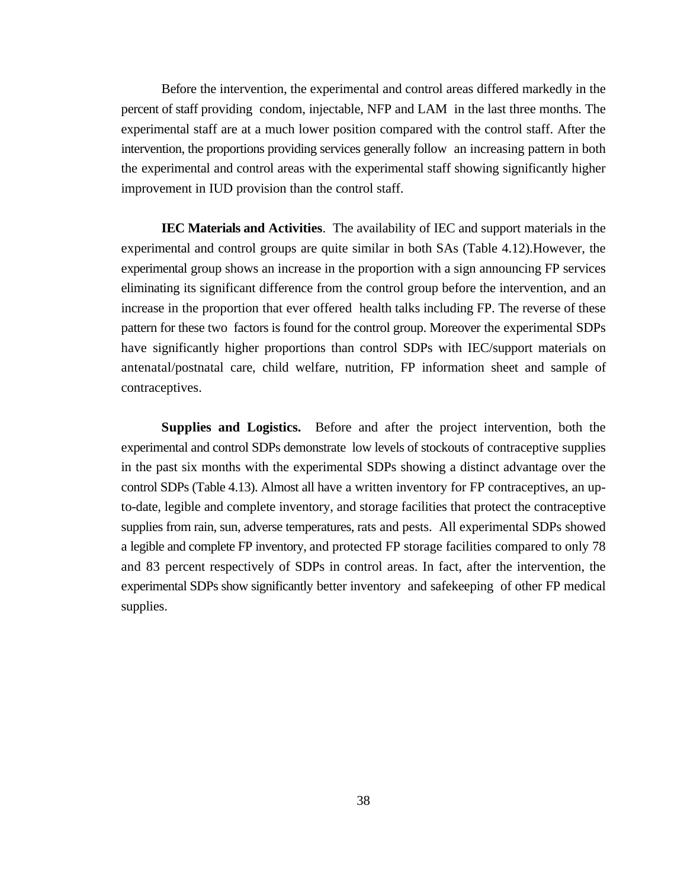Before the intervention, the experimental and control areas differed markedly in the percent of staff providing condom, injectable, NFP and LAM in the last three months. The experimental staff are at a much lower position compared with the control staff. After the intervention, the proportions providing services generally follow an increasing pattern in both the experimental and control areas with the experimental staff showing significantly higher improvement in IUD provision than the control staff.

**IEC Materials and Activities**. The availability of IEC and support materials in the experimental and control groups are quite similar in both SAs (Table 4.12).However, the experimental group shows an increase in the proportion with a sign announcing FP services eliminating its significant difference from the control group before the intervention, and an increase in the proportion that ever offered health talks including FP. The reverse of these pattern for these two factors is found for the control group. Moreover the experimental SDPs have significantly higher proportions than control SDPs with IEC/support materials on antenatal/postnatal care, child welfare, nutrition, FP information sheet and sample of contraceptives.

**Supplies and Logistics.** Before and after the project intervention, both the experimental and control SDPs demonstrate low levels of stockouts of contraceptive supplies in the past six months with the experimental SDPs showing a distinct advantage over the control SDPs (Table 4.13). Almost all have a written inventory for FP contraceptives, an upto-date, legible and complete inventory, and storage facilities that protect the contraceptive supplies from rain, sun, adverse temperatures, rats and pests. All experimental SDPs showed a legible and complete FP inventory, and protected FP storage facilities compared to only 78 and 83 percent respectively of SDPs in control areas. In fact, after the intervention, the experimental SDPs show significantly better inventory and safekeeping of other FP medical supplies.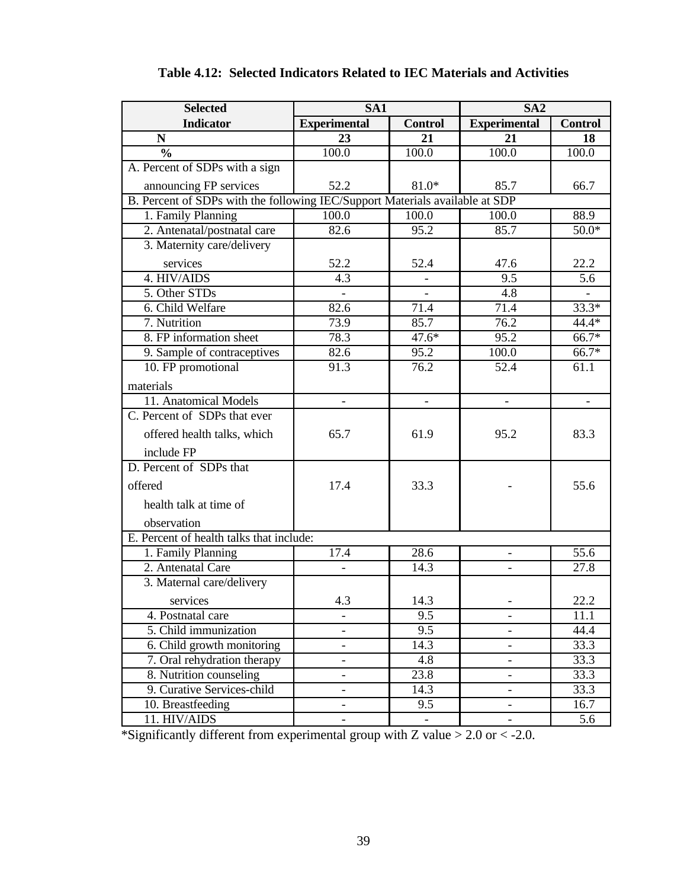| <b>Selected</b>                                                              | SA1                      |                              | SA <sub>2</sub>          |                    |
|------------------------------------------------------------------------------|--------------------------|------------------------------|--------------------------|--------------------|
| <b>Indicator</b>                                                             | <b>Experimental</b>      | <b>Control</b>               | <b>Experimental</b>      | <b>Control</b>     |
| N                                                                            | $\overline{23}$          | 21                           | $\overline{21}$          | 18                 |
| $\frac{0}{0}$                                                                | 100.0                    | 100.0                        | 100.0                    | 100.0              |
| A. Percent of SDPs with a sign                                               |                          |                              |                          |                    |
| announcing FP services                                                       | 52.2                     | $81.0*$                      | 85.7                     | 66.7               |
| B. Percent of SDPs with the following IEC/Support Materials available at SDP |                          |                              |                          |                    |
| 1. Family Planning                                                           | 100.0                    | 100.0                        | 100.0                    | 88.9               |
| 2. Antenatal/postnatal care                                                  | 82.6                     | 95.2                         | 85.7                     | $50.0*$            |
| 3. Maternity care/delivery                                                   |                          |                              |                          |                    |
| services                                                                     | 52.2                     | 52.4                         | 47.6                     | 22.2               |
| 4. HIV/AIDS                                                                  | 4.3                      | $\qquad \qquad \blacksquare$ | 9.5                      | 5.6                |
| 5. Other STDs                                                                |                          |                              | 4.8                      |                    |
| 6. Child Welfare                                                             | 82.6                     | 71.4                         | 71.4                     | $33.3*$            |
| 7. Nutrition                                                                 | 73.9                     | 85.7                         | 76.2                     | 44.4*              |
| 8. FP information sheet                                                      | 78.3                     | $47.6*$                      | 95.2                     | 66.7*              |
| 9. Sample of contraceptives                                                  | 82.6                     | 95.2                         | 100.0                    | $\overline{66.7*}$ |
| 10. FP promotional                                                           | 91.3                     | 76.2                         | 52.4                     | 61.1               |
| materials                                                                    |                          |                              |                          |                    |
| 11. Anatomical Models                                                        |                          |                              |                          |                    |
| C. Percent of SDPs that ever                                                 |                          |                              |                          |                    |
| offered health talks, which                                                  | 65.7                     | 61.9                         | 95.2                     | 83.3               |
| include FP                                                                   |                          |                              |                          |                    |
| D. Percent of SDPs that                                                      |                          |                              |                          |                    |
| offered                                                                      | 17.4                     | 33.3                         |                          | 55.6               |
| health talk at time of                                                       |                          |                              |                          |                    |
| observation                                                                  |                          |                              |                          |                    |
| E. Percent of health talks that include:                                     |                          |                              |                          |                    |
| 1. Family Planning                                                           | 17.4                     | 28.6                         | $\overline{\phantom{0}}$ | 55.6               |
| 2. Antenatal Care                                                            |                          | 14.3                         |                          | $\overline{27.8}$  |
| 3. Maternal care/delivery                                                    |                          |                              |                          |                    |
| services                                                                     | 4.3                      | 14.3                         |                          | 22.2               |
| 4. Postnatal care                                                            |                          | 9.5                          |                          | 11.1               |
| 5. Child immunization                                                        |                          | $\overline{9.5}$             |                          | 44.4               |
| 6. Child growth monitoring                                                   |                          | 14.3                         |                          | 33.3               |
| 7. Oral rehydration therapy                                                  | $\overline{\phantom{0}}$ | 4.8                          | $\overline{\phantom{0}}$ | $\overline{33.3}$  |
| 8. Nutrition counseling                                                      | $\overline{\phantom{0}}$ | $\overline{23.8}$            | $\overline{\phantom{0}}$ | 33.3               |
| 9. Curative Services-child                                                   | $\overline{\phantom{0}}$ | 14.3                         | $\overline{\phantom{a}}$ | 33.3               |
| 10. Breastfeeding                                                            |                          | 9.5                          |                          | 16.7               |
| 11. HIV/AIDS                                                                 |                          | $\overline{\phantom{a}}$     |                          | 5.6                |

|  |  |  | Table 4.12: Selected Indicators Related to IEC Materials and Activities |
|--|--|--|-------------------------------------------------------------------------|
|--|--|--|-------------------------------------------------------------------------|

\*Significantly different from experimental group with Z value > 2.0 or < -2.0.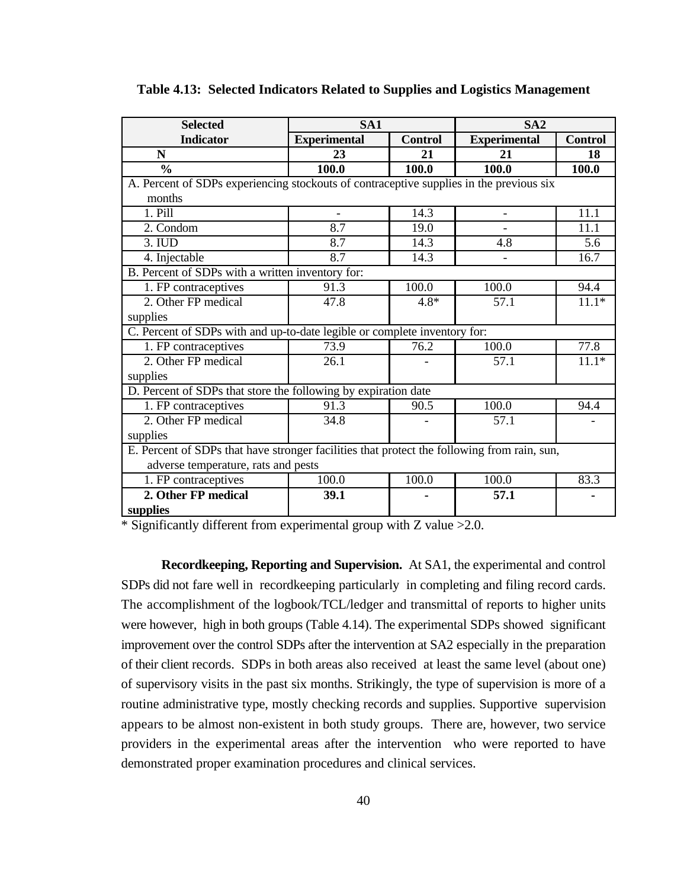| <b>Selected</b>                                                                             | SA1                      |                | SA2                      |                |  |  |
|---------------------------------------------------------------------------------------------|--------------------------|----------------|--------------------------|----------------|--|--|
| <b>Indicator</b>                                                                            | <b>Experimental</b>      | <b>Control</b> | <b>Experimental</b>      | <b>Control</b> |  |  |
| N                                                                                           | 23                       | 21             | 21                       | 18             |  |  |
| $\frac{0}{0}$                                                                               | 100.0                    | 100.0          | 100.0                    | 100.0          |  |  |
| A. Percent of SDPs experiencing stockouts of contraceptive supplies in the previous six     |                          |                |                          |                |  |  |
| months                                                                                      |                          |                |                          |                |  |  |
| 1. Pill                                                                                     | $\overline{\phantom{0}}$ | 14.3           | $\overline{\phantom{a}}$ | 11.1           |  |  |
| 2. Condom                                                                                   | 8.7                      | 19.0           |                          | 11.1           |  |  |
| 3. IUD                                                                                      | 8.7                      | 14.3           | 4.8                      | 5.6            |  |  |
| 4. Injectable                                                                               | 8.7                      | 14.3           |                          | 16.7           |  |  |
| B. Percent of SDPs with a written inventory for:                                            |                          |                |                          |                |  |  |
| 1. FP contraceptives                                                                        | 91.3                     | 100.0          | 100.0                    | 94.4           |  |  |
| 2. Other FP medical                                                                         | 47.8                     | $4.8*$         | 57.1                     | $11.1*$        |  |  |
| supplies                                                                                    |                          |                |                          |                |  |  |
| C. Percent of SDPs with and up-to-date legible or complete inventory for:                   |                          |                |                          |                |  |  |
| 1. FP contraceptives                                                                        | 73.9                     | 76.2           | 100.0                    | 77.8           |  |  |
| 2. Other FP medical                                                                         | 26.1                     |                | 57.1                     | $11.1*$        |  |  |
| supplies                                                                                    |                          |                |                          |                |  |  |
| D. Percent of SDPs that store the following by expiration date                              |                          |                |                          |                |  |  |
| 1. FP contraceptives                                                                        | 91.3                     | 90.5           | 100.0                    | 94.4           |  |  |
| 2. Other FP medical                                                                         | 34.8                     |                | 57.1                     |                |  |  |
| supplies                                                                                    |                          |                |                          |                |  |  |
| E. Percent of SDPs that have stronger facilities that protect the following from rain, sun, |                          |                |                          |                |  |  |
| adverse temperature, rats and pests                                                         |                          |                |                          |                |  |  |
| 1. FP contraceptives                                                                        | 100.0                    | 100.0          | 100.0                    | 83.3           |  |  |
| 2. Other FP medical                                                                         | 39.1                     |                | 57.1                     |                |  |  |
| supplies                                                                                    |                          |                |                          |                |  |  |

**Table 4.13: Selected Indicators Related to Supplies and Logistics Management**

\* Significantly different from experimental group with Z value >2.0.

**Recordkeeping, Reporting and Supervision.** At SA1, the experimental and control SDPs did not fare well in recordkeeping particularly in completing and filing record cards. The accomplishment of the logbook/TCL/ledger and transmittal of reports to higher units were however, high in both groups (Table 4.14). The experimental SDPs showed significant improvement over the control SDPs after the intervention at SA2 especially in the preparation of their client records. SDPs in both areas also received at least the same level (about one) of supervisory visits in the past six months. Strikingly, the type of supervision is more of a routine administrative type, mostly checking records and supplies. Supportive supervision appears to be almost non-existent in both study groups. There are, however, two service providers in the experimental areas after the intervention who were reported to have demonstrated proper examination procedures and clinical services.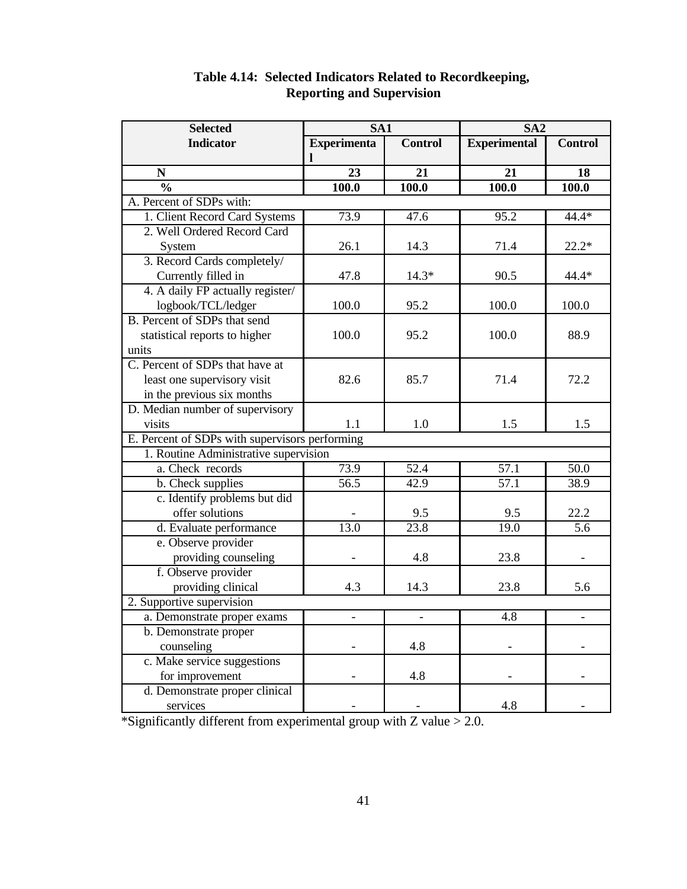| <b>Selected</b>                                |                          | SA <sub>1</sub>   |                     | SA <sub>2</sub>          |  |
|------------------------------------------------|--------------------------|-------------------|---------------------|--------------------------|--|
| <b>Indicator</b>                               | <b>Experimenta</b>       | <b>Control</b>    | <b>Experimental</b> | <b>Control</b>           |  |
|                                                |                          |                   |                     |                          |  |
| N                                              | 23                       | 21                | 21                  | 18                       |  |
| $\frac{0}{0}$                                  | 100.0                    | 100.0             | 100.0               | 100.0                    |  |
| A. Percent of SDPs with:                       |                          |                   |                     |                          |  |
| 1. Client Record Card Systems                  | 73.9                     | 47.6              | 95.2                | 44.4*                    |  |
| 2. Well Ordered Record Card                    |                          |                   |                     |                          |  |
| System                                         | 26.1                     | 14.3              | 71.4                | $22.2*$                  |  |
| 3. Record Cards completely/                    |                          |                   |                     |                          |  |
| Currently filled in                            | 47.8                     | $14.3*$           | 90.5                | 44.4*                    |  |
| 4. A daily FP actually register/               |                          |                   |                     |                          |  |
| logbook/TCL/ledger                             | 100.0                    | 95.2              | 100.0               | 100.0                    |  |
| B. Percent of SDPs that send                   |                          |                   |                     |                          |  |
| statistical reports to higher                  | 100.0                    | 95.2              | 100.0               | 88.9                     |  |
| units                                          |                          |                   |                     |                          |  |
| C. Percent of SDPs that have at                |                          |                   |                     |                          |  |
| least one supervisory visit                    | 82.6                     | 85.7              | 71.4                | 72.2                     |  |
| in the previous six months                     |                          |                   |                     |                          |  |
| D. Median number of supervisory                |                          |                   |                     |                          |  |
| visits                                         | 1.1                      | 1.0               | 1.5                 | 1.5                      |  |
| E. Percent of SDPs with supervisors performing |                          |                   |                     |                          |  |
| 1. Routine Administrative supervision          |                          |                   |                     |                          |  |
| a. Check records                               | 73.9                     | $\overline{52.4}$ | $\overline{57.1}$   | $\overline{50.0}$        |  |
| b. Check supplies                              | $\overline{56.5}$        | 42.9              | $\overline{57.1}$   | 38.9                     |  |
| c. Identify problems but did                   |                          |                   |                     |                          |  |
| offer solutions                                |                          | 9.5               | 9.5                 | 22.2                     |  |
| d. Evaluate performance                        | 13.0                     | 23.8              | 19.0                | 5.6                      |  |
| e. Observe provider                            |                          |                   |                     |                          |  |
| providing counseling                           |                          | 4.8               | 23.8                |                          |  |
| f. Observe provider                            |                          |                   |                     |                          |  |
| providing clinical                             | 4.3                      | 14.3              | 23.8                | 5.6                      |  |
| 2. Supportive supervision                      |                          |                   |                     |                          |  |
| a. Demonstrate proper exams                    | $\overline{\phantom{0}}$ |                   | 4.8                 | $\overline{\phantom{0}}$ |  |
| b. Demonstrate proper                          |                          |                   |                     |                          |  |
| counseling                                     |                          | 4.8               |                     |                          |  |
| c. Make service suggestions                    |                          |                   |                     |                          |  |
| for improvement                                |                          | 4.8               |                     |                          |  |
| d. Demonstrate proper clinical                 |                          |                   |                     |                          |  |
| services                                       |                          |                   | 4.8                 |                          |  |

# **Table 4.14: Selected Indicators Related to Recordkeeping, Reporting and Supervision**

\*Significantly different from experimental group with  $Z$  value  $> 2.0$ .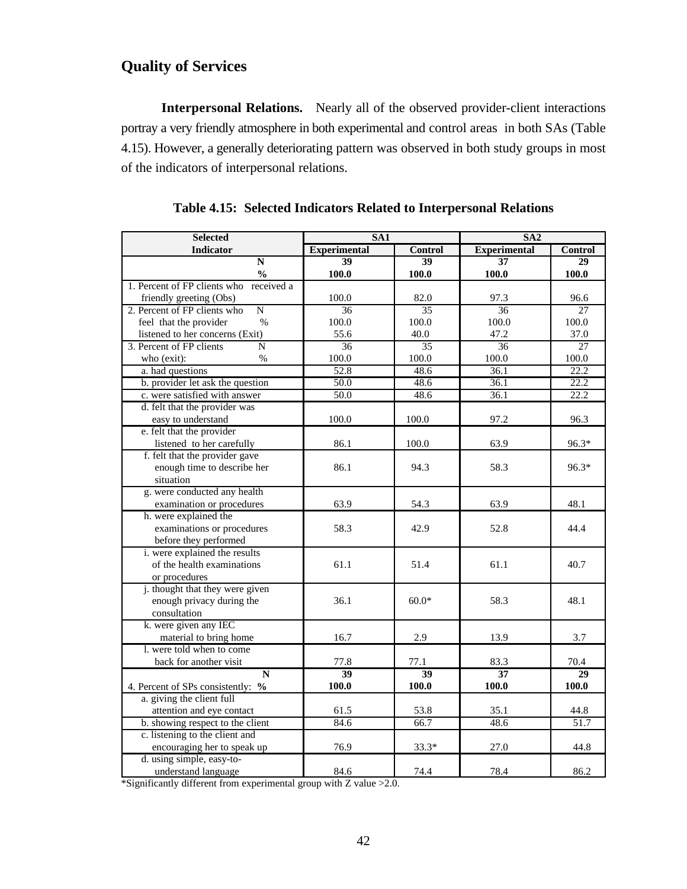# **Quality of Services**

**Interpersonal Relations.** Nearly all of the observed provider-client interactions portray a very friendly atmosphere in both experimental and control areas in both SAs (Table 4.15). However, a generally deteriorating pattern was observed in both study groups in most of the indicators of interpersonal relations.

| <b>Selected</b>                                | SA <sub>1</sub>     |                 | SA2                 |                 |  |
|------------------------------------------------|---------------------|-----------------|---------------------|-----------------|--|
| <b>Indicator</b>                               | <b>Experimental</b> | <b>Control</b>  | <b>Experimental</b> | Control         |  |
| N                                              | 39                  | 39              | 37                  | 29              |  |
| $\frac{0}{0}$                                  | 100.0               | 100.0           | 100.0               | 100.0           |  |
| 1. Percent of FP clients who received a        |                     |                 |                     |                 |  |
| friendly greeting (Obs)                        | 100.0               | 82.0            | 97.3                | 96.6            |  |
| $\overline{N}$<br>2. Percent of FP clients who | 36                  | 35              | 36                  | 27              |  |
| feel that the provider<br>$\%$                 | 100.0               | 100.0           | 100.0               | 100.0           |  |
| listened to her concerns (Exit)                | 55.6                | 40.0            | 47.2                | 37.0            |  |
| 3. Percent of FP clients<br>N                  | 36                  | 35              | 36                  | $\overline{27}$ |  |
| who (exit):<br>$\frac{0}{0}$                   | 100.0               | 100.0           | 100.0               | 100.0           |  |
| a. had questions                               | 52.8                | 48.6            | 36.1                | 22.2            |  |
| b. provider let ask the question               | 50.0                | 48.6            | 36.1                | 22.2            |  |
| c. were satisfied with answer                  | 50.0                | 48.6            | 36.1                | 22.2            |  |
| d. felt that the provider was                  |                     |                 |                     |                 |  |
| easy to understand                             | 100.0               | 100.0           | 97.2                | 96.3            |  |
| e. felt that the provider                      |                     |                 |                     |                 |  |
| listened to her carefully                      | 86.1                | 100.0           | 63.9                | 96.3*           |  |
| f. felt that the provider gave                 |                     |                 |                     |                 |  |
| enough time to describe her                    | 86.1                | 94.3            | 58.3                | $96.3*$         |  |
| situation                                      |                     |                 |                     |                 |  |
| g. were conducted any health                   |                     |                 |                     |                 |  |
| examination or procedures                      | 63.9                | 54.3            | 63.9                | 48.1            |  |
| h. were explained the                          |                     |                 |                     |                 |  |
| examinations or procedures                     | 58.3                | 42.9            | 52.8                | 44.4            |  |
| before they performed                          |                     |                 |                     |                 |  |
| i. were explained the results                  |                     |                 |                     |                 |  |
| of the health examinations                     | 61.1                | 51.4            | 61.1                | 40.7            |  |
| or procedures                                  |                     |                 |                     |                 |  |
| <i>i</i> . thought that they were given        |                     |                 |                     |                 |  |
| enough privacy during the                      | 36.1                | $60.0*$         | 58.3                | 48.1            |  |
| consultation                                   |                     |                 |                     |                 |  |
| k. were given any IEC                          |                     |                 |                     |                 |  |
| material to bring home                         | 16.7                | 2.9             | 13.9                | 3.7             |  |
| 1. were told when to come                      |                     |                 |                     |                 |  |
| back for another visit                         | 77.8                | 77.1            | 83.3                | 70.4            |  |
| N                                              | 39                  | $\overline{39}$ | $\overline{37}$     | 29              |  |
| 4. Percent of SPs consistently: %              | 100.0               | 100.0           | 100.0               | 100.0           |  |
| a. giving the client full                      |                     |                 |                     |                 |  |
| attention and eye contact                      | 61.5                | 53.8            | 35.1                | 44.8            |  |
| b. showing respect to the client               | 84.6                | 66.7            | 48.6                | 51.7            |  |
| c. listening to the client and                 |                     |                 |                     |                 |  |
| encouraging her to speak up                    | 76.9                | $33.3*$         | 27.0                | 44.8            |  |
| d. using simple, easy-to-                      |                     |                 |                     |                 |  |
| understand language                            | 84.6                | 74.4            | 78.4                | 86.2            |  |

|  |  |  |  |  | Table 4.15: Selected Indicators Related to Interpersonal Relations |
|--|--|--|--|--|--------------------------------------------------------------------|
|--|--|--|--|--|--------------------------------------------------------------------|

\*Significantly different from experimental group with Z value >2.0.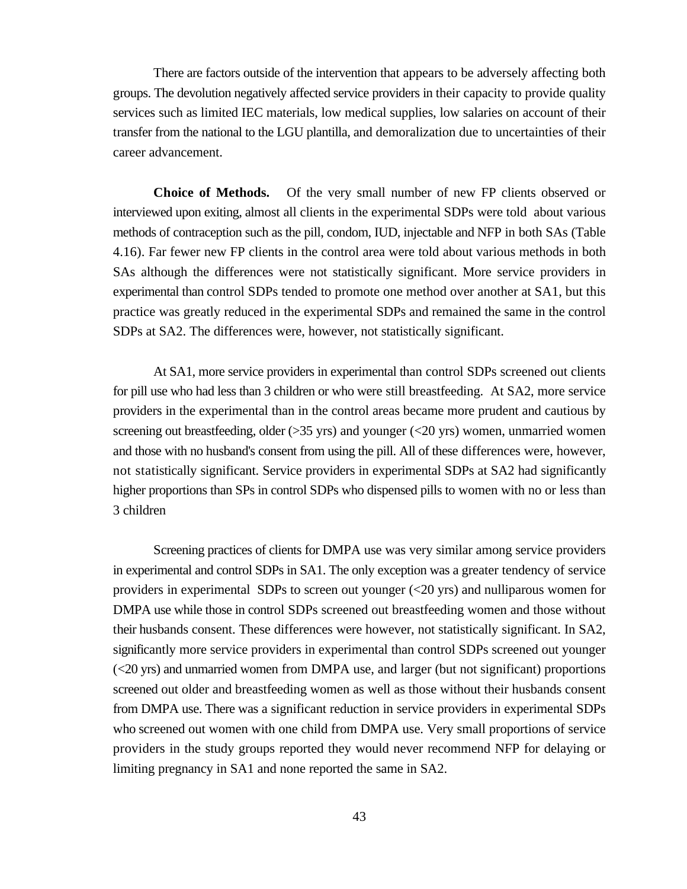There are factors outside of the intervention that appears to be adversely affecting both groups. The devolution negatively affected service providers in their capacity to provide quality services such as limited IEC materials, low medical supplies, low salaries on account of their transfer from the national to the LGU plantilla, and demoralization due to uncertainties of their career advancement.

**Choice of Methods.** Of the very small number of new FP clients observed or interviewed upon exiting, almost all clients in the experimental SDPs were told about various methods of contraception such as the pill, condom, IUD, injectable and NFP in both SAs (Table 4.16). Far fewer new FP clients in the control area were told about various methods in both SAs although the differences were not statistically significant. More service providers in experimental than control SDPs tended to promote one method over another at SA1, but this practice was greatly reduced in the experimental SDPs and remained the same in the control SDPs at SA2. The differences were, however, not statistically significant.

At SA1, more service providers in experimental than control SDPs screened out clients for pill use who had less than 3 children or who were still breastfeeding. At SA2, more service providers in the experimental than in the control areas became more prudent and cautious by screening out breastfeeding, older  $(>35 \text{ yrs})$  and younger  $(<20 \text{ yrs})$  women, unmarried women and those with no husband's consent from using the pill. All of these differences were, however, not statistically significant. Service providers in experimental SDPs at SA2 had significantly higher proportions than SPs in control SDPs who dispensed pills to women with no or less than 3 children

Screening practices of clients for DMPA use was very similar among service providers in experimental and control SDPs in SA1. The only exception was a greater tendency of service providers in experimental SDPs to screen out younger (<20 yrs) and nulliparous women for DMPA use while those in control SDPs screened out breastfeeding women and those without their husbands consent. These differences were however, not statistically significant. In SA2, significantly more service providers in experimental than control SDPs screened out younger (<20 yrs) and unmarried women from DMPA use, and larger (but not significant) proportions screened out older and breastfeeding women as well as those without their husbands consent from DMPA use. There was a significant reduction in service providers in experimental SDPs who screened out women with one child from DMPA use. Very small proportions of service providers in the study groups reported they would never recommend NFP for delaying or limiting pregnancy in SA1 and none reported the same in SA2.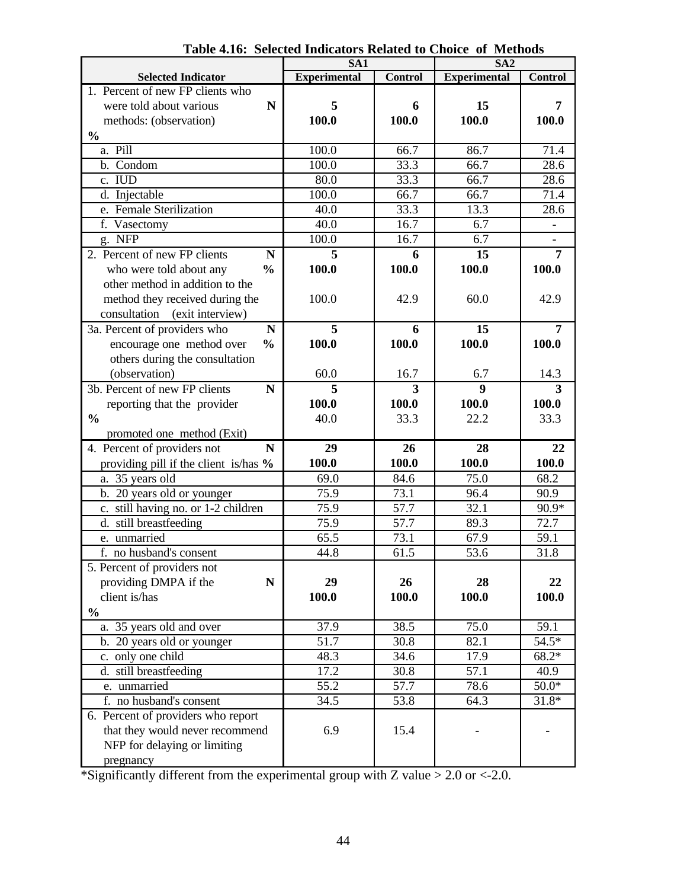|                                                 | SA1                 |                   | SA <sub>2</sub>     |                |
|-------------------------------------------------|---------------------|-------------------|---------------------|----------------|
| <b>Selected Indicator</b>                       | <b>Experimental</b> | <b>Control</b>    | <b>Experimental</b> | <b>Control</b> |
| 1. Percent of new FP clients who                |                     |                   |                     |                |
| were told about various<br>N                    | 5                   | 6                 | 15                  | 7              |
| methods: (observation)                          | 100.0               | 100.0             | 100.0               | 100.0          |
| $\frac{0}{0}$                                   |                     |                   |                     |                |
| a. Pill                                         | 100.0               | 66.7              | 86.7                | 71.4           |
| b. Condom                                       | 100.0               | 33.3              | 66.7                | 28.6           |
| c. IUD                                          | 80.0                | 33.3              | 66.7                | 28.6           |
| d. Injectable                                   | 100.0               | 66.7              | 66.7                | 71.4           |
| e. Female Sterilization                         | $\overline{40.0}$   | 33.3              | 13.3                | 28.6           |
| f. Vasectomy                                    | 40.0                | 16.7              | 6.7                 |                |
| g. NFP                                          | 100.0               | 16.7              | 6.7                 |                |
| 2. Percent of new FP clients<br>N               | 5                   | 6                 | 15                  | $\overline{7}$ |
| $\frac{0}{0}$<br>who were told about any        | 100.0               | 100.0             | 100.0               | 100.0          |
| other method in addition to the                 |                     |                   |                     |                |
|                                                 | 100.0               | 42.9              | 60.0                | 42.9           |
| method they received during the<br>consultation |                     |                   |                     |                |
| (exit interview)                                |                     |                   |                     |                |
| 3a. Percent of providers who<br>N               | 5                   | 6                 | 15                  | 7              |
| encourage one method over<br>$\frac{0}{0}$      | 100.0               | 100.0             | 100.0               | 100.0          |
| others during the consultation                  |                     |                   |                     |                |
| (observation)                                   | 60.0                | 16.7              | 6.7                 | 14.3           |
| 3b. Percent of new FP clients<br>$\mathbf N$    | 5                   | 3                 | 9                   | 3              |
| reporting that the provider                     | 100.0               | 100.0             | 100.0               | 100.0          |
| $\frac{0}{0}$                                   | 40.0                | 33.3              | 22.2                | 33.3           |
| promoted one method (Exit)                      |                     |                   |                     |                |
| 4. Percent of providers not<br>N                | 29                  | 26                | 28                  | 22             |
| providing pill if the client is/has %           | 100.0               | 100.0             | 100.0               | 100.0          |
| a. 35 years old                                 | 69.0                | 84.6              | $\overline{75.0}$   | 68.2           |
| b. 20 years old or younger                      | 75.9                | 73.1              | 96.4                | 90.9           |
| c. still having no. or 1-2 children             | 75.9                | 57.7              | 32.1                | 90.9*          |
| d. still breastfeeding                          | 75.9                | 57.7              | 89.3                | 72.7           |
| e. unmarried                                    | 65.5                | 73.1              | 67.9                | 59.1           |
| f. no husband's consent                         | 44.8                | $\overline{61.5}$ | $\overline{53.6}$   | 31.8           |
| 5. Percent of providers not                     |                     |                   |                     |                |
| providing DMPA if the<br>$\mathbf N$            | 29                  | 26                | 28                  | 22             |
| client is/has                                   | 100.0               | 100.0             | 100.0               | 100.0          |
| $\frac{0}{0}$                                   |                     |                   |                     |                |
| a. 35 years old and over                        | 37.9                | 38.5              | 75.0                | 59.1           |
| b. 20 years old or younger                      | 51.7                | $\overline{30.8}$ | 82.1                | $54.5*$        |
| c. only one child                               | 48.3                | 34.6              | 17.9                | $68.2*$        |
| d. still breastfeeding                          | 17.2                | 30.8              | 57.1                | 40.9           |
| e. unmarried                                    | 55.2                | 57.7              | 78.6                | $50.0*$        |
| f. no husband's consent                         | 34.5                | 53.8              | 64.3                | $31.8*$        |
| 6. Percent of providers who report              |                     |                   |                     |                |
| that they would never recommend                 | 6.9                 | 15.4              |                     |                |
| NFP for delaying or limiting                    |                     |                   |                     |                |
| pregnancy                                       |                     |                   |                     |                |

**Table 4.16: Selected Indicators Related to Choice of Methods**

\*Significantly different from the experimental group with Z value > 2.0 or <-2.0.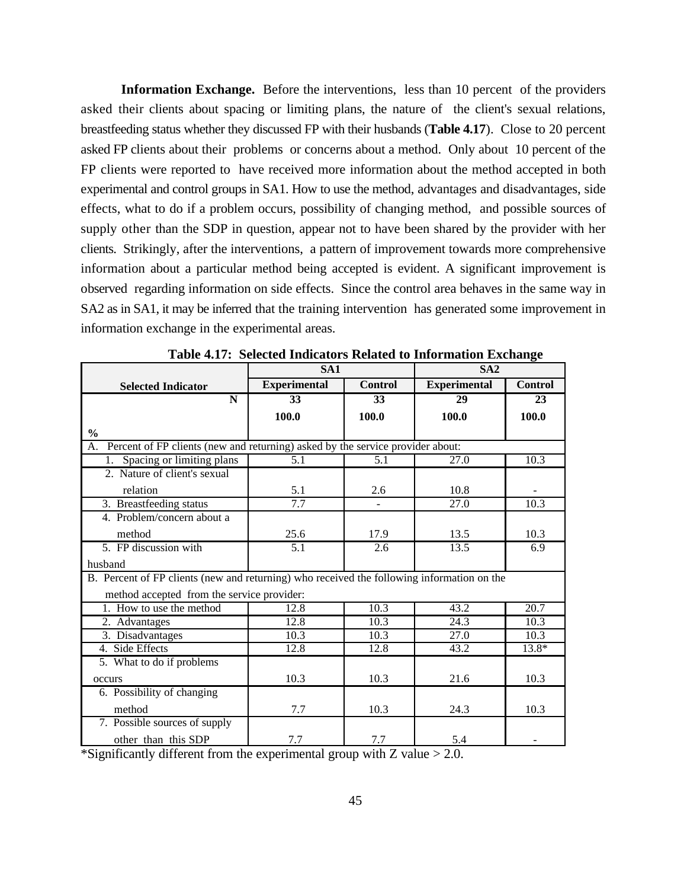**Information Exchange.** Before the interventions, less than 10 percent of the providers asked their clients about spacing or limiting plans, the nature of the client's sexual relations, breastfeeding status whether they discussed FP with their husbands (**Table 4.17**). Close to 20 percent asked FP clients about their problems or concerns about a method. Only about 10 percent of the FP clients were reported to have received more information about the method accepted in both experimental and control groups in SA1. How to use the method, advantages and disadvantages, side effects, what to do if a problem occurs, possibility of changing method, and possible sources of supply other than the SDP in question, appear not to have been shared by the provider with her clients. Strikingly, after the interventions, a pattern of improvement towards more comprehensive information about a particular method being accepted is evident. A significant improvement is observed regarding information on side effects. Since the control area behaves in the same way in SA2 as in SA1, it may be inferred that the training intervention has generated some improvement in information exchange in the experimental areas.

|                                                                                            | SA1                 |                | o<br>SA2            |                |  |
|--------------------------------------------------------------------------------------------|---------------------|----------------|---------------------|----------------|--|
| <b>Selected Indicator</b>                                                                  | <b>Experimental</b> | <b>Control</b> | <b>Experimental</b> | <b>Control</b> |  |
| $\mathbf N$                                                                                | 33                  | 33             | 29                  | 23             |  |
|                                                                                            | 100.0               | 100.0          | 100.0               | 100.0          |  |
| $\frac{1}{2}$                                                                              |                     |                |                     |                |  |
| Percent of FP clients (new and returning) asked by the service provider about:<br>A.       |                     |                |                     |                |  |
| Spacing or limiting plans                                                                  | 5.1                 | 5.1            | 27.0                | 10.3           |  |
| 2. Nature of client's sexual                                                               |                     |                |                     |                |  |
| relation                                                                                   | 5.1                 | 2.6            | 10.8                |                |  |
| 3. Breastfeeding status                                                                    | 7.7                 |                | $\overline{27.0}$   | 10.3           |  |
| 4. Problem/concern about a                                                                 |                     |                |                     |                |  |
| method                                                                                     | 25.6                | 17.9           | 13.5                | 10.3           |  |
| 5. FP discussion with                                                                      | 5.1                 | 2.6            | 13.5                | 6.9            |  |
| husband                                                                                    |                     |                |                     |                |  |
| B. Percent of FP clients (new and returning) who received the following information on the |                     |                |                     |                |  |
| method accepted from the service provider:                                                 |                     |                |                     |                |  |
| 1. How to use the method                                                                   | 12.8                | 10.3           | 43.2                | 20.7           |  |
| 2. Advantages                                                                              | 12.8                | 10.3           | $\overline{24.3}$   | 10.3           |  |
| 3. Disadvantages                                                                           | 10.3                | 10.3           | 27.0                | 10.3           |  |
| 4. Side Effects                                                                            | 12.8                | 12.8           | 43.2                | $13.8*$        |  |
| 5. What to do if problems                                                                  |                     |                |                     |                |  |
| occurs                                                                                     | 10.3                | 10.3           | 21.6                | 10.3           |  |
| 6. Possibility of changing                                                                 |                     |                |                     |                |  |
| method                                                                                     | 7.7                 | 10.3           | 24.3                | 10.3           |  |
| 7. Possible sources of supply                                                              |                     |                |                     |                |  |
| other than this SDP                                                                        | 7.7                 | 7.7            | 5.4                 |                |  |

**Table 4.17: Selected Indicators Related to Information Exchange**

\*Significantly different from the experimental group with  $Z$  value  $> 2.0$ .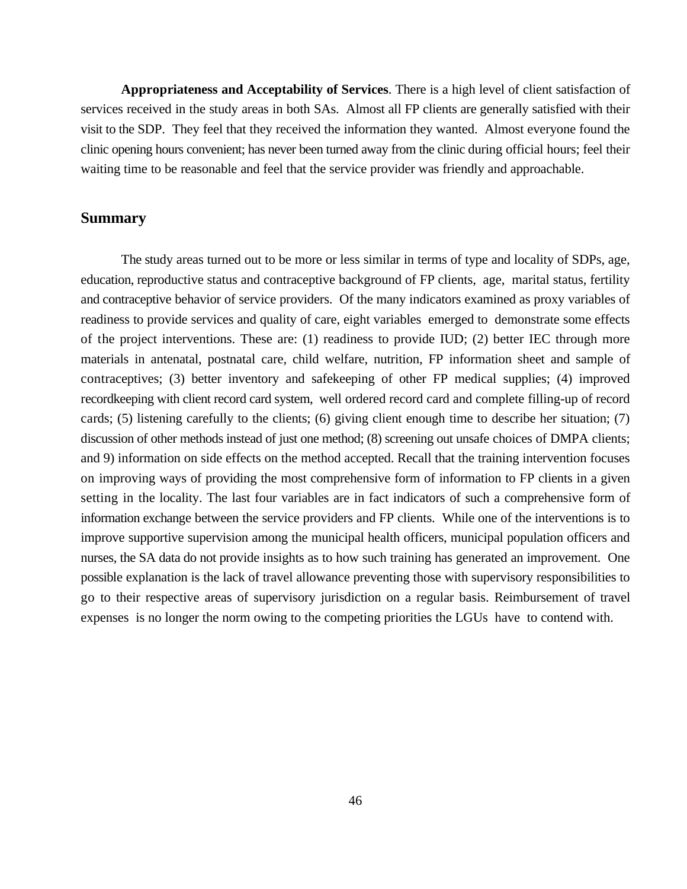**Appropriateness and Acceptability of Services**. There is a high level of client satisfaction of services received in the study areas in both SAs. Almost all FP clients are generally satisfied with their visit to the SDP. They feel that they received the information they wanted. Almost everyone found the clinic opening hours convenient; has never been turned away from the clinic during official hours; feel their waiting time to be reasonable and feel that the service provider was friendly and approachable.

#### **Summary**

The study areas turned out to be more or less similar in terms of type and locality of SDPs, age, education, reproductive status and contraceptive background of FP clients, age, marital status, fertility and contraceptive behavior of service providers. Of the many indicators examined as proxy variables of readiness to provide services and quality of care, eight variables emerged to demonstrate some effects of the project interventions. These are: (1) readiness to provide IUD; (2) better IEC through more materials in antenatal, postnatal care, child welfare, nutrition, FP information sheet and sample of contraceptives; (3) better inventory and safekeeping of other FP medical supplies; (4) improved recordkeeping with client record card system, well ordered record card and complete filling-up of record cards; (5) listening carefully to the clients; (6) giving client enough time to describe her situation; (7) discussion of other methods instead of just one method; (8) screening out unsafe choices of DMPA clients; and 9) information on side effects on the method accepted. Recall that the training intervention focuses on improving ways of providing the most comprehensive form of information to FP clients in a given setting in the locality. The last four variables are in fact indicators of such a comprehensive form of information exchange between the service providers and FP clients. While one of the interventions is to improve supportive supervision among the municipal health officers, municipal population officers and nurses, the SA data do not provide insights as to how such training has generated an improvement. One possible explanation is the lack of travel allowance preventing those with supervisory responsibilities to go to their respective areas of supervisory jurisdiction on a regular basis. Reimbursement of travel expenses is no longer the norm owing to the competing priorities the LGUs have to contend with.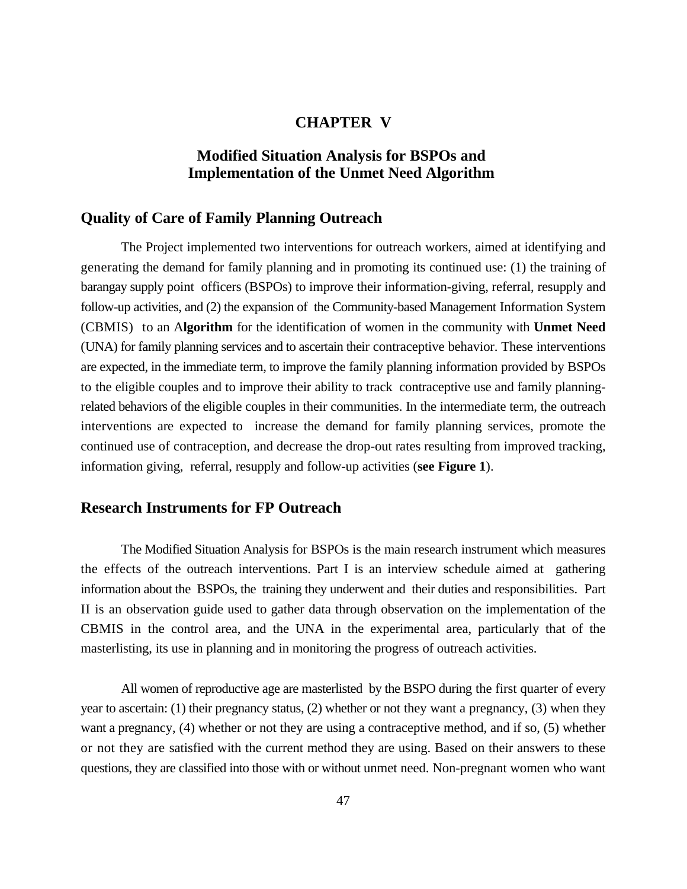### **CHAPTER V**

# **Modified Situation Analysis for BSPOs and Implementation of the Unmet Need Algorithm**

### **Quality of Care of Family Planning Outreach**

The Project implemented two interventions for outreach workers, aimed at identifying and generating the demand for family planning and in promoting its continued use: (1) the training of barangay supply point officers (BSPOs) to improve their information-giving, referral, resupply and follow-up activities, and (2) the expansion of the Community-based Management Information System (CBMIS) to an A**lgorithm** for the identification of women in the community with **Unmet Need** (UNA) for family planning services and to ascertain their contraceptive behavior. These interventions are expected, in the immediate term, to improve the family planning information provided by BSPOs to the eligible couples and to improve their ability to track contraceptive use and family planningrelated behaviors of the eligible couples in their communities. In the intermediate term, the outreach interventions are expected to increase the demand for family planning services, promote the continued use of contraception, and decrease the drop-out rates resulting from improved tracking, information giving, referral, resupply and follow-up activities (**see Figure 1**).

## **Research Instruments for FP Outreach**

The Modified Situation Analysis for BSPOs is the main research instrument which measures the effects of the outreach interventions. Part I is an interview schedule aimed at gathering information about the BSPOs, the training they underwent and their duties and responsibilities. Part II is an observation guide used to gather data through observation on the implementation of the CBMIS in the control area, and the UNA in the experimental area, particularly that of the masterlisting, its use in planning and in monitoring the progress of outreach activities.

All women of reproductive age are masterlisted by the BSPO during the first quarter of every year to ascertain: (1) their pregnancy status, (2) whether or not they want a pregnancy, (3) when they want a pregnancy, (4) whether or not they are using a contraceptive method, and if so, (5) whether or not they are satisfied with the current method they are using. Based on their answers to these questions, they are classified into those with or without unmet need. Non-pregnant women who want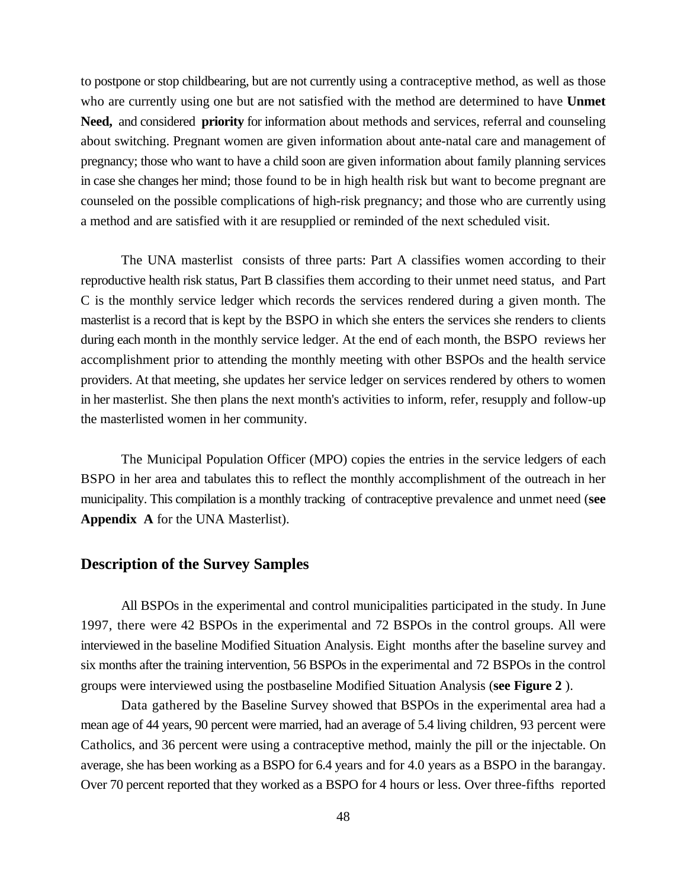to postpone or stop childbearing, but are not currently using a contraceptive method, as well as those who are currently using one but are not satisfied with the method are determined to have **Unmet Need,** and considered **priority** for information about methods and services, referral and counseling about switching. Pregnant women are given information about ante-natal care and management of pregnancy; those who want to have a child soon are given information about family planning services in case she changes her mind; those found to be in high health risk but want to become pregnant are counseled on the possible complications of high-risk pregnancy; and those who are currently using a method and are satisfied with it are resupplied or reminded of the next scheduled visit.

The UNA masterlist consists of three parts: Part A classifies women according to their reproductive health risk status, Part B classifies them according to their unmet need status, and Part C is the monthly service ledger which records the services rendered during a given month. The masterlist is a record that is kept by the BSPO in which she enters the services she renders to clients during each month in the monthly service ledger. At the end of each month, the BSPO reviews her accomplishment prior to attending the monthly meeting with other BSPOs and the health service providers. At that meeting, she updates her service ledger on services rendered by others to women in her masterlist. She then plans the next month's activities to inform, refer, resupply and follow-up the masterlisted women in her community.

The Municipal Population Officer (MPO) copies the entries in the service ledgers of each BSPO in her area and tabulates this to reflect the monthly accomplishment of the outreach in her municipality. This compilation is a monthly tracking of contraceptive prevalence and unmet need (**see Appendix A** for the UNA Masterlist).

### **Description of the Survey Samples**

All BSPOs in the experimental and control municipalities participated in the study. In June 1997, there were 42 BSPOs in the experimental and 72 BSPOs in the control groups. All were interviewed in the baseline Modified Situation Analysis. Eight months after the baseline survey and six months after the training intervention, 56 BSPOs in the experimental and 72 BSPOs in the control groups were interviewed using the postbaseline Modified Situation Analysis (**see Figure 2** ).

Data gathered by the Baseline Survey showed that BSPOs in the experimental area had a mean age of 44 years, 90 percent were married, had an average of 5.4 living children, 93 percent were Catholics, and 36 percent were using a contraceptive method, mainly the pill or the injectable. On average, she has been working as a BSPO for 6.4 years and for 4.0 years as a BSPO in the barangay. Over 70 percent reported that they worked as a BSPO for 4 hours or less. Over three-fifths reported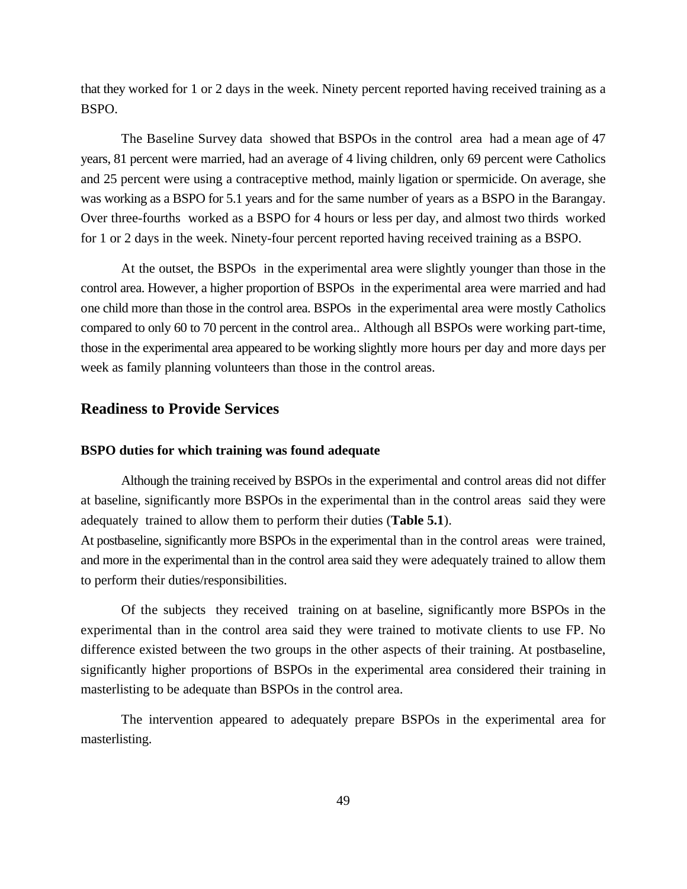that they worked for 1 or 2 days in the week. Ninety percent reported having received training as a BSPO.

The Baseline Survey data showed that BSPOs in the control area had a mean age of 47 years, 81 percent were married, had an average of 4 living children, only 69 percent were Catholics and 25 percent were using a contraceptive method, mainly ligation or spermicide. On average, she was working as a BSPO for 5.1 years and for the same number of years as a BSPO in the Barangay. Over three-fourths worked as a BSPO for 4 hours or less per day, and almost two thirds worked for 1 or 2 days in the week. Ninety-four percent reported having received training as a BSPO.

At the outset, the BSPOs in the experimental area were slightly younger than those in the control area. However, a higher proportion of BSPOs in the experimental area were married and had one child more than those in the control area. BSPOs in the experimental area were mostly Catholics compared to only 60 to 70 percent in the control area.. Although all BSPOs were working part-time, those in the experimental area appeared to be working slightly more hours per day and more days per week as family planning volunteers than those in the control areas.

### **Readiness to Provide Services**

#### **BSPO duties for which training was found adequate**

Although the training received by BSPOs in the experimental and control areas did not differ at baseline, significantly more BSPOs in the experimental than in the control areas said they were adequately trained to allow them to perform their duties (**Table 5.1**).

At postbaseline, significantly more BSPOs in the experimental than in the control areas were trained, and more in the experimental than in the control area said they were adequately trained to allow them to perform their duties/responsibilities.

Of the subjects they received training on at baseline, significantly more BSPOs in the experimental than in the control area said they were trained to motivate clients to use FP. No difference existed between the two groups in the other aspects of their training. At postbaseline, significantly higher proportions of BSPOs in the experimental area considered their training in masterlisting to be adequate than BSPOs in the control area.

The intervention appeared to adequately prepare BSPOs in the experimental area for masterlisting.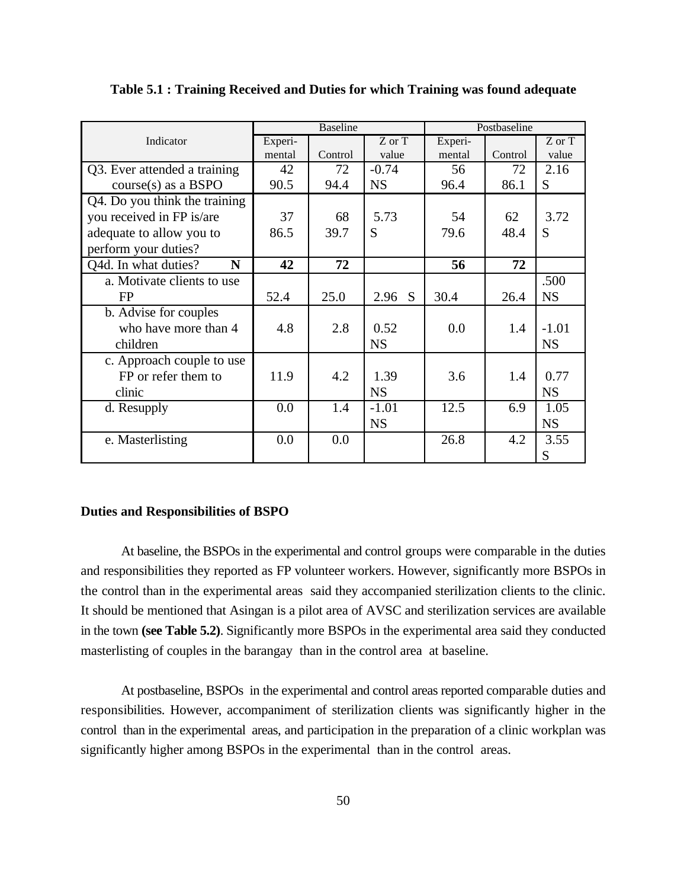|                               |         | <b>Baseline</b><br>Postbaseline |           |         |         |            |  |
|-------------------------------|---------|---------------------------------|-----------|---------|---------|------------|--|
| Indicator                     | Experi- |                                 | Z or T    | Experi- |         | $Z$ or $T$ |  |
|                               | mental  | Control                         | value     | mental  | Control | value      |  |
| Q3. Ever attended a training  | 42      | 72                              | $-0.74$   | 56      | 72      | 2.16       |  |
| $course(s)$ as a BSPO         | 90.5    | 94.4                            | <b>NS</b> | 96.4    | 86.1    | S          |  |
| Q4. Do you think the training |         |                                 |           |         |         |            |  |
| you received in FP is/are     | 37      | 68                              | 5.73      | 54      | 62      | 3.72       |  |
| adequate to allow you to      | 86.5    | 39.7                            | S         | 79.6    | 48.4    | S          |  |
| perform your duties?          |         |                                 |           |         |         |            |  |
| Q4d. In what duties?<br>N     | 42      | 72                              |           | 56      | 72      |            |  |
| a. Motivate clients to use    |         |                                 |           |         |         | .500       |  |
| <b>FP</b>                     | 52.4    | 25.0                            | 2.96 S    | 30.4    | 26.4    | <b>NS</b>  |  |
| b. Advise for couples         |         |                                 |           |         |         |            |  |
| who have more than 4          | 4.8     | 2.8                             | 0.52      | 0.0     | 1.4     | $-1.01$    |  |
| children                      |         |                                 | <b>NS</b> |         |         | <b>NS</b>  |  |
| c. Approach couple to use     |         |                                 |           |         |         |            |  |
| FP or refer them to           | 11.9    | 4.2                             | 1.39      | 3.6     | 1.4     | 0.77       |  |
| clinic                        |         |                                 | <b>NS</b> |         |         | <b>NS</b>  |  |
| d. Resupply                   | 0.0     | 1.4                             | $-1.01$   | 12.5    | 6.9     | 1.05       |  |
|                               |         |                                 | <b>NS</b> |         |         | <b>NS</b>  |  |
| e. Masterlisting              | 0.0     | 0.0                             |           | 26.8    | 4.2     | 3.55       |  |
|                               |         |                                 |           |         |         | S          |  |

**Table 5.1 : Training Received and Duties for which Training was found adequate**

#### **Duties and Responsibilities of BSPO**

At baseline, the BSPOs in the experimental and control groups were comparable in the duties and responsibilities they reported as FP volunteer workers. However, significantly more BSPOs in the control than in the experimental areas said they accompanied sterilization clients to the clinic. It should be mentioned that Asingan is a pilot area of AVSC and sterilization services are available in the town **(see Table 5.2)**. Significantly more BSPOs in the experimental area said they conducted masterlisting of couples in the barangay than in the control area at baseline.

At postbaseline, BSPOs in the experimental and control areas reported comparable duties and responsibilities. However, accompaniment of sterilization clients was significantly higher in the control than in the experimental areas, and participation in the preparation of a clinic workplan was significantly higher among BSPOs in the experimental than in the control areas.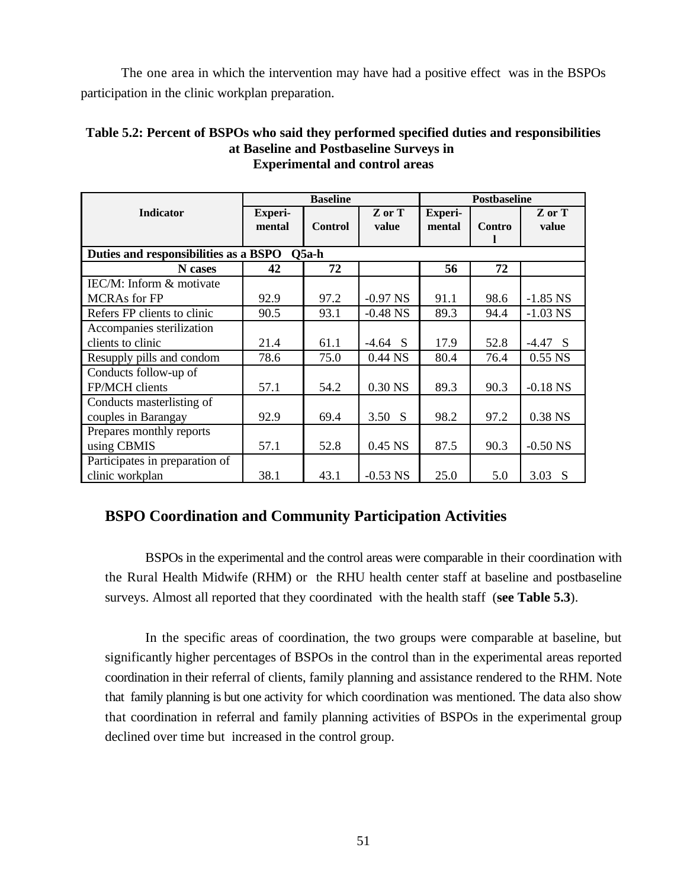The one area in which the intervention may have had a positive effect was in the BSPOs participation in the clinic workplan preparation.

| <b>Experimental and control areas</b>            |                   |                 |                 |                          |        |                 |  |  |
|--------------------------------------------------|-------------------|-----------------|-----------------|--------------------------|--------|-----------------|--|--|
|                                                  |                   | <b>Baseline</b> |                 | Postbaseline             |        |                 |  |  |
| <b>Indicator</b>                                 | Experi-<br>mental | <b>Control</b>  | Z or T<br>value | <b>Experi-</b><br>mental | Contro | Z or T<br>value |  |  |
| Duties and responsibilities as a BSPO<br>$O5a-h$ |                   |                 |                 |                          |        |                 |  |  |
| N cases                                          | 42                | 72              |                 | 56                       | 72     |                 |  |  |
| IEC/M: Inform & motivate                         |                   |                 |                 |                          |        |                 |  |  |
| <b>MCRAs</b> for FP                              | 92.9              | 97.2            | $-0.97$ NS      | 91.1                     | 98.6   | $-1.85$ NS      |  |  |
| Refers FP clients to clinic                      | 90.5              | 93.1            | $-0.48$ NS      | 89.3                     | 94.4   | $-1.03$ NS      |  |  |
| Accompanies sterilization                        |                   |                 |                 |                          |        |                 |  |  |
| clients to clinic                                | 21.4              | 61.1            | $-4.64$ S       | 17.9                     | 52.8   | $-4.47$ S       |  |  |
| Resupply pills and condom                        | 78.6              | 75.0            | 0.44 NS         | 80.4                     | 76.4   | $0.55$ NS       |  |  |
| Conducts follow-up of<br>FP/MCH clients          | 57.1              | 54.2            | 0.30 NS         | 89.3                     | 90.3   | $-0.18$ NS      |  |  |

couples in Barangay 192.9 69.4 3.50 S 98.2 97.2 0.38 NS

using CBMIS 67.1 52.8 0.45 NS 87.5 90.3 -0.50 NS

clinic workplan 1 38.1 43.1 -0.53 NS 25.0 5.0 3.03 S

# **Table 5.2: Percent of BSPOs who said they performed specified duties and responsibilities at Baseline and Postbaseline Surveys in Experimental and control areas**

# **BSPO Coordination and Community Participation Activities**

Conducts masterlisting of

Prepares monthly reports

Participates in preparation of

BSPOs in the experimental and the control areas were comparable in their coordination with the Rural Health Midwife (RHM) or the RHU health center staff at baseline and postbaseline surveys. Almost all reported that they coordinated with the health staff (**see Table 5.3**).

In the specific areas of coordination, the two groups were comparable at baseline, but significantly higher percentages of BSPOs in the control than in the experimental areas reported coordination in their referral of clients, family planning and assistance rendered to the RHM. Note that family planning is but one activity for which coordination was mentioned. The data also show that coordination in referral and family planning activities of BSPOs in the experimental group declined over time but increased in the control group.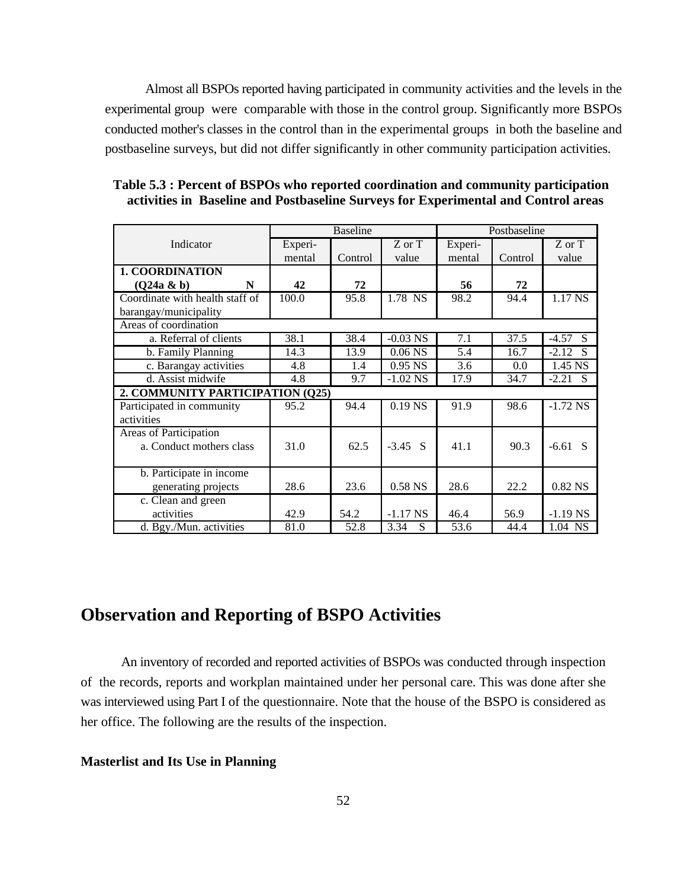Almost all BSPOs reported having participated in community activities and the levels in the experimental group were comparable with those in the control group. Significantly more BSPOs conducted mother's classes in the control than in the experimental groups in both the baseline and postbaseline surveys, but did not differ significantly in other community participation activities.

|                                  | <b>Baseline</b> |         |            | Postbaseline |         |                |
|----------------------------------|-----------------|---------|------------|--------------|---------|----------------|
| Indicator                        | Experi-         |         | Z or T     | Experi-      |         | Z or T         |
|                                  | mental          | Control | value      | mental       | Control | value          |
| <b>1. COORDINATION</b>           |                 |         |            |              |         |                |
| $(Q24a \& b)$<br>N               | 42              | 72      |            | 56           | 72      |                |
| Coordinate with health staff of  | 100.0           | 95.8    | 1.78 NS    | 98.2         | 94.4    | 1.17 NS        |
| barangay/municipality            |                 |         |            |              |         |                |
| Areas of coordination            |                 |         |            |              |         |                |
| a. Referral of clients           | 38.1            | 38.4    | $-0.03$ NS | 7.1          | 37.5    | -4.57<br>S     |
| b. Family Planning               | 14.3            | 13.9    | $0.06$ NS  | 5.4          | 16.7    | $-2.12$<br>-S  |
| c. Barangay activities           | 4.8             | 1.4     | $0.95$ NS  | 3.6          | 0.0     | 1.45 NS        |
| d. Assist midwife                | 4.8             | 9.7     | $-1.02$ NS | 17.9         | 34.7    | $-2.21$<br>- S |
| 2. COMMUNITY PARTICIPATION (Q25) |                 |         |            |              |         |                |
| Participated in community        | 95.2            | 94.4    | $0.19$ NS  | 91.9         | 98.6    | $-1.72$ NS     |
| activities                       |                 |         |            |              |         |                |
| <b>Areas of Participation</b>    |                 |         |            |              |         |                |
| a. Conduct mothers class         | 31.0            | 62.5    | $-3.45$ S  | 41.1         | 90.3    | $-6.61$ S      |
|                                  |                 |         |            |              |         |                |
| b. Participate in income         |                 |         |            |              |         |                |
| generating projects              | 28.6            | 23.6    | 0.58 NS    | 28.6         | 22.2    | 0.82 NS        |
| c. Clean and green               |                 |         |            |              |         |                |
| activities                       | 42.9            | 54.2    | $-1.17$ NS | 46.4         | 56.9    | $-1.19$ NS     |
| d. Bgy./Mun. activities          | 81.0            | 52.8    | 3.34<br>S  | 53.6         | 44.4    | 1.04 NS        |

**Table 5.3 : Percent of BSPOs who reported coordination and community participation activities in Baseline and Postbaseline Surveys for Experimental and Control areas**

# **Observation and Reporting of BSPO Activities**

An inventory of recorded and reported activities of BSPOs was conducted through inspection of the records, reports and workplan maintained under her personal care. This was done after she was interviewed using Part I of the questionnaire. Note that the house of the BSPO is considered as her office. The following are the results of the inspection.

#### **Masterlist and Its Use in Planning**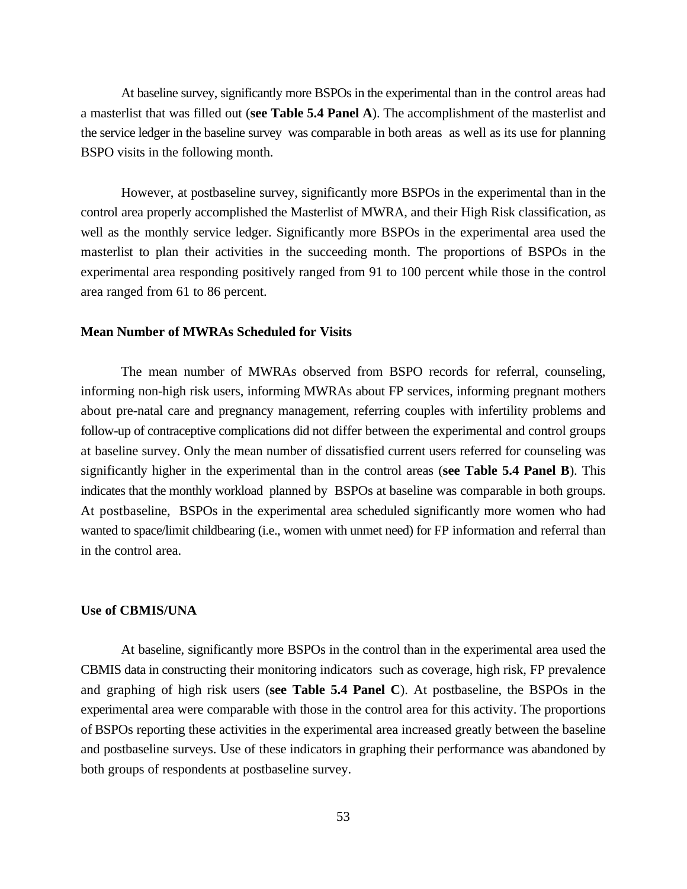At baseline survey, significantly more BSPOs in the experimental than in the control areas had a masterlist that was filled out (**see Table 5.4 Panel A**). The accomplishment of the masterlist and the service ledger in the baseline survey was comparable in both areas as well as its use for planning BSPO visits in the following month.

However, at postbaseline survey, significantly more BSPOs in the experimental than in the control area properly accomplished the Masterlist of MWRA, and their High Risk classification, as well as the monthly service ledger. Significantly more BSPOs in the experimental area used the masterlist to plan their activities in the succeeding month. The proportions of BSPOs in the experimental area responding positively ranged from 91 to 100 percent while those in the control area ranged from 61 to 86 percent.

#### **Mean Number of MWRAs Scheduled for Visits**

The mean number of MWRAs observed from BSPO records for referral, counseling, informing non-high risk users, informing MWRAs about FP services, informing pregnant mothers about pre-natal care and pregnancy management, referring couples with infertility problems and follow-up of contraceptive complications did not differ between the experimental and control groups at baseline survey. Only the mean number of dissatisfied current users referred for counseling was significantly higher in the experimental than in the control areas (**see Table 5.4 Panel B**). This indicates that the monthly workload planned by BSPOs at baseline was comparable in both groups. At postbaseline, BSPOs in the experimental area scheduled significantly more women who had wanted to space/limit childbearing (i.e., women with unmet need) for FP information and referral than in the control area.

#### **Use of CBMIS/UNA**

At baseline, significantly more BSPOs in the control than in the experimental area used the CBMIS data in constructing their monitoring indicators such as coverage, high risk, FP prevalence and graphing of high risk users (**see Table 5.4 Panel C**). At postbaseline, the BSPOs in the experimental area were comparable with those in the control area for this activity. The proportions of BSPOs reporting these activities in the experimental area increased greatly between the baseline and postbaseline surveys. Use of these indicators in graphing their performance was abandoned by both groups of respondents at postbaseline survey.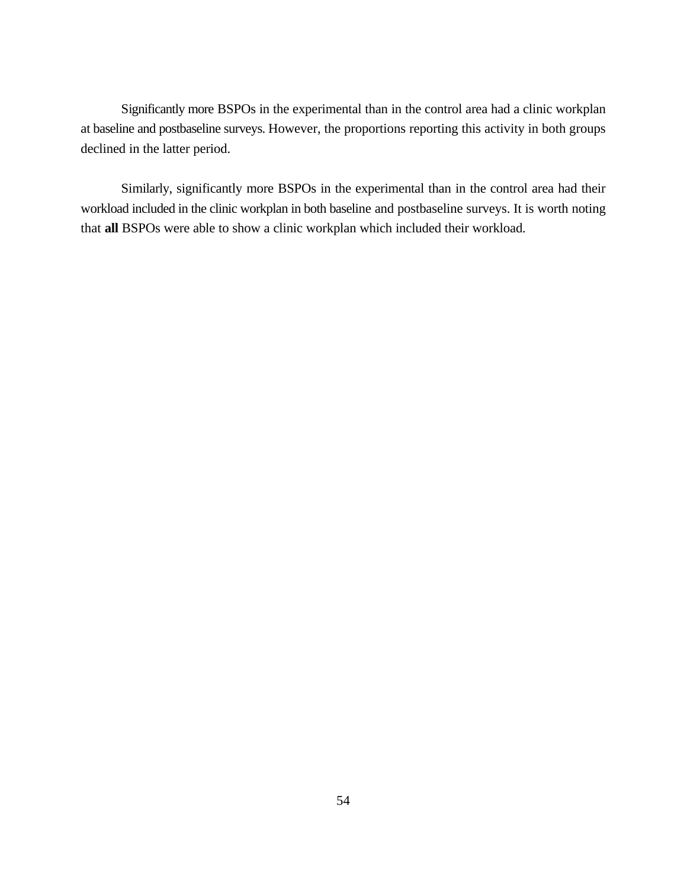Significantly more BSPOs in the experimental than in the control area had a clinic workplan at baseline and postbaseline surveys. However, the proportions reporting this activity in both groups declined in the latter period.

Similarly, significantly more BSPOs in the experimental than in the control area had their workload included in the clinic workplan in both baseline and postbaseline surveys. It is worth noting that **all** BSPOs were able to show a clinic workplan which included their workload.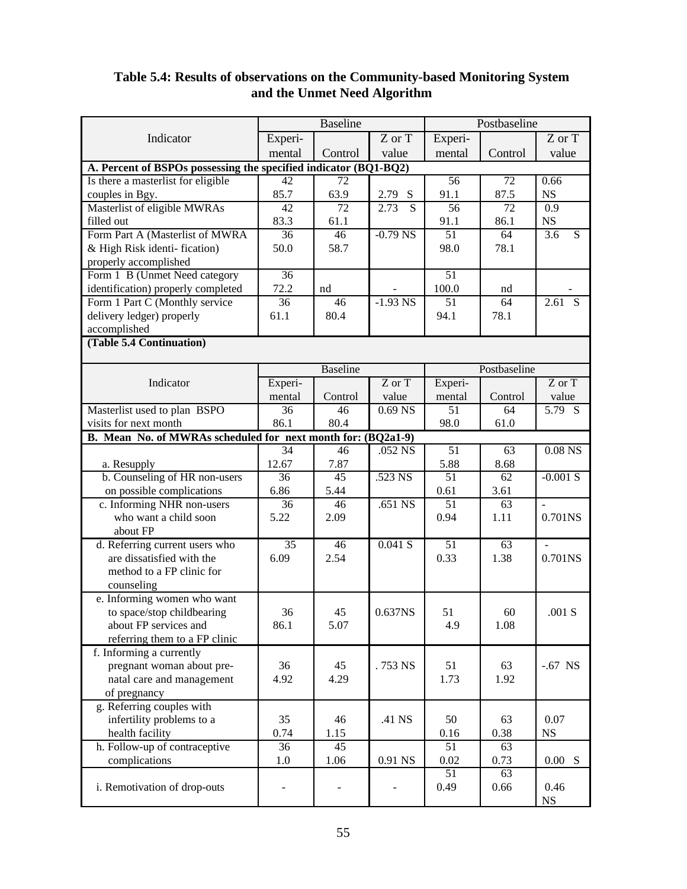|                                                                  |                 | <b>Baseline</b> |                                  | Postbaseline    |                 |                                    |
|------------------------------------------------------------------|-----------------|-----------------|----------------------------------|-----------------|-----------------|------------------------------------|
| Indicator                                                        | Experi-         |                 | $\overline{Z}$ or $\overline{T}$ | Experi-         |                 | $\overline{Z}$ or $\overline{T}$   |
|                                                                  | mental          | Control         | value                            | mental          | Control         | value                              |
| A. Percent of BSPOs possessing the specified indicator (BQ1-BQ2) |                 |                 |                                  |                 |                 |                                    |
| Is there a masterlist for eligible                               | $\overline{42}$ | $\overline{72}$ |                                  | 56              | $\overline{72}$ | 0.66                               |
| couples in Bgy.                                                  | 85.7            | 63.9            | 2.79 S                           | 91.1            | 87.5            | NS                                 |
| Masterlist of eligible MWRAs                                     | 42              | $\overline{72}$ | 2.73<br>$\overline{S}$           | 56              | $\overline{72}$ | $\overline{0.9}$                   |
| filled out                                                       | 83.3            | 61.1            |                                  | 91.1            | 86.1            | $_{\rm NS}$                        |
| Form Part A (Masterlist of MWRA                                  | 36              | $\overline{46}$ | $-0.79$ NS                       | 51              | 64              | $\overline{S}$<br>$\overline{3.6}$ |
| & High Risk identi-fication)                                     | 50.0            | 58.7            |                                  | 98.0            | 78.1            |                                    |
| properly accomplished                                            |                 |                 |                                  |                 |                 |                                    |
| Form 1 B (Unmet Need category                                    | 36              |                 |                                  | $\overline{51}$ |                 |                                    |
| identification) properly completed                               | 72.2            | nd              |                                  | 100.0           | nd              |                                    |
| Form 1 Part C (Monthly service                                   | 36              | 46              | $-1.93$ NS                       | 51              | 64              | $\overline{S}$<br>2.61             |
| delivery ledger) properly                                        | 61.1            | 80.4            |                                  | 94.1            | 78.1            |                                    |
| accomplished                                                     |                 |                 |                                  |                 |                 |                                    |
| (Table 5.4 Continuation)                                         |                 |                 |                                  |                 |                 |                                    |
|                                                                  |                 |                 |                                  |                 |                 |                                    |
|                                                                  |                 | <b>Baseline</b> |                                  |                 | Postbaseline    |                                    |
| Indicator                                                        | Experi-         |                 | $Z$ or $T$                       | Experi-         |                 | $Z$ or $T$                         |
|                                                                  | mental          | Control         | value                            | mental          | Control         | value                              |
| Masterlist used to plan BSPO                                     | $\overline{36}$ | $\overline{46}$ | $0.69$ NS                        | $\overline{51}$ | 64              | $5.79$ S                           |
| visits for next month                                            | 86.1            | 80.4            |                                  | 98.0            | 61.0            |                                    |
| B. Mean No. of MWRAs scheduled for next month for: (BQ2a1-9)     |                 |                 |                                  |                 |                 |                                    |
|                                                                  | 34              | 46              | $.052$ NS                        | $\overline{51}$ | 63              | $0.08$ NS                          |
| a. Resupply                                                      | 12.67           | 7.87            |                                  | 5.88            | 8.68            |                                    |
| b. Counseling of HR non-users                                    | $\overline{36}$ | $\overline{45}$ | .523 NS                          | 51              | 62              | $-0.001 S$                         |
| on possible complications                                        | 6.86            | 5.44            |                                  | 0.61            | 3.61            |                                    |
| c. Informing NHR non-users                                       | $\overline{36}$ | $\overline{46}$ | $.651$ NS                        | $\overline{51}$ | $\overline{63}$ | $\overline{a}$                     |
| who want a child soon                                            | 5.22            | 2.09            |                                  | 0.94            | 1.11            | 0.701NS                            |
| about FP                                                         |                 |                 |                                  |                 |                 |                                    |
| d. Referring current users who                                   | $\overline{35}$ | 46              | 0.041 S                          | 51              | 63              | $\overline{a}$                     |
| are dissatisfied with the                                        | 6.09            | 2.54            |                                  | 0.33            | 1.38            | 0.701NS                            |
| method to a FP clinic for                                        |                 |                 |                                  |                 |                 |                                    |
| counseling                                                       |                 |                 |                                  |                 |                 |                                    |
| e. Informing women who want                                      |                 |                 |                                  |                 |                 |                                    |
| to space/stop childbearing                                       | 36              | 45              | 0.637NS                          | 51              | 60              | .001 S                             |
| about FP services and                                            | 86.1            | 5.07            |                                  | 4.9             | 1.08            |                                    |
| referring them to a FP clinic                                    |                 |                 |                                  |                 |                 |                                    |
| f. Informing a currently                                         |                 |                 |                                  |                 |                 |                                    |
| pregnant woman about pre-                                        | 36              | 45              | .753 NS                          | 51              | 63              | $-.67$ NS                          |
| natal care and management                                        | 4.92            | 4.29            |                                  | 1.73            | 1.92            |                                    |
| of pregnancy                                                     |                 |                 |                                  |                 |                 |                                    |
| g. Referring couples with                                        |                 |                 |                                  |                 |                 |                                    |
| infertility problems to a                                        | 35              | 46              | .41 NS                           | 50              | 63              | 0.07                               |
| health facility                                                  | 0.74            | 1.15            |                                  | 0.16            | 0.38            | $_{\rm NS}$                        |
| h. Follow-up of contraceptive                                    | $\overline{36}$ | $\overline{45}$ |                                  | 51              | 63              |                                    |
| complications                                                    | 1.0             | 1.06            | 0.91 NS                          | 0.02            | 0.73            | 0.00 S                             |
|                                                                  |                 |                 |                                  | 51              | 63              |                                    |
| i. Remotivation of drop-outs                                     |                 |                 |                                  | 0.49            | 0.66            | 0.46                               |
|                                                                  |                 |                 |                                  |                 |                 | $_{\rm NS}$                        |

# **Table 5.4: Results of observations on the Community-based Monitoring System and the Unmet Need Algorithm**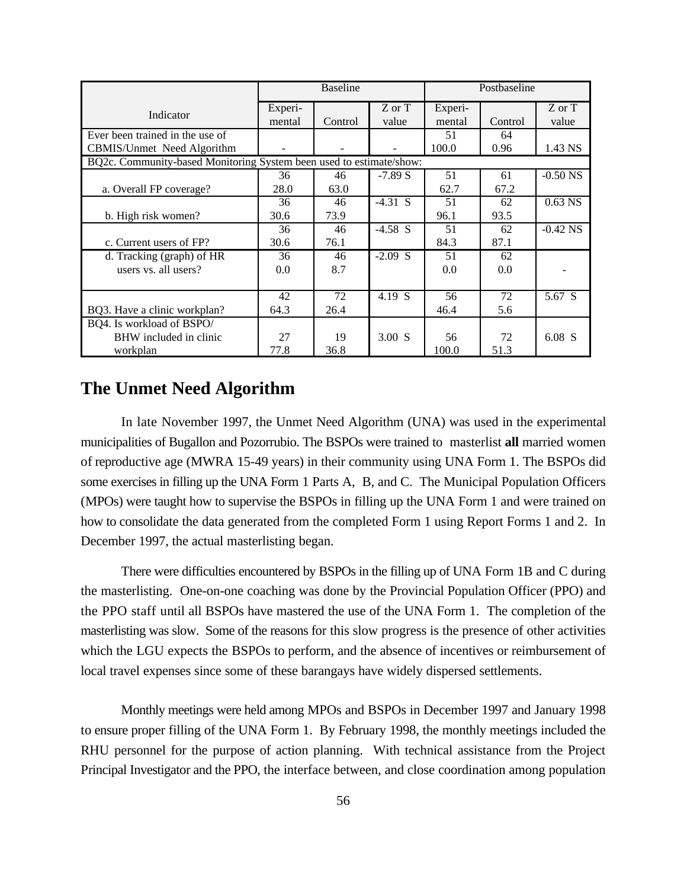|                                                                     | <b>Baseline</b> |         |           | Postbaseline |         |            |
|---------------------------------------------------------------------|-----------------|---------|-----------|--------------|---------|------------|
|                                                                     | Experi-         |         | Z or T    | Experi-      |         | Z or T     |
| Indicator                                                           | mental          | Control | value     | mental       | Control | value      |
| Ever been trained in the use of                                     |                 |         |           | 51           | 64      |            |
| CBMIS/Unmet Need Algorithm                                          |                 |         |           | 100.0        | 0.96    | 1.43 NS    |
| BQ2c. Community-based Monitoring System been used to estimate/show: |                 |         |           |              |         |            |
|                                                                     | 36              | 46      | $-7.89 S$ | 51           | 61      | $-0.50$ NS |
| a. Overall FP coverage?                                             | 28.0            | 63.0    |           | 62.7         | 67.2    |            |
|                                                                     | 36              | 46      | $-4.31$ S | 51           | 62      | $0.63$ NS  |
| b. High risk women?                                                 | 30.6            | 73.9    |           | 96.1         | 93.5    |            |
|                                                                     | 36              | 46      | $-4.58$ S | 51           | 62      | $-0.42$ NS |
| c. Current users of FP?                                             | 30.6            | 76.1    |           | 84.3         | 87.1    |            |
| d. Tracking (graph) of HR                                           | 36              | 46      | $-2.09$ S | 51           | 62      |            |
| users vs. all users?                                                | 0.0             | 8.7     |           | 0.0          | 0.0     |            |
|                                                                     |                 |         |           |              |         |            |
|                                                                     | 42              | 72      | 4.19 S    | 56           | 72      | 5.67 S     |
| BQ3. Have a clinic workplan?                                        | 64.3            | 26.4    |           | 46.4         | 5.6     |            |
| BQ4. Is workload of BSPO/                                           |                 |         |           |              |         |            |
| BHW included in clinic                                              | 27              | 19      | $3.00$ S  | 56           | 72      | 6.08 S     |
| workplan                                                            | 77.8            | 36.8    |           | 100.0        | 51.3    |            |

## **The Unmet Need Algorithm**

In late November 1997, the Unmet Need Algorithm (UNA) was used in the experimental municipalities of Bugallon and Pozorrubio. The BSPOs were trained to masterlist **all** married women of reproductive age (MWRA 15-49 years) in their community using UNA Form 1. The BSPOs did some exercises in filling up the UNA Form 1 Parts A, B, and C. The Municipal Population Officers (MPOs) were taught how to supervise the BSPOs in filling up the UNA Form 1 and were trained on how to consolidate the data generated from the completed Form 1 using Report Forms 1 and 2. In December 1997, the actual masterlisting began.

There were difficulties encountered by BSPOs in the filling up of UNA Form 1B and C during the masterlisting. One-on-one coaching was done by the Provincial Population Officer (PPO) and the PPO staff until all BSPOs have mastered the use of the UNA Form 1. The completion of the masterlisting was slow. Some of the reasons for this slow progress is the presence of other activities which the LGU expects the BSPOs to perform, and the absence of incentives or reimbursement of local travel expenses since some of these barangays have widely dispersed settlements.

Monthly meetings were held among MPOs and BSPOs in December 1997 and January 1998 to ensure proper filling of the UNA Form 1. By February 1998, the monthly meetings included the RHU personnel for the purpose of action planning. With technical assistance from the Project Principal Investigator and the PPO, the interface between, and close coordination among population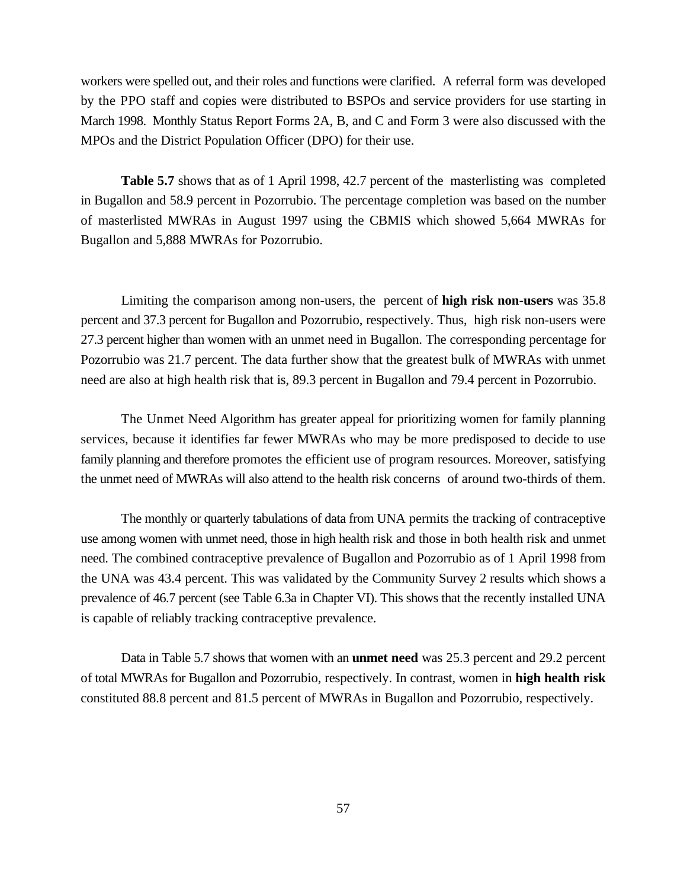workers were spelled out, and their roles and functions were clarified. A referral form was developed by the PPO staff and copies were distributed to BSPOs and service providers for use starting in March 1998. Monthly Status Report Forms 2A, B, and C and Form 3 were also discussed with the MPOs and the District Population Officer (DPO) for their use.

**Table 5.7** shows that as of 1 April 1998, 42.7 percent of the masterlisting was completed in Bugallon and 58.9 percent in Pozorrubio. The percentage completion was based on the number of masterlisted MWRAs in August 1997 using the CBMIS which showed 5,664 MWRAs for Bugallon and 5,888 MWRAs for Pozorrubio.

Limiting the comparison among non-users, the percent of **high risk non-users** was 35.8 percent and 37.3 percent for Bugallon and Pozorrubio, respectively. Thus, high risk non-users were 27.3 percent higher than women with an unmet need in Bugallon. The corresponding percentage for Pozorrubio was 21.7 percent. The data further show that the greatest bulk of MWRAs with unmet need are also at high health risk that is, 89.3 percent in Bugallon and 79.4 percent in Pozorrubio.

The Unmet Need Algorithm has greater appeal for prioritizing women for family planning services, because it identifies far fewer MWRAs who may be more predisposed to decide to use family planning and therefore promotes the efficient use of program resources. Moreover, satisfying the unmet need of MWRAs will also attend to the health risk concerns of around two-thirds of them.

The monthly or quarterly tabulations of data from UNA permits the tracking of contraceptive use among women with unmet need, those in high health risk and those in both health risk and unmet need. The combined contraceptive prevalence of Bugallon and Pozorrubio as of 1 April 1998 from the UNA was 43.4 percent. This was validated by the Community Survey 2 results which shows a prevalence of 46.7 percent (see Table 6.3a in Chapter VI). This shows that the recently installed UNA is capable of reliably tracking contraceptive prevalence.

Data in Table 5.7 shows that women with an **unmet need** was 25.3 percent and 29.2 percent of total MWRAs for Bugallon and Pozorrubio, respectively. In contrast, women in **high health risk** constituted 88.8 percent and 81.5 percent of MWRAs in Bugallon and Pozorrubio, respectively.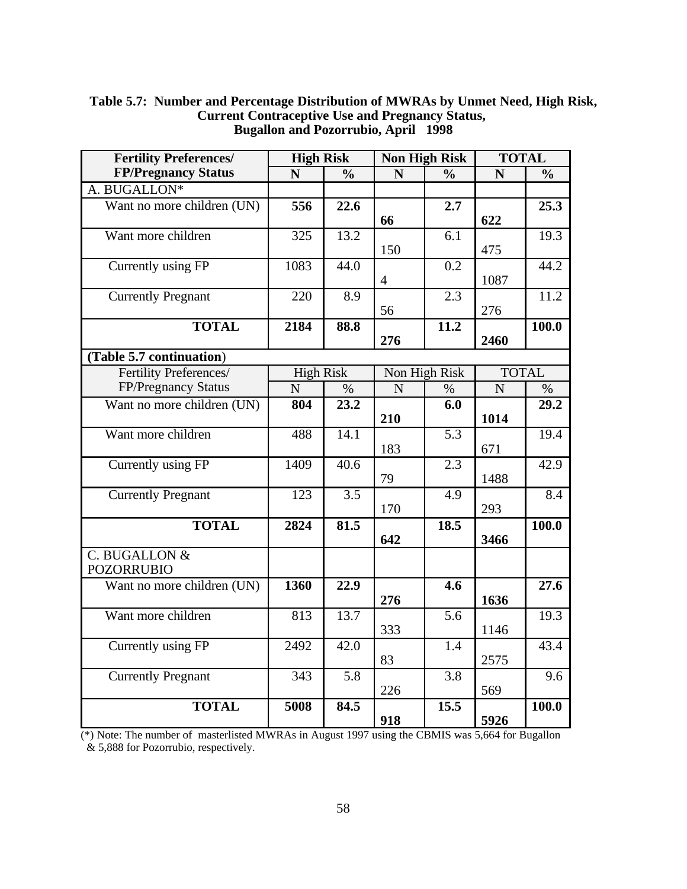| <b>Fertility Preferences/</b> | <b>High Risk</b> |                   | <b>Non High Risk</b> |                  | <b>TOTAL</b>   |                   |
|-------------------------------|------------------|-------------------|----------------------|------------------|----------------|-------------------|
| <b>FP/Pregnancy Status</b>    | N                | $\frac{0}{0}$     | N                    | $\frac{0}{0}$    | N              | $\frac{0}{0}$     |
| A. BUGALLON*                  |                  |                   |                      |                  |                |                   |
| Want no more children (UN)    | 556              | 22.6              | 66                   | 2.7              | 622            | 25.3              |
| Want more children            | 325              | 13.2              |                      | 6.1              |                | 19.3              |
|                               |                  |                   | 150                  |                  | 475            |                   |
| Currently using FP            | 1083             | 44.0              |                      | $\overline{0.2}$ |                | 44.2              |
|                               |                  |                   | $\overline{4}$       |                  | 1087           |                   |
| <b>Currently Pregnant</b>     | 220              | 8.9               |                      | $\overline{2.3}$ |                | 11.2              |
|                               |                  |                   | 56                   |                  | 276            |                   |
| <b>TOTAL</b>                  | 2184             | 88.8              |                      | 11.2             |                | 100.0             |
|                               |                  |                   | 276                  |                  | 2460           |                   |
| (Table 5.7 continuation)      |                  |                   |                      |                  |                |                   |
| Fertility Preferences/        | <b>High Risk</b> |                   |                      | Non High Risk    | <b>TOTAL</b>   |                   |
| FP/Pregnancy Status           | N                | $\%$              | N                    | $\%$             | $\overline{N}$ | $\%$              |
| Want no more children (UN)    | 804              | $\overline{23.2}$ |                      | $\overline{6.0}$ |                | $\overline{29.2}$ |
|                               |                  |                   | 210                  |                  | 1014           |                   |
| Want more children            | 488              | 14.1              |                      | 5.3              |                | 19.4              |
|                               |                  |                   | 183                  |                  | 671            |                   |
| Currently using FP            | 1409             | 40.6              |                      | $\overline{2.3}$ |                | $\overline{42.9}$ |
|                               |                  |                   | 79                   |                  | 1488           |                   |
| <b>Currently Pregnant</b>     | 123              | 3.5               |                      | 4.9              |                | 8.4               |
|                               |                  |                   | 170                  |                  | 293            |                   |
| <b>TOTAL</b>                  | 2824             | 81.5              |                      | 18.5             |                | 100.0             |
|                               |                  |                   | 642                  |                  | 3466           |                   |
| C. BUGALLON &                 |                  |                   |                      |                  |                |                   |
| <b>POZORRUBIO</b>             |                  |                   |                      |                  |                |                   |
| Want no more children (UN)    | 1360             | 22.9              | 276                  | 4.6              | 1636           | 27.6              |
| Want more children            | 813              | 13.7              |                      | $\overline{5.6}$ |                | 19.3              |
|                               |                  |                   | 333                  |                  | 1146           |                   |
| Currently using FP            | 2492             | 42.0              |                      | 1.4              |                | 43.4              |
|                               |                  |                   | 83                   |                  | 2575           |                   |
| <b>Currently Pregnant</b>     | 343              | 5.8               |                      | 3.8              |                | 9.6               |
|                               |                  |                   | 226                  |                  | 569            |                   |
| <b>TOTAL</b>                  | 5008             | 84.5              |                      | 15.5             |                | 100.0             |
|                               |                  |                   | 918                  |                  | 5926           |                   |

### **Table 5.7: Number and Percentage Distribution of MWRAs by Unmet Need, High Risk, Current Contraceptive Use and Pregnancy Status, Bugallon and Pozorrubio, April 1998**

(\*) Note: The number of masterlisted MWRAs in August 1997 using the CBMIS was 5,664 for Bugallon & 5,888 for Pozorrubio, respectively.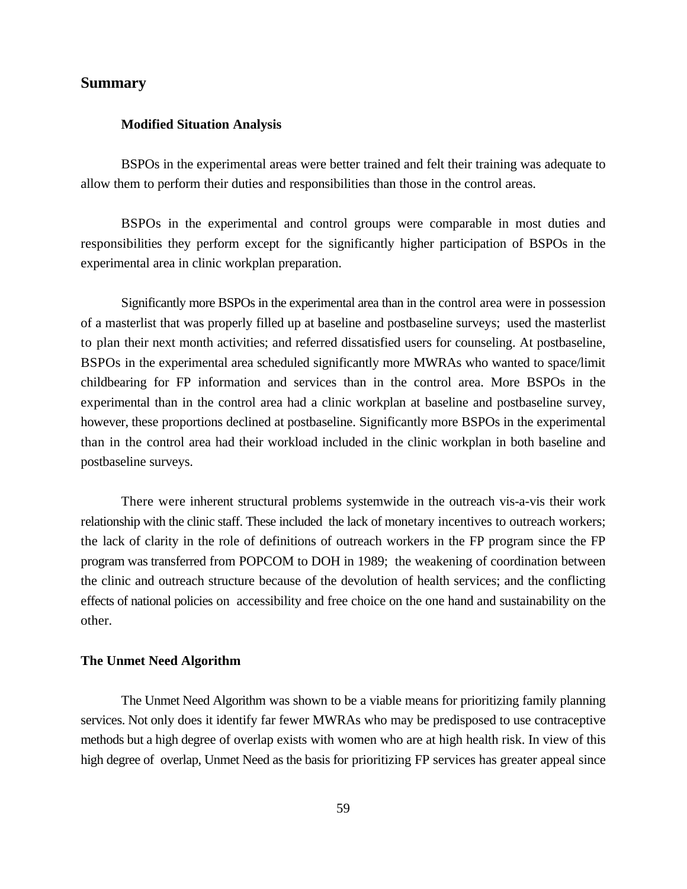### **Summary**

#### **Modified Situation Analysis**

BSPOs in the experimental areas were better trained and felt their training was adequate to allow them to perform their duties and responsibilities than those in the control areas.

BSPOs in the experimental and control groups were comparable in most duties and responsibilities they perform except for the significantly higher participation of BSPOs in the experimental area in clinic workplan preparation.

Significantly more BSPOs in the experimental area than in the control area were in possession of a masterlist that was properly filled up at baseline and postbaseline surveys; used the masterlist to plan their next month activities; and referred dissatisfied users for counseling. At postbaseline, BSPOs in the experimental area scheduled significantly more MWRAs who wanted to space/limit childbearing for FP information and services than in the control area. More BSPOs in the experimental than in the control area had a clinic workplan at baseline and postbaseline survey, however, these proportions declined at postbaseline. Significantly more BSPOs in the experimental than in the control area had their workload included in the clinic workplan in both baseline and postbaseline surveys.

There were inherent structural problems systemwide in the outreach vis-a-vis their work relationship with the clinic staff. These included the lack of monetary incentives to outreach workers; the lack of clarity in the role of definitions of outreach workers in the FP program since the FP program was transferred from POPCOM to DOH in 1989; the weakening of coordination between the clinic and outreach structure because of the devolution of health services; and the conflicting effects of national policies on accessibility and free choice on the one hand and sustainability on the other.

### **The Unmet Need Algorithm**

The Unmet Need Algorithm was shown to be a viable means for prioritizing family planning services. Not only does it identify far fewer MWRAs who may be predisposed to use contraceptive methods but a high degree of overlap exists with women who are at high health risk. In view of this high degree of overlap, Unmet Need as the basis for prioritizing FP services has greater appeal since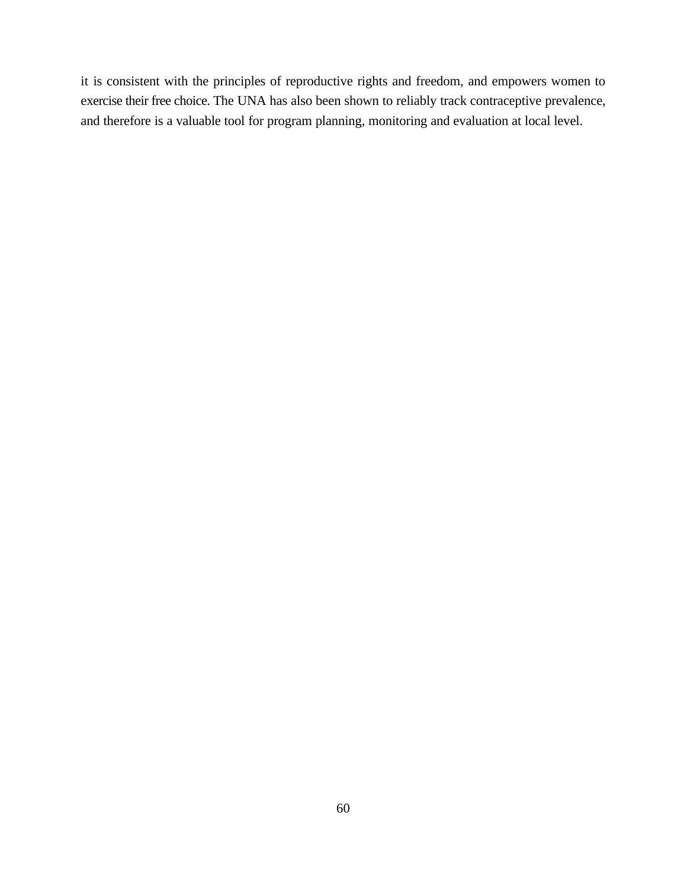it is consistent with the principles of reproductive rights and freedom, and empowers women to exercise their free choice. The UNA has also been shown to reliably track contraceptive prevalence, and therefore is a valuable tool for program planning, monitoring and evaluation at local level.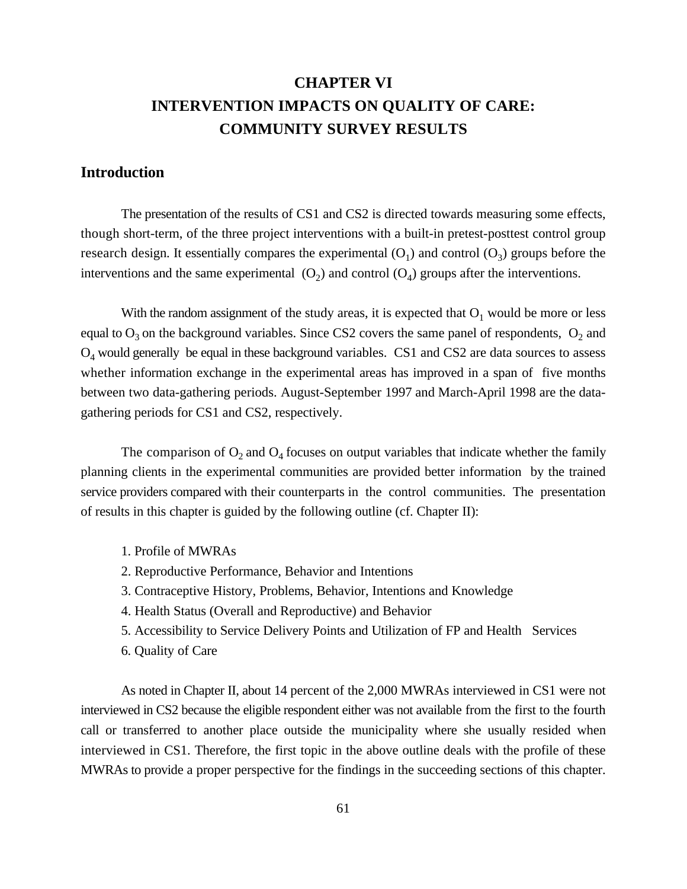# **CHAPTER VI INTERVENTION IMPACTS ON QUALITY OF CARE: COMMUNITY SURVEY RESULTS**

### **Introduction**

The presentation of the results of CS1 and CS2 is directed towards measuring some effects, though short-term, of the three project interventions with a built-in pretest-posttest control group research design. It essentially compares the experimental  $(O_1)$  and control  $(O_2)$  groups before the interventions and the same experimental  $(O_2)$  and control  $(O_4)$  groups after the interventions.

With the random assignment of the study areas, it is expected that  $O_1$  would be more or less equal to  $O_3$  on the background variables. Since CS2 covers the same panel of respondents,  $O_2$  and  $O<sub>4</sub>$  would generally be equal in these background variables. CS1 and CS2 are data sources to assess whether information exchange in the experimental areas has improved in a span of five months between two data-gathering periods. August-September 1997 and March-April 1998 are the datagathering periods for CS1 and CS2, respectively.

The comparison of  $O_2$  and  $O_4$  focuses on output variables that indicate whether the family planning clients in the experimental communities are provided better information by the trained service providers compared with their counterparts in the control communities. The presentation of results in this chapter is guided by the following outline (cf. Chapter II):

- 1. Profile of MWRAs
- 2. Reproductive Performance, Behavior and Intentions
- 3. Contraceptive History, Problems, Behavior, Intentions and Knowledge
- 4. Health Status (Overall and Reproductive) and Behavior
- 5. Accessibility to Service Delivery Points and Utilization of FP and Health Services
- 6. Quality of Care

As noted in Chapter II, about 14 percent of the 2,000 MWRAs interviewed in CS1 were not interviewed in CS2 because the eligible respondent either was not available from the first to the fourth call or transferred to another place outside the municipality where she usually resided when interviewed in CS1. Therefore, the first topic in the above outline deals with the profile of these MWRAs to provide a proper perspective for the findings in the succeeding sections of this chapter.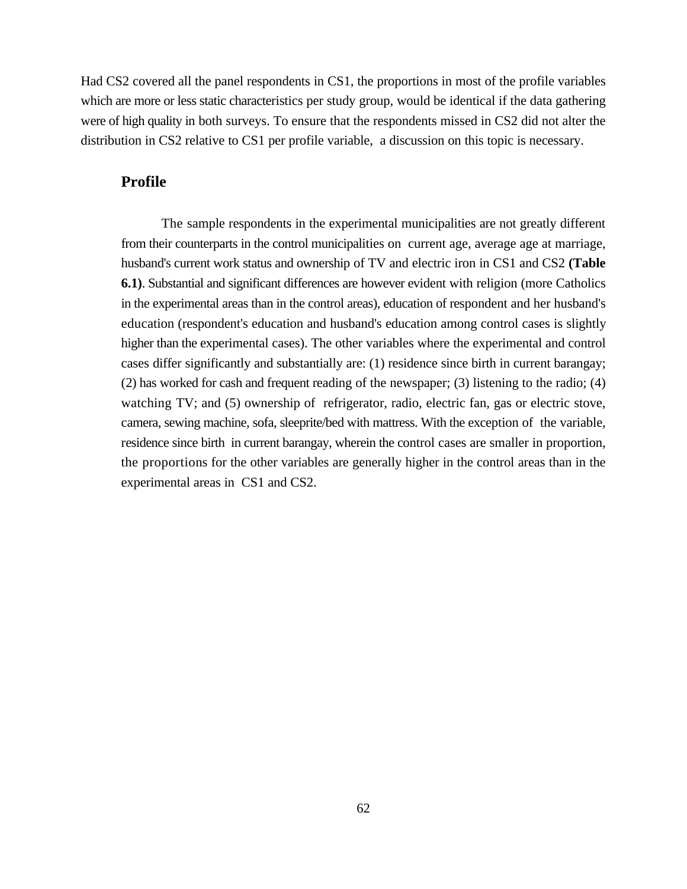Had CS2 covered all the panel respondents in CS1, the proportions in most of the profile variables which are more or less static characteristics per study group, would be identical if the data gathering were of high quality in both surveys. To ensure that the respondents missed in CS2 did not alter the distribution in CS2 relative to CS1 per profile variable, a discussion on this topic is necessary.

### **Profile**

The sample respondents in the experimental municipalities are not greatly different from their counterparts in the control municipalities on current age, average age at marriage, husband's current work status and ownership of TV and electric iron in CS1 and CS2 **(Table 6.1)**. Substantial and significant differences are however evident with religion (more Catholics in the experimental areas than in the control areas), education of respondent and her husband's education (respondent's education and husband's education among control cases is slightly higher than the experimental cases). The other variables where the experimental and control cases differ significantly and substantially are: (1) residence since birth in current barangay; (2) has worked for cash and frequent reading of the newspaper; (3) listening to the radio; (4) watching TV; and (5) ownership of refrigerator, radio, electric fan, gas or electric stove, camera, sewing machine, sofa, sleeprite/bed with mattress. With the exception of the variable, residence since birth in current barangay, wherein the control cases are smaller in proportion, the proportions for the other variables are generally higher in the control areas than in the experimental areas in CS1 and CS2.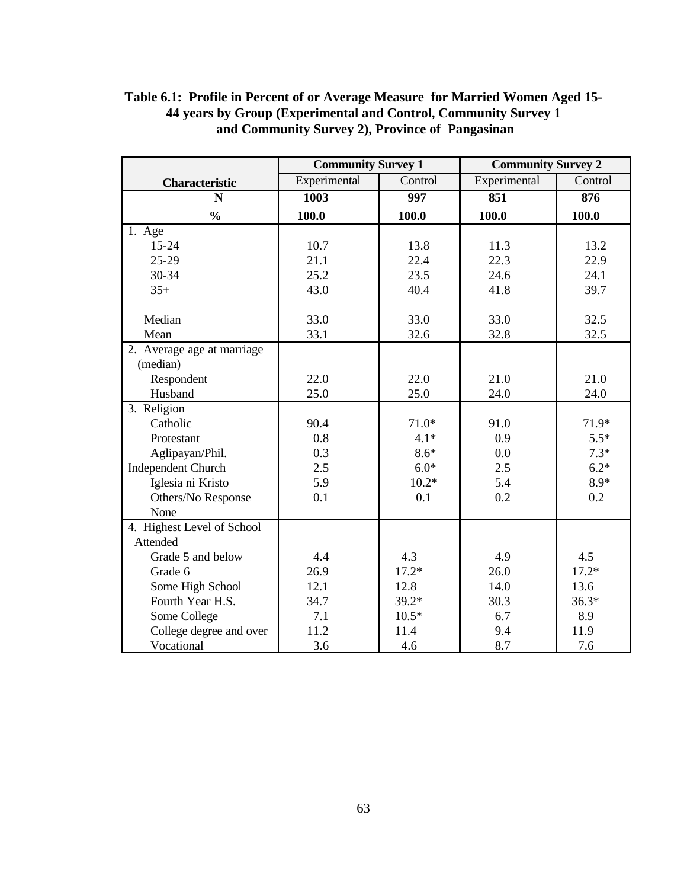|                            | <b>Community Survey 1</b> |                  | <b>Community Survey 2</b> |         |  |
|----------------------------|---------------------------|------------------|---------------------------|---------|--|
| <b>Characteristic</b>      | Experimental              | Control          | Experimental              | Control |  |
| $\overline{\bf N}$         | 1003                      | $\overline{997}$ | 851                       | 876     |  |
| $\frac{0}{0}$              | 100.0                     | 100.0            | 100.0                     | 100.0   |  |
| 1. Age                     |                           |                  |                           |         |  |
| 15-24                      | 10.7                      | 13.8             | 11.3                      | 13.2    |  |
| 25-29                      | 21.1                      | 22.4             | 22.3                      | 22.9    |  |
| 30-34                      | 25.2                      | 23.5             | 24.6                      | 24.1    |  |
| $35+$                      | 43.0                      | 40.4             | 41.8                      | 39.7    |  |
|                            |                           |                  |                           |         |  |
| Median                     | 33.0                      | 33.0             | 33.0                      | 32.5    |  |
| Mean                       | 33.1                      | 32.6             | 32.8                      | 32.5    |  |
| 2. Average age at marriage |                           |                  |                           |         |  |
| (median)                   |                           |                  |                           |         |  |
| Respondent                 | 22.0                      | 22.0             | 21.0                      | 21.0    |  |
| Husband                    | 25.0                      | 25.0             | 24.0                      | 24.0    |  |
| 3. Religion                |                           |                  |                           |         |  |
| Catholic                   | 90.4                      | $71.0*$          | 91.0                      | 71.9*   |  |
| Protestant                 | 0.8                       | $4.1*$           | 0.9                       | $5.5*$  |  |
| Aglipayan/Phil.            | 0.3                       | $8.6*$           | 0.0                       | $7.3*$  |  |
| <b>Independent Church</b>  | 2.5                       | $6.0*$           | 2.5                       | $6.2*$  |  |
| Iglesia ni Kristo          | 5.9                       | $10.2*$          | 5.4                       | $8.9*$  |  |
| Others/No Response         | 0.1                       | 0.1              | 0.2                       | 0.2     |  |
| None                       |                           |                  |                           |         |  |
| 4. Highest Level of School |                           |                  |                           |         |  |
| Attended                   |                           |                  |                           |         |  |
| Grade 5 and below          | 4.4                       | 4.3              | 4.9                       | 4.5     |  |
| Grade 6                    | 26.9                      | $17.2*$          | 26.0                      | $17.2*$ |  |
| Some High School           | 12.1                      | 12.8             | 14.0                      | 13.6    |  |
| Fourth Year H.S.           | 34.7                      | $39.2*$          | 30.3                      | $36.3*$ |  |
| Some College               | 7.1                       | $10.5*$          | 6.7                       | 8.9     |  |
| College degree and over    | 11.2                      | 11.4             | 9.4                       | 11.9    |  |
| Vocational                 | 3.6                       | 4.6              | 8.7                       | 7.6     |  |

## **Table 6.1: Profile in Percent of or Average Measure for Married Women Aged 15- 44 years by Group (Experimental and Control, Community Survey 1 and Community Survey 2), Province of Pangasinan**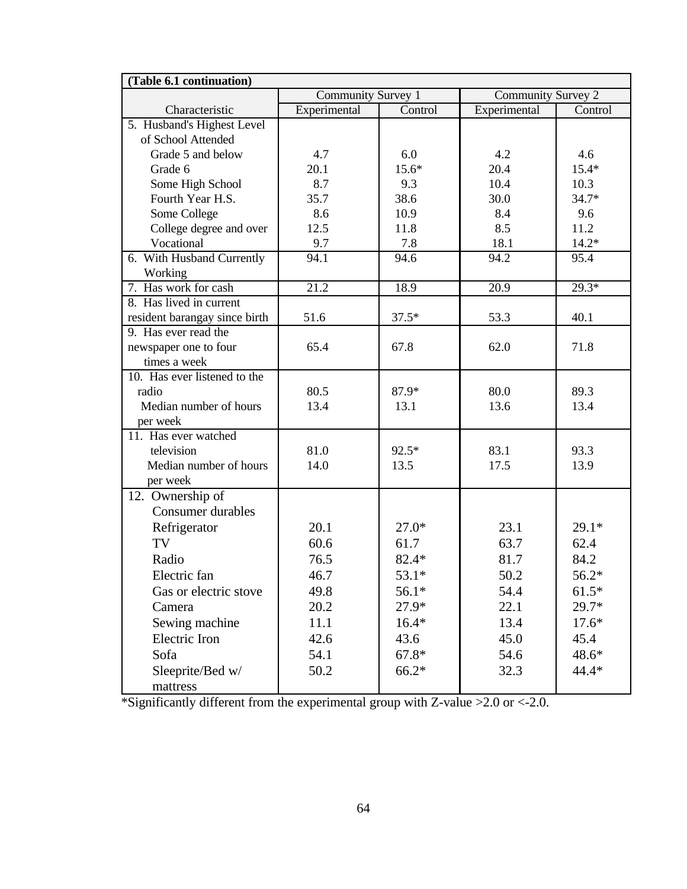| (Table 6.1 continuation)      |                    |         |                    |         |  |  |
|-------------------------------|--------------------|---------|--------------------|---------|--|--|
|                               | Community Survey 1 |         | Community Survey 2 |         |  |  |
| Characteristic                | Experimental       | Control | Experimental       | Control |  |  |
| 5. Husband's Highest Level    |                    |         |                    |         |  |  |
| of School Attended            |                    |         |                    |         |  |  |
| Grade 5 and below             | 4.7                | 6.0     | 4.2                | 4.6     |  |  |
| Grade 6                       | 20.1               | $15.6*$ | 20.4               | $15.4*$ |  |  |
| Some High School              | 8.7                | 9.3     | 10.4               | 10.3    |  |  |
| Fourth Year H.S.              | 35.7               | 38.6    | 30.0               | $34.7*$ |  |  |
| Some College                  | 8.6                | 10.9    | 8.4                | 9.6     |  |  |
| College degree and over       | 12.5               | 11.8    | 8.5                | 11.2    |  |  |
| Vocational                    | 9.7                | 7.8     | 18.1               | $14.2*$ |  |  |
| 6. With Husband Currently     | 94.1               | 94.6    | 94.2               | 95.4    |  |  |
| Working                       |                    |         |                    |         |  |  |
| 7. Has work for cash          | $\overline{21.2}$  | 18.9    | 20.9               | $29.3*$ |  |  |
| 8. Has lived in current       |                    |         |                    |         |  |  |
| resident barangay since birth | 51.6               | $37.5*$ | 53.3               | 40.1    |  |  |
| 9. Has ever read the          |                    |         |                    |         |  |  |
| newspaper one to four         | 65.4               | 67.8    | 62.0               | 71.8    |  |  |
| times a week                  |                    |         |                    |         |  |  |
| 10. Has ever listened to the  |                    |         |                    |         |  |  |
| radio                         | 80.5               | 87.9*   | 80.0               | 89.3    |  |  |
| Median number of hours        | 13.4               | 13.1    | 13.6               | 13.4    |  |  |
| per week                      |                    |         |                    |         |  |  |
| 11. Has ever watched          |                    |         |                    |         |  |  |
| television                    | 81.0               | 92.5*   | 83.1               | 93.3    |  |  |
| Median number of hours        | 14.0               | 13.5    | 17.5               | 13.9    |  |  |
| per week                      |                    |         |                    |         |  |  |
| 12. Ownership of              |                    |         |                    |         |  |  |
| Consumer durables             |                    |         |                    |         |  |  |
| Refrigerator                  | 20.1               | $27.0*$ | 23.1               | $29.1*$ |  |  |
| TV                            | 60.6               | 61.7    | 63.7               | 62.4    |  |  |
| Radio                         | 76.5               | $82.4*$ | 81.7               | 84.2    |  |  |
| Electric fan                  | 46.7               | 53.1*   | 50.2               | 56.2*   |  |  |
| Gas or electric stove         | 49.8               | $56.1*$ | 54.4               | $61.5*$ |  |  |
| Camera                        | 20.2               | 27.9*   | 22.1               | 29.7*   |  |  |
|                               |                    |         |                    |         |  |  |
| Sewing machine                | 11.1               | $16.4*$ | 13.4               | $17.6*$ |  |  |
| Electric Iron                 | 42.6               | 43.6    | 45.0               | 45.4    |  |  |
| Sofa                          | 54.1               | $67.8*$ | 54.6               | 48.6*   |  |  |
| Sleeprite/Bed w/              | 50.2               | $66.2*$ | 32.3               | 44.4*   |  |  |
| mattress                      |                    |         |                    |         |  |  |

\*Significantly different from the experimental group with Z-value >2.0 or <-2.0.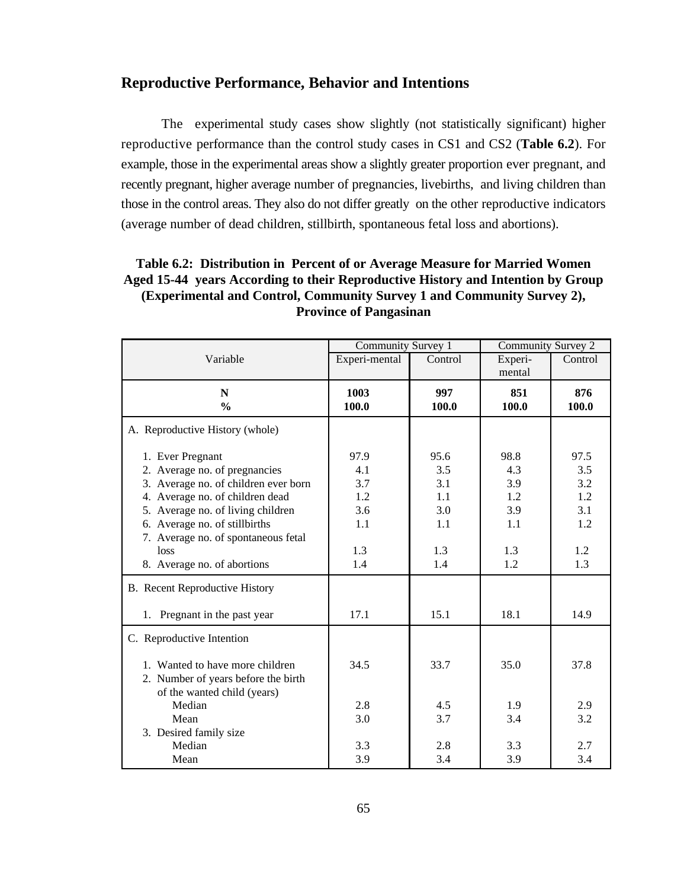## **Reproductive Performance, Behavior and Intentions**

The experimental study cases show slightly (not statistically significant) higher reproductive performance than the control study cases in CS1 and CS2 (**Table 6.2**). For example, those in the experimental areas show a slightly greater proportion ever pregnant, and recently pregnant, higher average number of pregnancies, livebirths, and living children than those in the control areas. They also do not differ greatly on the other reproductive indicators (average number of dead children, stillbirth, spontaneous fetal loss and abortions).

## **Table 6.2: Distribution in Percent of or Average Measure for Married Women Aged 15-44 years According to their Reproductive History and Intention by Group (Experimental and Control, Community Survey 1 and Community Survey 2), Province of Pangasinan**

|                                                                                                       | Community Survey 1 |         | Community Survey 2 |         |
|-------------------------------------------------------------------------------------------------------|--------------------|---------|--------------------|---------|
| Variable                                                                                              | Experi-mental      | Control | Experi-            | Control |
|                                                                                                       |                    |         | mental             |         |
| $\mathbf N$                                                                                           | 1003               | 997     | 851                | 876     |
| $\frac{0}{0}$                                                                                         | 100.0              | 100.0   | 100.0              | 100.0   |
| A. Reproductive History (whole)                                                                       |                    |         |                    |         |
| 1. Ever Pregnant                                                                                      | 97.9               | 95.6    | 98.8               | 97.5    |
| 2. Average no. of pregnancies                                                                         | 4.1                | 3.5     | 4.3                | 3.5     |
| 3. Average no. of children ever born                                                                  | 3.7                | 3.1     | 3.9                | 3.2     |
| 4. Average no. of children dead                                                                       | 1.2                | 1.1     | 1.2                | 1.2     |
| 5. Average no. of living children                                                                     | 3.6                | 3.0     | 3.9                | 3.1     |
| 6. Average no. of stillbirths                                                                         | 1.1                | 1.1     | 1.1                | 1.2     |
| 7. Average no. of spontaneous fetal                                                                   |                    |         |                    |         |
| loss                                                                                                  | 1.3                | 1.3     | 1.3                | 1.2     |
| 8. Average no. of abortions                                                                           | 1.4                | 1.4     | 1.2                | 1.3     |
| <b>B.</b> Recent Reproductive History                                                                 |                    |         |                    |         |
| 1. Pregnant in the past year                                                                          | 17.1               | 15.1    | 18.1               | 14.9    |
| C. Reproductive Intention                                                                             |                    |         |                    |         |
| 1. Wanted to have more children<br>2. Number of years before the birth<br>of the wanted child (years) | 34.5               | 33.7    | 35.0               | 37.8    |
| Median                                                                                                | 2.8                | 4.5     | 1.9                | 2.9     |
| Mean                                                                                                  | 3.0                | 3.7     | 3.4                | 3.2     |
| 3. Desired family size                                                                                |                    |         |                    |         |
| Median                                                                                                | 3.3                | 2.8     | 3.3                | 2.7     |
| Mean                                                                                                  | 3.9                | 3.4     | 3.9                | 3.4     |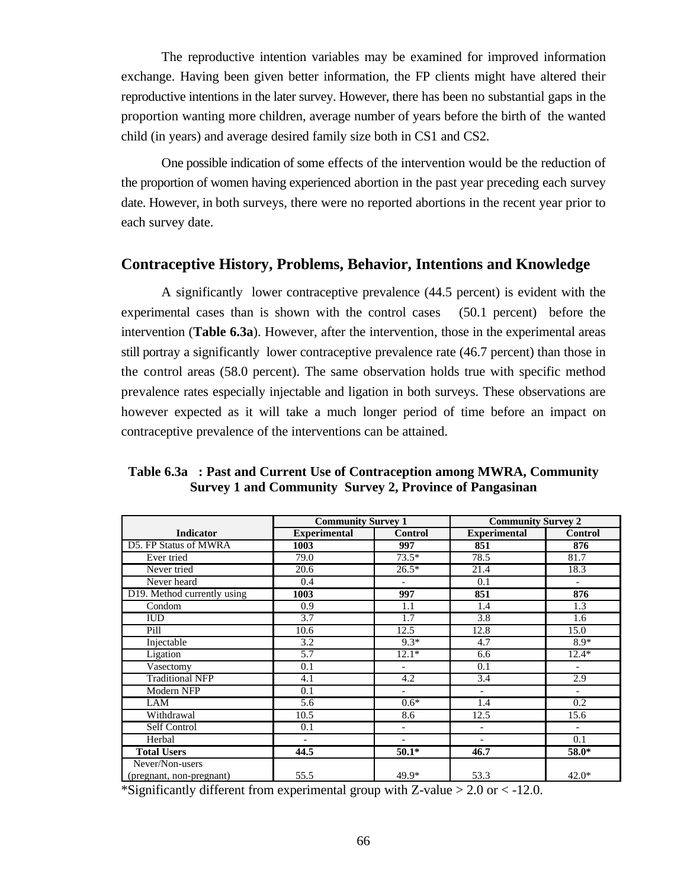The reproductive intention variables may be examined for improved information exchange. Having been given better information, the FP clients might have altered their reproductive intentions in the later survey. However, there has been no substantial gaps in the proportion wanting more children, average number of years before the birth of the wanted child (in years) and average desired family size both in CS1 and CS2.

One possible indication of some effects of the intervention would be the reduction of the proportion of women having experienced abortion in the past year preceding each survey date. However, in both surveys, there were no reported abortions in the recent year prior to each survey date.

## **Contraceptive History, Problems, Behavior, Intentions and Knowledge**

A significantly lower contraceptive prevalence (44.5 percent) is evident with the experimental cases than is shown with the control cases (50.1 percent) before the intervention (**Table 6.3a**). However, after the intervention, those in the experimental areas still portray a significantly lower contraceptive prevalence rate (46.7 percent) than those in the control areas (58.0 percent). The same observation holds true with specific method prevalence rates especially injectable and ligation in both surveys. These observations are however expected as it will take a much longer period of time before an impact on contraceptive prevalence of the interventions can be attained.

|                             | <b>Community Survey 1</b> |                          | <b>Community Survey 2</b> |                          |  |
|-----------------------------|---------------------------|--------------------------|---------------------------|--------------------------|--|
| <b>Indicator</b>            | <b>Experimental</b>       | <b>Control</b>           | <b>Experimental</b>       | <b>Control</b>           |  |
| D5. FP Status of MWRA       | 1003                      | 997                      | 851                       | 876                      |  |
| Ever tried                  | 79.0                      | $73.5*$                  | 78.5                      | 81.7                     |  |
| Never tried                 | 20.6                      | $26.5*$                  | 21.4                      | 18.3                     |  |
| Never heard                 | 0.4                       | $\overline{\phantom{0}}$ | 0.1                       | $\overline{\phantom{a}}$ |  |
| D19. Method currently using | 1003                      | 997                      | 851                       | 876                      |  |
| Condom                      | 0.9                       | 1.1                      | 1.4                       | 1.3                      |  |
| <b>IUD</b>                  | 3.7                       | 1.7                      | 3.8                       | 1.6                      |  |
| Pill                        | 10.6                      | 12.5                     | 12.8                      | 15.0                     |  |
| Injectable                  | 3.2                       | $9.3*$                   | 4.7                       | $8.9*$                   |  |
| Ligation                    | 5.7                       | $12.1*$                  | 6.6                       | $12.4*$                  |  |
| Vasectomy                   | 0.1                       | $\overline{a}$           | 0.1                       | $\blacksquare$           |  |
| <b>Traditional NFP</b>      | 4.1                       | 4.2                      | 3.4                       | 2.9                      |  |
| <b>Modern NFP</b>           | 0.1                       | $\overline{\phantom{0}}$ | $\overline{\phantom{m}}$  | $\overline{\phantom{a}}$ |  |
| LAM                         | $\overline{5.6}$          | $0.6*$                   | 1.4                       | 0.2                      |  |
| Withdrawal                  | 10.5                      | 8.6                      | 12.5                      | 15.6                     |  |
| Self Control                | 0.1                       | $\overline{a}$           | $\overline{\phantom{a}}$  |                          |  |
| Herbal                      | $\overline{\phantom{a}}$  | $\overline{\phantom{a}}$ | $\overline{\phantom{a}}$  | 0.1                      |  |
| <b>Total Users</b>          | 44.5                      | $50.1*$                  | 46.7                      | 58.0*                    |  |
| Never/Non-users             |                           |                          |                           |                          |  |
| (pregnant, non-pregnant)    | 55.5                      | 49.9*                    | 53.3                      | $42.0*$                  |  |

**Table 6.3a : Past and Current Use of Contraception among MWRA, Community Survey 1 and Community Survey 2, Province of Pangasinan**

\*Significantly different from experimental group with Z-value  $> 2.0$  or  $< -12.0$ .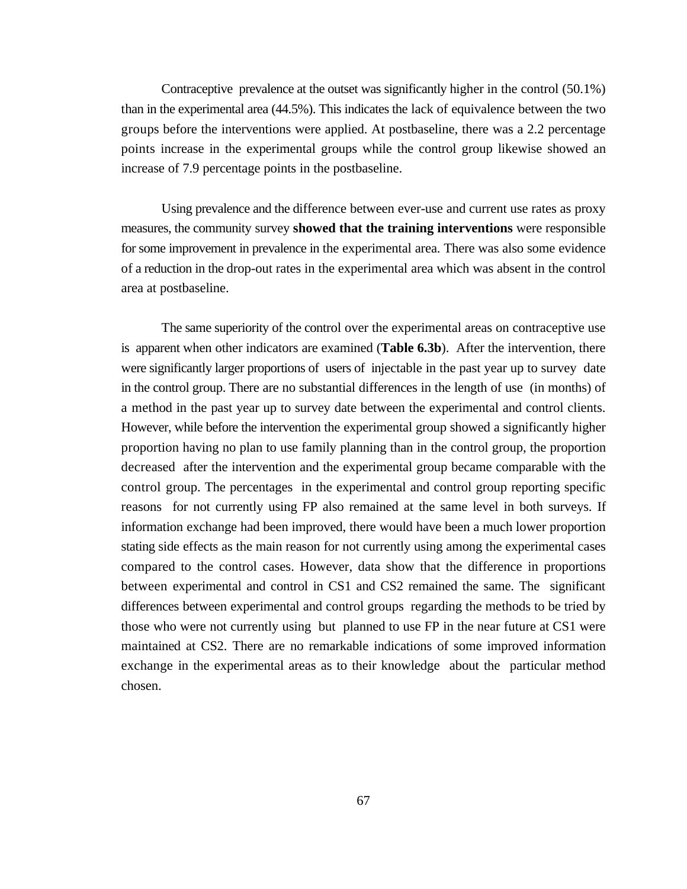Contraceptive prevalence at the outset was significantly higher in the control (50.1%) than in the experimental area (44.5%). This indicates the lack of equivalence between the two groups before the interventions were applied. At postbaseline, there was a 2.2 percentage points increase in the experimental groups while the control group likewise showed an increase of 7.9 percentage points in the postbaseline.

Using prevalence and the difference between ever-use and current use rates as proxy measures, the community survey **showed that the training interventions** were responsible for some improvement in prevalence in the experimental area. There was also some evidence of a reduction in the drop-out rates in the experimental area which was absent in the control area at postbaseline.

The same superiority of the control over the experimental areas on contraceptive use is apparent when other indicators are examined (**Table 6.3b**). After the intervention, there were significantly larger proportions of users of injectable in the past year up to survey date in the control group. There are no substantial differences in the length of use (in months) of a method in the past year up to survey date between the experimental and control clients. However, while before the intervention the experimental group showed a significantly higher proportion having no plan to use family planning than in the control group, the proportion decreased after the intervention and the experimental group became comparable with the control group. The percentages in the experimental and control group reporting specific reasons for not currently using FP also remained at the same level in both surveys. If information exchange had been improved, there would have been a much lower proportion stating side effects as the main reason for not currently using among the experimental cases compared to the control cases. However, data show that the difference in proportions between experimental and control in CS1 and CS2 remained the same. The significant differences between experimental and control groups regarding the methods to be tried by those who were not currently using but planned to use FP in the near future at CS1 were maintained at CS2. There are no remarkable indications of some improved information exchange in the experimental areas as to their knowledge about the particular method chosen.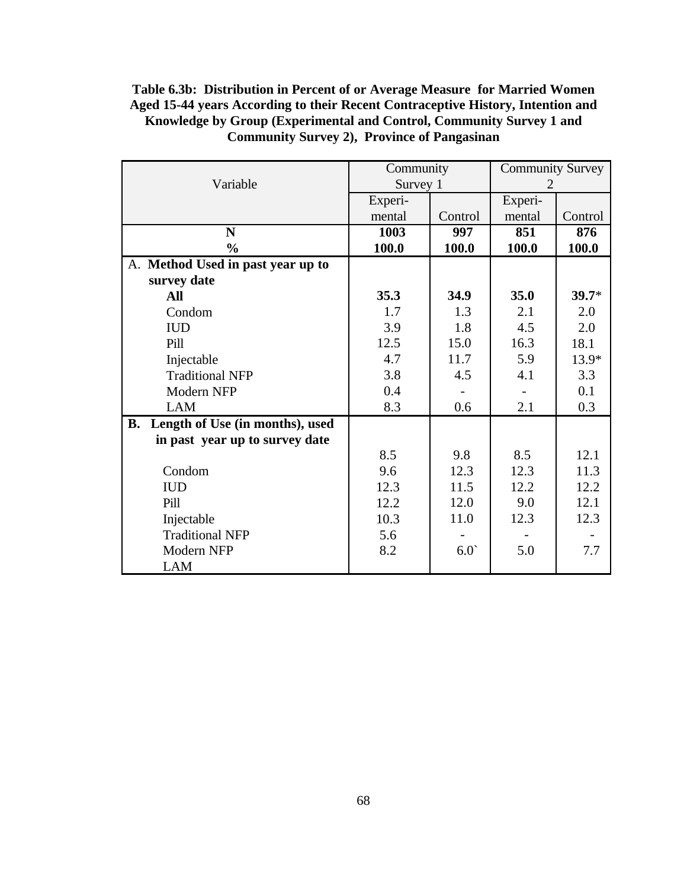## **Table 6.3b: Distribution in Percent of or Average Measure for Married Women Aged 15-44 years According to their Recent Contraceptive History, Intention and Knowledge by Group (Experimental and Control, Community Survey 1 and Community Survey 2), Province of Pangasinan**

|                                              | Community |         | <b>Community Survey</b> |         |  |
|----------------------------------------------|-----------|---------|-------------------------|---------|--|
| Variable                                     | Survey 1  |         |                         |         |  |
|                                              | Experi-   |         | Experi-                 |         |  |
|                                              | mental    | Control | mental                  | Control |  |
| N                                            | 1003      | 997     | 851                     | 876     |  |
| $\frac{0}{0}$                                | 100.0     | 100.0   | 100.0                   | 100.0   |  |
| A. Method Used in past year up to            |           |         |                         |         |  |
| survey date                                  |           |         |                         |         |  |
| All                                          | 35.3      | 34.9    | 35.0                    | $39.7*$ |  |
| Condom                                       | 1.7       | 1.3     | 2.1                     | 2.0     |  |
| <b>IUD</b>                                   | 3.9       | 1.8     | 4.5                     | 2.0     |  |
| Pill                                         | 12.5      | 15.0    | 16.3                    | 18.1    |  |
| Injectable                                   | 4.7       | 11.7    | 5.9                     | 13.9*   |  |
| <b>Traditional NFP</b>                       | 3.8       | 4.5     | 4.1                     | 3.3     |  |
| Modern NFP                                   | 0.4       |         |                         | 0.1     |  |
| <b>LAM</b>                                   | 8.3       | 0.6     | 2.1                     | 0.3     |  |
| <b>B.</b><br>Length of Use (in months), used |           |         |                         |         |  |
| in past year up to survey date               |           |         |                         |         |  |
|                                              | 8.5       | 9.8     | 8.5                     | 12.1    |  |
| Condom                                       | 9.6       | 12.3    | 12.3                    | 11.3    |  |
| <b>IUD</b>                                   | 12.3      | 11.5    | 12.2                    | 12.2    |  |
| Pill                                         | 12.2      | 12.0    | 9.0                     | 12.1    |  |
| Injectable                                   | 10.3      | 11.0    | 12.3                    | 12.3    |  |
| <b>Traditional NFP</b>                       | 5.6       |         |                         |         |  |
| Modern NFP                                   | 8.2       | 6.0     | 5.0                     | 7.7     |  |
| <b>LAM</b>                                   |           |         |                         |         |  |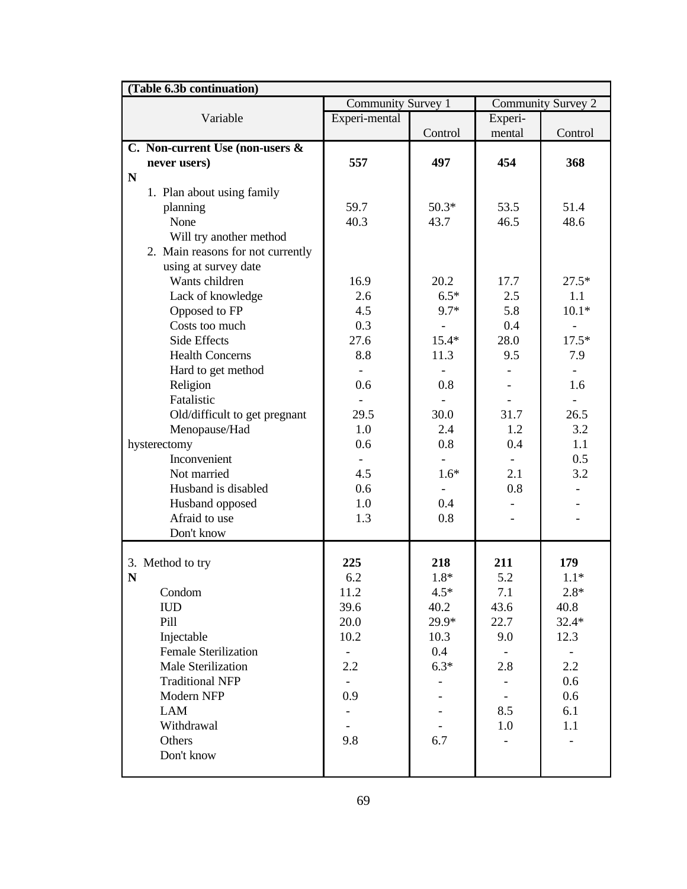| (Table 6.3b continuation)         |                    |         |         |                    |  |
|-----------------------------------|--------------------|---------|---------|--------------------|--|
|                                   | Community Survey 1 |         |         | Community Survey 2 |  |
| Variable                          | Experi-mental      |         | Experi- |                    |  |
|                                   |                    | Control | mental  | Control            |  |
| C. Non-current Use (non-users &   |                    |         |         |                    |  |
| never users)                      | 557                | 497     | 454     | 368                |  |
| N                                 |                    |         |         |                    |  |
| 1. Plan about using family        |                    |         |         |                    |  |
| planning                          | 59.7               | $50.3*$ | 53.5    | 51.4               |  |
| None                              | 40.3               | 43.7    | 46.5    | 48.6               |  |
| Will try another method           |                    |         |         |                    |  |
| 2. Main reasons for not currently |                    |         |         |                    |  |
| using at survey date              |                    |         |         |                    |  |
| Wants children                    | 16.9               | 20.2    | 17.7    | $27.5*$            |  |
| Lack of knowledge                 | 2.6                | $6.5*$  | 2.5     | 1.1                |  |
| Opposed to FP                     | 4.5                | 9.7*    | 5.8     | $10.1*$            |  |
| Costs too much                    | 0.3                |         | 0.4     |                    |  |
| Side Effects                      | 27.6               | $15.4*$ | 28.0    | $17.5*$            |  |
| <b>Health Concerns</b>            | 8.8                | 11.3    | 9.5     | 7.9                |  |
| Hard to get method                |                    |         |         |                    |  |
| Religion                          | 0.6                | 0.8     |         | 1.6                |  |
| Fatalistic                        |                    |         |         |                    |  |
| Old/difficult to get pregnant     | 29.5               | 30.0    | 31.7    | 26.5               |  |
| Menopause/Had                     | 1.0                | 2.4     | 1.2     | 3.2                |  |
| hysterectomy                      | 0.6                | 0.8     | 0.4     | 1.1                |  |
| Inconvenient                      |                    |         |         | 0.5                |  |
| Not married                       | 4.5                | $1.6*$  | 2.1     | 3.2                |  |
| Husband is disabled               | 0.6                |         | 0.8     |                    |  |
| Husband opposed                   | 1.0                | 0.4     |         |                    |  |
| Afraid to use                     | 1.3                | 0.8     |         |                    |  |
| Don't know                        |                    |         |         |                    |  |
|                                   |                    |         |         |                    |  |
| 3. Method to try                  | 225                | 218     | 211     | 179                |  |
| N                                 | 6.2                | $1.8*$  | 5.2     | $1.1*$             |  |
| Condom                            | 11.2               | $4.5*$  | 7.1     | $2.8*$             |  |
| <b>IUD</b>                        | 39.6               | 40.2    | 43.6    | 40.8               |  |
| Pill                              | 20.0               | $29.9*$ | 22.7    | $32.4*$            |  |
| Injectable                        | 10.2               | 10.3    | 9.0     | 12.3               |  |
| <b>Female Sterilization</b>       |                    | 0.4     |         |                    |  |
| <b>Male Sterilization</b>         | 2.2                | $6.3*$  | 2.8     | 2.2                |  |
| <b>Traditional NFP</b>            |                    |         |         | 0.6                |  |
| Modern NFP                        | 0.9                |         |         | 0.6                |  |
| <b>LAM</b>                        |                    |         | 8.5     | 6.1                |  |
| Withdrawal                        |                    |         | 1.0     | 1.1                |  |
| Others                            | 9.8                | 6.7     |         |                    |  |
| Don't know                        |                    |         |         |                    |  |
|                                   |                    |         |         |                    |  |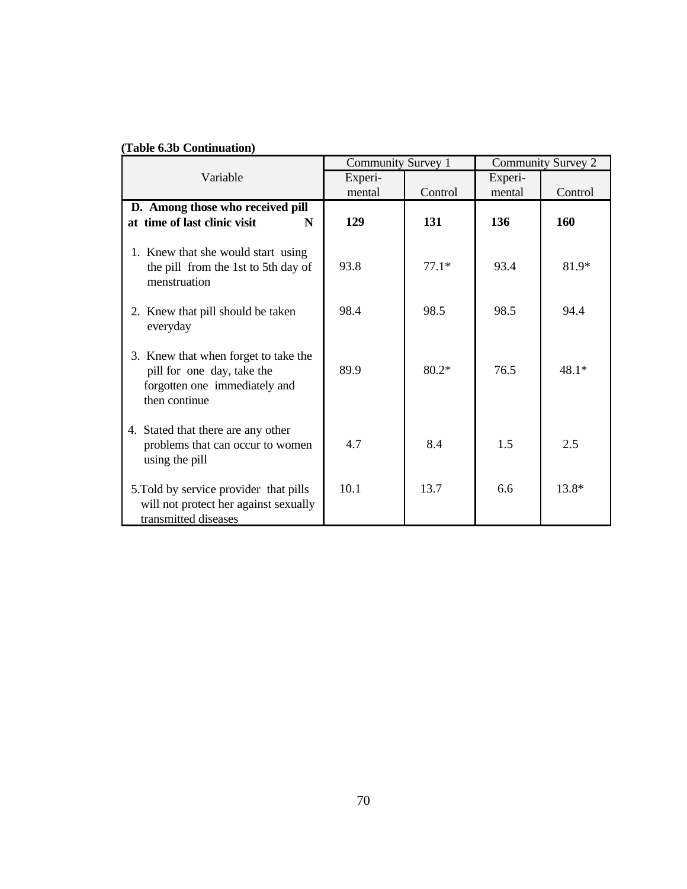### **(Table 6.3b Continuation)**

|                                                                                                                      |         | Community Survey 1 | Community Survey 2 |         |
|----------------------------------------------------------------------------------------------------------------------|---------|--------------------|--------------------|---------|
| Variable                                                                                                             | Experi- |                    | Experi-            |         |
|                                                                                                                      | mental  | Control            | mental             | Control |
| D. Among those who received pill                                                                                     |         |                    |                    |         |
| at time of last clinic visit<br>N                                                                                    | 129     | 131                | 136                | 160     |
| 1. Knew that she would start using<br>the pill from the 1st to 5th day of<br>menstruation                            | 93.8    | $77.1*$            | 93.4               | 81.9*   |
| 2. Knew that pill should be taken<br>everyday                                                                        | 98.4    | 98.5               | 98.5               | 94.4    |
| 3. Knew that when forget to take the<br>pill for one day, take the<br>forgotten one immediately and<br>then continue | 89.9    | $80.2*$            | 76.5               | $48.1*$ |
| 4. Stated that there are any other<br>problems that can occur to women<br>using the pill                             | 4.7     | 8.4                | 1.5                | 2.5     |
| 5. Told by service provider that pills<br>will not protect her against sexually<br>transmitted diseases              | 10.1    | 13.7               | 6.6                | $13.8*$ |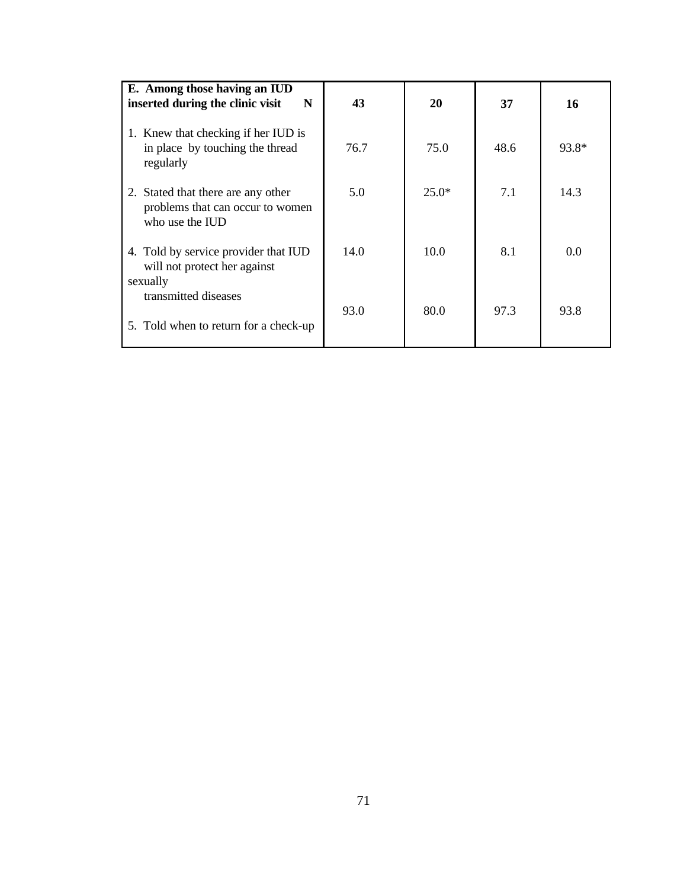| E. Among those having an IUD<br>inserted during the clinic visit<br>N                     | 43   | 20      | 37   | 16    |
|-------------------------------------------------------------------------------------------|------|---------|------|-------|
|                                                                                           |      |         |      |       |
| 1. Knew that checking if her IUD is<br>in place by touching the thread<br>regularly       | 76.7 | 75.0    | 48.6 | 93.8* |
| 2. Stated that there are any other<br>problems that can occur to women<br>who use the IUD | 5.0  | $25.0*$ | 7.1  | 14.3  |
| 4. Told by service provider that IUD<br>will not protect her against<br>sexually          | 14.0 | 10.0    | 8.1  | 0.0   |
| transmitted diseases<br>5. Told when to return for a check-up                             | 93.0 | 80.0    | 97.3 | 93.8  |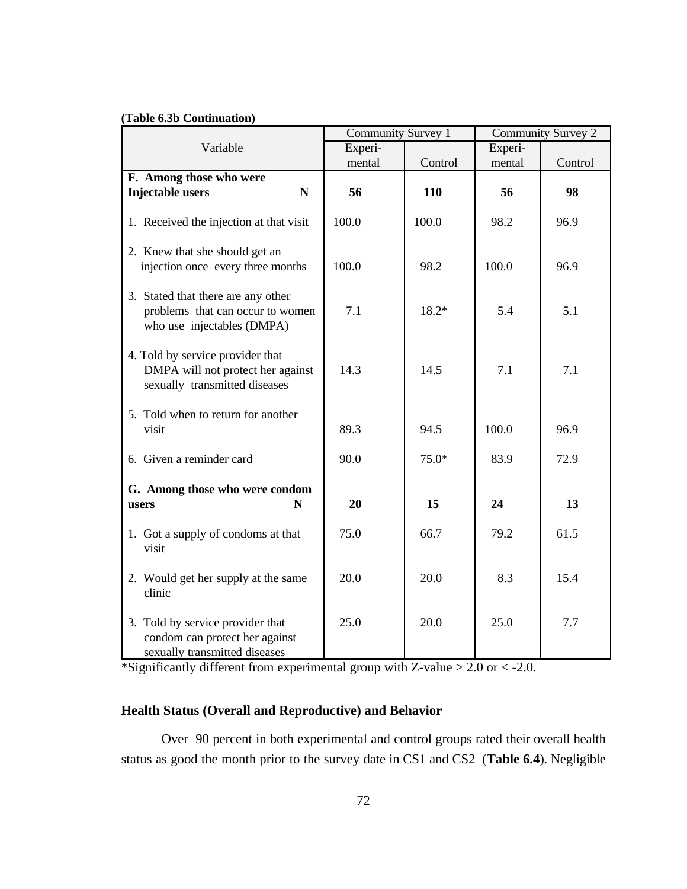### **(Table 6.3b Continuation)**

|                                                                                                        | Community Survey 1 |         | <b>Community Survey 2</b> |         |  |
|--------------------------------------------------------------------------------------------------------|--------------------|---------|---------------------------|---------|--|
| Variable                                                                                               | Experi-            |         | Experi-                   |         |  |
|                                                                                                        | mental             | Control | mental                    | Control |  |
| F. Among those who were                                                                                |                    |         |                           |         |  |
| <b>Injectable users</b><br>$\mathbf N$                                                                 | 56                 | 110     | 56                        | 98      |  |
| 1. Received the injection at that visit                                                                | 100.0              | 100.0   | 98.2                      | 96.9    |  |
| 2. Knew that she should get an<br>injection once every three months                                    | 100.0              | 98.2    | 100.0                     | 96.9    |  |
| 3. Stated that there are any other<br>problems that can occur to women<br>who use injectables (DMPA)   | 7.1                | $18.2*$ | 5.4                       | 5.1     |  |
| 4. Told by service provider that<br>DMPA will not protect her against<br>sexually transmitted diseases | 14.3               | 14.5    | 7.1                       | 7.1     |  |
| 5. Told when to return for another<br>visit                                                            | 89.3               | 94.5    | 100.0                     | 96.9    |  |
| 6. Given a reminder card                                                                               | 90.0               | $75.0*$ | 83.9                      | 72.9    |  |
| G. Among those who were condom<br>N<br>users                                                           | 20                 | 15      | 24                        | 13      |  |
| 1. Got a supply of condoms at that<br>visit                                                            | 75.0               | 66.7    | 79.2                      | 61.5    |  |
| 2. Would get her supply at the same<br>clinic                                                          | 20.0               | 20.0    | 8.3                       | 15.4    |  |
| 3. Told by service provider that<br>condom can protect her against<br>sexually transmitted diseases    | 25.0               | 20.0    | 25.0                      | 7.7     |  |

\*Significantly different from experimental group with Z-value > 2.0 or < -2.0.

## **Health Status (Overall and Reproductive) and Behavior**

Over 90 percent in both experimental and control groups rated their overall health status as good the month prior to the survey date in CS1 and CS2 (**Table 6.4**). Negligible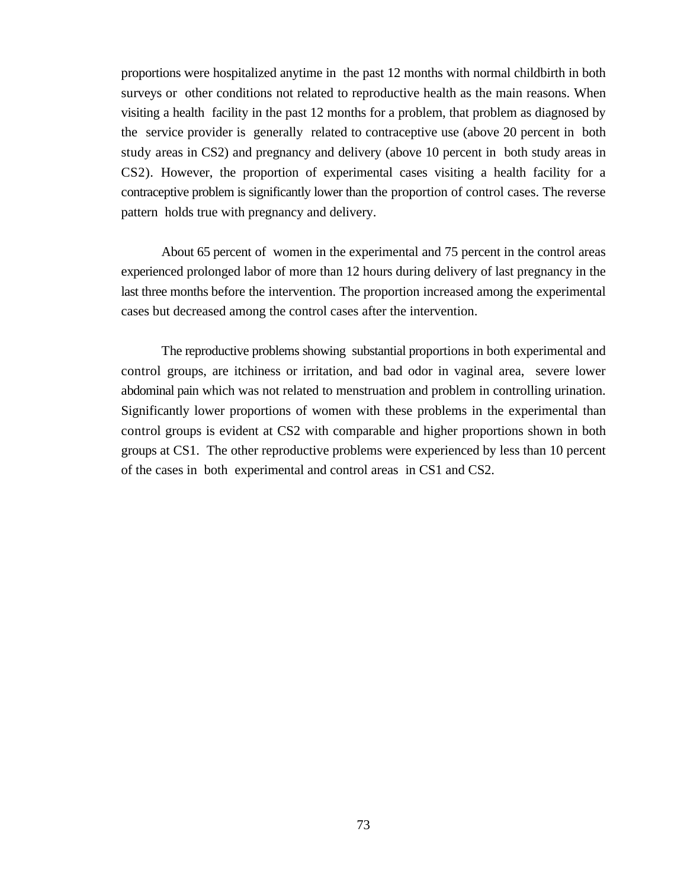proportions were hospitalized anytime in the past 12 months with normal childbirth in both surveys or other conditions not related to reproductive health as the main reasons. When visiting a health facility in the past 12 months for a problem, that problem as diagnosed by the service provider is generally related to contraceptive use (above 20 percent in both study areas in CS2) and pregnancy and delivery (above 10 percent in both study areas in CS2). However, the proportion of experimental cases visiting a health facility for a contraceptive problem is significantly lower than the proportion of control cases. The reverse pattern holds true with pregnancy and delivery.

About 65 percent of women in the experimental and 75 percent in the control areas experienced prolonged labor of more than 12 hours during delivery of last pregnancy in the last three months before the intervention. The proportion increased among the experimental cases but decreased among the control cases after the intervention.

The reproductive problems showing substantial proportions in both experimental and control groups, are itchiness or irritation, and bad odor in vaginal area, severe lower abdominal pain which was not related to menstruation and problem in controlling urination. Significantly lower proportions of women with these problems in the experimental than control groups is evident at CS2 with comparable and higher proportions shown in both groups at CS1. The other reproductive problems were experienced by less than 10 percent of the cases in both experimental and control areas in CS1 and CS2.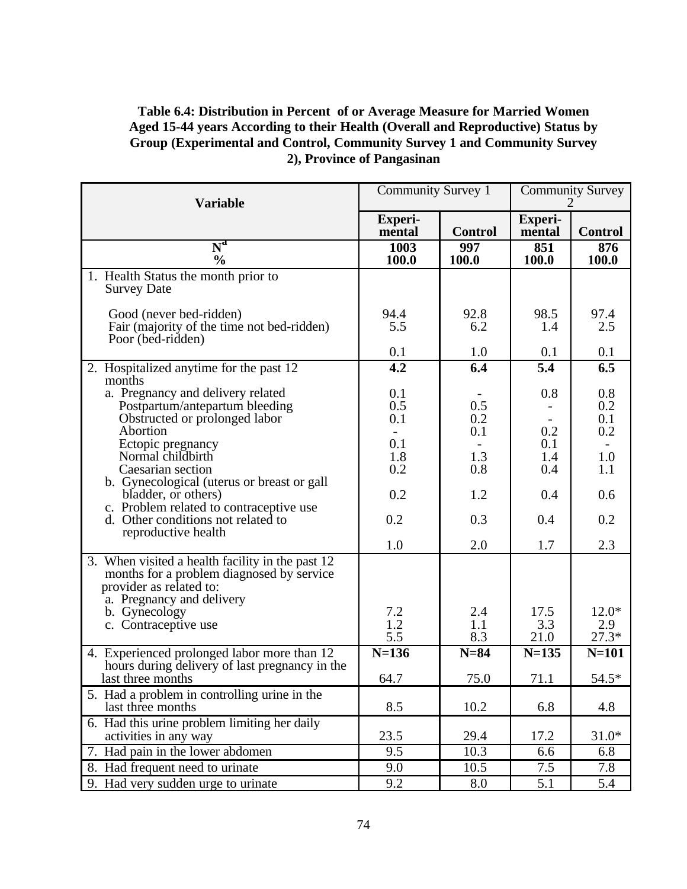## **Table 6.4: Distribution in Percent of or Average Measure for Married Women Aged 15-44 years According to their Health (Overall and Reproductive) Status by Group (Experimental and Control, Community Survey 1 and Community Survey 2), Province of Pangasinan**

| <b>Variable</b>                                                                                                                                                                                | Community Survey 1       |                   | <b>Community Survey</b>  |                          |  |
|------------------------------------------------------------------------------------------------------------------------------------------------------------------------------------------------|--------------------------|-------------------|--------------------------|--------------------------|--|
|                                                                                                                                                                                                | <b>Experi-</b><br>mental | <b>Control</b>    | <b>Experi-</b><br>mental | <b>Control</b>           |  |
| $\overline{\text{N}}^{\text{a}}$<br>$\frac{0}{0}$                                                                                                                                              | 1003<br>100.0            | 997<br>100.0      | 851<br>100.0             | 876<br>100.0             |  |
| 1. Health Status the month prior to<br><b>Survey Date</b>                                                                                                                                      |                          |                   |                          |                          |  |
| Good (never bed-ridden)<br>Fair (majority of the time not bed-ridden)<br>Poor (bed-ridden)                                                                                                     | 94.4<br>5.5              | 92.8<br>6.2       | 98.5<br>1.4              | 97.4<br>2.5              |  |
|                                                                                                                                                                                                | 0.1                      | 1.0               | 0.1                      | 0.1                      |  |
| 2. Hospitalized anytime for the past 12                                                                                                                                                        | 4.2                      | 6.4               | 5.4                      | 6.5                      |  |
| months<br>a. Pregnancy and delivery related<br>Postpartum/antepartum bleeding<br>Obstructed or prolonged labor<br>Abortion<br>Ectopic pregnancy                                                | 0.1<br>0.5<br>0.1<br>0.1 | 0.5<br>0.2<br>0.1 | 0.8<br>0.2<br>0.1        | 0.8<br>0.2<br>0.1<br>0.2 |  |
| Normal childbirth<br>Caesarian section<br>b. Gynecological (uterus or breast or gall                                                                                                           | 1.8<br>0.2               | 1.3<br>0.8        | 1.4<br>0.4               | 1.0<br>1.1               |  |
| bladder, or others)                                                                                                                                                                            | 0.2                      | 1.2               | 0.4                      | 0.6                      |  |
| c. Problem related to contraceptive use<br>d. Other conditions not related to<br>reproductive health                                                                                           | 0.2                      | 0.3               | 0.4                      | 0.2                      |  |
|                                                                                                                                                                                                | 1.0                      | 2.0               | 1.7                      | 2.3                      |  |
| 3. When visited a health facility in the past 12<br>months for a problem diagnosed by service<br>provider as related to:<br>a. Pregnancy and delivery<br>b. Gynecology<br>c. Contraceptive use | 7.2<br>1.2               | 2.4<br>1.1        | 17.5<br>3.3              | $12.0*$<br>2.9           |  |
|                                                                                                                                                                                                | 5.5                      | 8.3               | 21.0                     | $27.3*$                  |  |
| 4. Experienced prolonged labor more than 12<br>hours during delivery of last pregnancy in the                                                                                                  | $N=136$                  | $N=84$            | $N = 135$                | $N=101$                  |  |
| last three months                                                                                                                                                                              | 64.7                     | 75.0              | 71.1                     | $54.5*$                  |  |
| 5. Had a problem in controlling urine in the<br>last three months                                                                                                                              | 8.5                      | 10.2              | 6.8                      | 4.8                      |  |
| 6. Had this urine problem limiting her daily<br>activities in any way                                                                                                                          | 23.5                     | 29.4              | 17.2                     | $31.0*$                  |  |
| 7. Had pain in the lower abdomen                                                                                                                                                               | 9.5                      | 10.3              | 6.6                      | 6.8                      |  |
| 8. Had frequent need to urinate                                                                                                                                                                | 9.0                      | 10.5              | 7.5                      | 7.8                      |  |
| 9. Had very sudden urge to urinate                                                                                                                                                             | $\overline{9.2}$         | 8.0               | $\overline{5.1}$         | $\overline{5.4}$         |  |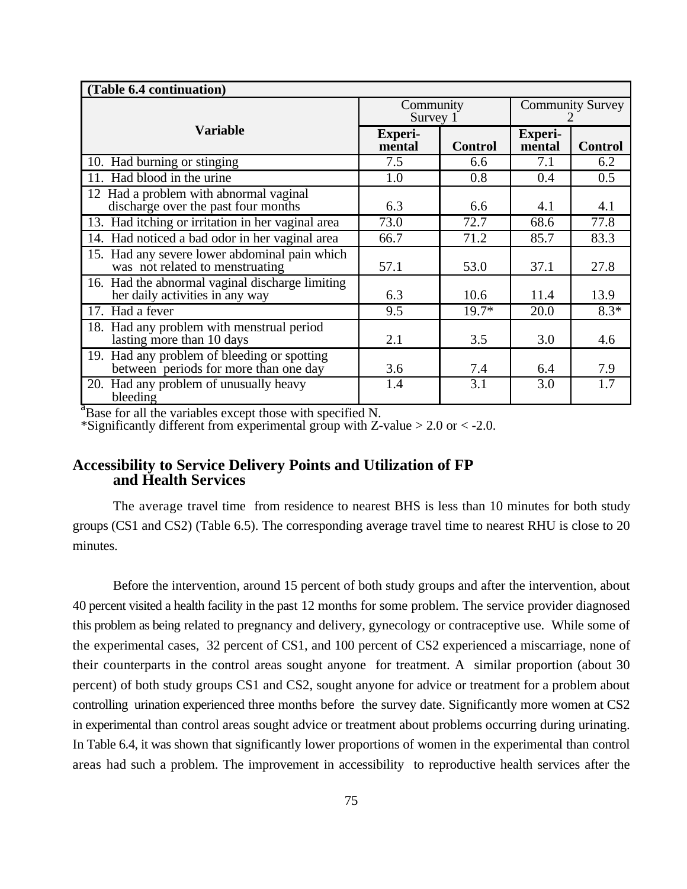| (Table 6.4 continuation)                                                             |                          |                |                          |                |
|--------------------------------------------------------------------------------------|--------------------------|----------------|--------------------------|----------------|
|                                                                                      | Community<br>Survey 1    |                | <b>Community Survey</b>  |                |
| <b>Variable</b>                                                                      | <b>Experi-</b><br>mental | <b>Control</b> | <b>Experi-</b><br>mental | <b>Control</b> |
| 10. Had burning or stinging                                                          | 7.5                      | 6.6            | 7.1                      | 6.2            |
| 11. Had blood in the urine                                                           | 1.0                      | 0.8            | 0.4                      | 0.5            |
| 12 Had a problem with abnormal vaginal<br>discharge over the past four months        | 6.3                      | 6.6            | 4.1                      | 4.1            |
| 13. Had itching or irritation in her vaginal area                                    | 73.0                     | 72.7           | 68.6                     | 77.8           |
| 14. Had noticed a bad odor in her vaginal area                                       | 66.7                     | 71.2           | 85.7                     | 83.3           |
| 15. Had any severe lower abdominal pain which<br>was not related to menstruating     | 57.1                     | 53.0           | 37.1                     | 27.8           |
| 16. Had the abnormal vaginal discharge limiting<br>her daily activities in any way   | 6.3                      | 10.6           | 11.4                     | 13.9           |
| 17. Had a fever                                                                      | 9.5                      | $19.7*$        | 20.0                     | $8.3*$         |
| 18. Had any problem with menstrual period<br>lasting more than 10 days               | 2.1                      | 3.5            | 3.0                      | 4.6            |
| 19. Had any problem of bleeding or spotting<br>between periods for more than one day | 3.6                      | 7.4            | 6.4                      | 7.9            |
| 20. Had any problem of unusually heavy<br>bleeding                                   | 1.4                      | 3.1            | 3.0                      | 1.7            |

 $a<sup>2</sup>B$ ase for all the variables except those with specified N.

\*Significantly different from experimental group with Z-value  $> 2.0$  or  $< -2.0$ .

## **Accessibility to Service Delivery Points and Utilization of FP and Health Services**

The average travel time from residence to nearest BHS is less than 10 minutes for both study groups (CS1 and CS2) (Table 6.5). The corresponding average travel time to nearest RHU is close to 20 minutes.

Before the intervention, around 15 percent of both study groups and after the intervention, about 40 percent visited a health facility in the past 12 months for some problem. The service provider diagnosed this problem as being related to pregnancy and delivery, gynecology or contraceptive use. While some of the experimental cases, 32 percent of CS1, and 100 percent of CS2 experienced a miscarriage, none of their counterparts in the control areas sought anyone for treatment. A similar proportion (about 30 percent) of both study groups CS1 and CS2, sought anyone for advice or treatment for a problem about controlling urination experienced three months before the survey date. Significantly more women at CS2 in experimental than control areas sought advice or treatment about problems occurring during urinating. In Table 6.4, it was shown that significantly lower proportions of women in the experimental than control areas had such a problem. The improvement in accessibility to reproductive health services after the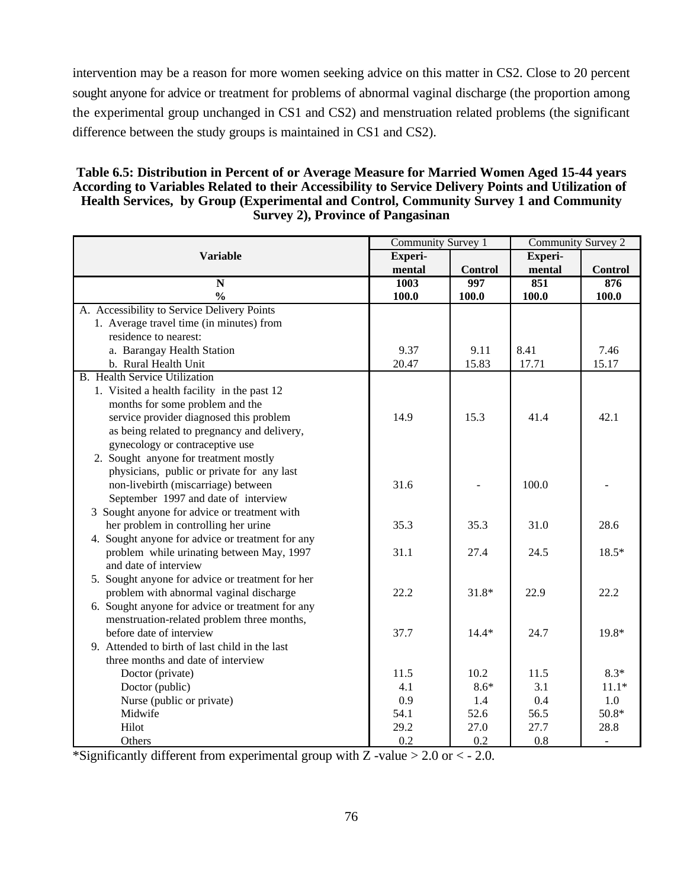intervention may be a reason for more women seeking advice on this matter in CS2. Close to 20 percent sought anyone for advice or treatment for problems of abnormal vaginal discharge (the proportion among the experimental group unchanged in CS1 and CS2) and menstruation related problems (the significant difference between the study groups is maintained in CS1 and CS2).

### **Table 6.5: Distribution in Percent of or Average Measure for Married Women Aged 15-44 years According to Variables Related to their Accessibility to Service Delivery Points and Utilization of Health Services, by Group (Experimental and Control, Community Survey 1 and Community Survey 2), Province of Pangasinan**

|                                                  | <b>Community Survey 1</b> |                | <b>Community Survey 2</b> |                |
|--------------------------------------------------|---------------------------|----------------|---------------------------|----------------|
| <b>Variable</b><br>Experi-                       |                           |                | Experi-                   |                |
|                                                  | mental                    | <b>Control</b> | mental                    | <b>Control</b> |
| $\mathbf N$                                      | 1003                      | 997            | 851                       | 876            |
| $\frac{0}{0}$                                    | 100.0                     | 100.0          | 100.0                     | 100.0          |
| A. Accessibility to Service Delivery Points      |                           |                |                           |                |
| 1. Average travel time (in minutes) from         |                           |                |                           |                |
| residence to nearest:                            |                           |                |                           |                |
| a. Barangay Health Station                       | 9.37                      | 9.11           | 8.41                      | 7.46           |
| b. Rural Health Unit                             | 20.47                     | 15.83          | 17.71                     | 15.17          |
| <b>B.</b> Health Service Utilization             |                           |                |                           |                |
| 1. Visited a health facility in the past 12      |                           |                |                           |                |
| months for some problem and the                  |                           |                |                           |                |
| service provider diagnosed this problem          | 14.9                      | 15.3           | 41.4                      | 42.1           |
| as being related to pregnancy and delivery,      |                           |                |                           |                |
| gynecology or contraceptive use                  |                           |                |                           |                |
| 2. Sought anyone for treatment mostly            |                           |                |                           |                |
| physicians, public or private for any last       |                           |                |                           |                |
| non-livebirth (miscarriage) between              | 31.6                      |                | 100.0                     |                |
| September 1997 and date of interview             |                           |                |                           |                |
| 3 Sought anyone for advice or treatment with     |                           |                |                           |                |
| her problem in controlling her urine             | 35.3                      | 35.3           | 31.0                      | 28.6           |
| 4. Sought anyone for advice or treatment for any |                           |                |                           |                |
| problem while urinating between May, 1997        | 31.1                      | 27.4           | 24.5                      | 18.5*          |
| and date of interview                            |                           |                |                           |                |
| 5. Sought anyone for advice or treatment for her |                           |                |                           |                |
| problem with abnormal vaginal discharge          | 22.2                      | 31.8*          | 22.9                      | 22.2           |
| 6. Sought anyone for advice or treatment for any |                           |                |                           |                |
| menstruation-related problem three months,       |                           |                |                           |                |
| before date of interview                         | 37.7                      | $14.4*$        | 24.7                      | 19.8*          |
| 9. Attended to birth of last child in the last   |                           |                |                           |                |
| three months and date of interview               |                           |                |                           |                |
| Doctor (private)                                 | 11.5                      | 10.2           | 11.5                      | $8.3*$         |
| Doctor (public)                                  | 4.1                       | $8.6*$         | 3.1                       | $11.1*$        |
| Nurse (public or private)                        | 0.9                       | 1.4            | 0.4                       | 1.0            |
| Midwife                                          | 54.1                      | 52.6           | 56.5                      | 50.8*          |
| Hilot                                            | 29.2                      | 27.0           | 27.7                      | 28.8           |
| Others                                           | 0.2                       | 0.2            | 0.8                       |                |

\*Significantly different from experimental group with Z -value  $> 2.0$  or  $<$  - 2.0.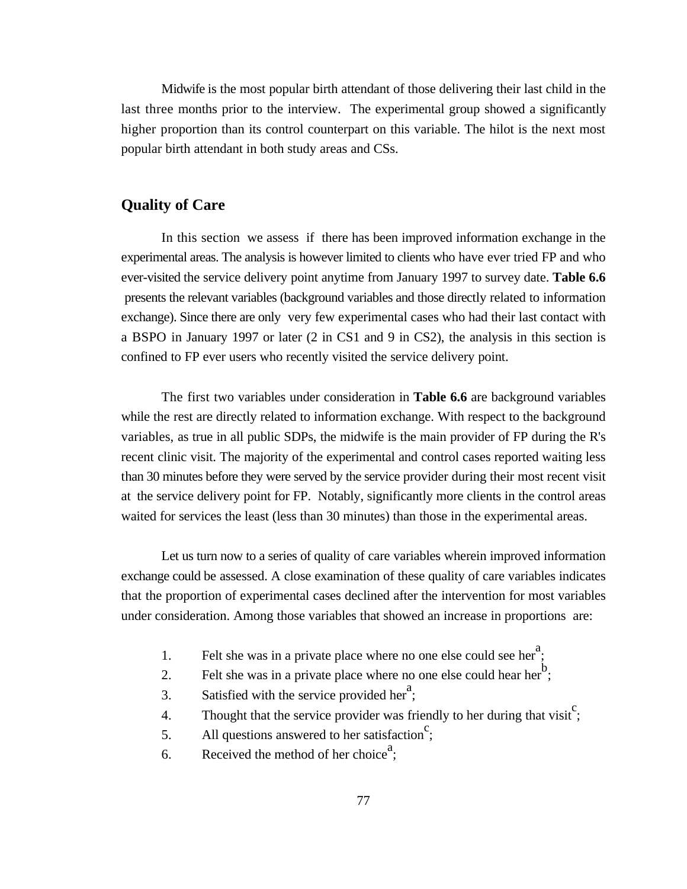Midwife is the most popular birth attendant of those delivering their last child in the last three months prior to the interview. The experimental group showed a significantly higher proportion than its control counterpart on this variable. The hilot is the next most popular birth attendant in both study areas and CSs.

## **Quality of Care**

In this section we assess if there has been improved information exchange in the experimental areas. The analysis is however limited to clients who have ever tried FP and who ever-visited the service delivery point anytime from January 1997 to survey date. **Table 6.6** presents the relevant variables (background variables and those directly related to information exchange). Since there are only very few experimental cases who had their last contact with a BSPO in January 1997 or later (2 in CS1 and 9 in CS2), the analysis in this section is confined to FP ever users who recently visited the service delivery point.

The first two variables under consideration in **Table 6.6** are background variables while the rest are directly related to information exchange. With respect to the background variables, as true in all public SDPs, the midwife is the main provider of FP during the R's recent clinic visit. The majority of the experimental and control cases reported waiting less than 30 minutes before they were served by the service provider during their most recent visit at the service delivery point for FP. Notably, significantly more clients in the control areas waited for services the least (less than 30 minutes) than those in the experimental areas.

Let us turn now to a series of quality of care variables wherein improved information exchange could be assessed. A close examination of these quality of care variables indicates that the proportion of experimental cases declined after the intervention for most variables under consideration. Among those variables that showed an increase in proportions are:

- 1. Felt she was in a private place where no one else could see her<sup>2</sup>;
- 2. Felt she was in a private place where no one else could hear her<sup>b</sup>;
- 3. Satisfied with the service provided her<sup>a</sup>;
- 4. Thought that the service provider was friendly to her during that visit<sup>c</sup>;
- 5. All questions answered to her satisfaction<sup>c</sup>;
- 6. Received the method of her choice<sup>a</sup>;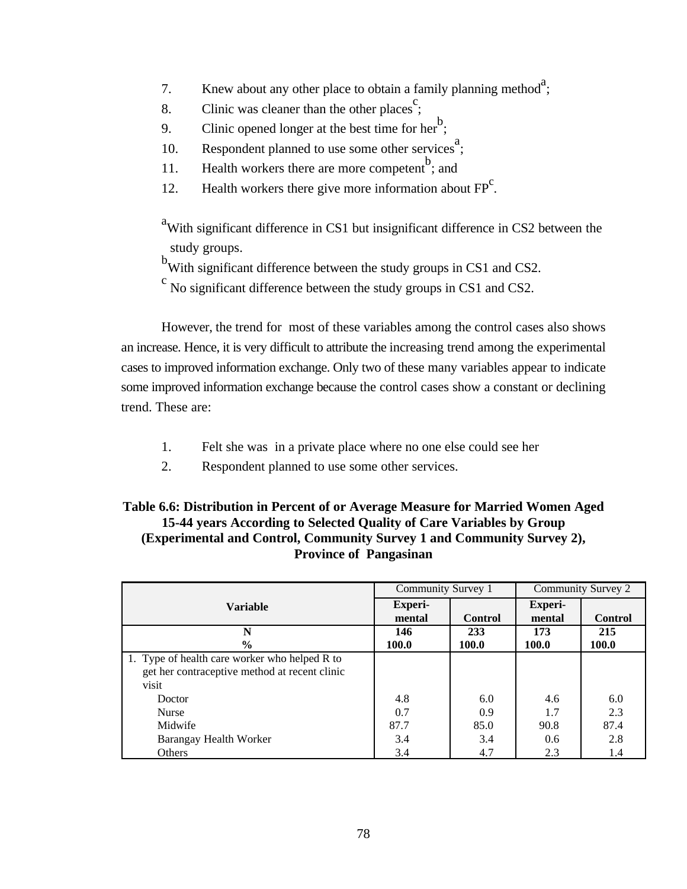- 7. Knew about any other place to obtain a family planning method<sup>a</sup>;
- 8. Clinic was cleaner than the other places<sup>c</sup>;
- 9. Clinic opened longer at the best time for her<sup>b</sup>;
- 10. Respondent planned to use some other services<sup>a</sup>;
- 11. Health workers there are more competent  $\mathbf{b}$  and
- 12. Health workers there give more information about  $FP<sup>c</sup>$ .
- $\alpha$ <sup>a</sup>With significant difference in CS1 but insignificant difference in CS2 between the study groups.
- b<sub>With</sub> significant difference between the study groups in CS1 and CS2.
- $\degree$  No significant difference between the study groups in CS1 and CS2.

However, the trend for most of these variables among the control cases also shows an increase. Hence, it is very difficult to attribute the increasing trend among the experimental cases to improved information exchange. Only two of these many variables appear to indicate some improved information exchange because the control cases show a constant or declining trend. These are:

- 1. Felt she was in a private place where no one else could see her
- 2. Respondent planned to use some other services.

## **Table 6.6: Distribution in Percent of or Average Measure for Married Women Aged 15-44 years According to Selected Quality of Care Variables by Group (Experimental and Control, Community Survey 1 and Community Survey 2), Province of Pangasinan**

|                                               | Community Survey 1       |                | Community Survey 2       |                |
|-----------------------------------------------|--------------------------|----------------|--------------------------|----------------|
| <b>Variable</b>                               | <b>Experi-</b><br>mental | <b>Control</b> | <b>Experi-</b><br>mental | <b>Control</b> |
| N                                             | 146                      | 233            | 173                      | 215            |
| $\frac{6}{9}$                                 | 100.0                    | 100.0          | 100.0                    | 100.0          |
| 1. Type of health care worker who helped R to |                          |                |                          |                |
| get her contraceptive method at recent clinic |                          |                |                          |                |
| visit                                         |                          |                |                          |                |
| Doctor                                        | 4.8                      | 6.0            | 4.6                      | 6.0            |
| <b>Nurse</b>                                  | 0.7                      | 0.9            | 1.7                      | 2.3            |
| Midwife                                       | 87.7                     | 85.0           | 90.8                     | 87.4           |
| Barangay Health Worker                        | 3.4                      | 3.4            | 0.6                      | 2.8            |
| Others                                        | 3.4                      | 4.7            | 2.3                      | 1.4            |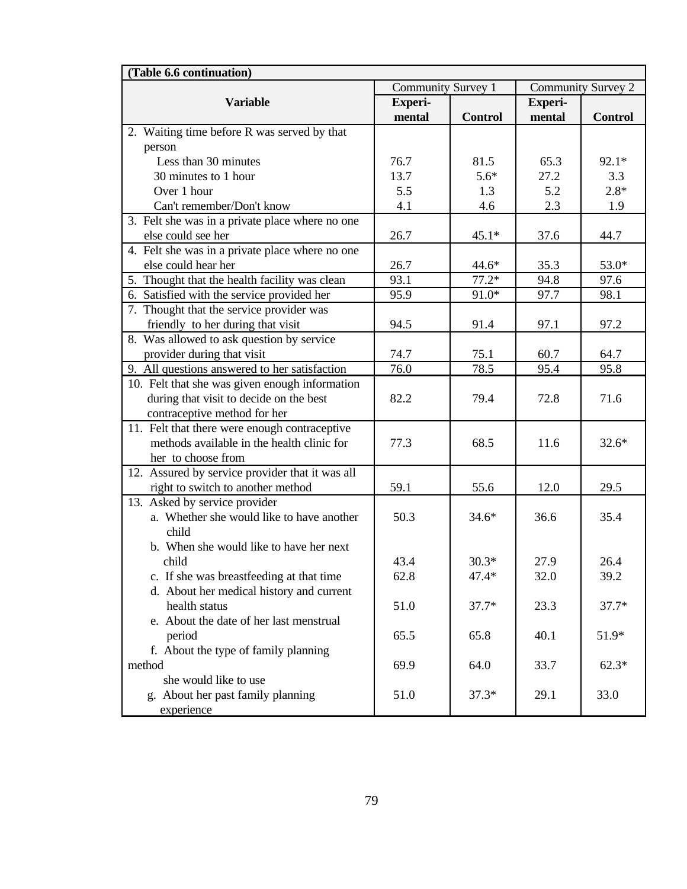| (Table 6.6 continuation)                        |                    |                |                    |                |  |
|-------------------------------------------------|--------------------|----------------|--------------------|----------------|--|
|                                                 | Community Survey 1 |                | Community Survey 2 |                |  |
| <b>Variable</b>                                 | <b>Experi-</b>     |                | Experi-            |                |  |
|                                                 | mental             | <b>Control</b> | mental             | <b>Control</b> |  |
| 2. Waiting time before R was served by that     |                    |                |                    |                |  |
| person                                          |                    |                |                    |                |  |
| Less than 30 minutes                            | 76.7               | 81.5           | 65.3               | 92.1*          |  |
| 30 minutes to 1 hour                            | 13.7               | $5.6*$         | 27.2               | 3.3            |  |
| Over 1 hour                                     | 5.5                | 1.3            | 5.2                | $2.8*$         |  |
| Can't remember/Don't know                       | 4.1                | 4.6            | 2.3                | 1.9            |  |
| 3. Felt she was in a private place where no one |                    |                |                    |                |  |
| else could see her                              | 26.7               | $45.1*$        | 37.6               | 44.7           |  |
| 4. Felt she was in a private place where no one |                    |                |                    |                |  |
| else could hear her                             | 26.7               | $44.6*$        | 35.3               | $53.0*$        |  |
| 5. Thought that the health facility was clean   | 93.1               | $77.2*$        | 94.8               | 97.6           |  |
| 6. Satisfied with the service provided her      | 95.9               | $91.0*$        | 97.7               | 98.1           |  |
| 7. Thought that the service provider was        |                    |                |                    |                |  |
| friendly to her during that visit               | 94.5               | 91.4           | 97.1               | 97.2           |  |
| 8. Was allowed to ask question by service       |                    |                |                    |                |  |
| provider during that visit                      | 74.7               | 75.1           | 60.7               | 64.7           |  |
| 9. All questions answered to her satisfaction   | 76.0               | 78.5           | 95.4               | 95.8           |  |
| 10. Felt that she was given enough information  |                    |                |                    |                |  |
| during that visit to decide on the best         | 82.2               | 79.4           | 72.8               | 71.6           |  |
| contraceptive method for her                    |                    |                |                    |                |  |
| 11. Felt that there were enough contraceptive   |                    |                |                    |                |  |
| methods available in the health clinic for      | 77.3               | 68.5           | 11.6               | $32.6*$        |  |
| her to choose from                              |                    |                |                    |                |  |
| 12. Assured by service provider that it was all |                    |                |                    |                |  |
| right to switch to another method               | 59.1               | 55.6           | 12.0               | 29.5           |  |
| 13. Asked by service provider                   |                    |                |                    |                |  |
| a. Whether she would like to have another       | 50.3               | $34.6*$        | 36.6               | 35.4           |  |
| child                                           |                    |                |                    |                |  |
| b. When she would like to have her next         |                    |                |                    |                |  |
| child                                           | 43.4               | $30.3*$        | 27.9               | 26.4           |  |
| c. If she was breastfeeding at that time        | 62.8               | 47.4*          | 32.0               | 39.2           |  |
| d. About her medical history and current        |                    |                |                    |                |  |
| health status                                   | 51.0               | $37.7*$        | 23.3               | $37.7*$        |  |
| e. About the date of her last menstrual         |                    |                |                    |                |  |
| period                                          | 65.5               | 65.8           | 40.1               | 51.9*          |  |
| f. About the type of family planning            |                    |                |                    |                |  |
| method                                          | 69.9               | 64.0           | 33.7               | $62.3*$        |  |
| she would like to use                           |                    |                |                    |                |  |
| g. About her past family planning               | 51.0               | $37.3*$        | 29.1               | 33.0           |  |
| experience                                      |                    |                |                    |                |  |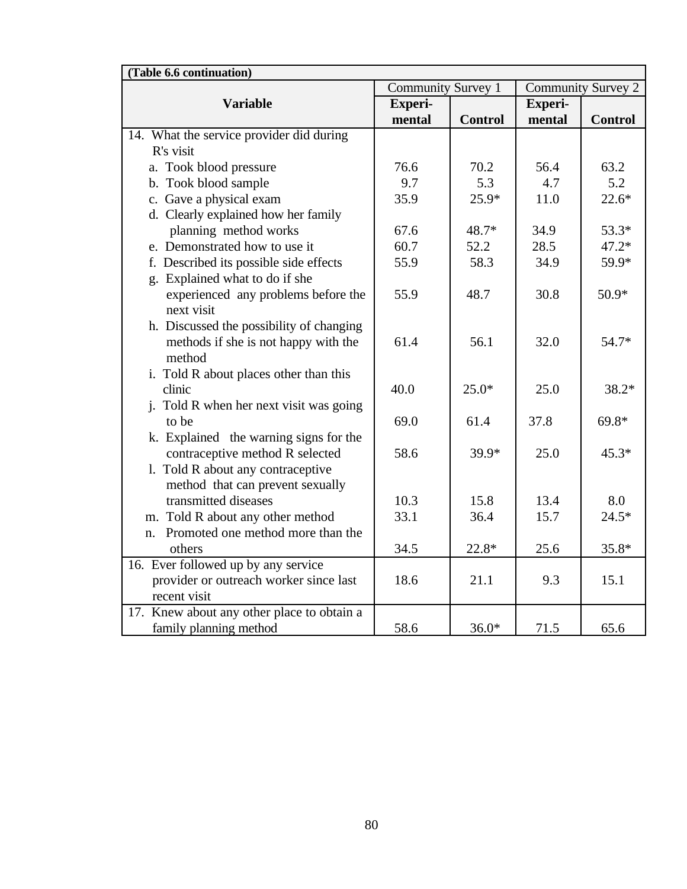| (Table 6.6 continuation)                   |                           |                |         |                           |  |
|--------------------------------------------|---------------------------|----------------|---------|---------------------------|--|
|                                            | <b>Community Survey 1</b> |                |         | <b>Community Survey 2</b> |  |
| <b>Variable</b>                            | Experi-                   |                | Experi- |                           |  |
|                                            | mental                    | <b>Control</b> | mental  | <b>Control</b>            |  |
| 14. What the service provider did during   |                           |                |         |                           |  |
| R's visit                                  |                           |                |         |                           |  |
| a. Took blood pressure                     | 76.6                      | 70.2           | 56.4    | 63.2                      |  |
| b. Took blood sample                       | 9.7                       | 5.3            | 4.7     | 5.2                       |  |
| c. Gave a physical exam                    | 35.9                      | $25.9*$        | 11.0    | $22.6*$                   |  |
| d. Clearly explained how her family        |                           |                |         |                           |  |
| planning method works                      | 67.6                      | 48.7*          | 34.9    | 53.3*                     |  |
| e. Demonstrated how to use it              | 60.7                      | 52.2           | 28.5    | $47.2*$                   |  |
| f. Described its possible side effects     | 55.9                      | 58.3           | 34.9    | 59.9*                     |  |
| g. Explained what to do if she             |                           |                |         |                           |  |
| experienced any problems before the        | 55.9                      | 48.7           | 30.8    | 50.9*                     |  |
| next visit                                 |                           |                |         |                           |  |
| h. Discussed the possibility of changing   |                           |                |         |                           |  |
| methods if she is not happy with the       | 61.4                      | 56.1           | 32.0    | 54.7*                     |  |
| method                                     |                           |                |         |                           |  |
| i. Told R about places other than this     |                           |                |         |                           |  |
| clinic                                     | 40.0                      | $25.0*$        | 25.0    | $38.2*$                   |  |
| j. Told R when her next visit was going    |                           |                |         |                           |  |
| to be                                      | 69.0                      | 61.4           | 37.8    | $69.8*$                   |  |
| k. Explained the warning signs for the     |                           |                |         |                           |  |
| contraceptive method R selected            | 58.6                      | 39.9*          | 25.0    | $45.3*$                   |  |
| 1. Told R about any contraceptive          |                           |                |         |                           |  |
| method that can prevent sexually           |                           |                |         |                           |  |
| transmitted diseases                       | 10.3                      | 15.8           | 13.4    | 8.0                       |  |
| m. Told R about any other method           | 33.1                      | 36.4           | 15.7    | $24.5*$                   |  |
| Promoted one method more than the<br>n.    |                           |                |         |                           |  |
| others                                     | 34.5                      | 22.8*          | 25.6    | 35.8*                     |  |
| 16. Ever followed up by any service        |                           |                |         |                           |  |
| provider or outreach worker since last     | 18.6                      | 21.1           | 9.3     | 15.1                      |  |
| recent visit                               |                           |                |         |                           |  |
| 17. Knew about any other place to obtain a |                           |                |         |                           |  |
| family planning method                     | 58.6                      | $36.0*$        | 71.5    | 65.6                      |  |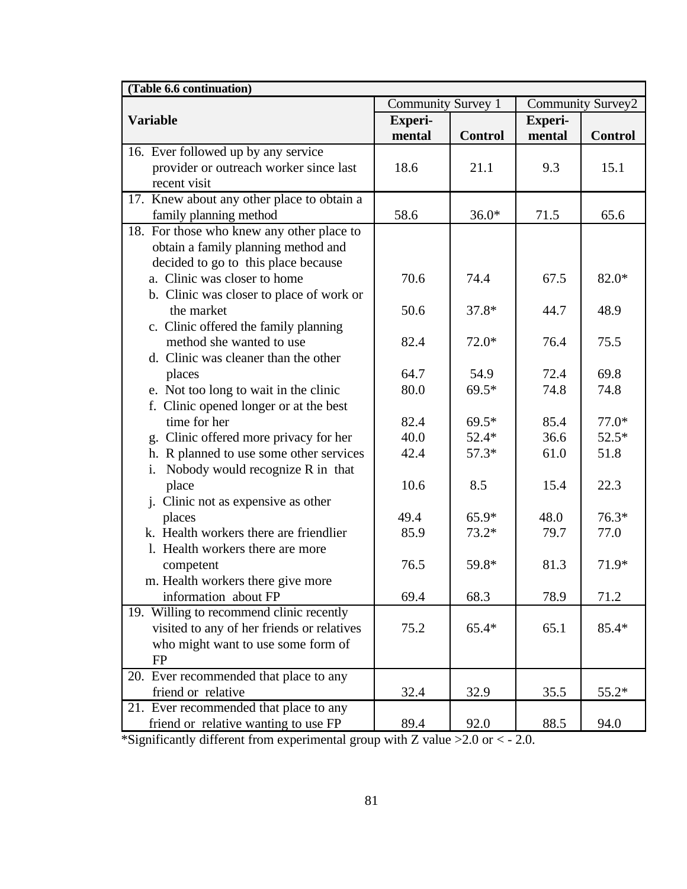| (Table 6.6 continuation)                   |                    |                |                   |                |  |
|--------------------------------------------|--------------------|----------------|-------------------|----------------|--|
|                                            | Community Survey 1 |                | Community Survey2 |                |  |
| <b>Variable</b>                            | <b>Experi-</b>     |                | <b>Experi-</b>    |                |  |
|                                            | mental             | <b>Control</b> | mental            | <b>Control</b> |  |
| 16. Ever followed up by any service        |                    |                |                   |                |  |
| provider or outreach worker since last     | 18.6               | 21.1           | 9.3               | 15.1           |  |
| recent visit                               |                    |                |                   |                |  |
| 17. Knew about any other place to obtain a |                    |                |                   |                |  |
| family planning method                     | 58.6               | $36.0*$        | 71.5              | 65.6           |  |
| 18. For those who knew any other place to  |                    |                |                   |                |  |
| obtain a family planning method and        |                    |                |                   |                |  |
| decided to go to this place because        |                    |                |                   |                |  |
| a. Clinic was closer to home               | 70.6               | 74.4           | 67.5              | 82.0*          |  |
| b. Clinic was closer to place of work or   |                    |                |                   |                |  |
| the market                                 | 50.6               | $37.8*$        | 44.7              | 48.9           |  |
| c. Clinic offered the family planning      |                    |                |                   |                |  |
| method she wanted to use                   | 82.4               | $72.0*$        | 76.4              | 75.5           |  |
| d. Clinic was cleaner than the other       |                    |                |                   |                |  |
| places                                     | 64.7               | 54.9           | 72.4              | 69.8           |  |
| e. Not too long to wait in the clinic      | 80.0               | $69.5*$        | 74.8              | 74.8           |  |
| f. Clinic opened longer or at the best     |                    |                |                   |                |  |
| time for her                               | 82.4               | $69.5*$        | 85.4              | $77.0*$        |  |
| g. Clinic offered more privacy for her     | 40.0               | $52.4*$        | 36.6              | $52.5*$        |  |
| h. R planned to use some other services    | 42.4               | $57.3*$        | 61.0              | 51.8           |  |
| Nobody would recognize R in that<br>i.     |                    |                |                   |                |  |
| place                                      | 10.6               | 8.5            | 15.4              | 22.3           |  |
| j. Clinic not as expensive as other        |                    |                |                   |                |  |
| places                                     | 49.4               | 65.9*          | 48.0              | $76.3*$        |  |
| k. Health workers there are friendlier     | 85.9               | $73.2*$        | 79.7              | 77.0           |  |
| 1. Health workers there are more           |                    |                |                   |                |  |
| competent                                  | 76.5               | 59.8*          | 81.3              | 71.9*          |  |
| m. Health workers there give more          |                    |                |                   |                |  |
| information about FP                       | 69.4               | 68.3           | 78.9              | 71.2           |  |
| 19. Willing to recommend clinic recently   |                    |                |                   |                |  |
| visited to any of her friends or relatives | 75.2               | $65.4*$        | 65.1              | $85.4*$        |  |
| who might want to use some form of         |                    |                |                   |                |  |
| <b>FP</b>                                  |                    |                |                   |                |  |
| 20. Ever recommended that place to any     |                    |                |                   |                |  |
| friend or relative                         | 32.4               | 32.9           | 35.5              | 55.2*          |  |
| 21. Ever recommended that place to any     |                    |                |                   |                |  |
| friend or relative wanting to use FP       | 89.4               | 92.0           | 88.5              | 94.0           |  |

\*Significantly different from experimental group with Z value >2.0 or < - 2.0.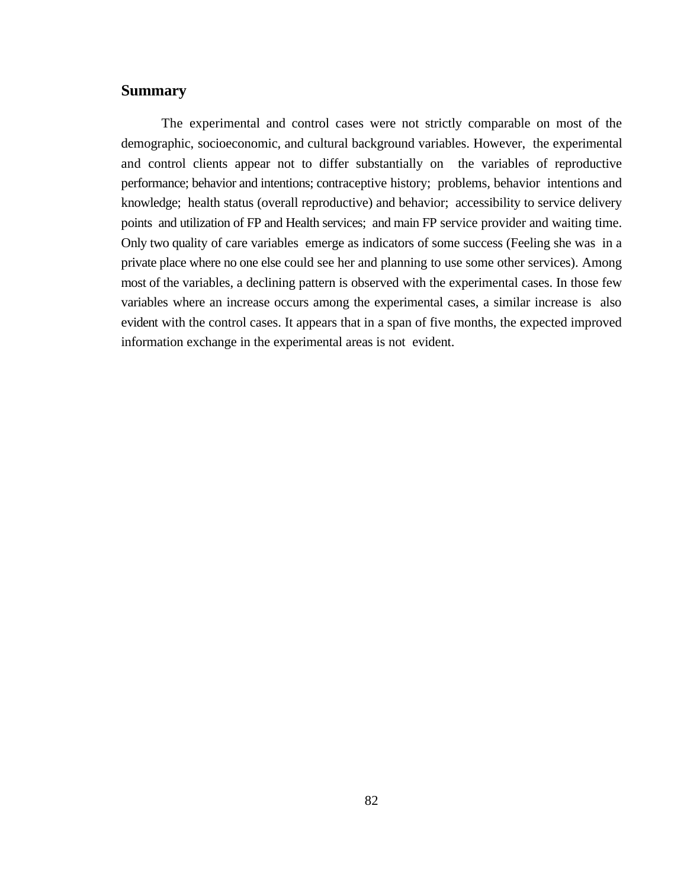## **Summary**

The experimental and control cases were not strictly comparable on most of the demographic, socioeconomic, and cultural background variables. However, the experimental and control clients appear not to differ substantially on the variables of reproductive performance; behavior and intentions; contraceptive history; problems, behavior intentions and knowledge; health status (overall reproductive) and behavior; accessibility to service delivery points and utilization of FP and Health services; and main FP service provider and waiting time. Only two quality of care variables emerge as indicators of some success (Feeling she was in a private place where no one else could see her and planning to use some other services). Among most of the variables, a declining pattern is observed with the experimental cases. In those few variables where an increase occurs among the experimental cases, a similar increase is also evident with the control cases. It appears that in a span of five months, the expected improved information exchange in the experimental areas is not evident.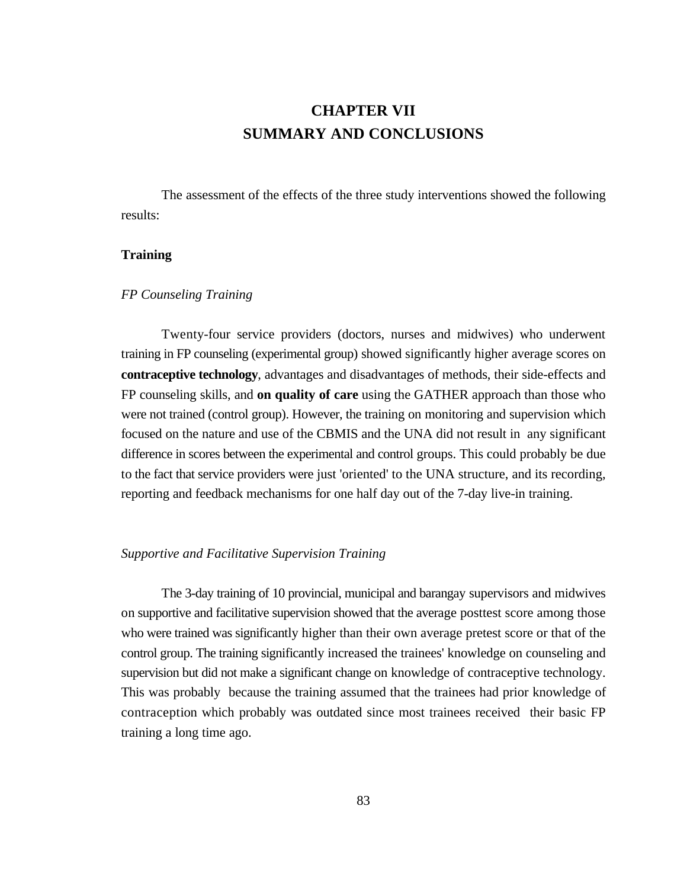# **CHAPTER VII SUMMARY AND CONCLUSIONS**

The assessment of the effects of the three study interventions showed the following results:

### **Training**

### *FP Counseling Training*

Twenty-four service providers (doctors, nurses and midwives) who underwent training in FP counseling (experimental group) showed significantly higher average scores on **contraceptive technology**, advantages and disadvantages of methods, their side-effects and FP counseling skills, and **on quality of care** using the GATHER approach than those who were not trained (control group). However, the training on monitoring and supervision which focused on the nature and use of the CBMIS and the UNA did not result in any significant difference in scores between the experimental and control groups. This could probably be due to the fact that service providers were just 'oriented' to the UNA structure, and its recording, reporting and feedback mechanisms for one half day out of the 7-day live-in training.

#### *Supportive and Facilitative Supervision Training*

The 3-day training of 10 provincial, municipal and barangay supervisors and midwives on supportive and facilitative supervision showed that the average posttest score among those who were trained was significantly higher than their own average pretest score or that of the control group. The training significantly increased the trainees' knowledge on counseling and supervision but did not make a significant change on knowledge of contraceptive technology. This was probably because the training assumed that the trainees had prior knowledge of contraception which probably was outdated since most trainees received their basic FP training a long time ago.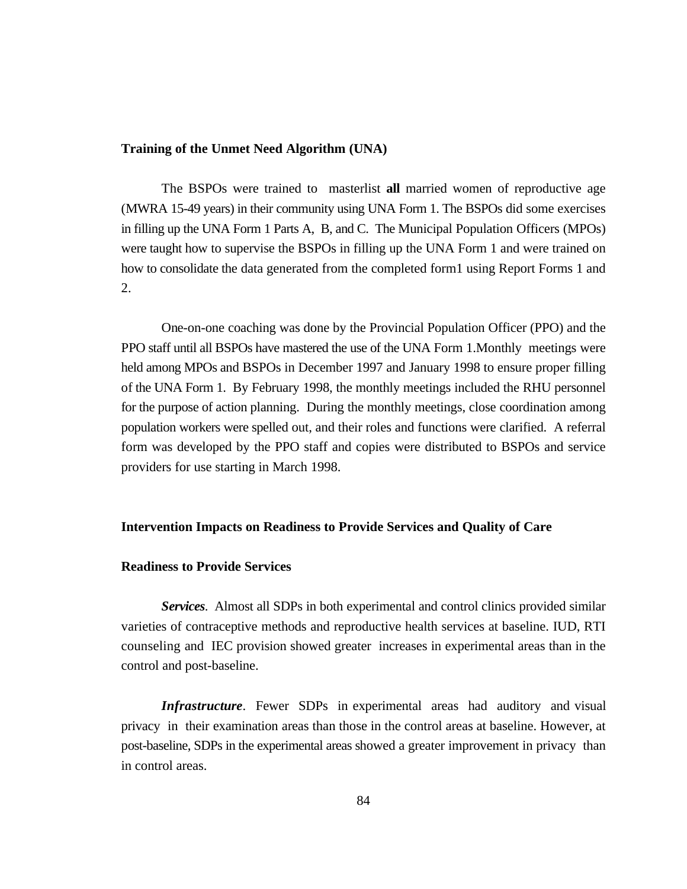### **Training of the Unmet Need Algorithm (UNA)**

The BSPOs were trained to masterlist **all** married women of reproductive age (MWRA 15-49 years) in their community using UNA Form 1. The BSPOs did some exercises in filling up the UNA Form 1 Parts A, B, and C. The Municipal Population Officers (MPOs) were taught how to supervise the BSPOs in filling up the UNA Form 1 and were trained on how to consolidate the data generated from the completed form1 using Report Forms 1 and 2.

One-on-one coaching was done by the Provincial Population Officer (PPO) and the PPO staff until all BSPOs have mastered the use of the UNA Form 1.Monthly meetings were held among MPOs and BSPOs in December 1997 and January 1998 to ensure proper filling of the UNA Form 1. By February 1998, the monthly meetings included the RHU personnel for the purpose of action planning. During the monthly meetings, close coordination among population workers were spelled out, and their roles and functions were clarified. A referral form was developed by the PPO staff and copies were distributed to BSPOs and service providers for use starting in March 1998.

#### **Intervention Impacts on Readiness to Provide Services and Quality of Care**

#### **Readiness to Provide Services**

*Services*. Almost all SDPs in both experimental and control clinics provided similar varieties of contraceptive methods and reproductive health services at baseline. IUD, RTI counseling and IEC provision showed greater increases in experimental areas than in the control and post-baseline.

*Infrastructure*. Fewer SDPs in experimental areas had auditory and visual privacy in their examination areas than those in the control areas at baseline. However, at post-baseline, SDPs in the experimental areas showed a greater improvement in privacy than in control areas.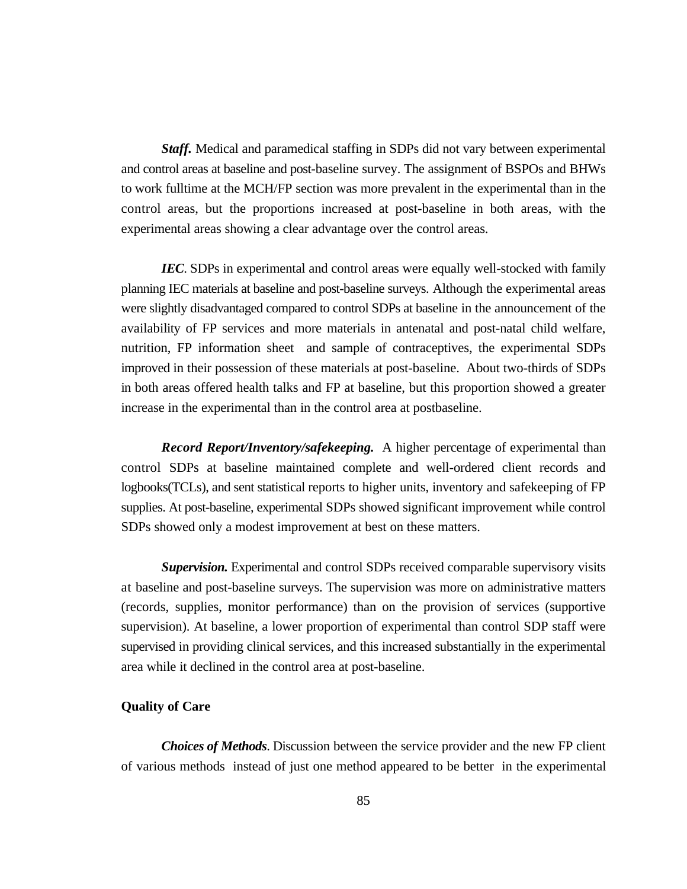*Staff.* Medical and paramedical staffing in SDPs did not vary between experimental and control areas at baseline and post-baseline survey. The assignment of BSPOs and BHWs to work fulltime at the MCH/FP section was more prevalent in the experimental than in the control areas, but the proportions increased at post-baseline in both areas, with the experimental areas showing a clear advantage over the control areas.

*IEC*. SDPs in experimental and control areas were equally well-stocked with family planning IEC materials at baseline and post-baseline surveys. Although the experimental areas were slightly disadvantaged compared to control SDPs at baseline in the announcement of the availability of FP services and more materials in antenatal and post-natal child welfare, nutrition, FP information sheet and sample of contraceptives, the experimental SDPs improved in their possession of these materials at post-baseline. About two-thirds of SDPs in both areas offered health talks and FP at baseline, but this proportion showed a greater increase in the experimental than in the control area at postbaseline.

*Record Report/Inventory/safekeeping.* A higher percentage of experimental than control SDPs at baseline maintained complete and well-ordered client records and logbooks(TCLs), and sent statistical reports to higher units, inventory and safekeeping of FP supplies. At post-baseline, experimental SDPs showed significant improvement while control SDPs showed only a modest improvement at best on these matters.

*Supervision.* Experimental and control SDPs received comparable supervisory visits at baseline and post-baseline surveys. The supervision was more on administrative matters (records, supplies, monitor performance) than on the provision of services (supportive supervision). At baseline, a lower proportion of experimental than control SDP staff were supervised in providing clinical services, and this increased substantially in the experimental area while it declined in the control area at post-baseline.

### **Quality of Care**

*Choices of Methods*. Discussion between the service provider and the new FP client of various methods instead of just one method appeared to be better in the experimental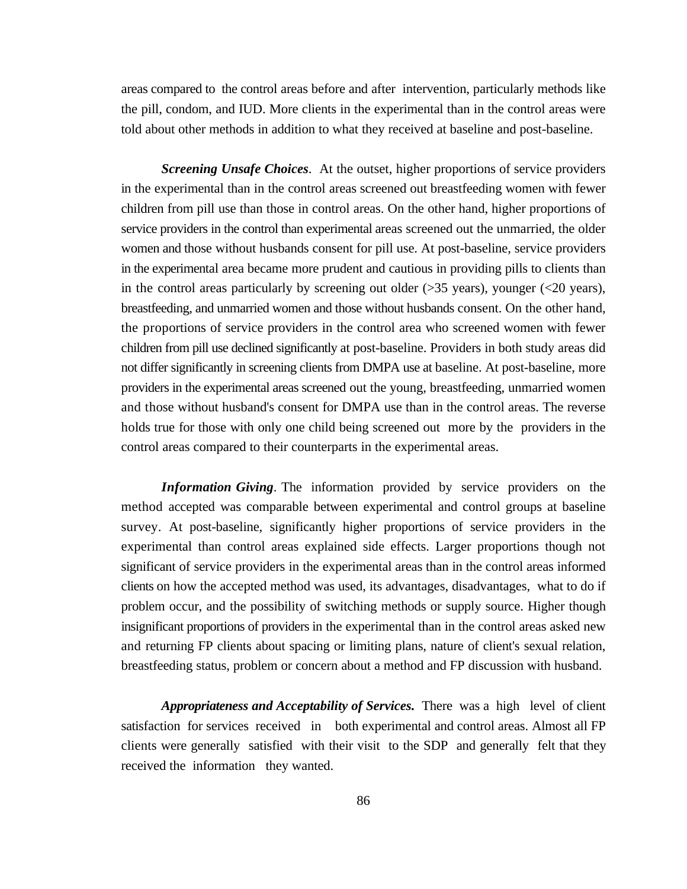areas compared to the control areas before and after intervention, particularly methods like the pill, condom, and IUD. More clients in the experimental than in the control areas were told about other methods in addition to what they received at baseline and post-baseline.

*Screening Unsafe Choices*. At the outset, higher proportions of service providers in the experimental than in the control areas screened out breastfeeding women with fewer children from pill use than those in control areas. On the other hand, higher proportions of service providers in the control than experimental areas screened out the unmarried, the older women and those without husbands consent for pill use. At post-baseline, service providers in the experimental area became more prudent and cautious in providing pills to clients than in the control areas particularly by screening out older  $(>=35 \text{ years})$ , younger  $(<20 \text{ years})$ , breastfeeding, and unmarried women and those without husbands consent. On the other hand, the proportions of service providers in the control area who screened women with fewer children from pill use declined significantly at post-baseline. Providers in both study areas did not differ significantly in screening clients from DMPA use at baseline. At post-baseline, more providers in the experimental areas screened out the young, breastfeeding, unmarried women and those without husband's consent for DMPA use than in the control areas. The reverse holds true for those with only one child being screened out more by the providers in the control areas compared to their counterparts in the experimental areas.

*Information Giving*. The information provided by service providers on the method accepted was comparable between experimental and control groups at baseline survey. At post-baseline, significantly higher proportions of service providers in the experimental than control areas explained side effects. Larger proportions though not significant of service providers in the experimental areas than in the control areas informed clients on how the accepted method was used, its advantages, disadvantages, what to do if problem occur, and the possibility of switching methods or supply source. Higher though insignificant proportions of providers in the experimental than in the control areas asked new and returning FP clients about spacing or limiting plans, nature of client's sexual relation, breastfeeding status, problem or concern about a method and FP discussion with husband.

*Appropriateness and Acceptability of Services.* There was a high level of client satisfaction for services received in both experimental and control areas. Almost all FP clients were generally satisfied with their visit to the SDP and generally felt that they received the information they wanted.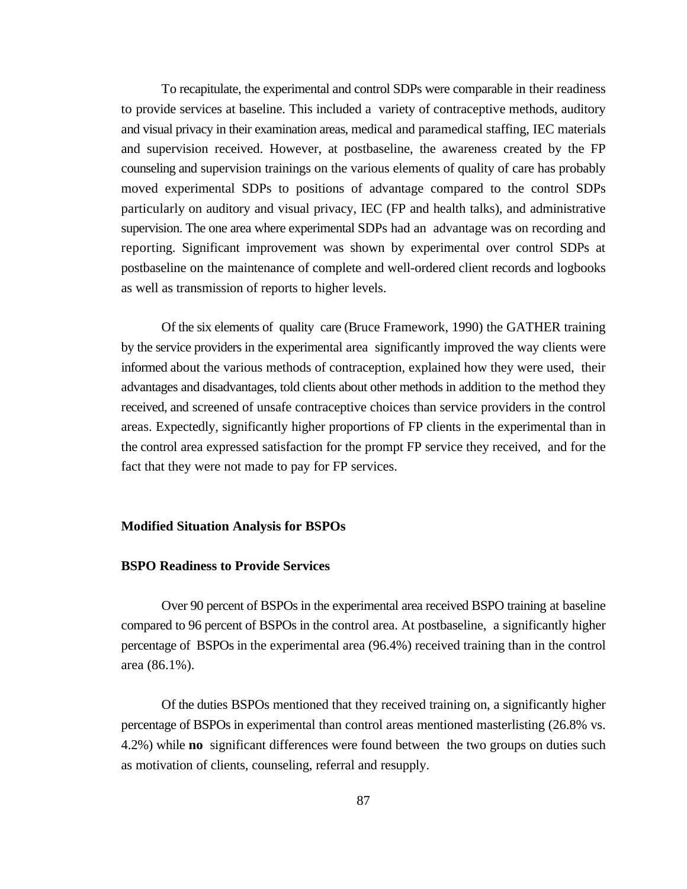To recapitulate, the experimental and control SDPs were comparable in their readiness to provide services at baseline. This included a variety of contraceptive methods, auditory and visual privacy in their examination areas, medical and paramedical staffing, IEC materials and supervision received. However, at postbaseline, the awareness created by the FP counseling and supervision trainings on the various elements of quality of care has probably moved experimental SDPs to positions of advantage compared to the control SDPs particularly on auditory and visual privacy, IEC (FP and health talks), and administrative supervision. The one area where experimental SDPs had an advantage was on recording and reporting. Significant improvement was shown by experimental over control SDPs at postbaseline on the maintenance of complete and well-ordered client records and logbooks as well as transmission of reports to higher levels.

Of the six elements of quality care (Bruce Framework, 1990) the GATHER training by the service providers in the experimental area significantly improved the way clients were informed about the various methods of contraception, explained how they were used, their advantages and disadvantages, told clients about other methods in addition to the method they received, and screened of unsafe contraceptive choices than service providers in the control areas. Expectedly, significantly higher proportions of FP clients in the experimental than in the control area expressed satisfaction for the prompt FP service they received, and for the fact that they were not made to pay for FP services.

#### **Modified Situation Analysis for BSPOs**

#### **BSPO Readiness to Provide Services**

Over 90 percent of BSPOs in the experimental area received BSPO training at baseline compared to 96 percent of BSPOs in the control area. At postbaseline, a significantly higher percentage of BSPOs in the experimental area (96.4%) received training than in the control area (86.1%).

Of the duties BSPOs mentioned that they received training on, a significantly higher percentage of BSPOs in experimental than control areas mentioned masterlisting (26.8% vs. 4.2%) while **no** significant differences were found between the two groups on duties such as motivation of clients, counseling, referral and resupply.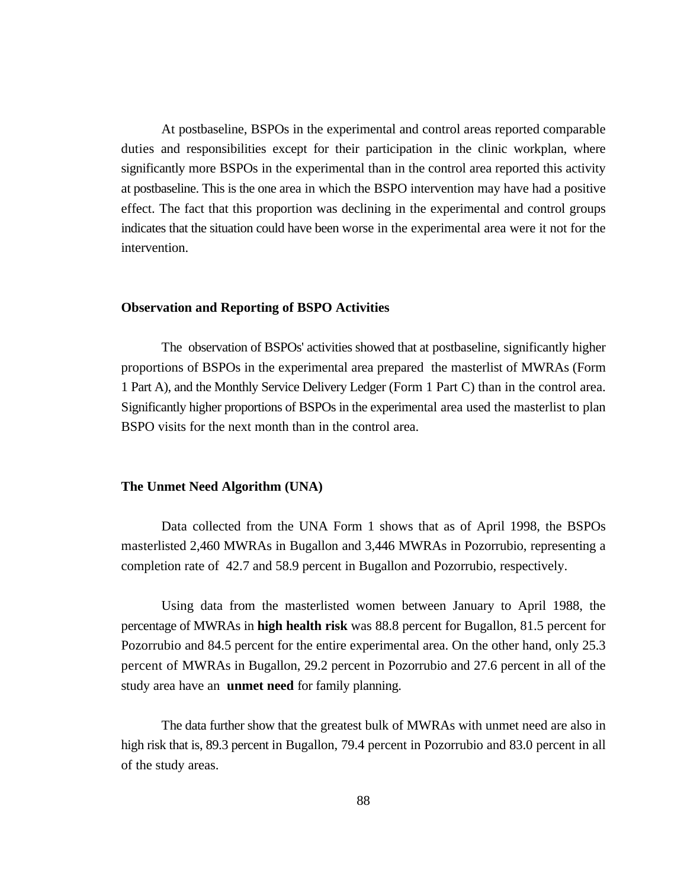At postbaseline, BSPOs in the experimental and control areas reported comparable duties and responsibilities except for their participation in the clinic workplan, where significantly more BSPOs in the experimental than in the control area reported this activity at postbaseline. This is the one area in which the BSPO intervention may have had a positive effect. The fact that this proportion was declining in the experimental and control groups indicates that the situation could have been worse in the experimental area were it not for the intervention.

### **Observation and Reporting of BSPO Activities**

The observation of BSPOs' activities showed that at postbaseline, significantly higher proportions of BSPOs in the experimental area prepared the masterlist of MWRAs (Form 1 Part A), and the Monthly Service Delivery Ledger (Form 1 Part C) than in the control area. Significantly higher proportions of BSPOs in the experimental area used the masterlist to plan BSPO visits for the next month than in the control area.

#### **The Unmet Need Algorithm (UNA)**

Data collected from the UNA Form 1 shows that as of April 1998, the BSPOs masterlisted 2,460 MWRAs in Bugallon and 3,446 MWRAs in Pozorrubio, representing a completion rate of 42.7 and 58.9 percent in Bugallon and Pozorrubio, respectively.

Using data from the masterlisted women between January to April 1988, the percentage of MWRAs in **high health risk** was 88.8 percent for Bugallon, 81.5 percent for Pozorrubio and 84.5 percent for the entire experimental area. On the other hand, only 25.3 percent of MWRAs in Bugallon, 29.2 percent in Pozorrubio and 27.6 percent in all of the study area have an **unmet need** for family planning.

The data further show that the greatest bulk of MWRAs with unmet need are also in high risk that is, 89.3 percent in Bugallon, 79.4 percent in Pozorrubio and 83.0 percent in all of the study areas.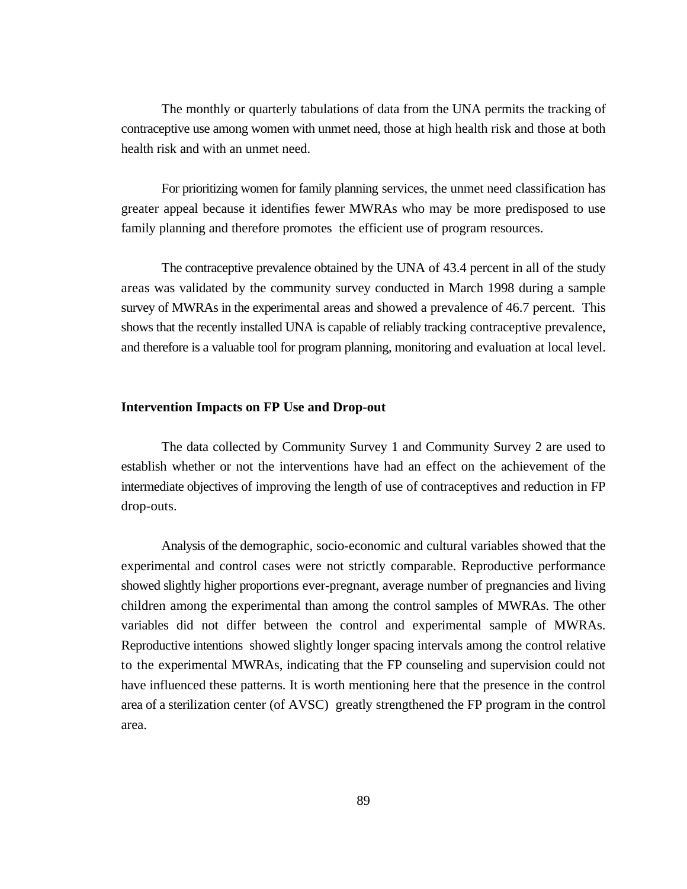The monthly or quarterly tabulations of data from the UNA permits the tracking of contraceptive use among women with unmet need, those at high health risk and those at both health risk and with an unmet need.

For prioritizing women for family planning services, the unmet need classification has greater appeal because it identifies fewer MWRAs who may be more predisposed to use family planning and therefore promotes the efficient use of program resources.

The contraceptive prevalence obtained by the UNA of 43.4 percent in all of the study areas was validated by the community survey conducted in March 1998 during a sample survey of MWRAs in the experimental areas and showed a prevalence of 46.7 percent. This shows that the recently installed UNA is capable of reliably tracking contraceptive prevalence, and therefore is a valuable tool for program planning, monitoring and evaluation at local level.

### **Intervention Impacts on FP Use and Drop-out**

The data collected by Community Survey 1 and Community Survey 2 are used to establish whether or not the interventions have had an effect on the achievement of the intermediate objectives of improving the length of use of contraceptives and reduction in FP drop-outs.

Analysis of the demographic, socio-economic and cultural variables showed that the experimental and control cases were not strictly comparable. Reproductive performance showed slightly higher proportions ever-pregnant, average number of pregnancies and living children among the experimental than among the control samples of MWRAs. The other variables did not differ between the control and experimental sample of MWRAs. Reproductive intentions showed slightly longer spacing intervals among the control relative to the experimental MWRAs, indicating that the FP counseling and supervision could not have influenced these patterns. It is worth mentioning here that the presence in the control area of a sterilization center (of AVSC) greatly strengthened the FP program in the control area.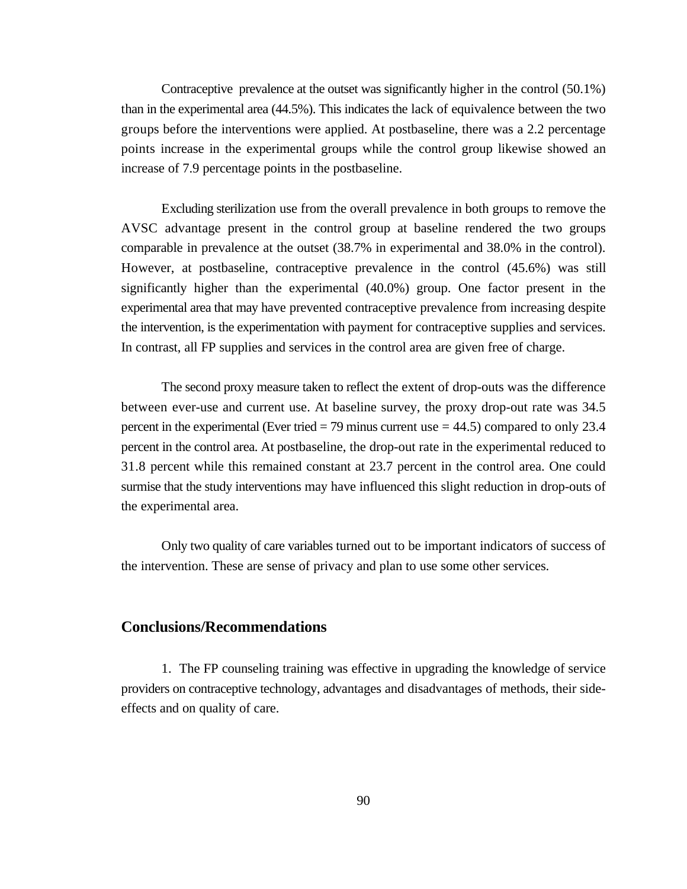Contraceptive prevalence at the outset was significantly higher in the control (50.1%) than in the experimental area (44.5%). This indicates the lack of equivalence between the two groups before the interventions were applied. At postbaseline, there was a 2.2 percentage points increase in the experimental groups while the control group likewise showed an increase of 7.9 percentage points in the postbaseline.

Excluding sterilization use from the overall prevalence in both groups to remove the AVSC advantage present in the control group at baseline rendered the two groups comparable in prevalence at the outset (38.7% in experimental and 38.0% in the control). However, at postbaseline, contraceptive prevalence in the control (45.6%) was still significantly higher than the experimental (40.0%) group. One factor present in the experimental area that may have prevented contraceptive prevalence from increasing despite the intervention, is the experimentation with payment for contraceptive supplies and services. In contrast, all FP supplies and services in the control area are given free of charge.

The second proxy measure taken to reflect the extent of drop-outs was the difference between ever-use and current use. At baseline survey, the proxy drop-out rate was 34.5 percent in the experimental (Ever tried  $= 79$  minus current use  $= 44.5$ ) compared to only 23.4 percent in the control area. At postbaseline, the drop-out rate in the experimental reduced to 31.8 percent while this remained constant at 23.7 percent in the control area. One could surmise that the study interventions may have influenced this slight reduction in drop-outs of the experimental area.

Only two quality of care variables turned out to be important indicators of success of the intervention. These are sense of privacy and plan to use some other services.

## **Conclusions/Recommendations**

1. The FP counseling training was effective in upgrading the knowledge of service providers on contraceptive technology, advantages and disadvantages of methods, their sideeffects and on quality of care.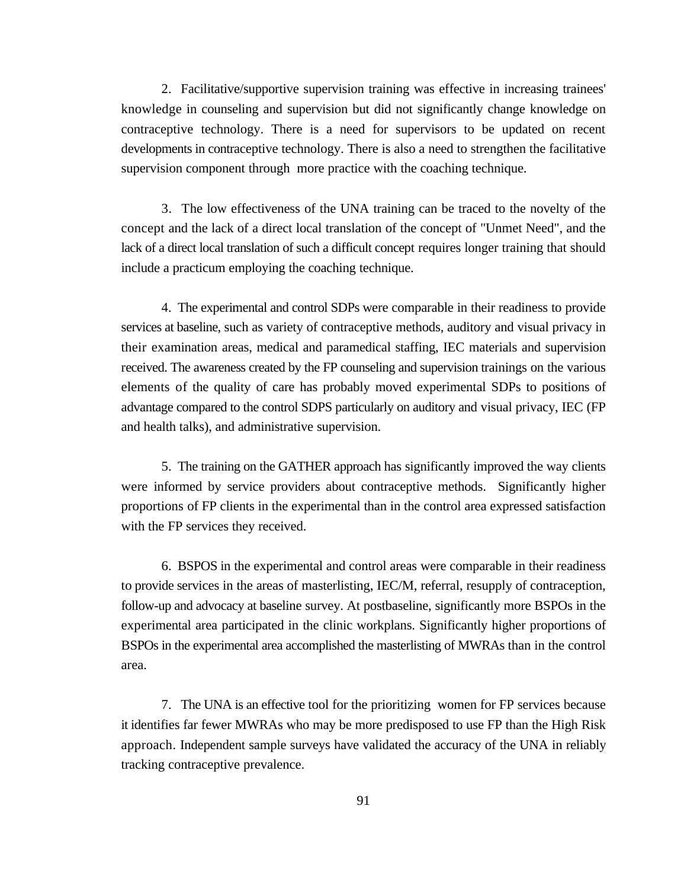2. Facilitative/supportive supervision training was effective in increasing trainees' knowledge in counseling and supervision but did not significantly change knowledge on contraceptive technology. There is a need for supervisors to be updated on recent developments in contraceptive technology. There is also a need to strengthen the facilitative supervision component through more practice with the coaching technique.

3. The low effectiveness of the UNA training can be traced to the novelty of the concept and the lack of a direct local translation of the concept of "Unmet Need", and the lack of a direct local translation of such a difficult concept requires longer training that should include a practicum employing the coaching technique.

4. The experimental and control SDPs were comparable in their readiness to provide services at baseline, such as variety of contraceptive methods, auditory and visual privacy in their examination areas, medical and paramedical staffing, IEC materials and supervision received. The awareness created by the FP counseling and supervision trainings on the various elements of the quality of care has probably moved experimental SDPs to positions of advantage compared to the control SDPS particularly on auditory and visual privacy, IEC (FP and health talks), and administrative supervision.

5. The training on the GATHER approach has significantly improved the way clients were informed by service providers about contraceptive methods. Significantly higher proportions of FP clients in the experimental than in the control area expressed satisfaction with the FP services they received.

6. BSPOS in the experimental and control areas were comparable in their readiness to provide services in the areas of masterlisting, IEC/M, referral, resupply of contraception, follow-up and advocacy at baseline survey. At postbaseline, significantly more BSPOs in the experimental area participated in the clinic workplans. Significantly higher proportions of BSPOs in the experimental area accomplished the masterlisting of MWRAs than in the control area.

7. The UNA is an effective tool for the prioritizing women for FP services because it identifies far fewer MWRAs who may be more predisposed to use FP than the High Risk approach. Independent sample surveys have validated the accuracy of the UNA in reliably tracking contraceptive prevalence.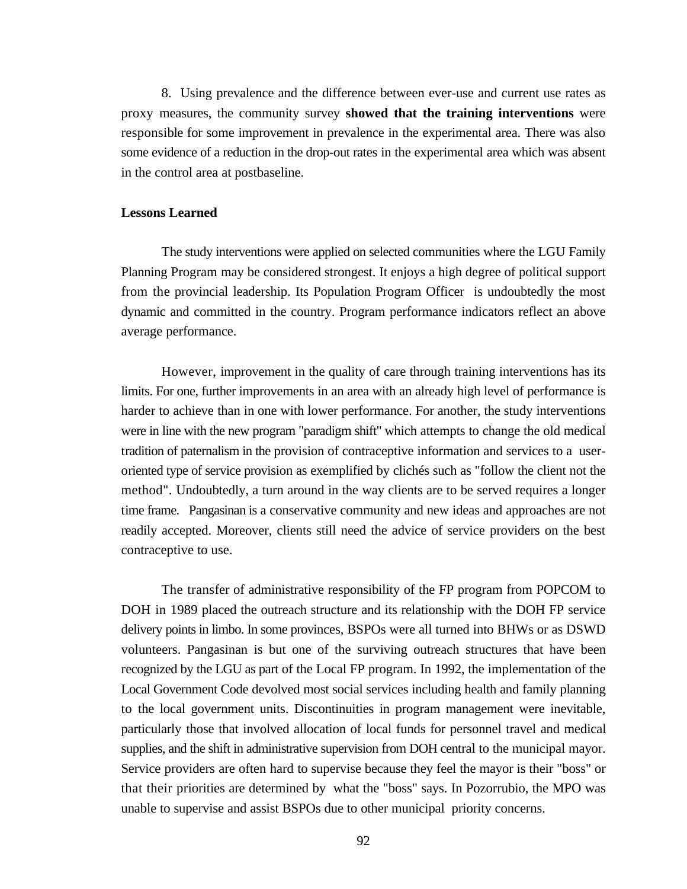8. Using prevalence and the difference between ever-use and current use rates as proxy measures, the community survey **showed that the training interventions** were responsible for some improvement in prevalence in the experimental area. There was also some evidence of a reduction in the drop-out rates in the experimental area which was absent in the control area at postbaseline.

## **Lessons Learned**

The study interventions were applied on selected communities where the LGU Family Planning Program may be considered strongest. It enjoys a high degree of political support from the provincial leadership. Its Population Program Officer is undoubtedly the most dynamic and committed in the country. Program performance indicators reflect an above average performance.

However, improvement in the quality of care through training interventions has its limits. For one, further improvements in an area with an already high level of performance is harder to achieve than in one with lower performance. For another, the study interventions were in line with the new program "paradigm shift" which attempts to change the old medical tradition of paternalism in the provision of contraceptive information and services to a useroriented type of service provision as exemplified by clichés such as "follow the client not the method". Undoubtedly, a turn around in the way clients are to be served requires a longer time frame. Pangasinan is a conservative community and new ideas and approaches are not readily accepted. Moreover, clients still need the advice of service providers on the best contraceptive to use.

The transfer of administrative responsibility of the FP program from POPCOM to DOH in 1989 placed the outreach structure and its relationship with the DOH FP service delivery points in limbo. In some provinces, BSPOs were all turned into BHWs or as DSWD volunteers. Pangasinan is but one of the surviving outreach structures that have been recognized by the LGU as part of the Local FP program. In 1992, the implementation of the Local Government Code devolved most social services including health and family planning to the local government units. Discontinuities in program management were inevitable, particularly those that involved allocation of local funds for personnel travel and medical supplies, and the shift in administrative supervision from DOH central to the municipal mayor. Service providers are often hard to supervise because they feel the mayor is their "boss" or that their priorities are determined by what the "boss" says. In Pozorrubio, the MPO was unable to supervise and assist BSPOs due to other municipal priority concerns.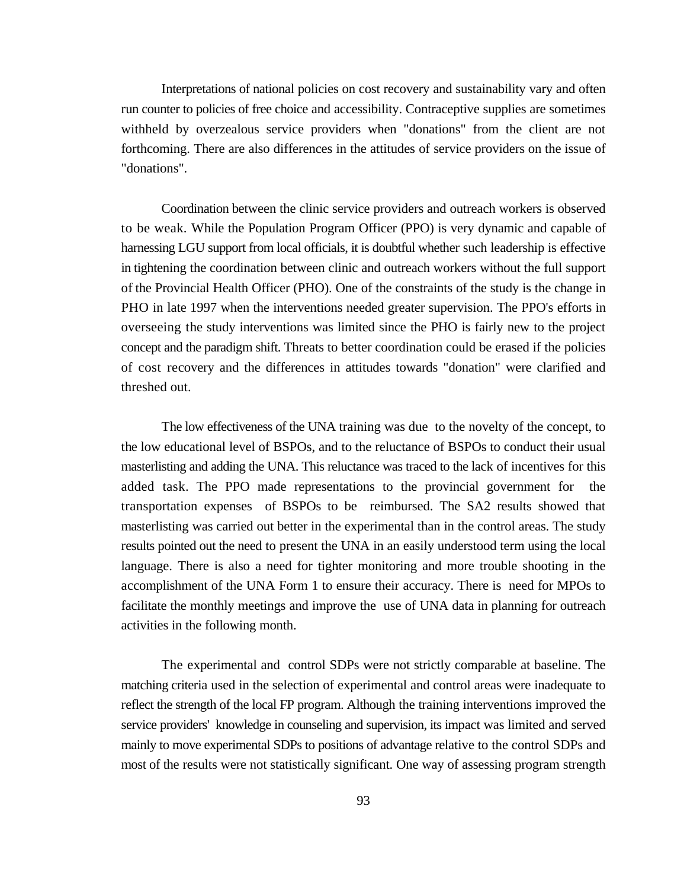Interpretations of national policies on cost recovery and sustainability vary and often run counter to policies of free choice and accessibility. Contraceptive supplies are sometimes withheld by overzealous service providers when "donations" from the client are not forthcoming. There are also differences in the attitudes of service providers on the issue of "donations".

Coordination between the clinic service providers and outreach workers is observed to be weak. While the Population Program Officer (PPO) is very dynamic and capable of harnessing LGU support from local officials, it is doubtful whether such leadership is effective in tightening the coordination between clinic and outreach workers without the full support of the Provincial Health Officer (PHO). One of the constraints of the study is the change in PHO in late 1997 when the interventions needed greater supervision. The PPO's efforts in overseeing the study interventions was limited since the PHO is fairly new to the project concept and the paradigm shift. Threats to better coordination could be erased if the policies of cost recovery and the differences in attitudes towards "donation" were clarified and threshed out.

The low effectiveness of the UNA training was due to the novelty of the concept, to the low educational level of BSPOs, and to the reluctance of BSPOs to conduct their usual masterlisting and adding the UNA. This reluctance was traced to the lack of incentives for this added task. The PPO made representations to the provincial government for the transportation expenses of BSPOs to be reimbursed. The SA2 results showed that masterlisting was carried out better in the experimental than in the control areas. The study results pointed out the need to present the UNA in an easily understood term using the local language. There is also a need for tighter monitoring and more trouble shooting in the accomplishment of the UNA Form 1 to ensure their accuracy. There is need for MPOs to facilitate the monthly meetings and improve the use of UNA data in planning for outreach activities in the following month.

The experimental and control SDPs were not strictly comparable at baseline. The matching criteria used in the selection of experimental and control areas were inadequate to reflect the strength of the local FP program. Although the training interventions improved the service providers' knowledge in counseling and supervision, its impact was limited and served mainly to move experimental SDPs to positions of advantage relative to the control SDPs and most of the results were not statistically significant. One way of assessing program strength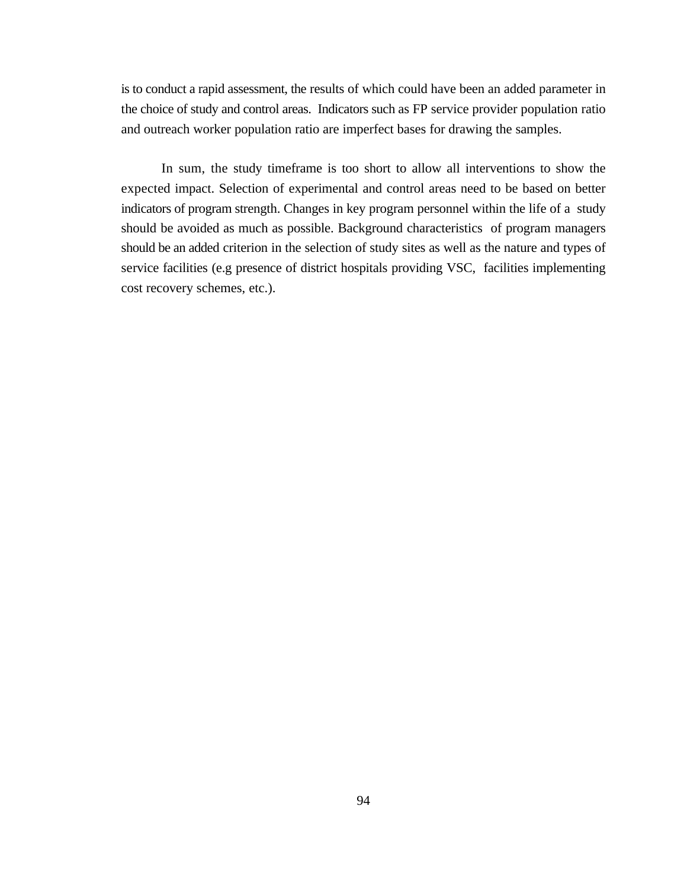is to conduct a rapid assessment, the results of which could have been an added parameter in the choice of study and control areas. Indicators such as FP service provider population ratio and outreach worker population ratio are imperfect bases for drawing the samples.

In sum, the study timeframe is too short to allow all interventions to show the expected impact. Selection of experimental and control areas need to be based on better indicators of program strength. Changes in key program personnel within the life of a study should be avoided as much as possible. Background characteristics of program managers should be an added criterion in the selection of study sites as well as the nature and types of service facilities (e.g presence of district hospitals providing VSC, facilities implementing cost recovery schemes, etc.).